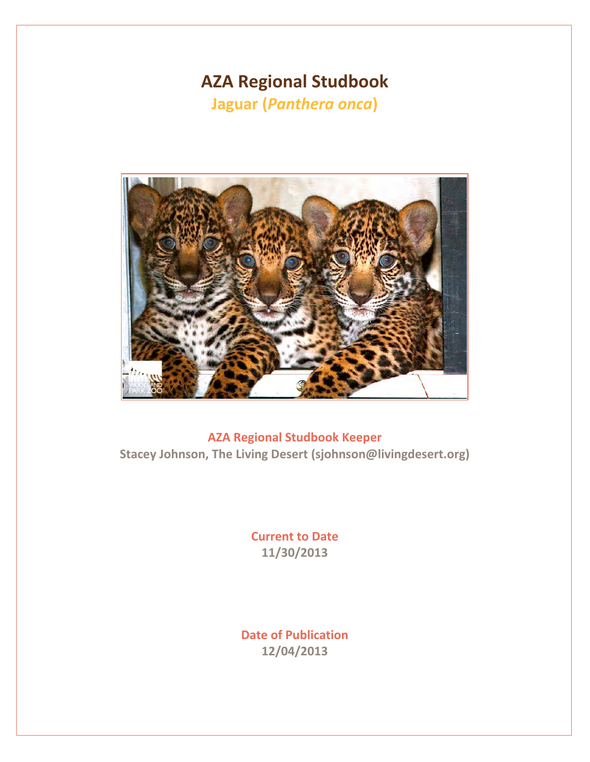# **AZA Regional Studbook**

**Jaguar (***Panthera onca***)** 



**AZA Regional Studbook Keeper Stacey Johnson, The Living Desert (sjohnson@livingdesert.org)**

> **Current to Date 11/30/2013**

**Date of Publication 12/04/2013**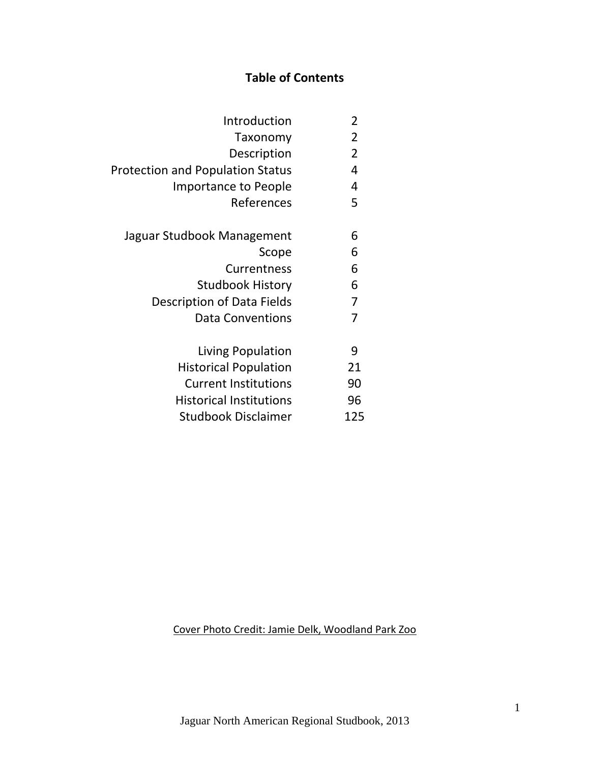# **Table of Contents**

| 2   | Introduction                            |
|-----|-----------------------------------------|
| 2   | Taxonomy                                |
| 2   | Description                             |
| 4   | <b>Protection and Population Status</b> |
| 4   | Importance to People                    |
| 5   | References                              |
| 6   | Jaguar Studbook Management              |
| 6   | Scope                                   |
| 6   | Currentness                             |
| 6   | Studbook History                        |
| 7   | Description of Data Fields              |
| 7   | <b>Data Conventions</b>                 |
| 9   | Living Population                       |
| 21  | <b>Historical Population</b>            |
| 90  | <b>Current Institutions</b>             |
| 96  | <b>Historical Institutions</b>          |
| 125 | Studbook Disclaimer                     |
|     |                                         |

Cover Photo Credit: Jamie Delk, Woodland Park Zoo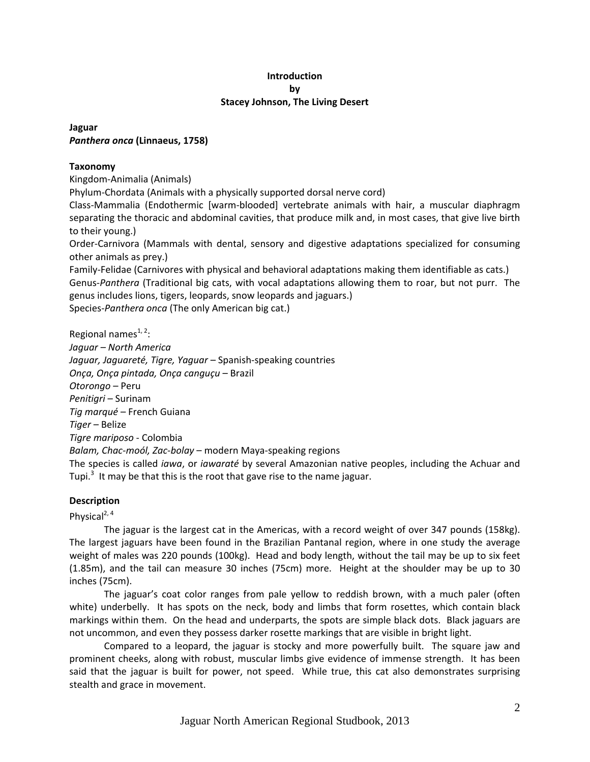#### **Introduction by Stacey Johnson, The Living Desert**

#### **Jaguar** *Panthera onca* **(Linnaeus, 1758)**

#### **Taxonomy**

Kingdom‐Animalia (Animals)

Phylum‐Chordata (Animals with a physically supported dorsal nerve cord)

Class‐Mammalia (Endothermic [warm‐blooded] vertebrate animals with hair, a muscular diaphragm separating the thoracic and abdominal cavities, that produce milk and, in most cases, that give live birth to their young.)

Order‐Carnivora (Mammals with dental, sensory and digestive adaptations specialized for consuming other animals as prey.)

Family‐Felidae (Carnivores with physical and behavioral adaptations making them identifiable as cats.) Genus‐*Panthera* (Traditional big cats, with vocal adaptations allowing them to roar, but not purr. The genus includes lions, tigers, leopards, snow leopards and jaguars.)

Species‐*Panthera onca* (The only American big cat.)

Regional names<sup>1, 2</sup>: *Jaguar – North America Jaguar, Jaguareté, Tigre, Yaguar* – Spanish‐speaking countries *Onça, Onça pintada, Onça canguçu* – Brazil *Otorongo* – Peru *Penitigri* – Surinam *Tig marqué* – French Guiana *Tiger* – Belize *Tigre mariposo* ‐ Colombia *Balam, Chac‐moól, Zac‐bolay* – modern Maya‐speaking regions The species is called *iawa*, or *iawaraté* by several Amazonian native peoples, including the Achuar and Tupi.<sup>3</sup> It may be that this is the root that gave rise to the name jaguar.

#### **Description**

Physical<sup>2, 4</sup>

The jaguar is the largest cat in the Americas, with a record weight of over 347 pounds (158kg). The largest jaguars have been found in the Brazilian Pantanal region, where in one study the average weight of males was 220 pounds (100kg). Head and body length, without the tail may be up to six feet (1.85m), and the tail can measure 30 inches (75cm) more. Height at the shoulder may be up to 30 inches (75cm).

The jaguar's coat color ranges from pale yellow to reddish brown, with a much paler (often white) underbelly. It has spots on the neck, body and limbs that form rosettes, which contain black markings within them. On the head and underparts, the spots are simple black dots. Black jaguars are not uncommon, and even they possess darker rosette markings that are visible in bright light.

Compared to a leopard, the jaguar is stocky and more powerfully built. The square jaw and prominent cheeks, along with robust, muscular limbs give evidence of immense strength. It has been said that the jaguar is built for power, not speed. While true, this cat also demonstrates surprising stealth and grace in movement.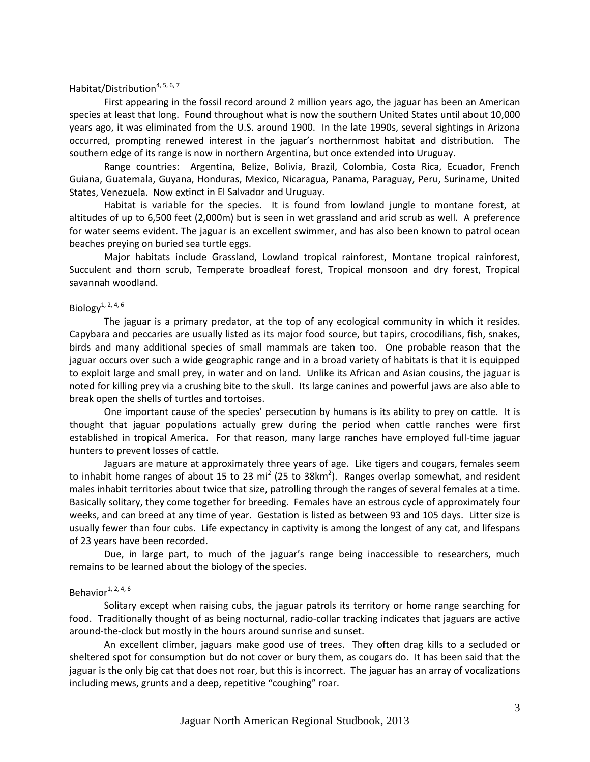#### Habitat/Distribution<sup>4, 5, 6, 7</sup>

First appearing in the fossil record around 2 million years ago, the jaguar has been an American species at least that long. Found throughout what is now the southern United States until about 10,000 years ago, it was eliminated from the U.S. around 1900. In the late 1990s, several sightings in Arizona occurred, prompting renewed interest in the jaguar's northernmost habitat and distribution. The southern edge of its range is now in northern Argentina, but once extended into Uruguay.

Range countries: Argentina, Belize, Bolivia, Brazil, Colombia, Costa Rica, Ecuador, French Guiana, Guatemala, Guyana, Honduras, Mexico, Nicaragua, Panama, Paraguay, Peru, Suriname, United States, Venezuela. Now extinct in El Salvador and Uruguay.

Habitat is variable for the species. It is found from lowland jungle to montane forest, at altitudes of up to 6,500 feet (2,000m) but is seen in wet grassland and arid scrub as well. A preference for water seems evident. The jaguar is an excellent swimmer, and has also been known to patrol ocean beaches preying on buried sea turtle eggs.

Major habitats include Grassland, Lowland tropical rainforest, Montane tropical rainforest, Succulent and thorn scrub, Temperate broadleaf forest, Tropical monsoon and dry forest, Tropical savannah woodland.

#### Biology<sup>1, 2, 4, 6</sup>

The jaguar is a primary predator, at the top of any ecological community in which it resides. Capybara and peccaries are usually listed as its major food source, but tapirs, crocodilians, fish, snakes, birds and many additional species of small mammals are taken too. One probable reason that the jaguar occurs over such a wide geographic range and in a broad variety of habitats is that it is equipped to exploit large and small prey, in water and on land. Unlike its African and Asian cousins, the jaguar is noted for killing prey via a crushing bite to the skull. Its large canines and powerful jaws are also able to break open the shells of turtles and tortoises.

One important cause of the species' persecution by humans is its ability to prey on cattle. It is thought that jaguar populations actually grew during the period when cattle ranches were first established in tropical America. For that reason, many large ranches have employed full-time jaguar hunters to prevent losses of cattle.

Jaguars are mature at approximately three years of age. Like tigers and cougars, females seem to inhabit home ranges of about 15 to 23 mi<sup>2</sup> (25 to 38km<sup>2</sup>). Ranges overlap somewhat, and resident males inhabit territories about twice that size, patrolling through the ranges of several females at a time. Basically solitary, they come together for breeding. Females have an estrous cycle of approximately four weeks, and can breed at any time of year. Gestation is listed as between 93 and 105 days. Litter size is usually fewer than four cubs. Life expectancy in captivity is among the longest of any cat, and lifespans of 23 years have been recorded.

Due, in large part, to much of the jaguar's range being inaccessible to researchers, much remains to be learned about the biology of the species.

#### Behavior $1, 2, 4, 6$

Solitary except when raising cubs, the jaguar patrols its territory or home range searching for food. Traditionally thought of as being nocturnal, radio‐collar tracking indicates that jaguars are active around‐the‐clock but mostly in the hours around sunrise and sunset.

An excellent climber, jaguars make good use of trees. They often drag kills to a secluded or sheltered spot for consumption but do not cover or bury them, as cougars do. It has been said that the jaguar is the only big cat that does not roar, but this is incorrect. The jaguar has an array of vocalizations including mews, grunts and a deep, repetitive "coughing" roar.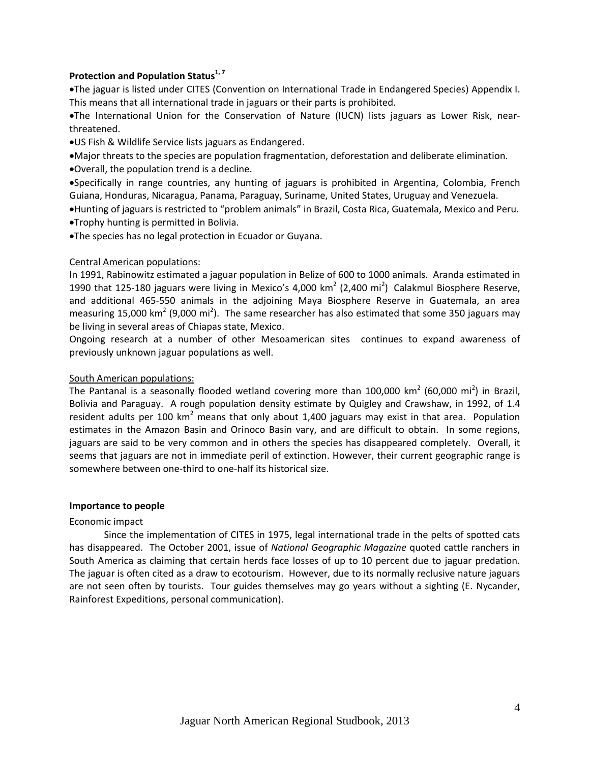#### **Protection and Population Status1, <sup>7</sup>**

The jaguar is listed under CITES (Convention on International Trade in Endangered Species) Appendix I. This means that all international trade in jaguars or their parts is prohibited.

The International Union for the Conservation of Nature (IUCN) lists jaguars as Lower Risk, near‐ threatened.

US Fish & Wildlife Service lists jaguars as Endangered.

Major threats to the species are population fragmentation, deforestation and deliberate elimination.

Overall, the population trend is a decline.

Specifically in range countries, any hunting of jaguars is prohibited in Argentina, Colombia, French Guiana, Honduras, Nicaragua, Panama, Paraguay, Suriname, United States, Uruguay and Venezuela.

Hunting of jaguars is restricted to "problem animals" in Brazil, Costa Rica, Guatemala, Mexico and Peru. Trophy hunting is permitted in Bolivia.

The species has no legal protection in Ecuador or Guyana.

#### Central American populations:

In 1991, Rabinowitz estimated a jaguar population in Belize of 600 to 1000 animals. Aranda estimated in 1990 that 125-180 jaguars were living in Mexico's 4,000 km<sup>2</sup> (2,400 mi<sup>2</sup>) Calakmul Biosphere Reserve, and additional 465‐550 animals in the adjoining Maya Biosphere Reserve in Guatemala, an area measuring 15,000 km<sup>2</sup> (9,000 mi<sup>2</sup>). The same researcher has also estimated that some 350 jaguars may be living in several areas of Chiapas state, Mexico.

Ongoing research at a number of other Mesoamerican sites continues to expand awareness of previously unknown jaguar populations as well.

#### South American populations:

The Pantanal is a seasonally flooded wetland covering more than 100,000 km<sup>2</sup> (60,000 mi<sup>2</sup>) in Brazil, Bolivia and Paraguay. A rough population density estimate by Quigley and Crawshaw, in 1992, of 1.4 resident adults per 100 km<sup>2</sup> means that only about 1,400 jaguars may exist in that area. Population estimates in the Amazon Basin and Orinoco Basin vary, and are difficult to obtain. In some regions, jaguars are said to be very common and in others the species has disappeared completely. Overall, it seems that jaguars are not in immediate peril of extinction. However, their current geographic range is somewhere between one‐third to one‐half its historical size.

#### **Importance to people**

#### Economic impact

Since the implementation of CITES in 1975, legal international trade in the pelts of spotted cats has disappeared. The October 2001, issue of *National Geographic Magazine* quoted cattle ranchers in South America as claiming that certain herds face losses of up to 10 percent due to jaguar predation. The jaguar is often cited as a draw to ecotourism. However, due to its normally reclusive nature jaguars are not seen often by tourists. Tour guides themselves may go years without a sighting (E. Nycander, Rainforest Expeditions, personal communication).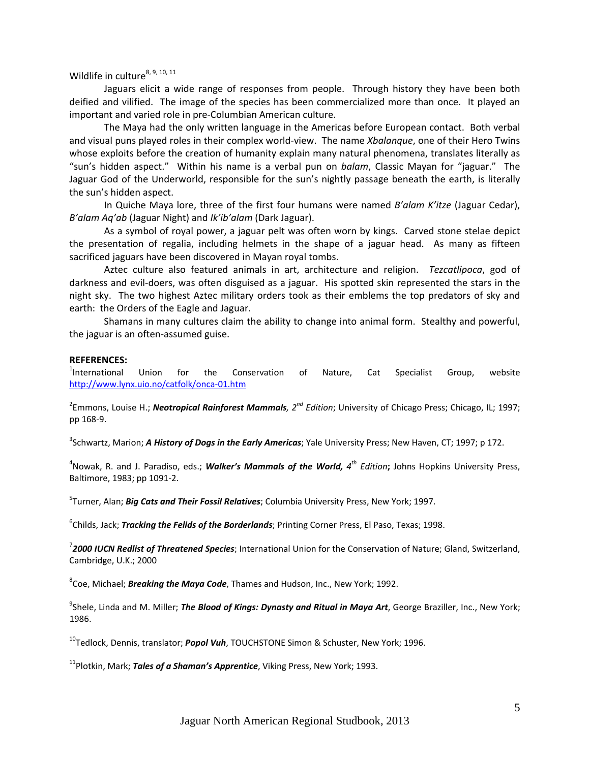Wildlife in culture<sup>8, 9, 10, 11</sup>

Jaguars elicit a wide range of responses from people. Through history they have been both deified and vilified. The image of the species has been commercialized more than once. It played an important and varied role in pre‐Columbian American culture.

The Maya had the only written language in the Americas before European contact. Both verbal and visual puns played roles in their complex world-view. The name *Xbalanque*, one of their Hero Twins whose exploits before the creation of humanity explain many natural phenomena, translates literally as "sun's hidden aspect." Within his name is a verbal pun on *balam*, Classic Mayan for "jaguar." The Jaguar God of the Underworld, responsible for the sun's nightly passage beneath the earth, is literally the sun's hidden aspect.

In Quiche Maya lore, three of the first four humans were named *B'alam K'itze* (Jaguar Cedar), *B'alam Aq'ab* (Jaguar Night) and *Ik'ib'alam* (Dark Jaguar).

As a symbol of royal power, a jaguar pelt was often worn by kings. Carved stone stelae depict the presentation of regalia, including helmets in the shape of a jaguar head. As many as fifteen sacrificed jaguars have been discovered in Mayan royal tombs.

Aztec culture also featured animals in art, architecture and religion. *Tezcatlipoca*, god of darkness and evil‐doers, was often disguised as a jaguar. His spotted skin represented the stars in the night sky. The two highest Aztec military orders took as their emblems the top predators of sky and earth: the Orders of the Eagle and Jaguar.

Shamans in many cultures claim the ability to change into animal form. Stealthy and powerful, the jaguar is an often‐assumed guise.

#### **REFERENCES:**

<sup>1</sup>International International Union for the Conservation of Nature, Cat Specialist Group, website http://www.lynx.uio.no/catfolk/onca‐01.htm

2 Emmons, Louise H.; *Neotropical Rainforest Mammals, 2nd Edition*; University of Chicago Press; Chicago, IL; 1997; pp 168‐9.

3 Schwartz, Marion; *A History of Dogs in the Early Americas*; Yale University Press; New Haven, CT; 1997; p 172.

4 Nowak, R. and J. Paradiso, eds.; *Walker's Mammals of the World, 4th Edition***;** Johns Hopkins University Press, Baltimore, 1983; pp 1091‐2.

5 Turner, Alan; *Big Cats and Their Fossil Relatives*; Columbia University Press, New York; 1997.

6 Childs, Jack; *Tracking the Felids of the Borderlands*; Printing Corner Press, El Paso, Texas; 1998.

7 *2000 IUCN Redlist of Threatened Species*; International Union for the Conservation of Nature; Gland, Switzerland, Cambridge, U.K.; 2000

8 Coe, Michael; *Breaking the Maya Code*, Thames and Hudson, Inc., New York; 1992.

9 Shele, Linda and M. Miller; *The Blood of Kings: Dynasty and Ritual in Maya Art*, George Braziller, Inc., New York; 1986.

10Tedlock, Dennis, translator; *Popol Vuh*, TOUCHSTONE Simon & Schuster, New York; 1996.

11Plotkin, Mark; *Tales of a Shaman's Apprentice*, Viking Press, New York; 1993.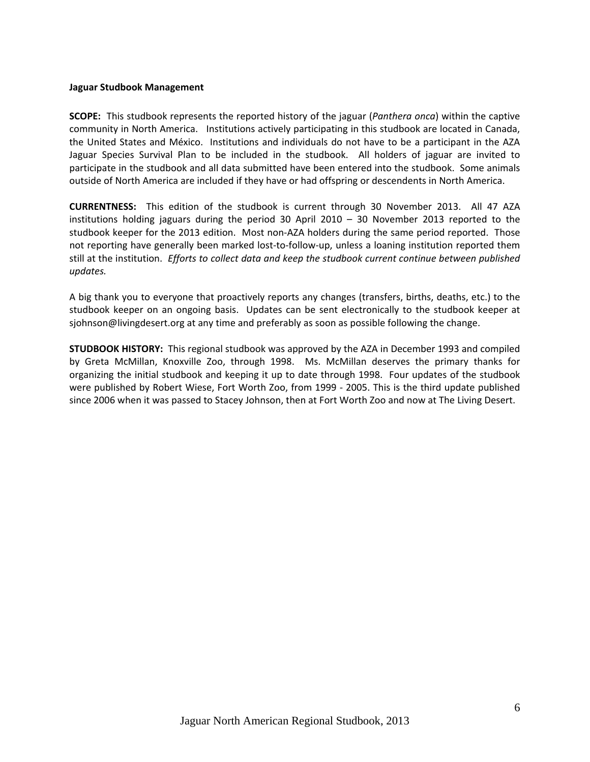#### **Jaguar Studbook Management**

**SCOPE:** This studbook represents the reported history of the jaguar (*Panthera onca*) within the captive community in North America. Institutions actively participating in this studbook are located in Canada, the United States and México. Institutions and individuals do not have to be a participant in the AZA Jaguar Species Survival Plan to be included in the studbook. All holders of jaguar are invited to participate in the studbook and all data submitted have been entered into the studbook. Some animals outside of North America are included if they have or had offspring or descendents in North America.

**CURRENTNESS:**  This edition of the studbook is current through 30 November 2013. All 47 AZA institutions holding jaguars during the period 30 April 2010 – 30 November 2013 reported to the studbook keeper for the 2013 edition. Most non‐AZA holders during the same period reported. Those not reporting have generally been marked lost-to-follow-up, unless a loaning institution reported them still at the institution. *Efforts to collect data and keep the studbook current continue between published updates.*

A big thank you to everyone that proactively reports any changes (transfers, births, deaths, etc.) to the studbook keeper on an ongoing basis. Updates can be sent electronically to the studbook keeper at sjohnson@livingdesert.org at any time and preferably as soon as possible following the change.

**STUDBOOK HISTORY:** This regional studbook was approved by the AZA in December 1993 and compiled by Greta McMillan, Knoxville Zoo, through 1998. Ms. McMillan deserves the primary thanks for organizing the initial studbook and keeping it up to date through 1998. Four updates of the studbook were published by Robert Wiese, Fort Worth Zoo, from 1999 ‐ 2005. This is the third update published since 2006 when it was passed to Stacey Johnson, then at Fort Worth Zoo and now at The Living Desert.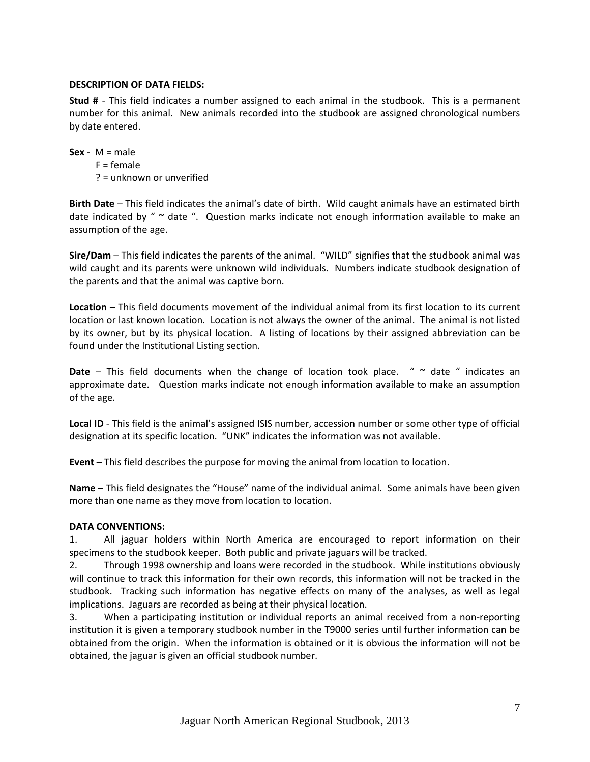#### **DESCRIPTION OF DATA FIELDS:**

**Stud #** - This field indicates a number assigned to each animal in the studbook. This is a permanent number for this animal. New animals recorded into the studbook are assigned chronological numbers by date entered.

**Sex** -  $M = male$ 

 $F = female$ ? = unknown or unverified

**Birth Date** – This field indicates the animal's date of birth. Wild caught animals have an estimated birth date indicated by " $\sim$  date ". Question marks indicate not enough information available to make an assumption of the age.

**Sire/Dam** – This field indicates the parents of the animal. "WILD" signifies that the studbook animal was wild caught and its parents were unknown wild individuals. Numbers indicate studbook designation of the parents and that the animal was captive born.

**Location** – This field documents movement of the individual animal from its first location to its current location or last known location. Location is not always the owner of the animal. The animal is not listed by its owner, but by its physical location. A listing of locations by their assigned abbreviation can be found under the Institutional Listing section.

**Date** – This field documents when the change of location took place. " ~ date " indicates an approximate date. Question marks indicate not enough information available to make an assumption of the age.

**Local ID** ‐ This field is the animal's assigned ISIS number, accession number or some other type of official designation at its specific location. "UNK" indicates the information was not available.

**Event** – This field describes the purpose for moving the animal from location to location.

**Name** – This field designates the "House" name of the individual animal. Some animals have been given more than one name as they move from location to location.

#### **DATA CONVENTIONS:**

1. All jaguar holders within North America are encouraged to report information on their specimens to the studbook keeper. Both public and private jaguars will be tracked.

2. Through 1998 ownership and loans were recorded in the studbook. While institutions obviously will continue to track this information for their own records, this information will not be tracked in the studbook. Tracking such information has negative effects on many of the analyses, as well as legal implications. Jaguars are recorded as being at their physical location.

3. When a participating institution or individual reports an animal received from a non‐reporting institution it is given a temporary studbook number in the T9000 series until further information can be obtained from the origin. When the information is obtained or it is obvious the information will not be obtained, the jaguar is given an official studbook number.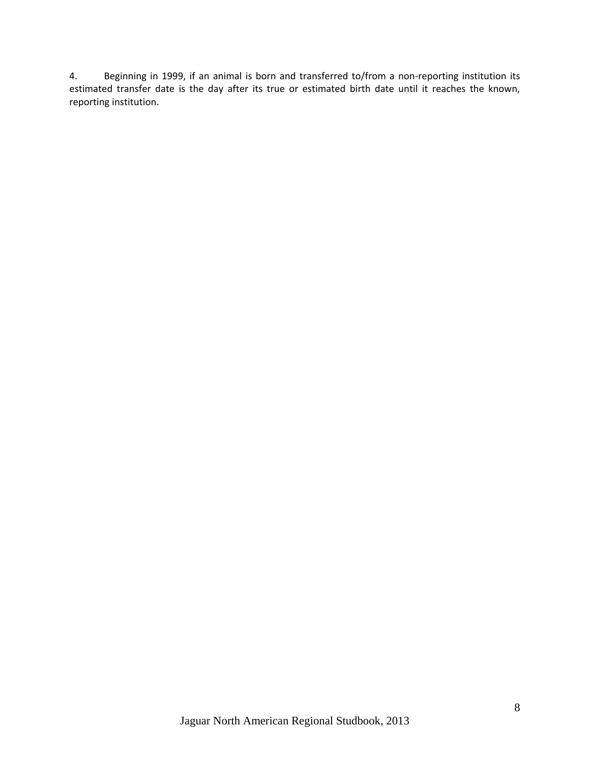4. Beginning in 1999, if an animal is born and transferred to/from a non-reporting institution its estimated transfer date is the day after its true or estimated birth date until it reaches the known, reporting institution.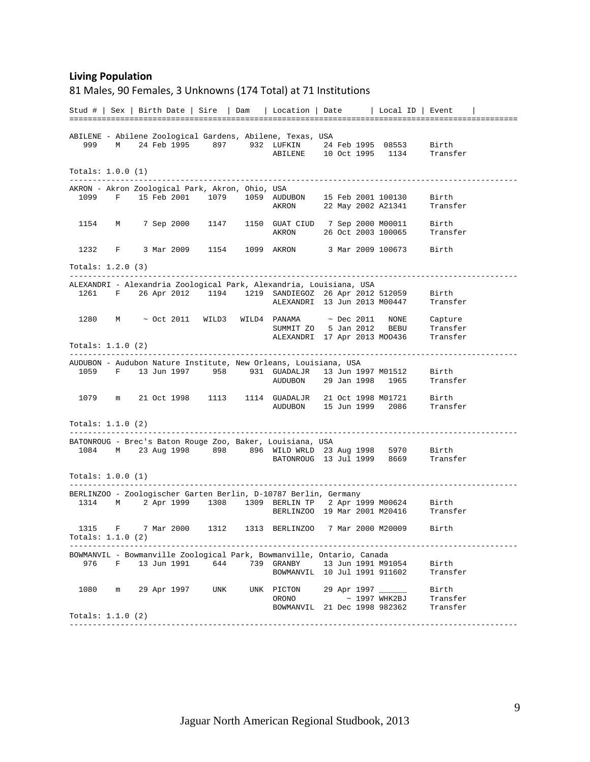#### **Living Population**

#### 81 Males, 90 Females, 3 Unknowns (174 Total) at 71 Institutions

Stud # | Sex | Birth Date | Sire | Dam | Location | Date | Local ID | Event | ================================================================================================= ABILENE - Abilene Zoological Gardens, Abilene, Texas, USA 999 M 24 Feb 1995 897 932 LUFKIN 24 Feb 1995 08553 Birth ABILENE 10 Oct 1995 1134 Transfer Totals: 1.0.0 (1) ------------------------------------------------------------------------------------------------- AKRON - Akron Zoological Park, Akron, Ohio, USA 1099 F 15 Feb 2001 1079 1059 AUDUBON 15 Feb 2001 100130 Birth 22 May 2002 A21341 1154 M 7 Sep 2000 1147 1150 GUAT CIUD 7 Sep 2000 M00011 Birth AKRON 26 Oct 2003 100065 Transfer 1232 F 3 Mar 2009 1154 1099 AKRON 3 Mar 2009 100673 Birth Totals: 1.2.0 (3) ------------------------------------------------------------------------------------------------- ALEXANDRI - Alexandria Zoological Park, Alexandria, Louisiana, USA 1261 F 26 Apr 2012 1194 1219 SANDIEGOZ 26 Apr 2012 512059 Birth ALEXANDRI 13 Jun 2013 M00447 Transfer 1280 M ~ Oct 2011 WILD3 WILD4 PANAMA ~ Dec 2011 NONE Capture SUMMIT ZO 5 Jan 2012 BEBU Transfer ALEXANDRI 17 Apr 2013 MOO436 Transfer Totals: 1.1.0 (2) ------------------------------------------------------------------------------------------------- AUDUBON - Audubon Nature Institute, New Orleans, Louisiana, USA 1059 F 13 Jun 1997 958 931 GUADALJR 13 Jun 1997 M01512 Birth AUDUBON 29 Jan 1998 1965 Transfer 1079 m 21 Oct 1998 1113 1114 GUADALJR 21 Oct 1998 M01721 Birth AUDUBON 15 Jun 1999 2086 Transfer Totals: 1.1.0 (2) ------------------------------------------------------------------------------------------------- BATONROUG - Brec's Baton Rouge Zoo, Baker, Louisiana, USA 1084 M 23 Aug 1998 898 896 WILD WRLD 23 Aug 1998 5970 Birth BATONROUG 13 Jul 1999 8669 Transfer Totals: 1.0.0 (1) ------------------------------------------------------------------------------------------------- BERLINZOO - Zoologischer Garten Berlin, D-10787 Berlin, Germany 1314 M 2 Apr 1999 1308 1309 BERLIN TP 2 Apr 1999 M00624 Birth BERLINZOO 19 Mar 2001 M20416 Transfer 1315 F 7 Mar 2000 1312 1313 BERLINZOO 7 Mar 2000 M20009 Birth Totals: 1.1.0 (2) ------------------------------------------------------------------------------------------------- BOWMANVIL - Bowmanville Zoological Park, Bowmanville, Ontario, Canada 976 F 13 Jun 1991 644 739 GRANBY 13 Jun 1991 M91054 Birth BOWMANVIL 10 Jul 1991 911602 1080 m 29 Apr 1997 UNK UNK PICTON 29 Apr 1997 \_\_\_\_\_\_ Birth ORONO ~ 1997 WHK2BJ Transfer BOWMANVIL 21 Dec 1998 982362 Transfer Totals: 1.1.0 (2) -------------------------------------------------------------------------------------------------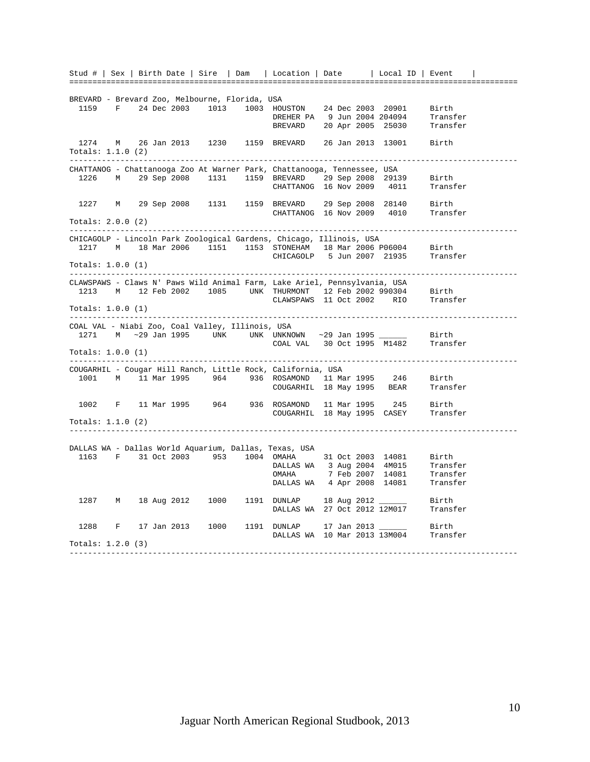Stud # | Sex | Birth Date | Sire | Dam | Location | Date | Local ID | Event | ================================================================================================= BREVARD - Brevard Zoo, Melbourne, Florida, USA 1159 F 24 Dec 2003 1013 1003 HOUSTON 24 Dec 2003 20901 Birth DREHER PA 9 Jun 2004 204094 Transfer BREVARD 20 Apr 2005 25030 Transfer 1274 M 26 Jan 2013 1230 1159 BREVARD 26 Jan 2013 13001 Birth Totals: 1.1.0 (2) ------------------------------------------------------------------------------------------------- CHATTANOG - Chattanooga Zoo At Warner Park, Chattanooga, Tennessee, USA 1226 M 29 Sep 2008 1131 1159 BREVARD 29 Sep 2008 29139 Birth CHATTANOG 16 Nov 2009 4011 Transfer 1227 M 29 Sep 2008 1131 1159 BREVARD 29 Sep 2008 28140 Birth CHATTANOG 16 Nov 2009 4010 Transfer Totals: 2.0.0 (2) ------------------------------------------------------------------------------------------------- CHICAGOLP - Lincoln Park Zoological Gardens, Chicago, Illinois, USA 1217 M 18 Mar 2006 1151 1153 STONEHAM 18 Mar 2006 P06004 Birth CHICAGOLP 5 Jun 2007 21935 Transfer Totals: 1.0.0 (1) ------------------------------------------------------------------------------------------------- CLAWSPAWS - Claws N' Paws Wild Animal Farm, Lake Ariel, Pennsylvania, USA 1213 M 12 Feb 2002 1085 UNK THURMONT 12 Feb 2002 990304 Birth CLAWSPAWS 11 Oct 2002 RIO Transfer Totals: 1.0.0 (1) ------------------------------------------------------------------------------------------------- COAL VAL - Niabi Zoo, Coal Valley, Illinois, USA 1271 M ~29 Jan 1995 UNK UNK UNKNOWN ~29 Jan 1995 \_\_\_\_\_\_ Birth COAL VAL 30 Oct 1995 M1482 Transfer Totals: 1.0.0 (1) ------------------------------------------------------------------------------------------------- COUGARHIL - Cougar Hill Ranch, Little Rock, California, USA 1001 M 11 Mar 1995 964 936 ROSAMOND 11 Mar 1995 246 Birth COUGARHIL 18 May 1995 BEAR Transfer 1002 F 11 Mar 1995 964 936 ROSAMOND 11 Mar 1995 245 Birth COUGARHIL 18 May 1995 CASEY Totals: 1.1.0 (2) ------------------------------------------------------------------------------------------------- DALLAS WA - Dallas World Aquarium, Dallas, Texas, USA 953 1004 OMAHA 31 Oct 2003 14081 Birth<br>DALLAS WA 3 Aug 2004 4M015 Transfer DALLAS WA 3 Aug 2004 4M015 Transfer<br>OMAHA 7 Feb 2007 14081 Transfer 7 Feb 2007 14081 Transfer<br>4 Apr 2008 14081 Transfer DALLAS WA 4 Apr 2008 14081 1287 M 18 Aug 2012 1000 1191 DUNLAP 18 Aug 2012 \_\_\_\_\_\_ Birth DALLAS WA 27 Oct 2012 12M017 Transfer 1288 F 17 Jan 2013 1000 1191 DUNLAP 17 Jan 2013 \_\_\_\_\_\_ Birth DALLAS WA 10 Mar 2013 13M004 Transfer Totals: 1.2.0 (3) -------------------------------------------------------------------------------------------------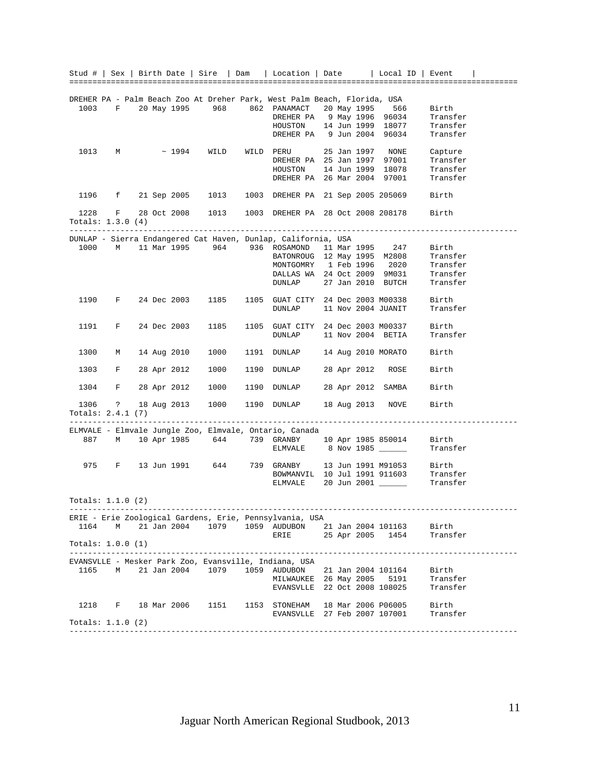|                         |   |             |               |      |      |      | Stud #   Sex   Birth Date   Sire   Dam   Location   Date   Local ID   Event                                                     |  |             |                    |                                                                         |  |
|-------------------------|---|-------------|---------------|------|------|------|---------------------------------------------------------------------------------------------------------------------------------|--|-------------|--------------------|-------------------------------------------------------------------------|--|
|                         |   |             |               |      |      |      |                                                                                                                                 |  |             |                    |                                                                         |  |
|                         |   |             |               |      |      |      |                                                                                                                                 |  |             |                    |                                                                         |  |
|                         |   |             |               |      |      |      | DREHER PA - Palm Beach Zoo At Dreher Park, West Palm Beach, Florida, USA<br>1003 F 20 May 1995 968 862 PANAMACT 20 May 1995 566 |  |             |                    | Birth                                                                   |  |
|                         |   |             |               |      |      |      |                                                                                                                                 |  |             |                    | Transfer                                                                |  |
|                         |   |             |               |      |      |      | DREHER PA 9 May 1996 96034<br>HOUSTON 14 Jun 1999 18077                                                                         |  |             |                    | Transfer                                                                |  |
|                         |   |             |               |      |      |      | DREHER PA 9 Jun 2004 96034                                                                                                      |  |             |                    | Transfer                                                                |  |
|                         |   |             |               |      |      |      |                                                                                                                                 |  |             |                    |                                                                         |  |
| 1013                    |   | $M$ and $M$ | $\sim$ 1994   |      | WILD |      | WILD PERU 25 Jan 1997 NONE Capture<br>DREHER PA 25 Jan 1997 97001 Transfer                                                      |  |             |                    |                                                                         |  |
|                         |   |             |               |      |      |      |                                                                                                                                 |  |             |                    | Transfer                                                                |  |
|                         |   |             |               |      |      |      | HOUSTON 14 Jun 1999 18078<br>DREHER PA 26 Mar 2004 97001                                                                        |  |             |                    | Transfer                                                                |  |
|                         |   |             |               |      |      |      |                                                                                                                                 |  |             |                    | Transfer                                                                |  |
|                         |   |             |               |      |      |      |                                                                                                                                 |  |             |                    |                                                                         |  |
|                         |   |             |               |      |      |      | 1196 f 21 Sep 2005 1013 1003 DREHER PA 21 Sep 2005 205069 Birth                                                                 |  |             |                    |                                                                         |  |
|                         |   |             |               |      |      |      | 1228 F 28 Oct 2008 1013 1003 DREHER PA 28 Oct 2008 208178 Birth                                                                 |  |             |                    |                                                                         |  |
| Totals: $1.3.0(4)$      |   |             |               |      |      |      |                                                                                                                                 |  |             |                    |                                                                         |  |
|                         |   |             |               |      |      |      |                                                                                                                                 |  |             |                    |                                                                         |  |
|                         |   |             |               |      |      |      | DUNLAP - Sierra Endangered Cat Haven, Dunlap, California, USA                                                                   |  |             |                    |                                                                         |  |
|                         |   |             |               |      |      |      | 1000 M 11 Mar 1995 964 936 ROSAMOND 11 Mar 1995 247                                                                             |  |             |                    | Birth                                                                   |  |
|                         |   |             |               |      |      |      |                                                                                                                                 |  |             |                    | Transfer                                                                |  |
|                         |   |             |               |      |      |      | BATONROUG 12 May 1995 M2808<br>MONTGOMRY 1 Feb 1996 2020<br>DALLAS WA 24 Oct 2009 9M031<br>DUNLAP 27 Jan 2010 BUTCH             |  |             |                    | Transfer                                                                |  |
|                         |   |             |               |      |      |      |                                                                                                                                 |  |             |                    | Transfer                                                                |  |
|                         |   |             |               |      |      |      |                                                                                                                                 |  |             |                    | Transfer                                                                |  |
| 1190                    |   | $F$ and $F$ |               |      |      |      | 24 Dec 2003 1185 1105 GUAT CITY 24 Dec 2003 M00338                                                                              |  |             |                    | Birth                                                                   |  |
|                         |   |             |               |      |      |      | DUNLAP 11 Nov 2004 JUANIT                                                                                                       |  |             |                    | Transfer                                                                |  |
|                         |   |             |               |      |      |      |                                                                                                                                 |  |             |                    |                                                                         |  |
| 1191                    |   | $F$ and $F$ |               |      |      |      | 24 Dec 2003 1185 1105 GUAT CITY 24 Dec 2003 M00337                                                                              |  |             |                    | Birth                                                                   |  |
|                         |   |             |               |      |      |      | DUNLAP 11 Nov 2004 BETIA                                                                                                        |  |             |                    | Transfer                                                                |  |
|                         |   |             |               |      |      |      |                                                                                                                                 |  |             |                    |                                                                         |  |
| 1300                    | M |             |               |      |      |      | 14 Aug 2010 1000 1191 DUNLAP                                                                                                    |  |             | 14 Aug 2010 MORATO | Birth                                                                   |  |
|                         |   |             |               |      |      |      |                                                                                                                                 |  |             |                    |                                                                         |  |
| 1303                    |   |             |               |      |      |      | F 28 Apr 2012 1000 1190 DUNLAP 28 Apr 2012 ROSE                                                                                 |  |             |                    | Birth                                                                   |  |
| 1304                    |   |             |               |      |      |      | F 28 Apr 2012 1000 1190 DUNLAP 28 Apr 2012 SAMBA                                                                                |  |             |                    | Birth                                                                   |  |
|                         |   |             |               |      |      |      |                                                                                                                                 |  |             |                    |                                                                         |  |
|                         |   |             |               |      |      |      | 1306 ? 18 Aug 2013 1000 1190 DUNLAP                                                                                             |  |             | 18 Aug 2013 NOVE   | Birth                                                                   |  |
| Totals: $2.4.1(7)$      |   |             |               |      |      |      |                                                                                                                                 |  |             |                    |                                                                         |  |
| ----------------------- |   |             |               |      |      |      |                                                                                                                                 |  |             |                    |                                                                         |  |
|                         |   |             |               |      |      |      | ELMVALE - Elmvale Jungle Zoo, Elmvale, Ontario, Canada                                                                          |  |             |                    |                                                                         |  |
|                         |   |             |               |      |      |      | 887 M 10 Apr 1985 644 739 GRANBY 10 Apr 1985 850014<br>ELMVALE 8 Nov 1985                                                       |  |             |                    | Birth                                                                   |  |
|                         |   |             |               |      |      |      |                                                                                                                                 |  |             |                    | Transfer                                                                |  |
|                         |   |             | F 13 Jun 1991 |      |      |      | 644 739 GRANBY 13 Jun 1991 M91053                                                                                               |  |             |                    |                                                                         |  |
| 975                     |   |             |               |      |      |      |                                                                                                                                 |  |             |                    | Birth                                                                   |  |
|                         |   |             |               |      |      |      | ELMVALE 20 Jun 2001 _____                                                                                                       |  |             |                    | BOWMANVIL 10 Jul 1991 911603 Transfer<br>FLWWLE 20 Jun 2001<br>Transfer |  |
|                         |   |             |               |      |      |      |                                                                                                                                 |  |             |                    |                                                                         |  |
| Totals: $1.1.0$ (2)     |   |             |               |      |      |      |                                                                                                                                 |  |             |                    |                                                                         |  |
|                         |   |             |               |      |      |      |                                                                                                                                 |  |             |                    |                                                                         |  |
|                         |   |             |               |      |      |      | ERIE - Erie Zoological Gardens, Erie, Pennsylvania, USA                                                                         |  |             |                    |                                                                         |  |
| 1164                    | М |             | 21 Jan 2004   | 1079 |      |      | 1059 AUDUBON                                                                                                                    |  |             | 21 Jan 2004 101163 | Birth                                                                   |  |
|                         |   |             |               |      |      |      | ERIE                                                                                                                            |  | 25 Apr 2005 | 1454               | Transfer                                                                |  |
| Totals: $1.0.0(1)$      |   |             |               |      |      |      |                                                                                                                                 |  |             |                    |                                                                         |  |
|                         |   |             |               |      |      |      | EVANSVLLE - Mesker Park Zoo, Evansville, Indiana, USA                                                                           |  |             |                    |                                                                         |  |
| 1165                    | М |             | 21 Jan 2004   | 1079 |      | 1059 | AUDUBON                                                                                                                         |  |             | 21 Jan 2004 101164 | Birth                                                                   |  |
|                         |   |             |               |      |      |      | MILWAUKEE                                                                                                                       |  | 26 May 2005 | 5191               | Transfer                                                                |  |
|                         |   |             |               |      |      |      | EVANSVLLE                                                                                                                       |  |             | 22 Oct 2008 108025 | Transfer                                                                |  |
|                         |   |             |               |      |      |      |                                                                                                                                 |  |             |                    |                                                                         |  |
| 1218                    | F |             | 18 Mar 2006   | 1151 |      |      | 1153 STONEHAM                                                                                                                   |  |             | 18 Mar 2006 P06005 | Birth                                                                   |  |
|                         |   |             |               |      |      |      | EVANSVLLE 27 Feb 2007 107001                                                                                                    |  |             |                    | Transfer                                                                |  |
| Totals: $1.1.0$ (2)     |   |             |               |      |      |      |                                                                                                                                 |  |             |                    |                                                                         |  |
|                         |   |             |               |      |      |      |                                                                                                                                 |  |             |                    |                                                                         |  |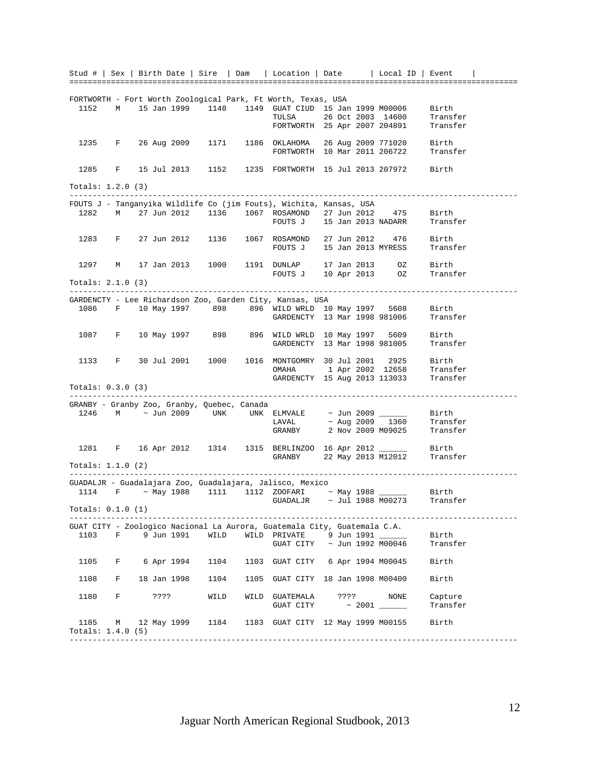Stud # | Sex | Birth Date | Sire | Dam | Location | Date | Local ID | Event | ================================================================================================= FORTWORTH - Fort Worth Zoological Park, Ft Worth, Texas, USA 1152 M 15 Jan 1999 1148 1149 GUAT CIUD 15 Jan 1999 M00006 Birth TULSA 26 Oct 2003 14600 FORTWORTH 25 Apr 2007 204891 Transfer 1235 F 26 Aug 2009 1171 1186 OKLAHOMA 26 Aug 2009 771020 Birth FORTWORTH 10 Mar 2011 206722 Transfer 1285 F 15 Jul 2013 1152 1235 FORTWORTH 15 Jul 2013 207972 Birth Totals: 1.2.0 (3) ------------------------------------------------------------------------------------------------- FOUTS J - Tanganyika Wildlife Co (jim Fouts), Wichita, Kansas, USA 1282 M 27 Jun 2012 1136 1067 ROSAMOND 27 Jun 2012 475 Birth FOUTS J 15 Jan 2013 NADARR Transfer 1283 F 27 Jun 2012 1136 1067 ROSAMOND 27 Jun 2012 476 Birth FOUTS J 15 Jan 2013 MYRESS Transfer 1297 M 17 Jan 2013 1000 1191 DUNLAP 17 Jan 2013 OZ Birth DUNLAP 17 Jan 2013<br>FOUTS J 10 Apr 2013 Totals: 2.1.0 (3) ------------------------------------------------------------------------------------------------- GARDENCTY - Lee Richardson Zoo, Garden City, Kansas, USA 1086 F 10 May 1997 898 896 WILD WRLD 10 May 1997 5608 Birth GARDENCTY 13 Mar 1998 981006 1087 F 10 May 1997 898 896 WILD WRLD 10 May 1997 5609 Birth GARDENCTY 13 Mar 1998 981005 Transfer 1133 F 30 Jul 2001 1000 1016 MONTGOMRY 30 Jul 2001 2925 Birth OMAHA 1 Apr 2002 12658 Transfer GARDENCTY 15 Aug 2013 113033 Transfer Totals: 0.3.0 (3) ------------------------------------------------------------------------------------------------- GRANBY - Granby Zoo, Granby, Quebec, Canada 1246 M ~ Jun 2009 UNK UNK ELMVALE ~ Jun 2009 \_\_\_\_\_\_ Birth  $LAVAL$   $\sim$  Aug 2009  $\,$  1360  $\,$  Transfer  $LAVAL$   $\sim$  Aug 2009  $\frac{1360}{1360}$  Transfer<br>GRANBY 2 Nov 2009 M09025 Transfer 1281 F 16 Apr 2012 1314 1315 BERLINZOO 16 Apr 2012 \_\_\_\_\_\_\_ Birth<br>GRANBY 22 May 2013 M12012 Transf 22 May 2013 M12012 Transfer Totals: 1.1.0 (2) ------------------------------------------------------------------------------------------------- GUADALJR - Guadalajara Zoo, Guadalajara, Jalisco, Mexico 1114 F ~ May 1988 1111 1112 ZOOFARI ~ May 1988 \_\_\_\_\_\_ Birth GUADALJR  $\sim$  Jul 1988 M00273  $\sim$  Transfer Totals: 0.1.0 (1) GUAT CITY - Zoologico Nacional La Aurora, Guatemala City, Guatemala C.A. 1103 F 9 Jun 1991 WILD WILD PRIVATE 9 Jun 1991 \_\_\_\_\_\_ Birth GUAT CITY  $\sim$  Jun 1992 M00046  $\sim$  Transfer 1105 F 6 Apr 1994 1104 1103 GUAT CITY 6 Apr 1994 M00045 Birth 1108 F 18 Jan 1998 1104 1105 GUAT CITY 18 Jan 1998 M00400 Birth 1180 F ???? WILD WILD GUATEMALA ???? NONE Capture GUAT CITY ~ 2001 \_\_\_\_\_\_ Transfer 1185 M 12 May 1999 1184 1183 GUAT CITY 12 May 1999 M00155 Birth Totals: 1.4.0 (5)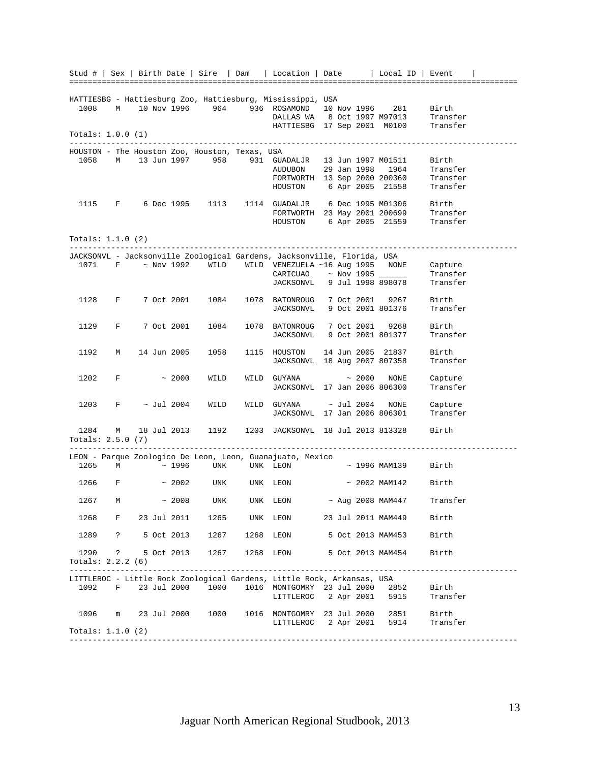|                     |              |  |               |                                                | Stud #   Sex   Birth Date   Sire   Dam   Location   Date   Local ID   Event                                                                    |  |             |                              |                     |  |
|---------------------|--------------|--|---------------|------------------------------------------------|------------------------------------------------------------------------------------------------------------------------------------------------|--|-------------|------------------------------|---------------------|--|
|                     |              |  |               |                                                |                                                                                                                                                |  |             |                              |                     |  |
|                     |              |  |               |                                                | HATTIESBG - Hattiesburg Zoo, Hattiesburg, Mississippi, USA                                                                                     |  |             |                              |                     |  |
| 1008                |              |  |               |                                                | M 10 Nov 1996 964 936 ROSAMOND                                                                                                                 |  |             | 10 Nov 1996 281 Birth        |                     |  |
|                     |              |  |               |                                                |                                                                                                                                                |  |             |                              |                     |  |
|                     |              |  |               |                                                | DALLAS WA 8 Oct 1997 M97013 Transfer<br>HATTIESBG 17 Sep 2001 M0100 Transfer                                                                   |  |             |                              |                     |  |
| Totals: $1.0.0(1)$  |              |  |               |                                                |                                                                                                                                                |  |             |                              |                     |  |
|                     |              |  |               |                                                |                                                                                                                                                |  |             |                              |                     |  |
|                     |              |  |               | HOUSTON - The Houston Zoo, Houston, Texas, USA |                                                                                                                                                |  |             |                              |                     |  |
|                     |              |  |               |                                                | 1058 M 13 Jun 1997 958 931 GUADALJR 13 Jun 1997 M01511                                                                                         |  |             |                              | Birth               |  |
|                     |              |  |               |                                                |                                                                                                                                                |  |             |                              |                     |  |
|                     |              |  |               |                                                | AUDUBON 29 Jan 1998 1964 Transfer<br>FORTWORTH 13 Sep 2000 200360 Transfer<br>HOUSTON 6 Apr 2005 21558 Transfer                                |  |             |                              |                     |  |
|                     |              |  |               |                                                |                                                                                                                                                |  |             |                              |                     |  |
|                     |              |  |               |                                                | 1115 F 6 Dec 1995 1113 1114 GUADALJR 6 Dec 1995 M01306 Birth<br>FORTWORTH 23 May 2001 200699 Transfer<br>HOUSTON 6 Apr 2005 21559 Transfer     |  |             |                              |                     |  |
|                     |              |  |               |                                                |                                                                                                                                                |  |             |                              |                     |  |
|                     |              |  |               |                                                |                                                                                                                                                |  |             |                              |                     |  |
| Totals: $1.1.0$ (2) |              |  |               |                                                |                                                                                                                                                |  |             |                              |                     |  |
|                     |              |  |               |                                                |                                                                                                                                                |  |             |                              |                     |  |
|                     |              |  |               |                                                | JACKSONVL - Jacksonville Zoological Gardens, Jacksonville, Florida, USA                                                                        |  |             |                              |                     |  |
| 1071                |              |  |               |                                                |                                                                                                                                                |  |             |                              |                     |  |
|                     |              |  |               |                                                | $F$ $\sim$ Nov 1992 WILD WILD VENEZUELA ~16 Aug 1995 NONE Capture<br>CARICUAO $\sim$ Nov 1995 Transfer<br>JACKSONVL 9 Jul 1998 898078 Transfer |  |             |                              | Transfer            |  |
|                     |              |  |               |                                                |                                                                                                                                                |  |             |                              | Transfer            |  |
| 1128                |              |  |               | F 7 Oct 2001 1084                              | 1078 BATONROUG 7 Oct 2001 9267                                                                                                                 |  |             |                              | Birth               |  |
|                     |              |  |               |                                                | JACKSONVL 9 Oct 2001 801376                                                                                                                    |  |             |                              | Transfer            |  |
|                     |              |  |               |                                                |                                                                                                                                                |  |             |                              |                     |  |
| 1129                |              |  |               | F 7 Oct 2001 1084                              | 1078 BATONROUG 7 Oct 2001 9268                                                                                                                 |  |             |                              | Birth               |  |
|                     |              |  |               |                                                | JACKSONVL 9 Oct 2001 801377                                                                                                                    |  |             |                              | Transfer            |  |
|                     |              |  |               |                                                |                                                                                                                                                |  |             |                              |                     |  |
| 1192                | $M$ and $M$  |  |               | 14 Jun 2005 1058                               | 1115 HOUSTON 14 Jun 2005 21837                                                                                                                 |  |             | JACKSONVL 18 Aug 2007 807358 | Birth<br>Transfer   |  |
|                     |              |  |               |                                                |                                                                                                                                                |  |             |                              |                     |  |
| 1202                |              |  | $F \sim 2000$ | WILD                                           | WILD GUYANA                                                                                                                                    |  | $\sim 2000$ | NONE                         | Capture             |  |
|                     |              |  |               |                                                | JACKSONVL 17 Jan 2006 806300                                                                                                                   |  |             |                              | Transfer            |  |
|                     |              |  |               |                                                |                                                                                                                                                |  |             |                              |                     |  |
| 1203                | $F$ $\qquad$ |  | ~ Jul 2004    | WILD                                           | WILD GUYANA $\sim$ Jul 2004 NONE<br>JACKSONVL 17 Jan 2006 806301                                                                               |  |             |                              | Capture<br>Transfer |  |
|                     |              |  |               |                                                |                                                                                                                                                |  |             |                              |                     |  |
|                     |              |  |               |                                                | 1284 M 18 Jul 2013 1192 1203 JACKSONVL 18 Jul 2013 813328                                                                                      |  |             |                              | Birth               |  |
| Totals: $2.5.0$ (7) |              |  |               |                                                |                                                                                                                                                |  |             |                              |                     |  |
|                     |              |  |               |                                                |                                                                                                                                                |  |             |                              |                     |  |
|                     |              |  |               |                                                | LEON - Parque Zoologico De Leon, Leon, Guanajuato, Mexico                                                                                      |  |             |                              |                     |  |
| 1265                | M            |  |               | $\sim$ 1996 UNK UNK LEON                       |                                                                                                                                                |  |             | $\sim$ 1996 MAM139 Birth     |                     |  |
|                     |              |  |               | $1266$ F $\sim 2002$ UNK UNK LEON              |                                                                                                                                                |  |             | $\sim$ 2002 MAM142 Birth     |                     |  |
|                     |              |  |               |                                                |                                                                                                                                                |  |             |                              |                     |  |
|                     |              |  |               |                                                | 1267 M $\sim$ 2008 UNK UNK LEON $\sim$ Aug 2008 MAM447 Transfer                                                                                |  |             |                              |                     |  |
|                     |              |  |               |                                                |                                                                                                                                                |  |             |                              |                     |  |
|                     |              |  |               |                                                | 1268 F 23 Jul 2011 1265 UNK LEON 23 Jul 2011 MAM449 Birth                                                                                      |  |             |                              |                     |  |
|                     |              |  |               |                                                | 1289 ? 5 Oct 2013 1267 1268 LEON 5 Oct 2013 MAM453 Birth                                                                                       |  |             |                              |                     |  |
|                     |              |  |               |                                                |                                                                                                                                                |  |             |                              |                     |  |
|                     |              |  |               |                                                | 1290 ? 5 Oct 2013 1267 1268 LEON 5 Oct 2013 MAM454 Birth                                                                                       |  |             |                              |                     |  |
| Totals: $2.2.2(6)$  |              |  |               |                                                |                                                                                                                                                |  |             |                              |                     |  |
|                     |              |  |               |                                                |                                                                                                                                                |  |             |                              |                     |  |
|                     |              |  |               |                                                | LITTLEROC - Little Rock Zoological Gardens, Little Rock, Arkansas, USA                                                                         |  |             |                              |                     |  |
|                     |              |  |               |                                                | 1092 F 23 Jul 2000 1000 1016 MONTGOMRY 23 Jul 2000 2852 Birth                                                                                  |  |             |                              |                     |  |
|                     |              |  |               |                                                | LITTLEROC 2 Apr 2001 5915                                                                                                                      |  |             |                              | Transfer            |  |
|                     |              |  |               |                                                | 1096 m 23 Jul 2000 1000 1016 MONTGOMRY 23 Jul 2000 2851 Birth                                                                                  |  |             |                              |                     |  |
|                     |              |  |               |                                                | LITTLEROC 2 Apr 2001 5914 Transfer                                                                                                             |  |             |                              |                     |  |
| Totals: $1.1.0$ (2) |              |  |               |                                                |                                                                                                                                                |  |             |                              |                     |  |
|                     |              |  |               |                                                |                                                                                                                                                |  |             |                              |                     |  |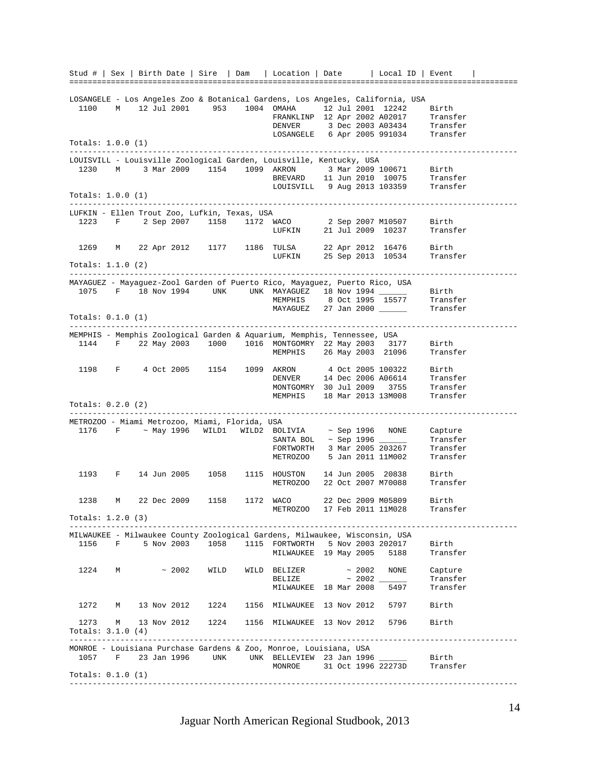Stud # | Sex | Birth Date | Sire | Dam | Location | Date | Local ID | Event | ================================================================================================= LOSANGELE - Los Angeles Zoo & Botanical Gardens, Los Angeles, California, USA 1100 M 12 Jul 2001 953 1004 OMAHA 12 Jul 2001 12242 Birth FRANKLINP 12 Apr 2002 A02017 Transfer DENVER 3 Dec 2003 A03434 Transfer<br>LOSANGELE 6 Apr 2005 991034 Transfer LOSANGELE 6 Apr 2005 991034 Totals: 1.0.0 (1) ------------------------------------------------------------------------------------------------- LOUISVILL - Louisville Zoological Garden, Louisville, Kentucky, USA 1230 M 3 Mar 2009 1154 1099 AKRON 3 Mar 2009 100671 Birth BREVARD 11 Jun 2010 10075 Transfer LOUISVILL 9 Aug 2013 103359 Transfer Totals: 1.0.0 (1) ------------------------------------------------------------------------------------------------- LUFKIN - Ellen Trout Zoo, Lufkin, Texas, USA 1223 F 2 Sep 2007 1158 1172 WACO 2 Sep 2007 M10507 Birth LUFKIN 21 Jul 2009 10237 Transfer 1269 M 22 Apr 2012 1177 1186 TULSA TULSA 22 Apr 2012 16476 Birth<br>LUFKIN 25 Sep 2013 10534 Transfer Totals: 1.1.0 (2) ------------------------------------------------------------------------------------------------- MAYAGUEZ - Mayaguez-Zool Garden of Puerto Rico, Mayaguez, Puerto Rico, USA 1075 F 18 Nov 1994 UNK UNK MAYAGUEZ 18 Nov 1994 \_\_\_\_\_\_ Birth<br>
MEMPHIS 8 Oct 1995 15577 Transfer<br>
MAYAGUEZ 27 Jan 2000 Transfer  $8$  Oct 1995 15577 MAYAGUEZ 27 Jan 2000 \_\_\_\_\_ Totals: 0.1.0 (1) ------------------------------------------------------------------------------------------------- MEMPHIS - Memphis Zoological Garden & Aquarium, Memphis, Tennessee, USA 1144 F 22 May 2003 1000 1016 MONTGOMRY 22 May 2003 3177 Birth MEMPHIS 26 May 2003 21096 Transfer 1198 F 4 Oct 2005 1154 1099 AKRON 4 Oct 2005 100322 Birth AKRON 4 Oct 2005 100322 Birth<br>DENVER 14 Dec 2006 A06614 Transfer MONTGOMRY 30 Jul 2009 3755 Transfer<br>MEMPHIS 18 Mar 2013 13M008 Transfer MEMPHIS 18 Mar 2013 13M008 Totals: 0.2.0 (2) ------------------------------------------------------------------------------------------------- METROZOO - Miami Metrozoo, Miami, Florida, USA 1176 F ~ May 1996 WILD1 WILD2 BOLIVIA ~ Sep 1996 NONE Capture  $\begin{tabular}{lllll} \multicolumn{2}{l}{{\bf SAMTA BOL}} & $\sim$ Sep 1996 & $\hspace{6.5pt}$ & \multicolumn{2}{l}{\bf Transfer} \\ \multicolumn{2}{l}{\bf FORTWORTH} & $\hspace{6.5pt}3$ & \textbf{Max} 2005 203267 & $\hspace{6.5pt}$ & \textbf{Transfer} \end{tabular}$ FORTWORTH 3 Mar 2005 203267<br>METROZOO 5 Jan 2011 11M002 5 Jan 2011 11M002 Transfer 1193 F 14 Jun 2005 1058 1115 HOUSTON 14 Jun 2005 20838 Birth METROZOO 22 Oct 2007 M70088 Transfer 1238 M 22 Dec 2009 1158 1172 WACO 22 Dec 2009 M05809 Birth METROZOO 17 Feb 2011 11M028 Totals: 1.2.0 (3) ------------------------------------------------------------------------------------------------- MILWAUKEE - Milwaukee County Zoological Gardens, Milwaukee, Wisconsin, USA 1156 F 5 Nov 2003 1058 1115 FORTWORTH 5 Nov 2003 202017 Birth MILWAUKEE 19 May 2005 5188 Transfer 1224 M  $\sim$  2002 WILD WILD BELIZER  $\sim$  2002 NONE Capture BELIZE  $\sim$  2002 \_\_\_\_\_\_ Transfer BELIZE ~ 2002 Transfer<br>MILWAUKEE 18 Mar 2008 5497 Transfer 1272 M 13 Nov 2012 1224 1156 MILWAUKEE 13 Nov 2012 5797 Birth 1273 M 13 Nov 2012 1224 1156 MILWAUKEE 13 Nov 2012 5796 Birth Totals: 3.1.0 (4) ------------------------------------------------------------------------------------------------- MONROE - Louisiana Purchase Gardens & Zoo, Monroe, Louisiana, USA 1057 F 23 Jan 1996 UNK UNK BELLEVIEW 23 Jan 1996 \_\_\_\_\_\_ Birth MONROE 31 Oct 1996 22273D Totals: 0.1.0 (1) -------------------------------------------------------------------------------------------------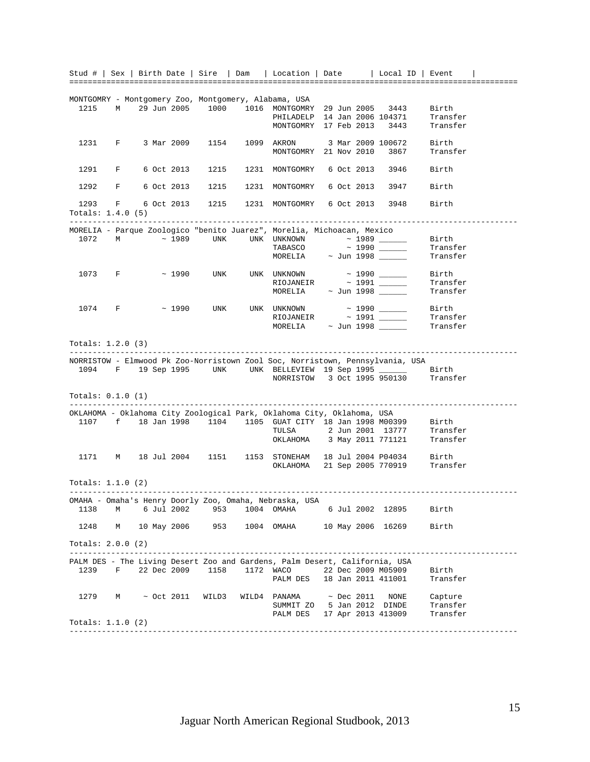|                     |                 |  |                 |       |      | Stud #   Sex   Birth Date   Sire   Dam   Location   Date   Local ID   Event                                                                     |  |                  |                    |                                                                                                    |  |
|---------------------|-----------------|--|-----------------|-------|------|-------------------------------------------------------------------------------------------------------------------------------------------------|--|------------------|--------------------|----------------------------------------------------------------------------------------------------|--|
|                     |                 |  |                 |       |      |                                                                                                                                                 |  |                  |                    |                                                                                                    |  |
|                     |                 |  |                 |       |      |                                                                                                                                                 |  |                  |                    |                                                                                                    |  |
| 1215                | $M$ and $M$     |  |                 |       |      | MONTGOMRY - Montgomery Zoo, Montgomery, Alabama, USA                                                                                            |  |                  |                    | Birth                                                                                              |  |
|                     |                 |  |                 |       |      |                                                                                                                                                 |  |                  |                    | Transfer                                                                                           |  |
|                     |                 |  |                 |       |      | PHILADELP 14 Jan 2006 104371<br>MONTGOMRY 17 Feb 2013 3443                                                                                      |  |                  |                    | Transfer                                                                                           |  |
|                     |                 |  |                 |       |      |                                                                                                                                                 |  |                  |                    |                                                                                                    |  |
| 1231                |                 |  |                 |       |      | F 3 Mar 2009 1154 1099 AKRON 3 Mar 2009 100672                                                                                                  |  |                  |                    | Birth                                                                                              |  |
|                     |                 |  |                 |       |      | MONTGOMRY 21 Nov 2010 3867                                                                                                                      |  |                  |                    | Transfer                                                                                           |  |
|                     |                 |  |                 |       |      |                                                                                                                                                 |  |                  |                    |                                                                                                    |  |
| 1291                |                 |  |                 |       |      | F 6 Oct 2013 1215 1231 MONTGOMRY 6 Oct 2013 3946                                                                                                |  |                  |                    | Birth                                                                                              |  |
|                     |                 |  |                 |       |      |                                                                                                                                                 |  |                  |                    |                                                                                                    |  |
| 1292                |                 |  |                 |       |      | F 6 Oct 2013 1215 1231 MONTGOMRY 6 Oct 2013 3947                                                                                                |  |                  |                    | Birth                                                                                              |  |
|                     |                 |  |                 |       |      |                                                                                                                                                 |  |                  |                    |                                                                                                    |  |
| 1293                |                 |  |                 |       |      | F 6 Oct 2013 1215 1231 MONTGOMRY 6 Oct 2013 3948                                                                                                |  |                  |                    | Birth                                                                                              |  |
| Totals: $1.4.0$ (5) |                 |  |                 |       |      |                                                                                                                                                 |  |                  |                    |                                                                                                    |  |
|                     |                 |  |                 |       |      |                                                                                                                                                 |  |                  |                    |                                                                                                    |  |
|                     |                 |  |                 |       |      | MORELIA - Parque Zoologico "benito Juarez", Morelia, Michoacan, Mexico                                                                          |  |                  |                    | Birth                                                                                              |  |
|                     |                 |  |                 |       |      |                                                                                                                                                 |  |                  |                    | Transfer                                                                                           |  |
|                     |                 |  |                 |       |      |                                                                                                                                                 |  |                  |                    | Transfer                                                                                           |  |
|                     |                 |  |                 |       |      |                                                                                                                                                 |  |                  |                    |                                                                                                    |  |
|                     | $1073$ F ~ 1990 |  |                 |       |      |                                                                                                                                                 |  |                  |                    | Birth                                                                                              |  |
|                     |                 |  |                 |       |      | UNK UNK UNKNOWN ~ 1990 ________<br>RIOJANEIR ~ 1991 _______                                                                                     |  |                  |                    | Transfer                                                                                           |  |
|                     |                 |  |                 |       |      | $MORELIA \qquad \sim \text{Jun } 1998 \qquad \qquad \qquad$                                                                                     |  |                  |                    | Transfer                                                                                           |  |
|                     |                 |  |                 |       |      |                                                                                                                                                 |  |                  |                    |                                                                                                    |  |
|                     | $1074$ F ~ 1990 |  |                 |       |      | UNK UNK UNKNOWN ~ 1990 ______                                                                                                                   |  |                  |                    | Birth                                                                                              |  |
|                     |                 |  |                 |       |      | RIOJANEIR $\sim$ 1991 $\_\_$                                                                                                                    |  |                  |                    | Transfer                                                                                           |  |
|                     |                 |  |                 |       |      | MORELIA ~ Jun 1998 ______                                                                                                                       |  |                  |                    | Transfer                                                                                           |  |
|                     |                 |  |                 |       |      |                                                                                                                                                 |  |                  |                    |                                                                                                    |  |
| Totals: 1.2.0 (3)   |                 |  |                 |       |      |                                                                                                                                                 |  |                  |                    |                                                                                                    |  |
|                     |                 |  |                 |       |      |                                                                                                                                                 |  |                  |                    |                                                                                                    |  |
|                     |                 |  |                 |       |      | NORRISTOW - Elmwood Pk Zoo-Norristown Zool Soc, Norristown, Pennsylvania, USA<br>1094 F 19 Sep 1995 UNK UNK BELLEVIEW 19 Sep 1995 _______ Birth |  |                  |                    |                                                                                                    |  |
|                     |                 |  |                 |       |      | NORRISTOW 3 Oct 1995 950130                                                                                                                     |  |                  |                    | Transfer                                                                                           |  |
|                     |                 |  |                 |       |      |                                                                                                                                                 |  |                  |                    |                                                                                                    |  |
| Totals: $0.1.0$ (1) |                 |  |                 |       |      |                                                                                                                                                 |  |                  |                    |                                                                                                    |  |
|                     |                 |  |                 |       |      |                                                                                                                                                 |  |                  |                    |                                                                                                    |  |
|                     |                 |  |                 |       |      | OKLAHOMA - Oklahoma City Zoological Park, Oklahoma City, Oklahoma, USA                                                                          |  |                  |                    |                                                                                                    |  |
|                     |                 |  |                 |       |      |                                                                                                                                                 |  |                  |                    |                                                                                                    |  |
|                     |                 |  |                 |       |      |                                                                                                                                                 |  |                  |                    | 1107 f 18 Jan 1998 1104 1105 GUAT CITY 18 Jan 1998 M00399 Birth<br>TULSA 2 Jun 2001 13777 Transfer |  |
|                     |                 |  |                 |       |      | OKLAHOMA 3 May 2011 771121                                                                                                                      |  |                  |                    | Transfer                                                                                           |  |
|                     |                 |  |                 |       |      |                                                                                                                                                 |  |                  |                    |                                                                                                    |  |
|                     |                 |  |                 |       |      | 1171 M 18 Jul 2004 1151 1153 STONEHAM 18 Jul 2004 P04034<br>OKLAHOMA 21 Sep 2005 770919                                                         |  |                  |                    | Birth                                                                                              |  |
|                     |                 |  |                 |       |      |                                                                                                                                                 |  |                  |                    | Transfer                                                                                           |  |
|                     |                 |  |                 |       |      |                                                                                                                                                 |  |                  |                    |                                                                                                    |  |
| Totals: $1.1.0$ (2) |                 |  |                 |       |      |                                                                                                                                                 |  |                  |                    |                                                                                                    |  |
|                     |                 |  |                 |       |      |                                                                                                                                                 |  |                  |                    |                                                                                                    |  |
| 1138                | М               |  | 6 Jul 2002      | 953   |      | OMAHA - Omaha's Henry Doorly Zoo, Omaha, Nebraska, USA<br>1004 OMAHA 6 Jul 2002 12895                                                           |  |                  |                    | Birth                                                                                              |  |
|                     |                 |  |                 |       |      |                                                                                                                                                 |  |                  |                    |                                                                                                    |  |
| 1248                | М               |  | 10 May 2006     | 953   |      | 1004 OMAHA                                                                                                                                      |  |                  | 10 May 2006 16269  | Birth                                                                                              |  |
|                     |                 |  |                 |       |      |                                                                                                                                                 |  |                  |                    |                                                                                                    |  |
| Totals: $2.0.0$ (2) |                 |  |                 |       |      |                                                                                                                                                 |  |                  |                    |                                                                                                    |  |
|                     |                 |  |                 |       |      |                                                                                                                                                 |  |                  |                    |                                                                                                    |  |
|                     |                 |  |                 |       |      | PALM DES - The Living Desert Zoo and Gardens, Palm Desert, California, USA                                                                      |  |                  |                    |                                                                                                    |  |
| 1239                | F               |  | 22 Dec 2009     | 1158  | 1172 | <b>WACO</b>                                                                                                                                     |  |                  | 22 Dec 2009 M05909 | Birth                                                                                              |  |
|                     |                 |  |                 |       |      | PALM DES                                                                                                                                        |  |                  | 18 Jan 2011 411001 | Transfer                                                                                           |  |
|                     |                 |  |                 |       |      |                                                                                                                                                 |  |                  |                    |                                                                                                    |  |
| 1279                | М               |  | $\sim$ Oct 2011 | WILD3 |      | WILD4 PANAMA                                                                                                                                    |  | $~\sim$ Dec 2011 | NONE               | Capture                                                                                            |  |
|                     |                 |  |                 |       |      | SUMMIT ZO 5 Jan 2012 DINDE                                                                                                                      |  |                  |                    | Transfer                                                                                           |  |
|                     |                 |  |                 |       |      | PALM DES                                                                                                                                        |  |                  | 17 Apr 2013 413009 | Transfer                                                                                           |  |
| Totals: $1.1.0$ (2) |                 |  |                 |       |      |                                                                                                                                                 |  |                  |                    |                                                                                                    |  |
|                     |                 |  |                 |       |      |                                                                                                                                                 |  |                  |                    |                                                                                                    |  |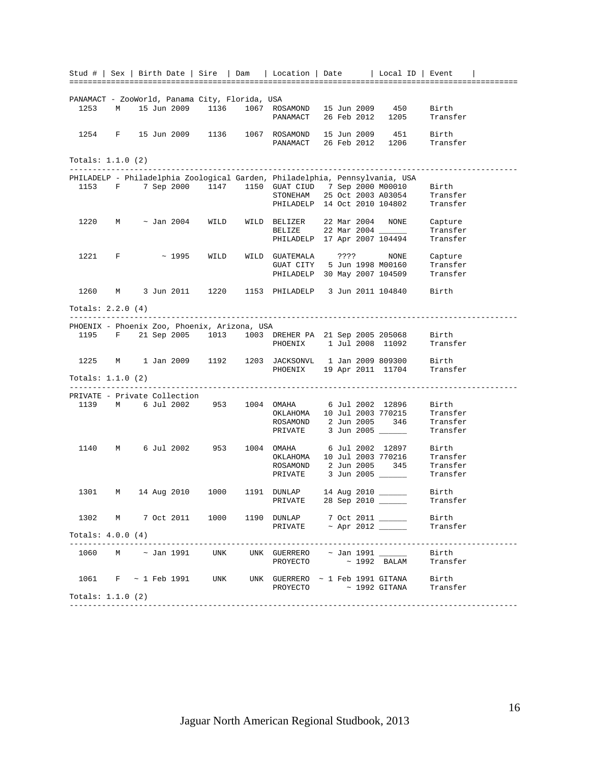|                              |             |  |            |                                                |                | Stud #   Sex   Birth Date   Sire   Dam   Location   Date   Local ID   Event                  |  |             |                    |          |  |
|------------------------------|-------------|--|------------|------------------------------------------------|----------------|----------------------------------------------------------------------------------------------|--|-------------|--------------------|----------|--|
|                              |             |  |            |                                                |                |                                                                                              |  |             |                    |          |  |
|                              |             |  |            | PANAMACT - ZooWorld, Panama City, Florida, USA |                |                                                                                              |  |             |                    |          |  |
| 1253                         | М           |  |            | 15 Jun 2009 1136                               |                | 1067 ROSAMOND 15 Jun 2009 450                                                                |  |             |                    | Birth    |  |
|                              |             |  |            |                                                |                | PANAMACT                                                                                     |  | 26 Feb 2012 | 1205               | Transfer |  |
|                              |             |  |            |                                                |                |                                                                                              |  |             |                    |          |  |
| 1254                         |             |  |            |                                                |                | F 15 Jun 2009 1136 1067 ROSAMOND                                                             |  |             | 15 Jun 2009 451    | Birth    |  |
|                              |             |  |            |                                                |                | PANAMACT 26 Feb 2012 1206                                                                    |  |             |                    | Transfer |  |
|                              |             |  |            |                                                |                |                                                                                              |  |             |                    |          |  |
| Totals: $1.1.0$ (2)          |             |  |            |                                                |                |                                                                                              |  |             |                    |          |  |
|                              |             |  |            |                                                |                |                                                                                              |  |             |                    |          |  |
|                              |             |  |            |                                                |                | PHILADELP - Philadelphia Zoological Garden, Philadelphia, Pennsylvania, USA                  |  |             |                    |          |  |
| 1153                         |             |  |            |                                                |                | F 7 Sep 2000 1147 1150 GUAT CIUD 7 Sep 2000 M00010                                           |  |             |                    | Birth    |  |
|                              |             |  |            |                                                |                | STONEHAM 25 Oct 2003 A03054<br>PHILADELP 14 Oct 2010 104802                                  |  |             |                    | Transfer |  |
|                              |             |  |            |                                                |                |                                                                                              |  |             |                    | Transfer |  |
| 1220                         | M           |  |            | $\sim$ Jan 2004 WILD                           |                | WILD BELIZER 22 Mar 2004 NONE                                                                |  |             |                    | Capture  |  |
|                              |             |  |            |                                                |                | BELIZE 22 Mar 2004                                                                           |  |             |                    | Transfer |  |
|                              |             |  |            |                                                |                | PHILADELP 17 Apr 2007 104494                                                                 |  |             |                    | Transfer |  |
|                              |             |  |            |                                                |                |                                                                                              |  |             |                    |          |  |
| 1221                         | $F$ and $F$ |  | ~1995      | WILD                                           |                | WILD GUATEMALA ????                                                                          |  |             | NONE               | Capture  |  |
|                              |             |  |            |                                                |                | GUAT CITY 5 Jun 1998 M00160                                                                  |  |             |                    | Transfer |  |
|                              |             |  |            |                                                |                | PHILADELP 30 May 2007 104509                                                                 |  |             |                    | Transfer |  |
|                              |             |  |            |                                                |                |                                                                                              |  |             |                    |          |  |
| 1260                         | М           |  |            | 3 Jun 2011 1220                                |                | 1153 PHILADELP 3 Jun 2011 104840                                                             |  |             |                    | Birth    |  |
|                              |             |  |            |                                                |                |                                                                                              |  |             |                    |          |  |
| Totals: $2.2.0(4)$           |             |  |            |                                                |                |                                                                                              |  |             |                    |          |  |
|                              |             |  |            |                                                |                |                                                                                              |  |             |                    |          |  |
|                              |             |  |            | PHOENIX - Phoenix Zoo, Phoenix, Arizona, USA   |                |                                                                                              |  |             |                    |          |  |
|                              |             |  |            |                                                |                | 1195 F 21 Sep 2005 1013 1003 DREHER PA 21 Sep 2005 205068<br>PHOENIX 1 Jul 2008 11092        |  |             |                    | Birth    |  |
|                              |             |  |            |                                                |                |                                                                                              |  |             |                    | Transfer |  |
| 1225                         | М           |  |            |                                                |                | 1 Jan 2009 1192 1203 JACKSONVL 1 Jan 2009 809300                                             |  |             |                    | Birth    |  |
|                              |             |  |            |                                                |                | PHOENIX 19 Apr 2011 11704                                                                    |  |             |                    | Transfer |  |
| Totals: $1.1.0$ (2)          |             |  |            |                                                |                |                                                                                              |  |             |                    |          |  |
|                              |             |  |            |                                                |                |                                                                                              |  |             |                    |          |  |
| PRIVATE - Private Collection |             |  |            |                                                |                |                                                                                              |  |             |                    |          |  |
| 1139                         | $M$ and $M$ |  |            |                                                |                | 6 Jul 2002  953  1004  OMAHA  6 Jul 2002  12896                                              |  |             |                    | Birth    |  |
|                              |             |  |            |                                                |                | OKLAHOMA 10 Jul 2003 770215                                                                  |  |             |                    | Transfer |  |
|                              |             |  |            |                                                |                | ROSAMOND 2 Jun 2005 346<br>PRIVATE 3 Jun 2005                                                |  |             |                    | Transfer |  |
|                              |             |  |            |                                                |                |                                                                                              |  |             |                    | Transfer |  |
|                              |             |  |            |                                                |                |                                                                                              |  |             |                    |          |  |
| 1140                         | $M \sim 1$  |  | 6 Jul 2002 |                                                | 953 1004 OMAHA |                                                                                              |  |             | 6 Jul 2002 12897   | Birth    |  |
|                              |             |  |            |                                                |                | OKLAHOMA 10 Jul 2003 770216                                                                  |  |             |                    | Transfer |  |
|                              |             |  |            |                                                |                | ROSAMOND 2 Jun 2005 345                                                                      |  |             |                    | Transfer |  |
|                              |             |  |            |                                                |                | PRIVATE 3 Jun 2005                                                                           |  |             |                    | Transfer |  |
| 1301                         |             |  |            |                                                |                | M 14 Aug 2010 1000 1191 DUNLAP 14 Aug 2010                                                   |  |             |                    | Birth    |  |
|                              |             |  |            |                                                |                | PRIVATE 28 Sep 2010                                                                          |  |             |                    | Transfer |  |
|                              |             |  |            |                                                |                |                                                                                              |  |             |                    |          |  |
| 1302                         |             |  |            |                                                |                | M 7 Oct 2011 1000 1190 DUNLAP 7 Oct 2011 ______                                              |  |             |                    | Birth    |  |
|                              |             |  |            |                                                |                | PRIVATE $\sim$ Apr 2012                                                                      |  |             |                    | Transfer |  |
| Totals: 4.0.0 (4)            |             |  |            |                                                |                |                                                                                              |  |             |                    |          |  |
|                              |             |  |            |                                                |                | -------------------------                                                                    |  |             | __________________ |          |  |
| $1060$ M ~ Jan 1991          |             |  |            | UNK                                            |                | UNK GUERRERO ~ Jan 1991 ______                                                               |  |             |                    | Birth    |  |
|                              |             |  |            |                                                |                | PROYECTO ~ 1992 BALAM                                                                        |  |             |                    | Transfer |  |
|                              |             |  |            |                                                |                |                                                                                              |  |             |                    |          |  |
|                              |             |  |            |                                                |                | 1061 F ~ 1 Feb 1991 UNK UNK GUERRERO ~ 1 Feb 1991 GITANA Birth PROYECTO ~ 1992 GITANA Transf |  |             |                    |          |  |
|                              |             |  |            |                                                |                |                                                                                              |  |             |                    | Transfer |  |
| Totals: $1.1.0$ (2)          |             |  |            |                                                |                |                                                                                              |  |             |                    |          |  |
|                              |             |  |            |                                                |                |                                                                                              |  |             |                    |          |  |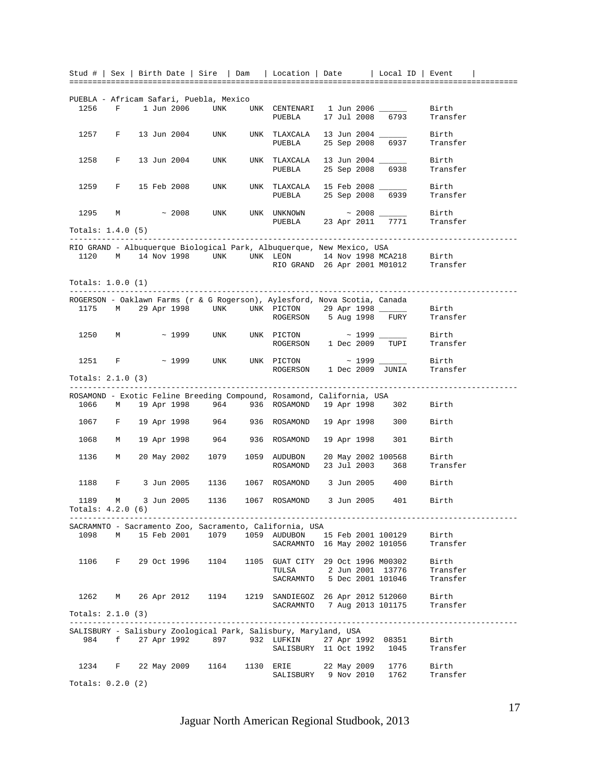|                     |              |                |  |             | Stud #   Sex   Birth Date   Sire   Dam  |                            | Location   Date   Local ID   Event                                                    |  |             |                          |                   |  |
|---------------------|--------------|----------------|--|-------------|-----------------------------------------|----------------------------|---------------------------------------------------------------------------------------|--|-------------|--------------------------|-------------------|--|
|                     |              |                |  |             |                                         |                            |                                                                                       |  |             |                          |                   |  |
|                     |              |                |  |             |                                         |                            |                                                                                       |  |             |                          |                   |  |
|                     |              |                |  |             | PUEBLA - Africam Safari, Puebla, Mexico |                            |                                                                                       |  |             |                          |                   |  |
| 1256                | F            |                |  | 1 Jun 2006  | UNK                                     |                            | UNK CENTENARI 1 Jun 2006 _____<br>PUEBLA                                              |  |             | 17 Jul 2008 6793         | Birth<br>Transfer |  |
|                     |              |                |  |             |                                         |                            |                                                                                       |  |             |                          |                   |  |
| 1257                | $\mathbf{F}$ |                |  | 13 Jun 2004 | UNK                                     |                            | UNK TLAXCALA                                                                          |  |             | 13 Jun 2004 ______       | Birth             |  |
|                     |              |                |  |             |                                         |                            | PUEBLA                                                                                |  |             | 25 Sep 2008 6937         | Transfer          |  |
|                     |              |                |  |             |                                         |                            |                                                                                       |  |             |                          |                   |  |
| 1258                | F            |                |  | 13 Jun 2004 | UNK                                     |                            | UNK TLAXCALA 13 Jun 2004 _____                                                        |  |             |                          | Birth             |  |
|                     |              |                |  |             |                                         |                            | PUEBLA                                                                                |  |             | 25 Sep 2008 6938         | Transfer          |  |
|                     |              |                |  |             |                                         |                            |                                                                                       |  |             |                          |                   |  |
| 1259                | F            |                |  | 15 Feb 2008 | UNK                                     |                            | UNK TLAXCALA 15 Feb 2008 ______                                                       |  |             |                          | Birth             |  |
|                     |              |                |  |             |                                         |                            | PUEBLA 25 Sep 2008 6939                                                               |  |             |                          | Transfer          |  |
|                     |              |                |  |             |                                         |                            |                                                                                       |  |             |                          |                   |  |
| 1295                | M            |                |  | $\sim 2008$ | UNK                                     |                            | UNK UNKNOWN                                                                           |  |             |                          | Birth             |  |
|                     |              |                |  |             |                                         |                            | PUEBLA 23 Apr 2011 7771                                                               |  |             |                          | Transfer          |  |
| Totals: $1.4.0$ (5) |              |                |  |             |                                         |                            |                                                                                       |  |             |                          |                   |  |
|                     |              |                |  |             |                                         |                            |                                                                                       |  |             |                          |                   |  |
|                     |              |                |  |             |                                         |                            | RIO GRAND - Albuquerque Biological Park, Albuquerque, New Mexico, USA                 |  |             |                          |                   |  |
| 1120                | M            |                |  |             |                                         |                            | 14 Nov 1998 UNK UNK LEON 14 Nov 1998 MCA218 Birth RIO GRAND 26 Apr 2001 M01012 Transf |  |             |                          |                   |  |
|                     |              |                |  |             |                                         |                            |                                                                                       |  |             |                          | Transfer          |  |
|                     |              |                |  |             |                                         |                            |                                                                                       |  |             |                          |                   |  |
| Totals: 1.0.0 (1)   |              |                |  |             |                                         |                            |                                                                                       |  |             |                          |                   |  |
|                     |              |                |  |             |                                         |                            |                                                                                       |  |             |                          |                   |  |
|                     |              |                |  |             |                                         |                            | ROGERSON - Oaklawn Farms (r & G Rogerson), Aylesford, Nova Scotia, Canada             |  |             |                          |                   |  |
| 1175                |              |                |  |             |                                         |                            | M 29 Apr 1998 UNK UNK PICTON 29 Apr 1998 —<br>ROGERSON 5 Aug 1998 FURY                |  |             |                          | Birth             |  |
|                     |              |                |  |             |                                         |                            |                                                                                       |  |             |                          | Transfer          |  |
| 1250                |              | M <sub>N</sub> |  | $\sim$ 1999 | UNK                                     |                            |                                                                                       |  |             |                          | Birth             |  |
|                     |              |                |  |             |                                         |                            | ROGERSON 1 Dec 2009 TUPI                                                              |  |             |                          | Transfer          |  |
|                     |              |                |  |             |                                         |                            |                                                                                       |  |             |                          |                   |  |
| 1251                | F            |                |  | $\sim$ 1999 | UNK                                     |                            | UNK PICTON ~ 1999 _______                                                             |  |             |                          | Birth             |  |
|                     |              |                |  |             |                                         |                            | ROGERSON 1 Dec 2009 JUNIA                                                             |  |             |                          | Transfer          |  |
|                     |              |                |  |             |                                         |                            |                                                                                       |  |             |                          |                   |  |
|                     |              |                |  |             |                                         |                            |                                                                                       |  |             |                          |                   |  |
| Totals: 2.1.0 (3)   |              |                |  |             |                                         |                            |                                                                                       |  |             |                          |                   |  |
|                     |              |                |  |             |                                         |                            | ROSAMOND - Exotic Feline Breeding Compound, Rosamond, California, USA                 |  |             |                          |                   |  |
| 1066                |              |                |  |             |                                         |                            | M 19 Apr 1998 964 936 ROSAMOND 19 Apr 1998 302                                        |  |             |                          | Birth             |  |
|                     |              |                |  |             |                                         |                            |                                                                                       |  |             |                          |                   |  |
|                     |              |                |  |             |                                         |                            | 1067 F 19 Apr 1998 964 936 ROSAMOND                                                   |  |             | 19 Apr 1998 300          | Birth             |  |
|                     |              |                |  |             |                                         |                            |                                                                                       |  |             |                          |                   |  |
| 1068                |              | M              |  |             |                                         |                            | 19 Apr 1998 964 936 ROSAMOND                                                          |  | 19 Apr 1998 | 301                      | Birth             |  |
|                     |              |                |  |             |                                         |                            |                                                                                       |  |             |                          |                   |  |
| 1136                |              | M              |  |             |                                         |                            | 20 May 2002 1079 1059 AUDUBON                                                         |  |             | 20 May 2002 100568       | Birth             |  |
|                     |              |                |  |             |                                         |                            | ROSAMOND                                                                              |  |             | 23 Jul 2003 368          | Transfer          |  |
|                     |              |                |  |             |                                         |                            |                                                                                       |  |             |                          |                   |  |
| 1188                |              |                |  |             |                                         |                            | F 3 Jun 2005 1136 1067 ROSAMOND 3 Jun 2005 400                                        |  |             |                          | Birth             |  |
|                     |              |                |  |             |                                         |                            |                                                                                       |  |             |                          |                   |  |
| 1189                |              |                |  |             |                                         |                            | M 3 Jun 2005 1136 1067 ROSAMOND 3 Jun 2005                                            |  |             | 401                      | Birth             |  |
| Totals: 4.2.0 (6)   |              |                |  |             |                                         |                            |                                                                                       |  |             |                          |                   |  |
|                     |              |                |  |             |                                         |                            |                                                                                       |  |             |                          |                   |  |
|                     |              |                |  |             |                                         |                            | SACRAMNTO - Sacramento Zoo, Sacramento, California, USA                               |  |             |                          |                   |  |
| 1098                |              | M <sub>N</sub> |  |             |                                         |                            | 15 Feb 2001  1079  1059  AUDUBON                                                      |  |             | 15 Feb 2001 100129       | Birth             |  |
|                     |              |                |  |             |                                         |                            | SACRAMNTO 16 May 2002 101056                                                          |  |             |                          | Transfer          |  |
| 1106                | F            |                |  |             | 29 Oct 1996 1104                        |                            |                                                                                       |  |             |                          |                   |  |
|                     |              |                |  |             |                                         |                            | 1105 GUAT CITY 29 Oct 1996 M00302                                                     |  |             |                          | Birth             |  |
|                     |              |                |  |             |                                         |                            | TULSA                                                                                 |  |             | 2 Jun 2001 13776         | Transfer          |  |
|                     |              |                |  |             |                                         |                            | SACRAMNTO 5 Dec 2001 101046                                                           |  |             |                          | Transfer          |  |
|                     |              |                |  |             |                                         |                            |                                                                                       |  |             |                          |                   |  |
| 1262                |              | М              |  |             |                                         |                            | 26 Apr 2012 1194 1219 SANDIEGOZ 26 Apr 2012 512060                                    |  |             |                          | Birth             |  |
|                     |              |                |  |             |                                         |                            | SACRAMNTO 7 Aug 2013 101175                                                           |  |             |                          | Transfer          |  |
| Totals: 2.1.0 (3)   |              |                |  |             |                                         |                            |                                                                                       |  |             |                          |                   |  |
|                     |              |                |  |             |                                         |                            |                                                                                       |  |             |                          |                   |  |
| 984                 |              |                |  |             | f 27 Apr 1992 897                       |                            | SALISBURY - Salisbury Zoological Park, Salisbury, Maryland, USA<br>932 LUFKIN         |  |             | 27 Apr 1992 08351        | Birth             |  |
|                     |              |                |  |             |                                         |                            | SALISBURY 11 Oct 1992                                                                 |  |             | 1045                     | Transfer          |  |
|                     |              |                |  |             |                                         |                            |                                                                                       |  |             |                          |                   |  |
| 1234                | F            |                |  |             |                                         | 22 May 2009 1164 1130 ERIE |                                                                                       |  |             |                          | Birth             |  |
|                     |              |                |  |             |                                         |                            | SALISBURY 9 Nov 2010                                                                  |  |             | 22 May 2009 1776<br>1762 | Transfer          |  |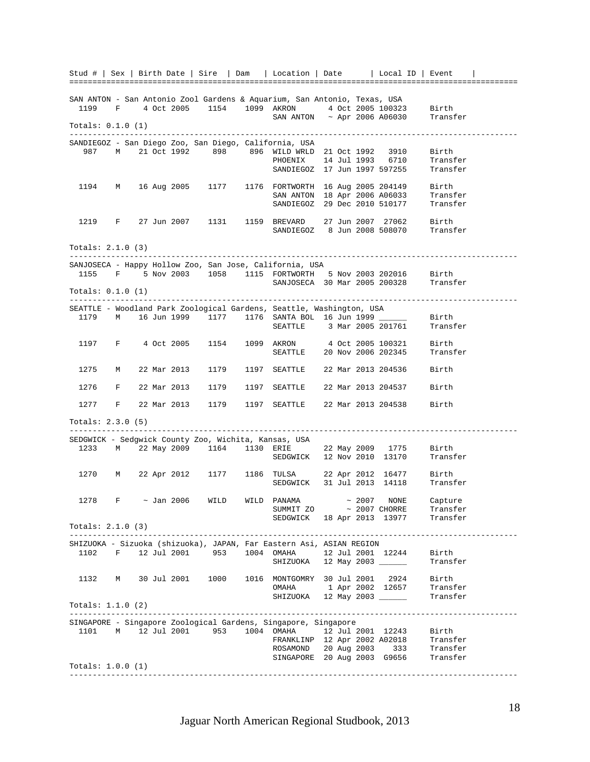Stud # | Sex | Birth Date | Sire | Dam | Location | Date | Local ID | Event | ================================================================================================= SAN ANTON - San Antonio Zool Gardens & Aquarium, San Antonio, Texas, USA 1199 F 4 Oct 2005 1154 1099 AKRON 4 Oct 2005 100323 Birth SAN ANTON ~ Apr 2006 A06030 Transfer Totals: 0.1.0 (1) ------------------------------------------------------------------------------------------------- SANDIEGOZ - San Diego Zoo, San Diego, California, USA 987 M 21 Oct 1992 898 896 WILD WRLD 21 Oct 1992 3910 Birth PHOENIX 14 Jul 1993 6710 Transfer SANDIEGOZ 17 Jun 1997 597255 Transfer 1194 M 16 Aug 2005 1177 1176 FORTWORTH 16 Aug 2005 204149 Birth SAN ANTON 18 Apr 2006 A06033 Transfer<br>SANDIEGOZ 29 Dec 2010 510177 Transfer SANDIEGOZ 29 Dec 2010 510177 1219 F 27 Jun 2007 1131 1159 BREVARD 27 Jun 2007 27062 Birth SANDIEGOZ 8 Jun 2008 508070 Transfer Totals: 2.1.0 (3) ------------------------------------------------------------------------------------------------- SANJOSECA - Happy Hollow Zoo, San Jose, California, USA 1155 F 5 Nov 2003 1058 1115 FORTWORTH 5 Nov 2003 202016 Birth SANJOSECA 30 Mar 2005 200328 Transfer Totals: 0.1.0 (1) ------------------------------------------------------------------------------------------------- SEATTLE - Woodland Park Zoological Gardens, Seattle, Washington, USA 1179 M 16 Jun 1999 1177 1176 SANTA BOL 16 Jun 1999 \_\_\_\_\_\_ Birth SEATTLE 3 Mar 2005 201761 Transfer 1197 F 4 Oct 2005 1154 1099 AKRON 4 Oct 2005 100321 Birth SEATTLE 20 Nov 2006 202345 Transfer 1275 M 22 Mar 2013 1179 1197 SEATTLE 22 Mar 2013 204536 Birth 1276 F 22 Mar 2013 1179 1197 SEATTLE 22 Mar 2013 204537 Birth 1277 F 22 Mar 2013 1179 1197 SEATTLE 22 Mar 2013 204538 Birth Totals: 2.3.0 (5) ------------------------------------------------------------------------------------------------- SEDGWICK - Sedgwick County Zoo, Wichita, Kansas, USA 1233 M 22 May 2009 1164 1130 ERIE 22 May 2009 1775 Birth ERIE 22 May 2009 1775 Birth<br>SEDGWICK 12 Nov 2010 13170 Transfer 1270 M 22 Apr 2012 1177 1186 TULSA 22 Apr 2012 16477 Birth TULSA 22 Apr 2012 16477 Birth<br>SEDGWICK 31 Jul 2013 14118 Transfer 1278  $F$   $\sim$  Jan 2006 WILD WILD PANAMA  $\sim$  2007 NONE Capture SUMMIT ZO  $\sim$  2007 CHORRE Transfer SEDGWICK 18 Apr 2013 13977 Transfer Totals: 2.1.0 (3) ------------------------------------------------------------------------------------------------- SHIZUOKA - Sizuoka (shizuoka), JAPAN, Far Eastern Asi, ASIAN REGION 1102 F 12 Jul 2001 953 1004 OMAHA 12 Jul 2001 12244 Birth SHIZUOKA 12 May 2003 \_\_\_\_\_\_ Transfer 1132 M 30 Jul 2001 1000 1016 MONTGOMRY 30 Jul 2001 2924 Birth OMAHA 1 Apr 2002 12657 Transfer SHIZUOKA 12 May 2003 \_\_\_\_\_\_\_ Transfer Totals: 1.1.0 (2) ------------------------------------------------------------------------------------------------- SINGAPORE - Singapore Zoological Gardens, Singapore, Singapore<br>1101 M 12 Jul 2001 953 1004 OMAHA 12 Jul 2001 12243 1101 M 12 Jul 2001 953 1004 OMAHA 12 Jul 2001 12243 Birth FRANKLINP 12 Apr 2002 A02018 Transfer<br>ROSAMOND 20 Aug 2003 333 Transfer ROSAMOND 20 Aug 2003 333 SINGAPORE 20 Aug 2003 G9656 Transfer Totals: 1.0.0 (1) -------------------------------------------------------------------------------------------------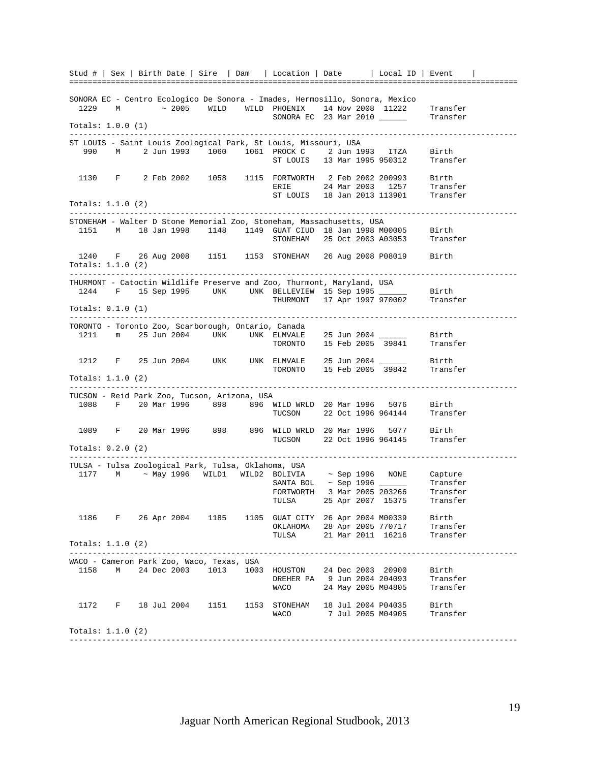Stud # | Sex | Birth Date | Sire | Dam | Location | Date | Local ID | Event | ================================================================================================= SONORA EC - Centro Ecologico De Sonora - Imades, Hermosillo, Sonora, Mexico 1229 M ~ 2005 WILD WILD PHOENIX 14 Nov 2008 11222 Transfer SONORA EC 23 Mar 2010 \_\_\_\_\_\_\_ Transfer Totals: 1.0.0 (1) ------------------------------------------------------------------------------------------------- ST LOUIS - Saint Louis Zoological Park, St Louis, Missouri, USA 990 M 2 Jun 1993 1060 1061 PROCK C 2 Jun 1993 ITZA Birth ST LOUIS 13 Mar 1995 950312 1130 F 2 Feb 2002 1058 1115 FORTWORTH 2 Feb 2002 200993 Birth ERIE 24 Mar 2003 1257 Transfer ST LOUIS 18 Jan 2013 113901 Transfer Totals: 1.1.0 (2) ------------------------------------------------------------------------------------------------- STONEHAM - Walter D Stone Memorial Zoo, Stoneham, Massachusetts, USA 1151 M 18 Jan 1998 1148 1149 GUAT CIUD 18 Jan 1998 M00005 Birth STONEHAM 25 Oct 2003 A03053 1240 F 26 Aug 2008 1151 1153 STONEHAM 26 Aug 2008 P08019 Birth Totals: 1.1.0 (2) ------------------------------------------------------------------------------------------------- THURMONT - Catoctin Wildlife Preserve and Zoo, Thurmont, Maryland, USA 1244 F 15 Sep 1995 UNK UNK BELLEVIEW 15 Sep 1995 \_\_\_\_\_\_\_ Birth<br>THURMONT 17 Apr 1997 970002 Transfer THURMONT 17 Apr 1997 970002 Totals: 0.1.0 (1) ------------------------------------------------------------------------------------------------- TORONTO - Toronto Zoo, Scarborough, Ontario, Canada 1211 m 25 Jun 2004 UNK UNK ELMVALE ELMVALE 25 Jun 2004 \_\_\_\_\_\_\_ Birth<br>TORONTO 15 Feb 2005 39841 Transfer 1212 F 25 Jun 2004 UNK UNK ELMVALE TORONTO 15 Feb 2005 39842 Transfer Totals: 1.1.0 (2) ------------------------------------------------------------------------------------------------- TUCSON - Reid Park Zoo, Tucson, Arizona, USA 1088 F 20 Mar 1996 898 896 WILD WRLD 20 Mar 1996 5076 Birth TUCSON 22 Oct 1996 964144 1089 F 20 Mar 1996 898 896 WILD WRLD 20 Mar 1996 5077 Birth TUCSON 22 Oct 1996 964145 Transfer Totals: 0.2.0 (2) ------------------------------------------------------------------------------------------------- TULSA - Tulsa Zoological Park, Tulsa, Oklahoma, USA 1177 M ~ May 1996 WILD1 WILD2 BOLIVIA ~ Sep 1996 NONE Capture  $S \text{ANTA BOL}$   $\sim$  Sep 1996  $\_\_\_\_\_\_\_\_\_\$  Transfer FORTWORTH 3 Mar 2005 203266 Transfer TULSA 25 Apr 2007 15375 Transfer 1186 F 26 Apr 2004 1185 1105 GUAT CITY 26 Apr 2004 M00339 Birth OKLAHOMA 28 Apr 2005 770717 Transfer 21 Mar 2011 16216 Totals: 1.1.0 (2) ------------------------------------------------------------------------------------------------- WACO - Cameron Park Zoo, Waco, Texas, USA 1158 M 24 Dec 2003 1013 1003 HOUSTON 24 Dec 2003 20900 Birth DREHER PA 9 Jun 2004 204093 Transfer WACO 24 May 2005 M04805 Transfer 1172 F 18 Jul 2004 1151 1153 STONEHAM 18 Jul 2004 P04035 Birth WACO 7 Jul 2005 M04905 Transfer Totals: 1.1.0 (2) -------------------------------------------------------------------------------------------------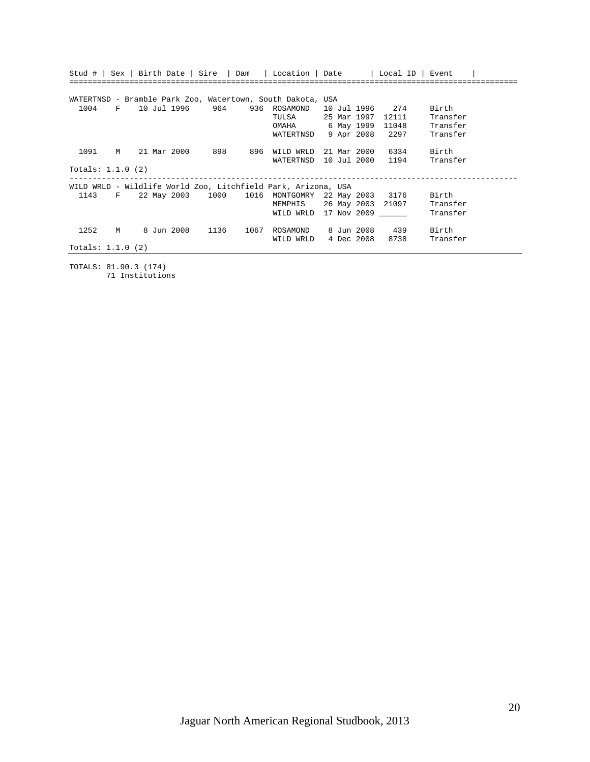|                     |   |  |                 |      |                                                               | Stud #   Sex   Birth Date   Sire   Dam   Location   Date   Local ID   Event |                 |          |
|---------------------|---|--|-----------------|------|---------------------------------------------------------------|-----------------------------------------------------------------------------|-----------------|----------|
|                     |   |  |                 |      |                                                               |                                                                             |                 |          |
|                     |   |  |                 |      |                                                               |                                                                             |                 |          |
|                     |   |  |                 |      | WATERTNSD - Bramble Park Zoo, Watertown, South Dakota, USA    |                                                                             |                 |          |
| 1004                |   |  |                 |      |                                                               | F 10 Jul 1996 964 936 ROSAMOND 10 Jul 1996 274                              |                 | Birth    |
|                     |   |  |                 |      | TULSA                                                         | 25 Mar 1997                                                                 | 12111           | Transfer |
|                     |   |  |                 |      |                                                               | OMAHA 6 May 1999 11048                                                      |                 | Transfer |
|                     |   |  |                 |      | WATERTNSD                                                     |                                                                             | 9 Apr 2008 2297 | Transfer |
|                     |   |  |                 |      |                                                               |                                                                             |                 |          |
| 1091                |   |  |                 |      | M 21 Mar 2000 898 896 WILD WRLD                               | 21 Mar 2000                                                                 | 6334            | Birth    |
|                     |   |  |                 |      | WATERTNSD                                                     | 10 Jul 2000                                                                 | 1194            | Transfer |
| Totals: $1.1.0$ (2) |   |  |                 |      |                                                               |                                                                             |                 |          |
|                     |   |  |                 |      |                                                               |                                                                             |                 |          |
|                     |   |  |                 |      | WILD WRLD - Wildlife World Zoo, Litchfield Park, Arizona, USA |                                                                             |                 |          |
| 1143                |   |  |                 |      |                                                               | F 22 May 2003 1000 1016 MONTGOMRY 22 May 2003 3176 Birth                    |                 |          |
|                     |   |  |                 |      |                                                               | MEMPHIS 26 May 2003 21097 Transfer                                          |                 |          |
|                     |   |  |                 |      |                                                               | WILD WRLD 17 Nov 2009                                                       |                 | Transfer |
|                     |   |  |                 |      |                                                               |                                                                             |                 |          |
| 1252                | M |  | 8 Jun 2008 1136 | 1067 | ROSAMOND                                                      | 8 Jun 2008 439                                                              |                 | Birth    |
|                     |   |  |                 |      | WILD WRLD                                                     | 4 Dec 2008                                                                  | 8738            | Transfer |
| Totals: $1.1.0$ (2) |   |  |                 |      |                                                               |                                                                             |                 |          |

TOTALS: 81.90.3 (174) 71 Institutions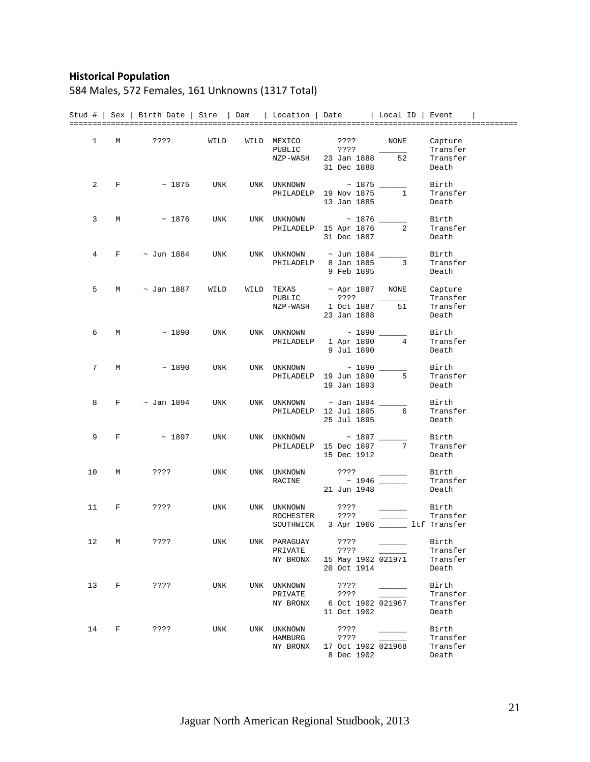### **Historical Population**

## 584 Males, 572 Females, 161 Unknowns (1317 Total)

|              |   | Stud #   Sex   Birth Date   Sire   Dam   Location   Date   Local ID   Event |            |                      |                                           |                                                                                                                                                                                                                                                                                                                                                                                                                                                                            |                      |
|--------------|---|-----------------------------------------------------------------------------|------------|----------------------|-------------------------------------------|----------------------------------------------------------------------------------------------------------------------------------------------------------------------------------------------------------------------------------------------------------------------------------------------------------------------------------------------------------------------------------------------------------------------------------------------------------------------------|----------------------|
|              |   |                                                                             |            |                      |                                           |                                                                                                                                                                                                                                                                                                                                                                                                                                                                            |                      |
| $\mathbf{1}$ | М | ? ? ? ?                                                                     | WILD       | WILD MEXICO          | ? ? ? ?                                   | NONE                                                                                                                                                                                                                                                                                                                                                                                                                                                                       | Capture              |
|              |   |                                                                             |            | PUBLIC               | ????                                      |                                                                                                                                                                                                                                                                                                                                                                                                                                                                            | Transfer             |
|              |   |                                                                             |            | NZP-WASH             | 23 Jan 1888                               | 52                                                                                                                                                                                                                                                                                                                                                                                                                                                                         | Transfer             |
|              |   |                                                                             |            |                      | 31 Dec 1888                               |                                                                                                                                                                                                                                                                                                                                                                                                                                                                            | Death                |
| 2            | F | $\sim$ 1875                                                                 | UNK        | UNK UNKNOWN          | $\sim$ 1875 $\_$                          |                                                                                                                                                                                                                                                                                                                                                                                                                                                                            | Birth                |
|              |   |                                                                             |            |                      | PHILADELP 19 Nov 1875                     | $\mathbf{1}$                                                                                                                                                                                                                                                                                                                                                                                                                                                               | Transfer             |
|              |   |                                                                             |            |                      | 13 Jan 1885                               |                                                                                                                                                                                                                                                                                                                                                                                                                                                                            | Death                |
|              |   |                                                                             |            |                      |                                           |                                                                                                                                                                                                                                                                                                                                                                                                                                                                            |                      |
| 3            | M | $~\sim~1876$                                                                | UNK        | UNK UNKNOWN          | $\sim$ 1876                               |                                                                                                                                                                                                                                                                                                                                                                                                                                                                            | Birth                |
|              |   |                                                                             |            |                      | PHILADELP 15 Apr 1876                     | $\mathbf{2}$                                                                                                                                                                                                                                                                                                                                                                                                                                                               | Transfer             |
|              |   |                                                                             |            |                      | 31 Dec 1887                               |                                                                                                                                                                                                                                                                                                                                                                                                                                                                            | Death                |
| 4            | F | ~ Jun 1884                                                                  | UNK        |                      | UNK UNKNOWN ~ Jun 1884 ___                |                                                                                                                                                                                                                                                                                                                                                                                                                                                                            | Birth                |
|              |   |                                                                             |            |                      | PHILADELP 8 Jan 1885                      | 3                                                                                                                                                                                                                                                                                                                                                                                                                                                                          | Transfer             |
|              |   |                                                                             |            |                      | 9 Feb 1895                                |                                                                                                                                                                                                                                                                                                                                                                                                                                                                            | Death                |
|              |   |                                                                             |            |                      |                                           |                                                                                                                                                                                                                                                                                                                                                                                                                                                                            |                      |
| 5            | М | $\sim$ Jan 1887                                                             | WILD       | WILD TEXAS<br>PUBLIC | ~ Apr 1887<br>? ? ? ?                     | NONE                                                                                                                                                                                                                                                                                                                                                                                                                                                                       | Capture              |
|              |   |                                                                             |            | NZP-WASH             | 1 Oct 1887                                | 51                                                                                                                                                                                                                                                                                                                                                                                                                                                                         | Transfer<br>Transfer |
|              |   |                                                                             |            |                      | 23 Jan 1888                               |                                                                                                                                                                                                                                                                                                                                                                                                                                                                            | Death                |
|              |   |                                                                             |            |                      |                                           |                                                                                                                                                                                                                                                                                                                                                                                                                                                                            |                      |
| 6            | М | ~1890                                                                       | <b>UNK</b> |                      | UNK UNKNOWN ~ 1890 ____                   |                                                                                                                                                                                                                                                                                                                                                                                                                                                                            | Birth                |
|              |   |                                                                             |            |                      | PHILADELP 1 Apr 1890                      | 4                                                                                                                                                                                                                                                                                                                                                                                                                                                                          | Transfer             |
|              |   |                                                                             |            |                      | 9 Jul 1890                                |                                                                                                                                                                                                                                                                                                                                                                                                                                                                            | Death                |
| 7            | М | ~1890                                                                       | UNK        |                      | UNK UNKNOWN ~ 1890 ___                    |                                                                                                                                                                                                                                                                                                                                                                                                                                                                            | Birth                |
|              |   |                                                                             |            |                      | PHILADELP 19 Jun 1890                     | 5                                                                                                                                                                                                                                                                                                                                                                                                                                                                          | Transfer             |
|              |   |                                                                             |            |                      | 19 Jan 1893                               |                                                                                                                                                                                                                                                                                                                                                                                                                                                                            | Death                |
| 8            | F | $\sim$ Jan 1894                                                             | UNK        | UNK UNKNOWN          | ~ Jan 1894 _____                          |                                                                                                                                                                                                                                                                                                                                                                                                                                                                            | Birth                |
|              |   |                                                                             |            |                      | PHILADELP 12 Jul 1895                     | 6                                                                                                                                                                                                                                                                                                                                                                                                                                                                          | Transfer             |
|              |   |                                                                             |            |                      | 25 Jul 1895                               |                                                                                                                                                                                                                                                                                                                                                                                                                                                                            | Death                |
|              |   |                                                                             |            |                      |                                           |                                                                                                                                                                                                                                                                                                                                                                                                                                                                            |                      |
| 9            | F | $~\sim~1897$                                                                | <b>UNK</b> | UNK UNKNOWN          | $\sim$ 1897 $\_$                          |                                                                                                                                                                                                                                                                                                                                                                                                                                                                            | Birth                |
|              |   |                                                                             |            |                      | PHILADELP 15 Dec 1897                     | 7                                                                                                                                                                                                                                                                                                                                                                                                                                                                          | Transfer             |
|              |   |                                                                             |            |                      | 15 Dec 1912                               |                                                                                                                                                                                                                                                                                                                                                                                                                                                                            | Death                |
| 10           | М | ????                                                                        | UNK        | UNK UNKNOWN          | ????                                      |                                                                                                                                                                                                                                                                                                                                                                                                                                                                            | Birth                |
|              |   |                                                                             |            | RACINE               |                                           |                                                                                                                                                                                                                                                                                                                                                                                                                                                                            | Transfer             |
|              |   |                                                                             |            |                      | 21 Jun 1948                               |                                                                                                                                                                                                                                                                                                                                                                                                                                                                            | Death                |
| 11           | F | ????                                                                        | UNK        | UNK UNKNOWN          | $??\ ??$                                  |                                                                                                                                                                                                                                                                                                                                                                                                                                                                            | Birth                |
|              |   |                                                                             |            | ROCHESTER ????       |                                           |                                                                                                                                                                                                                                                                                                                                                                                                                                                                            | Transfer             |
|              |   |                                                                             |            |                      | SOUTHWICK 3 Apr 1966 _______ ltf Transfer |                                                                                                                                                                                                                                                                                                                                                                                                                                                                            |                      |
|              |   |                                                                             |            |                      |                                           |                                                                                                                                                                                                                                                                                                                                                                                                                                                                            |                      |
| 12           | M | ????                                                                        | UNK        | UNK PARAGUAY ????    | PRIVATE ????                              |                                                                                                                                                                                                                                                                                                                                                                                                                                                                            | Birth<br>Transfer    |
|              |   |                                                                             |            | NY BRONX             | 15 May 1902 021971                        |                                                                                                                                                                                                                                                                                                                                                                                                                                                                            | Transfer             |
|              |   |                                                                             |            |                      | 20 Oct 1914                               |                                                                                                                                                                                                                                                                                                                                                                                                                                                                            | Death                |
|              |   |                                                                             |            |                      |                                           |                                                                                                                                                                                                                                                                                                                                                                                                                                                                            |                      |
| 13           | F | ????                                                                        | UNK        | UNK UNKNOWN          | ????                                      | $\frac{1}{2} \left( \frac{1}{2} \right) \left( \frac{1}{2} \right) \left( \frac{1}{2} \right) \left( \frac{1}{2} \right) \left( \frac{1}{2} \right) \left( \frac{1}{2} \right) \left( \frac{1}{2} \right) \left( \frac{1}{2} \right) \left( \frac{1}{2} \right) \left( \frac{1}{2} \right) \left( \frac{1}{2} \right) \left( \frac{1}{2} \right) \left( \frac{1}{2} \right) \left( \frac{1}{2} \right) \left( \frac{1}{2} \right) \left( \frac{1}{2} \right) \left( \frac$ | Birth                |
|              |   |                                                                             |            | PRIVATE<br>NY BRONX  | ????<br>6 Oct 1902 021967                 |                                                                                                                                                                                                                                                                                                                                                                                                                                                                            | Transfer<br>Transfer |
|              |   |                                                                             |            |                      | 11 Oct 1902                               |                                                                                                                                                                                                                                                                                                                                                                                                                                                                            | Death                |
|              |   |                                                                             |            |                      |                                           |                                                                                                                                                                                                                                                                                                                                                                                                                                                                            |                      |
| 14           | F | ????                                                                        | UNK        | UNK UNKNOWN          | ????                                      |                                                                                                                                                                                                                                                                                                                                                                                                                                                                            | Birth                |
|              |   |                                                                             |            | HAMBURG              | ????                                      |                                                                                                                                                                                                                                                                                                                                                                                                                                                                            | Transfer             |
|              |   |                                                                             |            | NY BRONX             | 17 Oct 1902 021968<br>8 Dec 1902          |                                                                                                                                                                                                                                                                                                                                                                                                                                                                            | Transfer<br>Death    |
|              |   |                                                                             |            |                      |                                           |                                                                                                                                                                                                                                                                                                                                                                                                                                                                            |                      |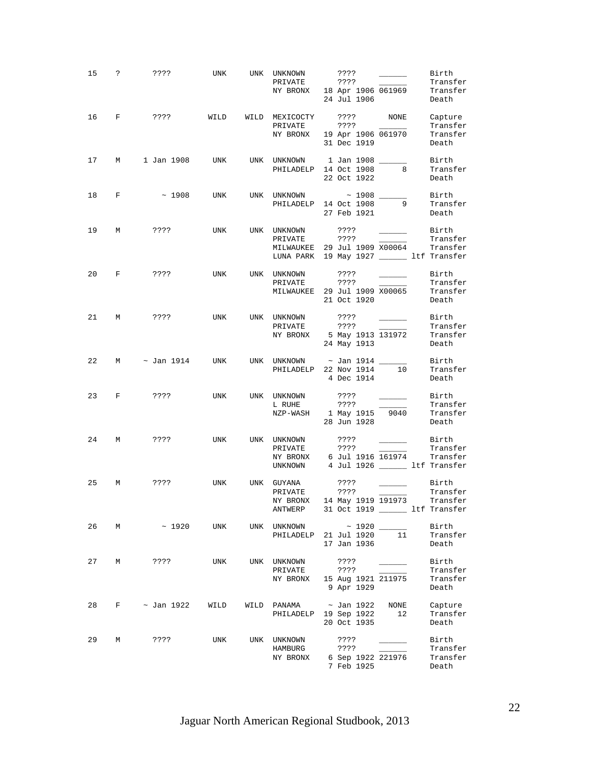| 15 |              | $? \t2???$           | UNK        | UNK UNKNOWN<br>PRIVATE<br>NY BRONX 18 Apr 1906 061969 Transfer                                                       | ????<br>7777<br>24 Jul 1906                      |                                                                                                                                                                                                                                      | Birth<br>Transfer<br>Death               |
|----|--------------|----------------------|------------|----------------------------------------------------------------------------------------------------------------------|--------------------------------------------------|--------------------------------------------------------------------------------------------------------------------------------------------------------------------------------------------------------------------------------------|------------------------------------------|
| 16 | $F$ and $F$  | ????                 |            | WILD WILD MEXICOCTY ???? NONE<br>PRIVATE<br>NY BRONX 19 Apr 1906 061970                                              | ? ? ? ?<br>31 Dec 1919                           |                                                                                                                                                                                                                                      | Capture<br>Transfer<br>Transfer<br>Death |
| 17 | М            | 1 Jan 1908           | UNK        | UNK UNKNOWN 1 Jan 1908 ______<br>PHILADELP 14 Oct 1908                                                               | 22 Oct 1922                                      | 8                                                                                                                                                                                                                                    | Birth<br>Transfer<br>Death               |
| 18 | $\mathbf{F}$ | $\sim 1908$          | UNK        | UNK UNKNOWN ~ 1908 ______<br>PHILADELP 14 Oct 1908                                                                   | 27 Feb 1921                                      | 9                                                                                                                                                                                                                                    | Birth<br>Transfer<br>Death               |
| 19 | М            | ? ? ? ?              | UNK        | UNK UNKNOWN<br>PRIVATE<br>MILWAUKEE 29 Jul 1909 X00064<br>LUNA PARK 19 May 1927 ______ ltf Transfer                  | ????<br>????                                     | $\overline{\phantom{a}}$                                                                                                                                                                                                             | Birth<br>Transfer<br>Transfer            |
| 20 | $\mathbf{F}$ | ????                 | <b>UNK</b> | UNK UNKNOWN<br>PRIVATE<br>MILWAUKEE 29 Jul 1909 X00065                                                               | ????<br>????<br>21 Oct 1920                      | <u>and the state</u>                                                                                                                                                                                                                 | Birth<br>Transfer<br>Transfer<br>Death   |
|    |              | 21 M ????            | <b>UNK</b> | UNK UNKNOWN ????<br>PRIVATE<br>NY BRONX 5 May 1913 131972                                                            | - ????<br>24 May 1913                            | <u>and the company of the company of the company of the company of the company of the company of the company of the company of the company of the company of the company of the company of the company of the company of the com</u> | Birth<br>Transfer<br>Transfer<br>Death   |
|    |              | 22 M $\sim$ Jan 1914 | UNK        | UNK UNKNOWN $\sim$ Jan 1914 ______<br>PHILADELP 22 Nov 1914 10                                                       | 4 Dec 1914                                       |                                                                                                                                                                                                                                      | Birth<br>Transfer<br>Death               |
|    |              | 23 F ????            | <b>UNK</b> | UNK UNKNOWN<br>L RUHE<br>NZP-WASH 1 May 1915 9040                                                                    | 28 Jun 1928                                      |                                                                                                                                                                                                                                      | Birth<br>Transfer<br>Transfer<br>Death   |
| 24 | M            | ????                 | UNK        | UNK UNKNOWN<br>PRIVATE<br>NY BRONX 6 Jul 1916 $\overline{161974}$ Transfer<br>UNKNOWN 4 Jul 1926 ______ ltf Transfer | ????<br>? ? ? ?                                  |                                                                                                                                                                                                                                      | Birth<br>Transfer                        |
| 25 | М            | ? ? ? ?              | UNK        | UNK GUYANA<br>PRIVATE ????<br>NY BRONX 14 May 1919 191973 Transfer<br>ANTWERP                                        | ????<br>31 Oct 1919 _______ ltf Transfer         |                                                                                                                                                                                                                                      | Birth<br>Transfer                        |
| 26 | М            | $\sim 1920$          | UNK        | UNK UNKNOWN ~ 1920 ______<br>PHILADELP 21 Jul 1920                                                                   | 17 Jan 1936                                      | 11                                                                                                                                                                                                                                   | Birth<br>Transfer<br>Death               |
| 27 | М            | ????                 | UNK        | UNK UNKNOWN<br>PRIVATE<br>NY BRONX                                                                                   | ????<br>????<br>15 Aug 1921 211975<br>9 Apr 1929 |                                                                                                                                                                                                                                      | Birth<br>Transfer<br>Transfer<br>Death   |
| 28 | F            | ~ Jan 1922           | WILD       | WILD PANAMA<br>PHILADELP                                                                                             | ~ Jan 1922<br>19 Sep 1922<br>20 Oct 1935         | NONE<br>12                                                                                                                                                                                                                           | Capture<br>Transfer<br>Death             |
| 29 | М            | $??\ ??$             | UNK        | UNK UNKNOWN<br>HAMBURG<br>NY BRONX                                                                                   | ????<br>????<br>6 Sep 1922 221976<br>7 Feb 1925  |                                                                                                                                                                                                                                      | Birth<br>Transfer<br>Transfer<br>Death   |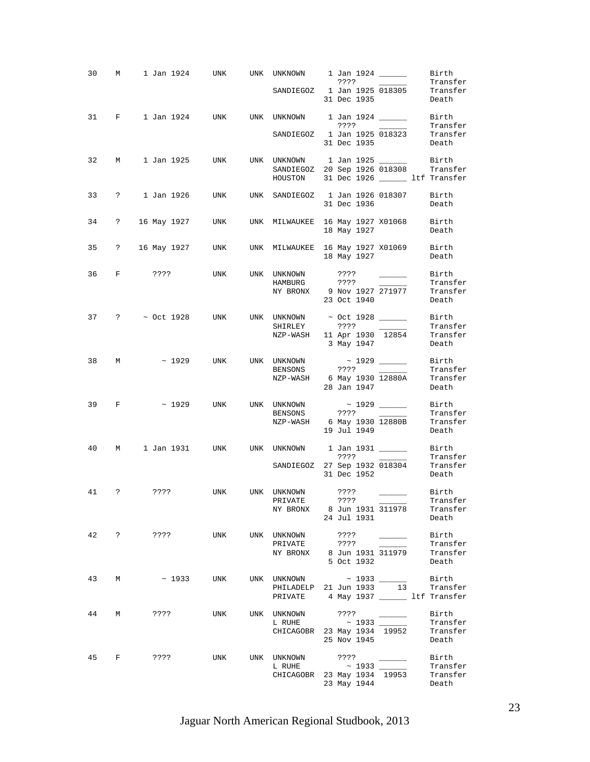| 30 | М                             |                                      |                    |                             | 1 Jan 1924     UNK     UNK   UNKNOWN       1 Jan 1924 ______<br>Birth<br>????<br>Transfer<br><u> 1999 - Andrea Store Books, ameri</u> kansk kon                                                                                                                                                                                                                                                                                                                                                                 |
|----|-------------------------------|--------------------------------------|--------------------|-----------------------------|-----------------------------------------------------------------------------------------------------------------------------------------------------------------------------------------------------------------------------------------------------------------------------------------------------------------------------------------------------------------------------------------------------------------------------------------------------------------------------------------------------------------|
|    |                               |                                      |                    |                             | SANDIEGOZ 1 Jan 1925 018305<br>Transfer<br>31 Dec 1935<br>Death                                                                                                                                                                                                                                                                                                                                                                                                                                                 |
| 31 | $\mathbf{F}$ and $\mathbf{F}$ | 1 Jan 1924                           | UNK <b>William</b> |                             | UNK UNKNOWN 1 Jan 1924 ________ Birth<br>Transfer<br>????<br>$\overline{\phantom{a}}$                                                                                                                                                                                                                                                                                                                                                                                                                           |
|    |                               |                                      |                    |                             | Transfer<br>SANDIEGOZ 1 Jan 1925 018323<br>31 Dec 1935<br>Death                                                                                                                                                                                                                                                                                                                                                                                                                                                 |
| 32 | M                             | 1 Jan 1925                           | UNK                |                             | UNK UNKNOWN 1 Jan 1925<br>Birth<br>SANDIEGOZ 20 Sep 1926 018308 Transfer                                                                                                                                                                                                                                                                                                                                                                                                                                        |
|    |                               |                                      |                    |                             | HOUSTON 31 Dec 1926 _______ ltf Transfer                                                                                                                                                                                                                                                                                                                                                                                                                                                                        |
| 33 | $\ddot{\mathbf{?}}$           | 1 Jan 1926                           | UNK                |                             | UNK SANDIEGOZ 1 Jan 1926 018307<br>Birth<br>31 Dec 1936<br>Death                                                                                                                                                                                                                                                                                                                                                                                                                                                |
| 34 |                               |                                      |                    |                             | ? 16 May 1927    UNK    UNK   MILWAUKEE  16 May 1927 X01068     Birth<br>Death<br>18 May 1927                                                                                                                                                                                                                                                                                                                                                                                                                   |
| 35 |                               |                                      |                    |                             | ? 16 May 1927 UNK UNK MILWAUKEE 16 May 1927 X01069<br>Birth<br>18 May 1927<br>Death                                                                                                                                                                                                                                                                                                                                                                                                                             |
| 36 |                               | F ????                               | UNK                | UNK UNKNOWN<br>HAMBURG ???? | Birth<br>????<br>$\mathcal{L}(\mathcal{L})$ and $\mathcal{L}(\mathcal{L})$<br>Transfer                                                                                                                                                                                                                                                                                                                                                                                                                          |
|    |                               |                                      |                    |                             | NY BRONX 9 Nov 1927 271977<br>Transfer<br>23 Oct 1940<br>Death                                                                                                                                                                                                                                                                                                                                                                                                                                                  |
|    |                               |                                      |                    | SHIRLEY                     | 37 ? ~ Oct 1928 UNK UNK UNKNOWN ~ Oct 1928 _____<br>Birth<br>????<br>Transfer                                                                                                                                                                                                                                                                                                                                                                                                                                   |
|    |                               |                                      |                    |                             | NZP-WASH 11 Apr 1930 12854<br>Transfer<br>3 May 1947<br>Death                                                                                                                                                                                                                                                                                                                                                                                                                                                   |
| 38 | M                             | $\sim$ 1929                          | UNK                | UNK UNKNOWN                 | Birth<br>Transfer                                                                                                                                                                                                                                                                                                                                                                                                                                                                                               |
|    |                               |                                      |                    |                             | NZP-WASH 6 May 1930 12880A<br>Transfer<br>28 Jan 1947<br>Death                                                                                                                                                                                                                                                                                                                                                                                                                                                  |
| 39 | $F$ and $F$                   | ~1929                                | UNK                | BENSONS                     | UNK UNKNOWN ~ 1929 ______<br>Birth<br>Transfer<br>7777<br>$\frac{1}{1}$                                                                                                                                                                                                                                                                                                                                                                                                                                         |
|    |                               |                                      |                    |                             | $NZP-WASH$ 6 May 1930 12880B<br>Transfer<br>19 Jul 1949<br>Death                                                                                                                                                                                                                                                                                                                                                                                                                                                |
| 40 | $M \sim$                      |                                      |                    |                             | Birth<br>Transfer                                                                                                                                                                                                                                                                                                                                                                                                                                                                                               |
|    |                               |                                      |                    |                             | SANDIEGOZ 27 Sep 1932 018304<br>Transfer<br>31 Dec 1952<br>Death                                                                                                                                                                                                                                                                                                                                                                                                                                                |
|    | 41 ?                          | ???? UNK UNK UNKNOWN ????            |                    |                             | Birth<br>PRIVATE ????<br>NY BRONX 8 Jun 1931 311978<br>Transfer                                                                                                                                                                                                                                                                                                                                                                                                                                                 |
|    |                               |                                      |                    |                             | Transfer<br>24 Jul 1931<br>Death                                                                                                                                                                                                                                                                                                                                                                                                                                                                                |
|    |                               | 42 ? ???? UNK UNK UNKNOWN<br>PRIVATE |                    |                             | Birth<br>????<br>????<br>$\frac{1}{2} \left( \frac{1}{2} \right) \left( \frac{1}{2} \right) \left( \frac{1}{2} \right) \left( \frac{1}{2} \right) \left( \frac{1}{2} \right) \left( \frac{1}{2} \right) \left( \frac{1}{2} \right) \left( \frac{1}{2} \right) \left( \frac{1}{2} \right) \left( \frac{1}{2} \right) \left( \frac{1}{2} \right) \left( \frac{1}{2} \right) \left( \frac{1}{2} \right) \left( \frac{1}{2} \right) \left( \frac{1}{2} \right) \left( \frac{1}{2} \right) \left( \frac$<br>Transfer |
|    |                               |                                      |                    |                             | NY BRONX 8 Jun 1931 311979 Transfer<br>5 Oct 1932<br>Death                                                                                                                                                                                                                                                                                                                                                                                                                                                      |
| 43 | M                             |                                      |                    |                             | $\sim$ 1933 UNK UNK UNKNOWN $\sim$ 1933 _______ Birth<br>PHILADELP 21 Jun 1933 13 Transfer<br>PRIVATE 4 May 1937 Lif Transfer                                                                                                                                                                                                                                                                                                                                                                                   |
|    |                               |                                      |                    |                             |                                                                                                                                                                                                                                                                                                                                                                                                                                                                                                                 |
| 44 |                               | M ????                               |                    | UNK UNK UNKNOWN             | Birth<br>? ? ? ?<br>$\frac{1}{2}$<br>Transfer                                                                                                                                                                                                                                                                                                                                                                                                                                                                   |
|    |                               |                                      |                    |                             | Transfer<br>CHICAGOBR 23 May 1934 19952<br>25 Nov 1945<br>Death                                                                                                                                                                                                                                                                                                                                                                                                                                                 |
|    |                               | 45 F ???? UNK                        |                    |                             | Birth<br>UNK UNKNOWN ????<br>L RUHE ~ 1933<br>Transfer                                                                                                                                                                                                                                                                                                                                                                                                                                                          |
|    |                               |                                      |                    |                             | CHICAGOBR 23 May 1934 19953<br>Transfer<br>23 May 1944<br>Death                                                                                                                                                                                                                                                                                                                                                                                                                                                 |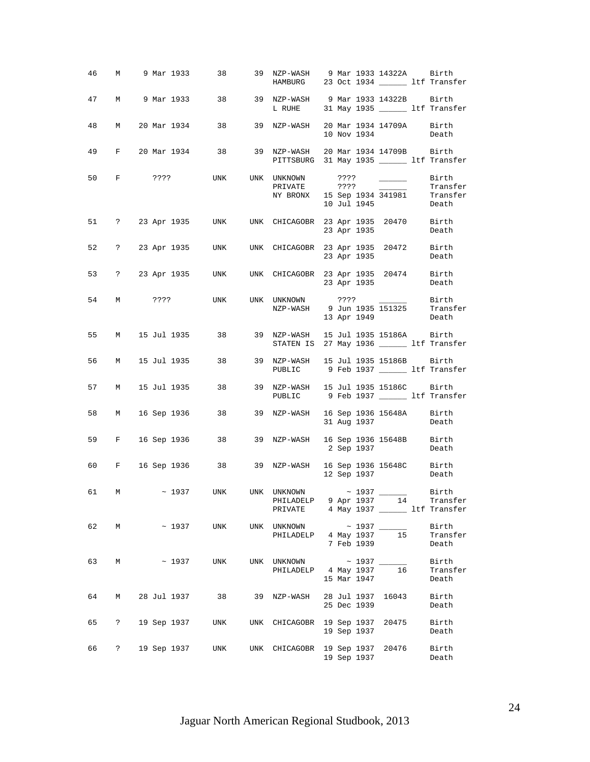| 46 |                      |             |             |     | M 9 Mar 1933 38 39 NZP-WASH 9 Mar 1933 14322A Birth<br>HAMBURG 23 Oct 1934 ________ ltf Transfer                        |  |             |                                                                                                                                                                                                                                                                                                                                                                                                                                                                                                                                                    |                            |
|----|----------------------|-------------|-------------|-----|-------------------------------------------------------------------------------------------------------------------------|--|-------------|----------------------------------------------------------------------------------------------------------------------------------------------------------------------------------------------------------------------------------------------------------------------------------------------------------------------------------------------------------------------------------------------------------------------------------------------------------------------------------------------------------------------------------------------------|----------------------------|
| 47 | M                    |             |             |     | L RUHE 31 May 1935 _______ ltf Transfer                                                                                 |  |             |                                                                                                                                                                                                                                                                                                                                                                                                                                                                                                                                                    |                            |
| 48 | М                    |             |             |     | 20 Mar 1934 38 39 NZP-WASH 20 Mar 1934 14709A Birth                                                                     |  | 10 Nov 1934 |                                                                                                                                                                                                                                                                                                                                                                                                                                                                                                                                                    | Death                      |
| 49 |                      |             |             |     | F 20 Mar 1934 38 39 NZP-WASH 20 Mar 1934 14709B Birth<br>PITTSBURG 31 May 1935 _______ ltf Transfer                     |  |             |                                                                                                                                                                                                                                                                                                                                                                                                                                                                                                                                                    |                            |
| 50 |                      |             |             |     | F ???? UNK UNK UNKNOWN ????<br>PRIVATE ????<br>NY BRONX 15 Sep 1934 341981 Transfer                                     |  | 10 Jul 1945 | $\begin{tabular}{ll} \quad \quad & \quad \text{Birth} \end{tabular}$<br>$\frac{1}{2} \left( \frac{1}{2} \right) \left( \frac{1}{2} \right) \left( \frac{1}{2} \right) \left( \frac{1}{2} \right) \left( \frac{1}{2} \right) \left( \frac{1}{2} \right) \left( \frac{1}{2} \right) \left( \frac{1}{2} \right) \left( \frac{1}{2} \right) \left( \frac{1}{2} \right) \left( \frac{1}{2} \right) \left( \frac{1}{2} \right) \left( \frac{1}{2} \right) \left( \frac{1}{2} \right) \left( \frac{1}{2} \right) \left( \frac{1}{2} \right) \left( \frac$ | Transfer<br>Death          |
|    |                      |             |             |     | 51 ? 23 Apr 1935 UNK UNK CHICAGOBR 23 Apr 1935 20470 Birth                                                              |  |             | 23 Apr 1935                                                                                                                                                                                                                                                                                                                                                                                                                                                                                                                                        | Death                      |
|    |                      |             |             |     | 52 ? 23 Apr 1935 UNK UNK CHICAGOBR 23 Apr 1935 20472 Birth                                                              |  | 23 Apr 1935 |                                                                                                                                                                                                                                                                                                                                                                                                                                                                                                                                                    | Death                      |
|    |                      |             |             |     | 53 ? 23 Apr 1935 UNK UNK CHICAGOBR 23 Apr 1935 20474 Birth                                                              |  |             | 23 Apr 1935 Death                                                                                                                                                                                                                                                                                                                                                                                                                                                                                                                                  |                            |
|    |                      |             |             |     | 54 M ???? UNK UNK UNKNOWN ???? ______ Birth<br>NZP-WASH 9 Jun 1935 151325                                               |  |             | 13 Apr 1949                                                                                                                                                                                                                                                                                                                                                                                                                                                                                                                                        | Transfer<br>Death          |
| 55 |                      |             |             |     | M 15 Jul 1935 38 39 NZP-WASH 15 Jul 1935 15186A Birth<br>STATEN IS 27 May 1936 _______ ltf Transfer                     |  |             |                                                                                                                                                                                                                                                                                                                                                                                                                                                                                                                                                    |                            |
| 56 | M                    |             |             |     | 15 Jul 1935 38 39 NZP-WASH 15 Jul 1935 15186B Birth<br>PUBLIC 9 Feb 1937 ________ ltf Transfer                          |  |             |                                                                                                                                                                                                                                                                                                                                                                                                                                                                                                                                                    |                            |
| 57 | M                    | 15 Jul 1935 |             |     | 38 39 NZP-WASH 15 Jul 1935 15186C Birth<br>PUBLIC 9 Feb 1937 ________ ltf Transfer                                      |  |             |                                                                                                                                                                                                                                                                                                                                                                                                                                                                                                                                                    |                            |
| 58 |                      |             |             |     | M 16 Sep 1936 38 39 NZP-WASH 16 Sep 1936 15648A Birth                                                                   |  |             | 31 Aug 1937                                                                                                                                                                                                                                                                                                                                                                                                                                                                                                                                        | Death                      |
| 59 |                      |             |             |     | F 16 Sep 1936 38 39 NZP-WASH 16 Sep 1936 15648B Birth                                                                   |  |             | 2 Sep 1937 Death                                                                                                                                                                                                                                                                                                                                                                                                                                                                                                                                   |                            |
| 60 |                      |             |             |     | F 16 Sep 1936 38 39 NZP-WASH 16 Sep 1936 15648C Birth<br>12 Sep 1937 Death                                              |  |             |                                                                                                                                                                                                                                                                                                                                                                                                                                                                                                                                                    |                            |
|    |                      |             |             |     | 61 M ~ 1937 UNK UNK UNKNOWN ~ 1937 _______ Birth<br>PHILADELP 9 Apr 1937 14 Transfer<br>PRIVATE 4 May 1937 11f Transfer |  |             |                                                                                                                                                                                                                                                                                                                                                                                                                                                                                                                                                    |                            |
| 62 | М                    |             | $\sim 1937$ | UNK | UNK UNKNOWN<br>PHILADELP 4 May 1937                                                                                     |  | 7 Feb 1939  | 15                                                                                                                                                                                                                                                                                                                                                                                                                                                                                                                                                 | Birth<br>Transfer<br>Death |
| 63 | М                    |             | $\sim 1937$ | UNK | UNK UNKNOWN ~ 1937 _______<br>PHILADELP 4 May 1937                                                                      |  | 15 Mar 1947 | 16                                                                                                                                                                                                                                                                                                                                                                                                                                                                                                                                                 | Birth<br>Transfer<br>Death |
| 64 | М                    | 28 Jul 1937 |             | 38  | 39 NZP-WASH                                                                                                             |  | 25 Dec 1939 | 28 Jul 1937 16043                                                                                                                                                                                                                                                                                                                                                                                                                                                                                                                                  | Birth<br>Death             |
| 65 | ?                    | 19 Sep 1937 |             | UNK | UNK CHICAGOBR 19 Sep 1937 20475                                                                                         |  | 19 Sep 1937 |                                                                                                                                                                                                                                                                                                                                                                                                                                                                                                                                                    | Birth<br>Death             |
| 66 | $\ddot{\phantom{0}}$ | 19 Sep 1937 |             | UNK | UNK CHICAGOBR                                                                                                           |  | 19 Sep 1937 | 19 Sep 1937 20476                                                                                                                                                                                                                                                                                                                                                                                                                                                                                                                                  | Birth<br>Death             |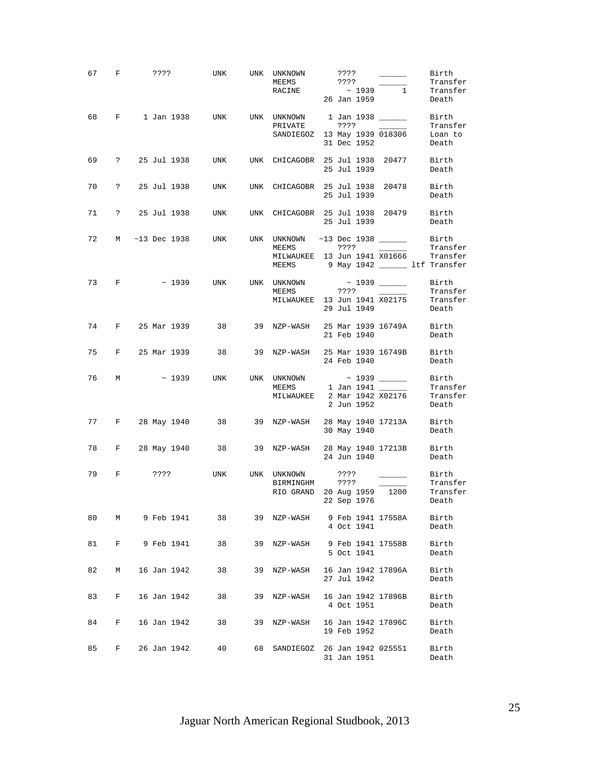| 67 | F ????         |  |               | UNK                                                                     | UNK UNKNOWN<br>MEEMS<br>RACINE                                                | ???? | ????<br>26 Jan 1959 | $\overline{\phantom{a}}$<br>$\sim 1939$ 1 | Birth<br>Transfer<br>Transfer<br>Death |
|----|----------------|--|---------------|-------------------------------------------------------------------------|-------------------------------------------------------------------------------|------|---------------------|-------------------------------------------|----------------------------------------|
| 68 | $F \sim$       |  |               | 1 Jan 1938 UNK UNK UNKNOWN 1 Jan 1938 ______ Birth                      | PRIVATE                                                                       | ???? |                     |                                           | Transfer                               |
|    |                |  |               |                                                                         | SANDIEGOZ 13 May 1939 018306                                                  |      | 31 Dec 1952         |                                           | Loan to<br>Death                       |
| 69 |                |  |               | ? 25 Jul 1938 UNK UNK CHICAGOBR 25 Jul 1938 20477 Birth                 |                                                                               |      | 25 Jul 1939         |                                           | Death                                  |
| 70 |                |  |               | ? 25 Jul 1938    UNK    UNK   CHICAGOBR  25 Jul 1938   20478      Birth |                                                                               |      | 25 Jul 1939         |                                           | Death                                  |
|    |                |  |               | 71 ? 25 Jul 1938 UNK UNK CHICAGOBR 25 Jul 1938 20479 Birth              |                                                                               |      |                     | 25 Jul 1939                               | Death                                  |
|    |                |  |               | 72 M ~13 Dec 1938 UNK UNK UNKNOWN ~13 Dec 1938 ______ Birth             | MEEMS                                                                         | ???? |                     |                                           | Transfer                               |
|    |                |  |               |                                                                         | MILWAUKEE 13 Jun 1941 X01666 Transfer<br>MEEMS 9 May 1942 ______ ltf Transfer |      |                     |                                           |                                        |
|    | 73 F           |  |               |                                                                         |                                                                               |      |                     |                                           | Birth<br>Transfer                      |
|    |                |  |               |                                                                         | MILWAUKEE 13 Jun 1941 X02175 Transfer                                         |      | 29 Jul 1949         |                                           | Death                                  |
|    |                |  |               | 74 F 25 Mar 1939 38 39 NZP-WASH 25 Mar 1939 16749A Birth                |                                                                               |      | 21 Feb 1940         |                                           | Death                                  |
|    |                |  |               | 75 F 25 Mar 1939 38 39 NZP-WASH 25 Mar 1939 16749B Birth                |                                                                               |      |                     | 24 Feb 1940                               | Death                                  |
|    | 76 M           |  |               | $\sim$ 1939 UNK UNK UNKNOWN $\sim$ 1939 ______                          | MEEMS 1 Jan 1941 ______                                                       |      |                     |                                           | Birth<br>Transfer                      |
|    |                |  |               |                                                                         | MILWAUKEE 2 Mar 1942 X02176                                                   |      | 2 Jun 1952          |                                           | Transfer<br>Death                      |
|    |                |  |               | 77 F 28 May 1940 38 39 NZP-WASH 28 May 1940 17213A Birth                |                                                                               |      |                     | 30 May 1940                               | Death                                  |
| 78 |                |  |               | F 28 May 1940 38 39 NZP-WASH 28 May 1940 17213B Birth                   |                                                                               |      |                     | 24 Jun 1940                               | Death                                  |
| 79 | F              |  | ????          | <b>UNK</b>                                                              | UNK UNKNOWN ???? _______ Birth<br>BIRMINGHM ????                              |      |                     |                                           | Transfer                               |
|    |                |  |               |                                                                         | RIO GRAND 20 Aug 1959 1200 Transfer<br>22 Sep 1976                            |      |                     |                                           | Death                                  |
| 80 | M              |  |               | 9 Feb 1941      38      39   NZP-WASH    9 Feb 1941 17558A              |                                                                               |      | 4 Oct 1941          |                                           | Birth<br>Death                         |
| 81 |                |  | F 9 Feb 1941  |                                                                         | 38 39 NZP-WASH 9 Feb 1941 17558B                                              |      |                     | 5 Oct 1941                                | Birth<br>Death                         |
| 82 | M <sub>N</sub> |  | 16 Jan 1942   | 38                                                                      | 39 NZP-WASH 16 Jan 1942 17896A                                                |      | 27 Jul 1942         |                                           | Birth<br>Death                         |
| 83 | $F$ and $F$    |  | 16 Jan 1942   | 38                                                                      | 39 NZP-WASH 16 Jan 1942 17896B                                                |      | 4 Oct 1951          |                                           | Birth<br>Death                         |
| 84 |                |  |               | F 16 Jan 1942      38      39  NZP-WASH   16 Jan 1942 17896C            |                                                                               |      |                     | 19 Feb 1952                               | Birth<br>Death                         |
| 85 |                |  | F 26 Jan 1942 |                                                                         | 40 68 SANDIEGOZ 26 Jan 1942 025551                                            |      | 31 Jan 1951         |                                           | Birth<br>Death                         |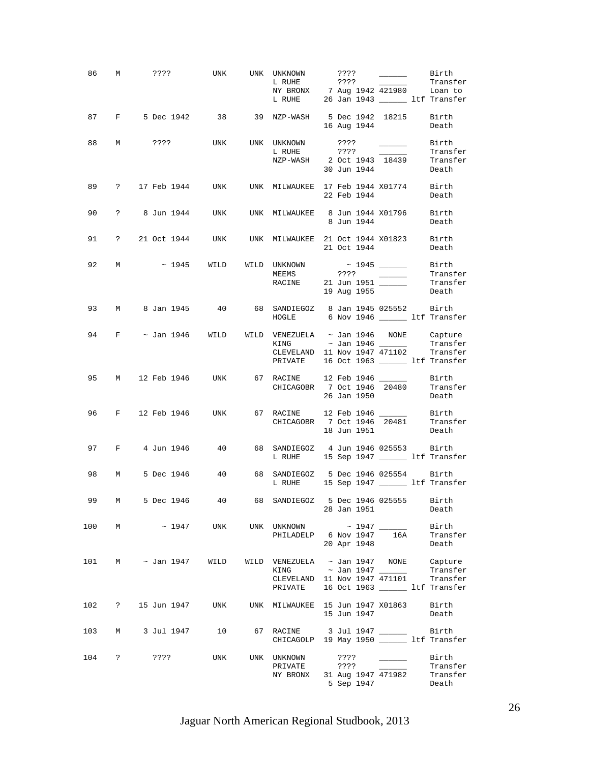|     |              | 86 M ???? UNK UNK UNKNOWN                                                         |  | NY BRONX 7 Aug 1942 421980 Loan to<br>L RUHE 26 Jan 1943 ________ ltf Transfer                                                                                                                                                                                                                                                                                                                                                                                             |                               | ???? ________ Birth      | Transfer                   |
|-----|--------------|-----------------------------------------------------------------------------------|--|----------------------------------------------------------------------------------------------------------------------------------------------------------------------------------------------------------------------------------------------------------------------------------------------------------------------------------------------------------------------------------------------------------------------------------------------------------------------------|-------------------------------|--------------------------|----------------------------|
|     |              | 87 F 5 Dec 1942 38 39 NZP-WASH 5 Dec 1942 18215 Birth                             |  |                                                                                                                                                                                                                                                                                                                                                                                                                                                                            |                               |                          | 16 Aug 1944 Death          |
|     |              | 88 M ???? UNK UNK UNKNOWN                                                         |  |                                                                                                                                                                                                                                                                                                                                                                                                                                                                            |                               |                          |                            |
|     |              |                                                                                   |  | $\begin{tabular}{l c c c c} \multicolumn{3}{c }{\text{UNKNOWN}} & \multicolumn{3}{c }{\text{???}} & \multicolumn{3}{c }{\text{-----}} & \multicolumn{3}{c }{\text{Birth}} \\ \multicolumn{3}{c }{\text{L RULE}} & \multicolumn{3}{c }{\text{???}} & \multicolumn{3}{c }{\text{-----}} & \multicolumn{3}{c} {\text{Transfer}} \\ \multicolumn{3}{c }{\text{NZP-WASH}} & \multicolumn{3}{c }{\text{2 Oct 1943}} & \multicolumn{3}{c }{\text{18439}} & \multicolumn{3}{c} {\$ |                               |                          |                            |
|     |              | 89 ? 17 Feb 1944 UNK UNK MILWAUKEE 17 Feb 1944 X01774 Birth                       |  |                                                                                                                                                                                                                                                                                                                                                                                                                                                                            | 22 Feb 1944                   |                          | Death                      |
|     |              | 90 ? 8 Jun 1944 UNK UNK MILWAUKEE 8 Jun 1944 X01796 Birth 8 Jun 1944              |  |                                                                                                                                                                                                                                                                                                                                                                                                                                                                            |                               |                          |                            |
|     |              | 91 ? 21 Oct 1944 UNK UNK MILWAUKEE 21 Oct 1944 X01823 Birth                       |  |                                                                                                                                                                                                                                                                                                                                                                                                                                                                            |                               | 21 Oct 1944 Death        |                            |
|     |              | 92 M ~ 1945 WILD WILD UNKNOWN ~ 1945 _______ Birth<br>MEEMS ???? _______ Transfer |  |                                                                                                                                                                                                                                                                                                                                                                                                                                                                            |                               |                          |                            |
|     |              |                                                                                   |  | MEEMS ????<br>RACINE 21 Jun 1951 Transfer<br>Transfer Death Part 1955                                                                                                                                                                                                                                                                                                                                                                                                      |                               |                          |                            |
|     |              | 93 M 8 Jan 1945 40 68 SANDIEGOZ 8 Jan 1945 025552 Birth                           |  | HOGLE 6 Nov 1946 ______ ltf Transfer                                                                                                                                                                                                                                                                                                                                                                                                                                       |                               |                          |                            |
|     |              | 94 F $\sim$ Jan 1946 WILD WILD VENEZUELA $\sim$ Jan 1946 NONE Capture             |  |                                                                                                                                                                                                                                                                                                                                                                                                                                                                            |                               |                          | Transfer                   |
|     |              |                                                                                   |  | CLEVELAND 11 Nov 1947 471102 Transfer<br>PRIVATE 16 Oct 1963 ______ ltf Transfer                                                                                                                                                                                                                                                                                                                                                                                           |                               |                          |                            |
|     |              | 95 M 12 Feb 1946 UNK 67 RACINE 12 Feb 1946 ______ Birth                           |  | CHICAGOBR 7 Oct 1946 20480 Transfer                                                                                                                                                                                                                                                                                                                                                                                                                                        | 26 Jan 1950                   |                          | Death                      |
|     |              | 96 F 12 Feb 1946 UNK 67 RACINE 12 Feb 1946 _______ Birth                          |  | CHICAGOBR 7 Oct 1946 20481 Transfer                                                                                                                                                                                                                                                                                                                                                                                                                                        | 18 Jun 1951                   |                          | Death                      |
|     |              | 97 F 4 Jun 1946 40 68 SANDIEGOZ 4 Jun 1946 025553 Birth                           |  | L RUHE 15 Sep 1947 ______ ltf Transfer                                                                                                                                                                                                                                                                                                                                                                                                                                     |                               |                          |                            |
|     |              | 98 M 5 Dec 1946 40 68 SANDIEGOZ 5 Dec 1946 025554 Birth                           |  | L RUHE 15 Sep 1947 _________ ltf Transfer                                                                                                                                                                                                                                                                                                                                                                                                                                  |                               |                          |                            |
| 99  | $M_{\odot}$  | 5 Dec 1946   40   68 SANDIEGOZ   5 Dec 1946   025555   Birth                      |  |                                                                                                                                                                                                                                                                                                                                                                                                                                                                            | 28 Jan 1951                   |                          | Death                      |
| 100 |              | M ~ 1947 UNK UNK UNKNOWN ~ 1947 _______ Birth                                     |  | PHILADELP 6 Nov 1947 16A                                                                                                                                                                                                                                                                                                                                                                                                                                                   |                               |                          | Transfer                   |
|     |              |                                                                                   |  |                                                                                                                                                                                                                                                                                                                                                                                                                                                                            | 20 Apr 1948                   |                          | Death                      |
| 101 |              | M ~ Jan 1947    WILD                                                              |  | WILD VENEZUELA ~ Jan 1947 NONE Capture<br>KING $\sim$ Jan 1947 $\sim$                                                                                                                                                                                                                                                                                                                                                                                                      |                               |                          | Transfer                   |
|     |              |                                                                                   |  | CLEVELAND 11 Nov 1947 $\overline{471101}$ Transfer                                                                                                                                                                                                                                                                                                                                                                                                                         |                               |                          |                            |
|     |              |                                                                                   |  | PRIVATE 16 Oct 1963 _______ ltf Transfer                                                                                                                                                                                                                                                                                                                                                                                                                                   |                               |                          |                            |
| 102 | $\mathbf{P}$ | 15 Jun 1947 UNK                                                                   |  | UNK MILWAUKEE 15 Jun 1947 X01863                                                                                                                                                                                                                                                                                                                                                                                                                                           | 15 Jun 1947                   |                          | Birth<br>Death             |
| 103 |              | M 3 Jul 1947 10 67 RACINE 3 Jul 1947 ________ Birth                               |  | CHICAGOLP 19 May 1950 ________ ltf Transfer                                                                                                                                                                                                                                                                                                                                                                                                                                |                               |                          |                            |
|     |              | 104 ? ???? UNK                                                                    |  | UNK UNKNOWN<br>PRIVATE<br>NY BRONX 31 Aug 1947 471982 Transfer                                                                                                                                                                                                                                                                                                                                                                                                             | ????<br>? ? ? ?<br>5 Sep 1947 | $\overline{\phantom{a}}$ | Birth<br>Transfer<br>Death |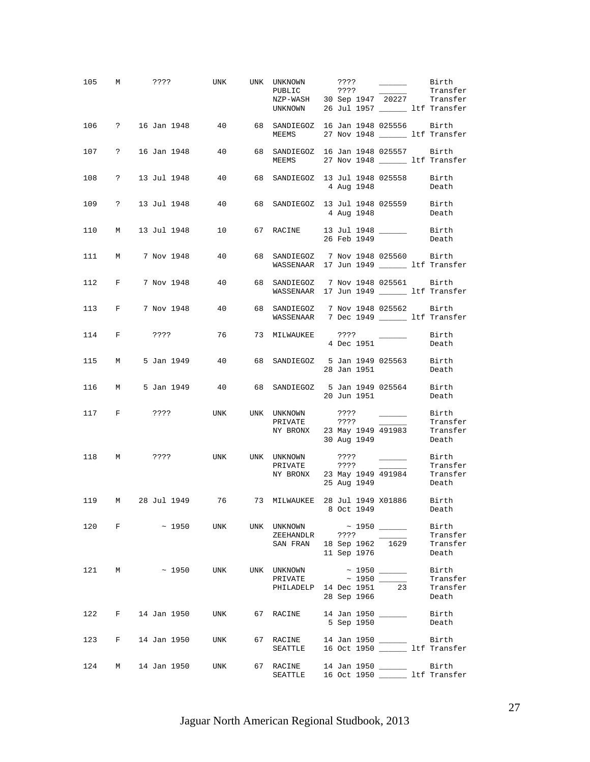| 105   |              | M ???? UNK                                                   |            | UNK UNKNOWN<br>PUBLIC ???? Transfer<br>NZP-WASH 30 Sep 1947 20227 Transfer<br>UNKNOWN 26 Jul 1957 ________ ltf Transfer | ????                                    | $\frac{1}{2} \left( \frac{1}{2} \right) \left( \frac{1}{2} \right) \left( \frac{1}{2} \right) \left( \frac{1}{2} \right) \left( \frac{1}{2} \right) \left( \frac{1}{2} \right) \left( \frac{1}{2} \right) \left( \frac{1}{2} \right) \left( \frac{1}{2} \right) \left( \frac{1}{2} \right) \left( \frac{1}{2} \right) \left( \frac{1}{2} \right) \left( \frac{1}{2} \right) \left( \frac{1}{2} \right) \left( \frac{1}{2} \right) \left( \frac{1}{2} \right) \left( \frac$ | Birth                                      |
|-------|--------------|--------------------------------------------------------------|------------|-------------------------------------------------------------------------------------------------------------------------|-----------------------------------------|----------------------------------------------------------------------------------------------------------------------------------------------------------------------------------------------------------------------------------------------------------------------------------------------------------------------------------------------------------------------------------------------------------------------------------------------------------------------------|--------------------------------------------|
| 106   |              | ? 16 Jan 1948 40 68 SANDIEGOZ 16 Jan 1948 025556 Birth       |            | MEEMS 27 Nov 1948 Lif Transfer                                                                                          |                                         |                                                                                                                                                                                                                                                                                                                                                                                                                                                                            |                                            |
|       |              | 107 ? 16 Jan 1948 40 68 SANDIEGOZ 16 Jan 1948 025557 Birth   |            | MEEMS 27 Nov 1948 _______ ltf Transfer                                                                                  |                                         |                                                                                                                                                                                                                                                                                                                                                                                                                                                                            |                                            |
| 108   |              | ? 13 Jul 1948 40 68 SANDIEGOZ 13 Jul 1948 025558 Birth       |            |                                                                                                                         | 4 Aug 1948                              |                                                                                                                                                                                                                                                                                                                                                                                                                                                                            | Death                                      |
| 109   |              | ? 13 Jul 1948 40 68 SANDIEGOZ 13 Jul 1948 025559 Birth       |            |                                                                                                                         | 4 Aug 1948                              |                                                                                                                                                                                                                                                                                                                                                                                                                                                                            | Death                                      |
| 110   |              | M 13 Jul 1948 10 67 RACINE 13 Jul 1948 _______ Birth         |            |                                                                                                                         | 26 Feb 1949                             |                                                                                                                                                                                                                                                                                                                                                                                                                                                                            | Death                                      |
| 111 M |              | 7 Nov 1948   40   68 SANDIEGOZ   7 Nov 1948   025560   Birth |            | WASSENAAR 17 Jun 1949 ______ ltf Transfer                                                                               |                                         |                                                                                                                                                                                                                                                                                                                                                                                                                                                                            |                                            |
| 112   |              | F 7 Nov 1948 40 68 SANDIEGOZ 7 Nov 1948 025561 Birth         |            | WASSENAAR 17 Jun 1949 ______ ltf Transfer                                                                               |                                         |                                                                                                                                                                                                                                                                                                                                                                                                                                                                            |                                            |
| 113   |              | F 7 Nov 1948 40 68 SANDIEGOZ 7 Nov 1948 025562 Birth         |            | WASSENAAR 7 Dec 1949 ______ ltf Transfer                                                                                |                                         |                                                                                                                                                                                                                                                                                                                                                                                                                                                                            |                                            |
| 114   |              | F ???? 76 73 MILWAUKEE ???? 2                                |            |                                                                                                                         | 4 Dec 1951                              |                                                                                                                                                                                                                                                                                                                                                                                                                                                                            | Birth<br>Death                             |
| 115   | <b>M</b>     | 5 Jan 1949   40   68 SANDIEGOZ   5 Jan 1949   025563   Birth |            |                                                                                                                         | 28 Jan 1951                             |                                                                                                                                                                                                                                                                                                                                                                                                                                                                            | Death                                      |
|       |              | 116 M 5 Jan 1949 40 68 SANDIEGOZ 5 Jan 1949 025564 Birth     |            |                                                                                                                         | 20 Jun 1951                             |                                                                                                                                                                                                                                                                                                                                                                                                                                                                            | Death                                      |
| 117   |              | <b>F</b> 2???                                                | <b>UNK</b> | UNK UNKNOWN ???? _______ Birth<br>PRIVATE<br>NY BRONX 23 May 1949 491983 Transfer                                       | ? ? ? ?<br>30 Aug 1949                  | $\sim$ $\sim$ $\sim$ $\sim$ $\sim$ $\sim$                                                                                                                                                                                                                                                                                                                                                                                                                                  | Transfer<br>Death                          |
|       |              | 118 M ???? UNK UNK UNKNOWN                                   |            | PRIVATE<br>PRIVATE 7??? Transfer<br>NY BRONX 23 May 1949 491984 Transfer<br>25 Aug 1949 Death                           | ????<br>????                            | $\frac{1}{2} \left( \frac{1}{2} \right) \left( \frac{1}{2} \right) \left( \frac{1}{2} \right) \left( \frac{1}{2} \right) \left( \frac{1}{2} \right) \left( \frac{1}{2} \right) \left( \frac{1}{2} \right) \left( \frac{1}{2} \right) \left( \frac{1}{2} \right) \left( \frac{1}{2} \right) \left( \frac{1}{2} \right) \left( \frac{1}{2} \right) \left( \frac{1}{2} \right) \left( \frac{1}{2} \right) \left( \frac{1}{2} \right) \left( \frac{1}{2} \right) \left( \frac$ | Birth<br>Transfer                          |
|       |              | 119 M 28 Jul 1949 76 73 MILWAUKEE 28 Jul 1949 X01886 Birth   |            |                                                                                                                         | 8 Oct 1949                              |                                                                                                                                                                                                                                                                                                                                                                                                                                                                            | Death                                      |
| 120   |              | $F \sim 1950$                                                | UNK        | UNK UNKNOWN<br>ZEEHANDLR<br>SAN FRAN                                                                                    | ????<br>18 Sep 1962 1629<br>11 Sep 1976 |                                                                                                                                                                                                                                                                                                                                                                                                                                                                            | Birth<br>Transfer<br>Transfer<br>Death     |
| 121   | M            | $\sim 1950$                                                  | UNK        | UNK UNKNOWN<br>PHILADELP 14 Dec 1951                                                                                    | 28 Sep 1966                             | 23                                                                                                                                                                                                                                                                                                                                                                                                                                                                         | Birth<br>Transfer<br>Transfer<br>Death     |
| 122   | $\mathbf{F}$ | 14 Jan 1950                                                  | UNK        | 67 RACINE                                                                                                               | 14 Jan 1950 _____<br>5 Sep 1950         |                                                                                                                                                                                                                                                                                                                                                                                                                                                                            | Birth<br>Death                             |
| 123   | F            | 14 Jan 1950                                                  | UNK        | 67 RACINE<br>SEATTLE                                                                                                    | 14 Jan 1950 ______                      |                                                                                                                                                                                                                                                                                                                                                                                                                                                                            | Birth<br>16 Oct 1950 ________ ltf Transfer |
| 124   |              | M 14 Jan 1950                                                | UNK        | 67 RACINE<br>SEATTLE                                                                                                    | 14 Jan 1950 ______                      |                                                                                                                                                                                                                                                                                                                                                                                                                                                                            | Birth<br>16 Oct 1950 _______ ltf Transfer  |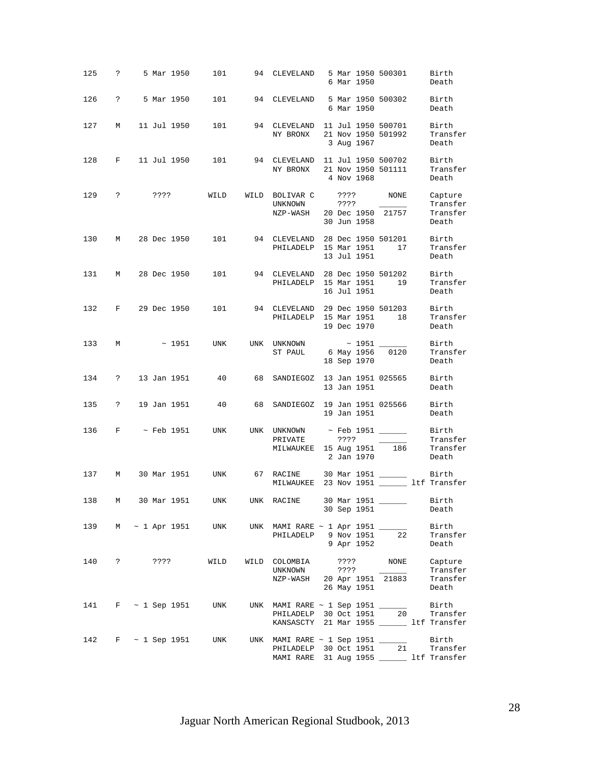| 125 | $\ddot{\mathbf{?}}$ |      | 5 Mar 1950        | 101                      |    | 94 CLEVELAND 5 Mar 1950 500301                                                                         |                 | 6 Mar 1950                      |                                   |    | Birth<br>Death                           |
|-----|---------------------|------|-------------------|--------------------------|----|--------------------------------------------------------------------------------------------------------|-----------------|---------------------------------|-----------------------------------|----|------------------------------------------|
| 126 | $\ddot{?}$          |      |                   | 5 Mar 1950 101           |    | 94 CLEVELAND 5 Mar 1950 500302 Birth                                                                   |                 | 6 Mar 1950                      |                                   |    | Death                                    |
| 127 | M                   |      | 11 Jul 1950       | 101                      |    | 94 CLEVELAND 11 Jul 1950 500701<br>NY BRONX 21 Nov 1950 501992                                         |                 | 3 Aug 1967                      |                                   |    | Birth<br>Transfer<br>Death               |
| 128 |                     |      | F 11 Jul 1950     | 101                      |    | 94 CLEVELAND 11 Jul 1950 500702<br>NY BRONX 21 Nov 1950 501111                                         |                 | 4 Nov 1968                      |                                   |    | Birth<br>Transfer<br>Death               |
| 129 | $\ddot{?}$          |      | ????              |                          |    | WILD WILD BOLIVAR C ???? NONE<br>UNKNOWN<br>NZP-WASH                                                   | $??\; ?$        | 30 Jun 1958                     | 20 Dec 1950 21757                 |    | Capture<br>Transfer<br>Transfer<br>Death |
| 130 |                     |      |                   | M 28 Dec 1950 101        |    | 94 CLEVELAND 28 Dec 1950 501201<br>PHILADELP 15 Mar 1951                                               |                 | 13 Jul 1951                     |                                   | 17 | Birth<br>Transfer<br>Death               |
|     | 131 M 28 Dec 1950   |      |                   | 101                      |    | 94 CLEVELAND 28 Dec 1950 501202<br>PHILADELP 15 Mar 1951                                               |                 | 16 Jul 1951                     |                                   | 19 | Birth<br>Transfer<br>Death               |
| 132 |                     |      | F 29 Dec 1950     | 101                      |    | 94 CLEVELAND 29 Dec 1950 501203<br>PHILADELP 15 Mar 1951                                               |                 | 19 Dec 1970                     | 18                                |    | Birth<br>Transfer<br>Death               |
| 133 | M                   |      | $\sim 1951$       | UNK                      |    | UNK UNKNOWN<br>ST PAUL 6 May 1956                                                                      |                 | $\sim$ 1951 $\_$<br>18 Sep 1970 | 0120                              |    | Birth<br>Transfer<br>Death               |
| 134 | $\mathbb{R}$        |      |                   | 13 Jan 1951 40           | 68 | SANDIEGOZ 13 Jan 1951 025565                                                                           |                 | 13 Jan 1951                     |                                   |    | Birth<br>Death                           |
| 135 |                     |      |                   | ? 19 Jan 1951         40 | 68 | SANDIEGOZ 19 Jan 1951 025566 Birth                                                                     |                 | 19 Jan 1951                     |                                   |    | Death                                    |
|     |                     |      |                   | 136 F ~ Feb 1951 UNK     |    | UNK UNKNOWN ~ Feb 1951 ______<br>PRIVATE<br>MILWAUKEE 15 Aug 1951 186 Transfer                         | ????            | 2 Jan 1970                      | $\sim 10^{11}$ and $\sim 10^{11}$ |    | Birth<br>Transfer<br>Death               |
| 137 | M                   |      | 30 Mar 1951       | UNK                      |    | 67 RACINE 30 Mar 1951 ______<br>MILWAUKEE 23 Nov 1951 _______ ltf Transfer                             |                 |                                 |                                   |    | Birth                                    |
| 138 | М                   |      | 30 Mar 1951       |                          |    | UNK UNK RACINE                                                                                         |                 | 30 Sep 1951                     | 30 Mar 1951 ______                |    | Birth<br>Death                           |
| 139 | M                   |      | $\sim$ 1 Apr 1951 | UNK                      |    | UNK MAMI RARE ~ 1 Apr 1951 ______<br>PHILADELP                                                         |                 | 9 Nov 1951<br>9 Apr 1952        | 22                                |    | Birth<br>Transfer<br>Death               |
| 140 | $\ddot{?}$          | ???? |                   | WILD                     |    | WILD COLOMBIA<br>UNKNOWN<br>NZP-WASH                                                                   | ????<br>? ? ? ? | 26 May 1951                     | NONE<br>20 Apr 1951 21883         |    | Capture<br>Transfer<br>Transfer<br>Death |
| 141 |                     |      | F ~ 1 Sep 1951    | UNK                      |    | UNK MAMI RARE ~ 1 Sep 1951 _____<br>PHILADELP 30 Oct 1951<br>KANSASCTY 21 Mar 1955 ______ ltf Transfer |                 |                                 | 20                                |    | Birth<br>Transfer                        |
| 142 |                     |      | F ~ 1 Sep 1951    | UNK                      |    | UNK MAMI RARE $\sim$ 1 Sep 1951 ______<br>PHILADELP 30 Oct 1951<br>MAMI RARE 31 Aug 1955 ______        |                 |                                 | 21                                |    | Birth<br>Transfer<br>ltf Transfer        |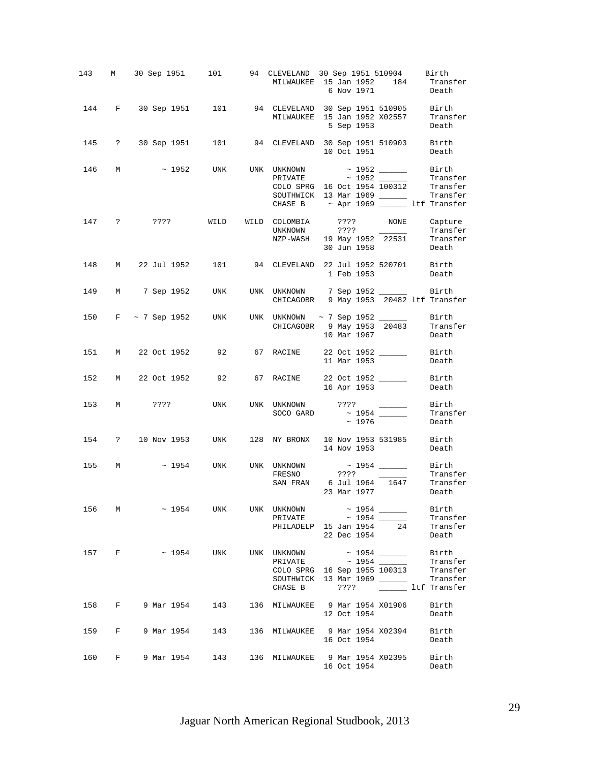|       |                      |  |           | 143 M 30 Sep 1951 101 94 CLEVELAND 30 Sep 1951 510904 Birth<br>MILWAUKEE 15 Jan 1952 184 Transfer<br>6 Nov 1971<br>Death                                                                                                                                                                                                                              |
|-------|----------------------|--|-----------|-------------------------------------------------------------------------------------------------------------------------------------------------------------------------------------------------------------------------------------------------------------------------------------------------------------------------------------------------------|
|       |                      |  |           | 144 F 30 Sep 1951 101 94 CLEVELAND 30 Sep 1951 510905 Birth<br>MILWAUKEE 15 Jan 1952 X02557 Transfer<br>5 Sep 1953<br>Death                                                                                                                                                                                                                           |
|       |                      |  |           | 145 ? 30 Sep 1951 101 94 CLEVELAND 30 Sep 1951 510903 Birth<br>10 Oct 1951<br>Death                                                                                                                                                                                                                                                                   |
| 146 M |                      |  |           | $\sim$ 1952 UNK UNK UNKNOWN $\sim$ 1952 _______ Birth<br>PRIVATE ~ 1952 Transfer<br>COLO SPRG 16 Oct 1954 100312 Transfer<br>SOUTHWICK 13 Mar 1969 _________ Transfer<br>CHASE B $\sim$ Apr 1969 $\quad$ ltf Transfer                                                                                                                                 |
|       |                      |  |           | 147 ? ???? WILD WILD COLOMBIA ???? NONE Capture<br>UNKNOWN ???? Transfer<br>NZP-WASH 19 May 1952 22531 Transfer<br>30 Jun 1958 Death                                                                                                                                                                                                                  |
|       |                      |  |           | 148 M 22 Jul 1952 101 94 CLEVELAND 22 Jul 1952 520701 Birth<br>1 Feb 1953<br>Death                                                                                                                                                                                                                                                                    |
|       |                      |  |           | 149 M 7 Sep 1952 UNK UNK UNKNOWN 7 Sep 1952 ________ Birth<br>CHICAGOBR 9 May 1953 20482 ltf Transfer                                                                                                                                                                                                                                                 |
|       |                      |  |           | 150 F ~ 7 Sep 1952 UNK UNK UNKNOWN ~ 7 Sep 1952 ______<br>Birth<br>CHICAGOBR 9 May 1953 20483 Transfer<br>10 Mar 1967<br>Death                                                                                                                                                                                                                        |
|       |                      |  |           | 151 M 22 Oct 1952 92 67 RACINE 22 Oct 1952 _______ Birth<br>11 Mar 1953<br>Death                                                                                                                                                                                                                                                                      |
|       |                      |  |           | 152 M 22 Oct 1952 92 67 RACINE 22 Oct 1952 Birth<br>16 Apr 1953<br>Death                                                                                                                                                                                                                                                                              |
|       |                      |  | SOCO GARD | 153 M ???? UNK UNK UNKNOWN ???? ______ Birth<br>Transfer<br>$\sim$ 1976<br>Death                                                                                                                                                                                                                                                                      |
|       |                      |  |           | 154 ? 10 Nov 1953 UNK 128 NY BRONX 10 Nov 1953 531985 Birth<br>14 Nov 1953<br>Death                                                                                                                                                                                                                                                                   |
|       |                      |  |           | 155 M $\sim$ 1954 UNK UNK UNKNOWN $\sim$ 1954 _______ Birth<br>FRESNO ???? _______ Transfer<br>SAN FRAN 6 Jul 1964 1647<br>Transfer<br>$23$ Mar 1977<br>Death                                                                                                                                                                                         |
|       |                      |  |           | 156 M ~ 1954 UNK UNK UNKNOWN ~ 1954 ______<br>Birth<br>$\begin{tabular}{lllll} \bf{PRIVATE} & $\sim$ 1954 & \textcolor{red}{\textbf{---}}$ & \textcolor{red}{\textbf{Transfer}}\\ \bf{PHILADELP} & \textcolor{red}{\textbf{15 Jan 1954}} & \textcolor{red}{\textbf{24}} & \textcolor{red}{\textbf{Transfer}}\\ \end{tabular}$<br>22 Dec 1954<br>Death |
|       | 157 F ~ 1954 UNK     |  |           | Birth<br>Transfer<br>COLO SPRG 16 Sep 1955 100313 Transfer<br>SOUTHWICK 13 Mar 1969 ______<br>Transfer<br>CHASE B ???? 2000 1tf Transfer                                                                                                                                                                                                              |
|       | 158 F 9 Mar 1954 143 |  |           | 136 MILWAUKEE 9 Mar 1954 X01906 Birth<br>12 Oct 1954<br>Death                                                                                                                                                                                                                                                                                         |
|       |                      |  |           | 159 F 9 Mar 1954 143 136 MILWAUKEE 9 Mar 1954 X02394 Birth<br>16 Oct 1954<br>Death                                                                                                                                                                                                                                                                    |
|       |                      |  |           | 160 F 9 Mar 1954 143 136 MILWAUKEE 9 Mar 1954 X02395 Birth<br>16 Oct 1954<br>Death                                                                                                                                                                                                                                                                    |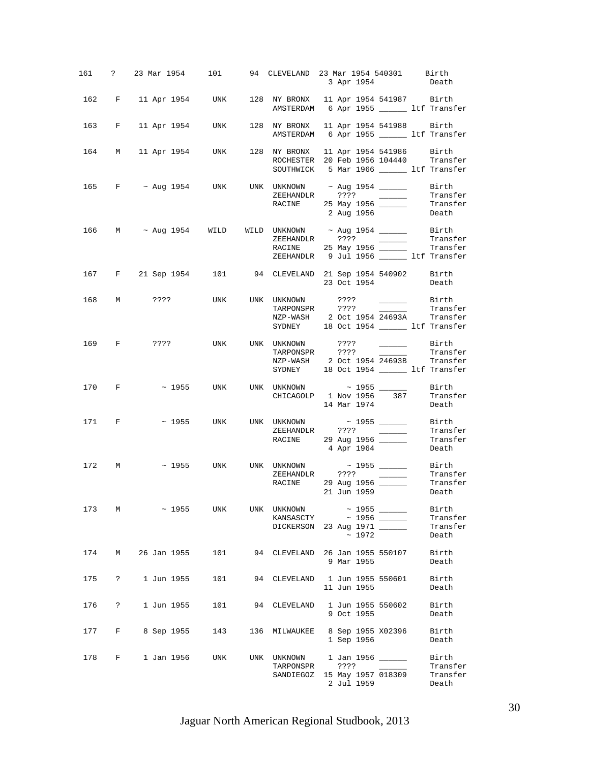|     |             |                                 |     |              | 161 ? 23 Mar 1954 101 94 CLEVELAND 23 Mar 1954 540301 Birth<br>3 Apr 1954                                                                                                             | Death                                  |
|-----|-------------|---------------------------------|-----|--------------|---------------------------------------------------------------------------------------------------------------------------------------------------------------------------------------|----------------------------------------|
|     |             |                                 |     |              | 162 F 11 Apr 1954 UNK 128 NY BRONX 11 Apr 1954 541987 Birth<br>AMSTERDAM 6 Apr 1955 ______ ltf Transfer                                                                               |                                        |
| 163 | $F$ and $F$ | 11 Apr 1954 UNK                 |     |              | 128 NY BRONX 11 Apr 1954 541988 Birth<br>AMSTERDAM 6 Apr 1955 ________ ltf Transfer                                                                                                   |                                        |
|     |             |                                 |     |              | 164 M 11 Apr 1954 UNK 128 NY BRONX 11 Apr 1954 541986 Birth<br>ROCHESTER 20 Feb 1956 104440 Transfer<br>SOUTHWICK 5 Mar 1966 _______ ltf Transfer                                     |                                        |
|     |             |                                 |     |              | 165 F ~ Aug 1954 UNK UNK UNKNOWN ~ Aug 1954 _______ Birth<br>2 Aug 1956                                                                                                               | Death                                  |
|     |             |                                 |     |              | 166 M ~ Aug 1954 WILD WILD UNKNOWN ~ Aug 1954 _________ Birth<br>ZEEHANDLR ???? ________ Transfer<br>RACINE 25 May 1956 ________ Transfer<br>ZEEHANDLR 9 Jul 1956 ______ ltf Transfer |                                        |
|     |             |                                 |     |              | 167 F 21 Sep 1954 101 94 CLEVELAND 21 Sep 1954 540902 Birth<br>23 Oct 1954                                                                                                            | Death                                  |
|     |             |                                 |     | TARPONSPR    | 168 M ???? UNK UNK UNKNOWN ???? ______ Birth<br>TARPONSPR ???? ______ Transfer<br>NZP-WASH 2 Oct 1954 24693A Transfer<br>SYDNEY 18 Oct 1954 _______ ltf Transfer                      | Transfer                               |
|     |             | 169 F ???? UNK UNK UNKNOWN ???? |     |              | <u>and the community of the community</u><br>NZP-WASH 2 Oct 1954 24693B Transfer<br>SYDNEY 18 Oct 1954 _______ ltf Transfer                                                           | Birth<br>Transfer                      |
|     |             |                                 |     |              | 170 F ~ 1955 UNK UNK UNKNOWN ~ 1955 ______<br>CHICAGOLP 1 Nov 1956 387 Transfer<br>14 Mar 1974                                                                                        | Birth<br>Death                         |
|     |             |                                 |     |              | 171 F ~ 1955 UNK UNK UNKNOWN ~ 1955 ______<br>RACINE 29 Aug 1956 Transfer<br>$\begin{array}{ccc}\n & & & \\  & 29 & \text{Aug } 1956 \\  & & 4 & \text{Arr } 1964\n\end{array}$       | Birth<br>Transfer                      |
|     |             |                                 |     |              | 172 M ~ 1955 UNK UNK UNKNOWN ~ 1955 _____ Birth<br>ZEEHANDLR ???? _____ Transfer<br>RACINE 29 Aug 1956<br>NE 29 Aug 1956 - Transfer<br>21 Jun 1959 - Death                            |                                        |
|     |             | $173 \t M \t \sim 1955$         | UNK |              | UNK UNKNOWN ~ 1955 _______<br>KANSASCTY ~ 1956 ______<br>DICKERSON 23 Aug 1971<br>~1972                                                                                               | Birth<br>Transfer<br>Transfer<br>Death |
|     |             | 174 M 26 Jan 1955               | 101 |              | 94 CLEVELAND 26 Jan 1955 550107<br>9 Mar 1955                                                                                                                                         | Birth<br>Death                         |
|     |             | 175 ? 1 Jun 1955                | 101 |              | 94 CLEVELAND    1 Jun 1955    550601<br>11 Jun 1955                                                                                                                                   | Birth<br>Death                         |
| 176 | $\ddot{?}$  | 1 Jun 1955                      | 101 | 94 CLEVELAND | 1 Jun 1955 550602<br>9 Oct 1955                                                                                                                                                       | Birth<br>Death                         |
| 177 | $F$ and $F$ | 8 Sep 1955                      | 143 |              | 136 MILWAUKEE 8 Sep 1955 X02396<br>1 Sep 1956                                                                                                                                         | Birth<br>Death                         |
|     |             | 178 F 1 Jan 1956 UNK            |     | TARPONSPR    | UNK UNKNOWN 1 Jan 1956 ______<br>????<br>SANDIEGOZ 15 May 1957 018309<br>2 Jul 1959                                                                                                   | Birth<br>Transfer<br>Transfer<br>Death |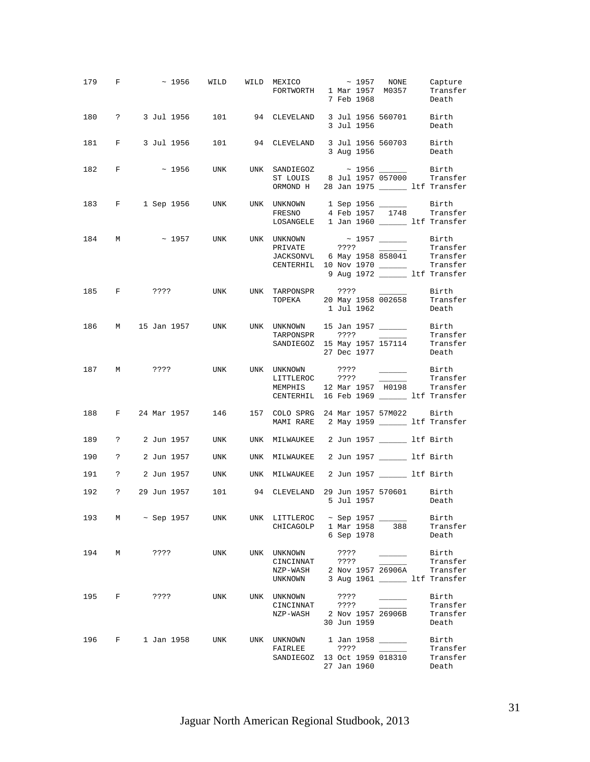|     |                               | 179 F $\sim$ 1956 WILD WILD MEXICO $\sim$ 1957 NONE Capture<br>FORTWORTH 1 Mar 1957 M0357 Transfer |     |                                                                                                              | 7 Feb 1968                  |                                                           | Death                                                              |
|-----|-------------------------------|----------------------------------------------------------------------------------------------------|-----|--------------------------------------------------------------------------------------------------------------|-----------------------------|-----------------------------------------------------------|--------------------------------------------------------------------|
|     |                               | 180 ? 3 Jul 1956 101 94 CLEVELAND 3 Jul 1956 560701 Birth                                          |     |                                                                                                              | 3 Jul 1956                  |                                                           | Death                                                              |
|     |                               | 181 F 3 Jul 1956 101 94 CLEVELAND 3 Jul 1956 560703 Birth                                          |     |                                                                                                              | 3 Aug 1956                  |                                                           | Death                                                              |
|     |                               | 182 F ~ 1956 UNK UNK SANDIEGOZ ~ 1956 ______ Birth                                                 |     | ST LOUIS 8 Jul 1957 057000 Transfer<br>ORMOND H 28 Jan 1975 _______ ltf Transfer                             |                             |                                                           |                                                                    |
|     |                               | 183 F 1 Sep 1956 UNK UNK UNKNOWN 1 Sep 1956 ______                                                 |     | FRESNO<br>LOSANGELE 1 Jan 1960 ______ ltf Transfer                                                           |                             |                                                           | Birth<br>4 Feb 1957 1748 Transfer                                  |
|     |                               | 184 M ~ 1957 UNK UNK UNKNOWN ~ 1957 _______ Birth                                                  |     | PRIVATE ???? 2001 Transfer<br>JACKSONVL 6 May 1958 858041 Transfer<br>CENTERHIL 10 Nov 1970 _______ Transfer |                             |                                                           | 9 Aug 1972 ______ ltf Transfer                                     |
|     |                               | 185 F ???? UNK UNK TARPONSPR ???? ______                                                           |     | TOPEKA 20 May 1958 002658 Transfer                                                                           | 1 Jul 1962                  |                                                           | Birth<br>Death                                                     |
|     |                               | 186 M 15 Jan 1957 UNK UNK UNKNOWN 15 Jan 1957 _______ Birth                                        |     | TARPONSPR ???? _______ Transfer<br>SANDIEGOZ 15 May 1957 157114 Transfer                                     | 27 Dec 1977                 |                                                           | Transfer<br>Death                                                  |
|     |                               | 187 M ???? UNK UNK UNKNOWN                                                                         |     | MEMPHIS 12 Mar 1957 H0198 Transfer<br>CENTERHIL 16 Feb 1969 _______ ltf Transfer                             |                             |                                                           | Birth<br>Transfer                                                  |
|     |                               | 188 F 24 Mar 1957 146 157 COLO SPRG 24 Mar 1957 57M022 Birth                                       |     | MAMI RARE 2 May 1959 _______ ltf Transfer                                                                    |                             |                                                           |                                                                    |
|     |                               | 189 ? 2 Jun 1957 UNK UNK MILWAUKEE 2 Jun 1957 ________ ltf Birth                                   |     |                                                                                                              |                             |                                                           |                                                                    |
|     |                               | 190 ? 2 Jun 1957 UNK UNK MILWAUKEE 2 Jun 1957 _______ ltf Birth                                    |     |                                                                                                              |                             |                                                           |                                                                    |
|     |                               | 191 ? 2 Jun 1957 UNK UNK MILWAUKEE 2 Jun 1957 ______ ltf Birth                                     |     |                                                                                                              |                             |                                                           |                                                                    |
|     |                               | 192 ? 29 Jun 1957 101 94 CLEVELAND 29 Jun 1957 570601 Birth                                        |     |                                                                                                              | 5 Jul 1957                  |                                                           | Death                                                              |
|     |                               | 193 M ~ Sep 1957 UNK                                                                               |     | UNK LITTLEROC $\sim$ Sep 1957 ______<br>CHICAGOLP 1 Mar 1958 388                                             | 6 Sep 1978                  |                                                           | Birth<br>Transfer<br>Death                                         |
| 194 | M                             | ????                                                                                               | UNK | UNK UNKNOWN<br>CINCINNAT ????<br>NZP-WASH<br>UNKNOWN                                                         | ????<br>2 Nov 1957 26906A   | $\sim 10^{11}$ and $\sim 10^{11}$                         | Birth<br>Transfer<br>Transfer<br>3 Aug 1961 _________ ltf Transfer |
|     |                               | 195 F ????                                                                                         | UNK | UNK UNKNOWN<br>CINCINNAT<br>NZP-WASH 2 Nov 1957 26906B                                                       | ????<br>????<br>30 Jun 1959 |                                                           | Birth<br>Transfer<br>Transfer<br>Death                             |
| 196 | $\mathbf{F}$ and $\mathbf{F}$ | 1 Jan 1958                                                                                         | UNK | UNK UNKNOWN 1 Jan 1958 ______<br>FAIRLEE<br>SANDIEGOZ 13 Oct 1959 018310                                     | ????<br>27 Jan 1960         | $\mathcal{L}(\mathcal{L})$ and $\mathcal{L}(\mathcal{L})$ | Birth<br>Transfer<br>Transfer<br>Death                             |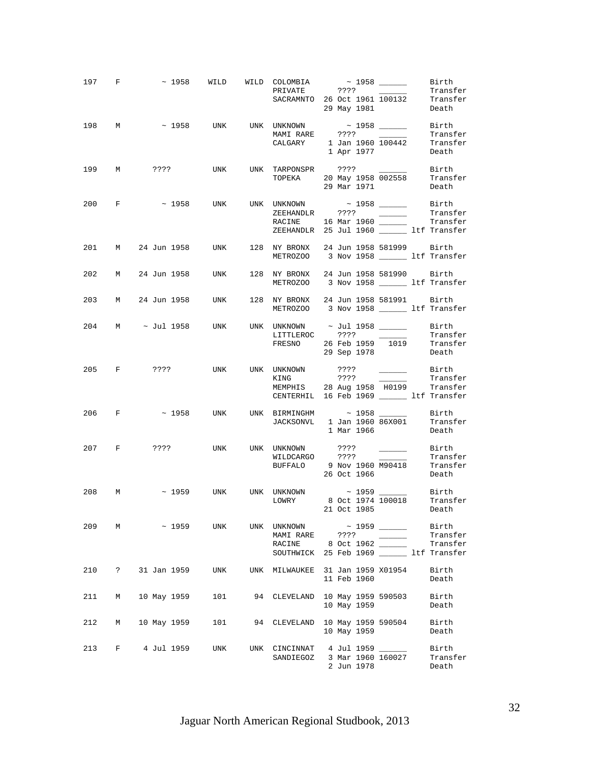|     |            |               |     |                                                      | 197 F $\sim$ 1958 WILD WILD COLOMBIA $\sim$ 1958 ________ Birth<br>PRIVATE ???? _______ Transfer<br>SACRAMNTO 26 Oct 1961 100132 Transfer<br>29 May 1981<br>Death |
|-----|------------|---------------|-----|------------------------------------------------------|-------------------------------------------------------------------------------------------------------------------------------------------------------------------|
|     |            |               |     |                                                      | 198 M ~ 1958 UNK UNK UNKNOWN ~ 1958 ______ Birth<br>MAMIRARE ???? ______ Transfer<br>CALGARY 1 Jan 1960 100442 Transfer<br>1 Apr 1977<br>Death                    |
|     |            |               |     |                                                      | 199 M ???? UNK UNK TARPONSPR ???? $\frac{199}{002558}$ Birth TOPEKA 20 May 1958 002558 Transfer<br>29 Mar 1971<br>Death                                           |
|     |            |               |     |                                                      | 200 F $\sim$ 1958 UNK UNK UNKNOWN $\sim$ 1958 Birth Fransfer<br>Transfer<br>RACINE 16 Mar 1960 ________ Transfer<br>ZEEHANDLR 25 Jul 1960 ______ ltf Transfer     |
|     |            |               |     |                                                      | 201 M 24 Jun 1958 UNK 128 NY BRONX 24 Jun 1958 581999 Birth<br>METROZOO 3 Nov 1958 ______ ltf Transfer                                                            |
|     |            |               |     |                                                      | 202 M 24 Jun 1958 UNK 128 NY BRONX 24 Jun 1958 581990 Birth<br>METROZOO 3 Nov 1958 ltf Transfer                                                                   |
|     |            |               |     |                                                      | 203 M 24 Jun 1958 UNK 128 NY BRONX 24 Jun 1958 581991 Birth<br>METROZOO 3 Nov 1958 ______ ltf Transfer                                                            |
|     |            |               |     |                                                      | 204 M $\sim$ Jul 1958 UNK UNK UNKNOWN $\sim$ Jul 1958 ________ Birth<br>LITTLEROC ????<br>Transfer<br>FRESNO 26 Feb 1959 1019 Transfer<br>29 Sep 1978<br>Death    |
|     |            |               |     |                                                      | Birth<br>Transfer<br>MEMPHIS 28 Aug 1958 H0199 Transfer<br>CENTERHIL 16 Feb 1969 ______ ltf Transfer                                                              |
|     |            |               |     |                                                      | 206 F $\sim$ 1958 UNK UNK BIRMINGHM $\sim$ 1958 Birth<br>JACKSONVL 1 Jan 1960 86X001 Transfer<br>1 Mar 1966 Death                                                 |
|     |            |               |     |                                                      | 207 F ???? UNK UNK UNKNOWN ???? ______ Birth<br>WILDCARGO ????<br>Transfer<br>BUFFALO 9 Nov 1960 M90418 Transfer<br>26 Oct 1966<br>Death                          |
|     |            |               |     |                                                      | 208 M $\sim$ 1959 UNK UNK UNKNOWN $\sim$ 1959 $\frac{}{\sim}$ Birth LOWRY 8 Oct 1974 100018 Transfer<br>Death<br>21 Oct 1985                                      |
| 209 |            | $M \sim 1959$ | UNK | UNK UNKNOWN<br>MAMI RARE ????<br>RACINE<br>SOUTHWICK | $\sim$ 1959 ______<br>Birth<br>Transfer<br>$\overline{\phantom{a}}$<br>Transfer<br>8 Oct 1962 _____<br>25 Feb 1969 ltf Transfer                                   |
| 210 | $\ddot{?}$ | 31 Jan 1959   | UNK |                                                      | UNK MILWAUKEE 31 Jan 1959 X01954<br>Birth<br>11 Feb 1960<br>Death                                                                                                 |
| 211 | М          | 10 May 1959   | 101 |                                                      | 94 CLEVELAND 10 May 1959 590503<br>Birth<br>10 May 1959<br>Death                                                                                                  |
| 212 | М          | 10 May 1959   | 101 | 94 CLEVELAND                                         | 10 May 1959 590504<br>Birth<br>10 May 1959<br>Death                                                                                                               |
| 213 | F          | 4 Jul 1959    | UNK | SANDIEGOZ                                            | UNK CINCINNAT 4 Jul 1959<br>Birth<br>3 Mar 1960 160027<br>Transfer<br>2 Jun 1978<br>Death                                                                         |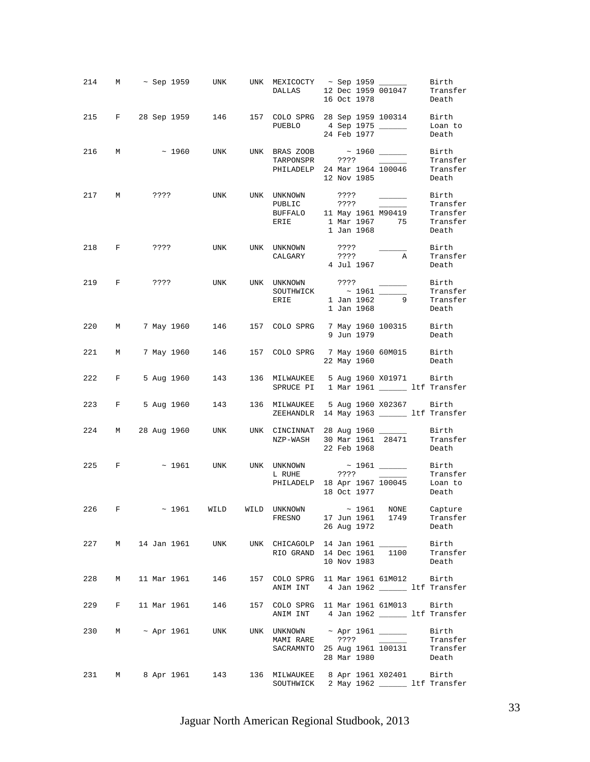|     |              |                      |                                                                                                      |                                        | 16 Oct 1978                                                                                                 |                                                                                                                                                                                                                                                                                                                                                                                                                                                                            | Death                                  |
|-----|--------------|----------------------|------------------------------------------------------------------------------------------------------|----------------------------------------|-------------------------------------------------------------------------------------------------------------|----------------------------------------------------------------------------------------------------------------------------------------------------------------------------------------------------------------------------------------------------------------------------------------------------------------------------------------------------------------------------------------------------------------------------------------------------------------------------|----------------------------------------|
|     |              |                      | 215 F 28 Sep 1959 146 157 COLO SPRG 28 Sep 1959 100314 Birth                                         |                                        | PUEBLO 4 Sep 1975 ______<br>24 Feb 1977                                                                     |                                                                                                                                                                                                                                                                                                                                                                                                                                                                            | Loan to<br>Death                       |
|     |              |                      |                                                                                                      |                                        | PHILADELP 24 Mar 1964 100046 Transfer<br>12 Nov 1985                                                        |                                                                                                                                                                                                                                                                                                                                                                                                                                                                            | Birth<br>Transfer<br>Death             |
|     |              |                      | 217 M ???? UNK UNK UNKNOWN                                                                           | ERIE                                   | ????<br>PUBLIC 7??? 7Tansfer<br>BUFFALO 11 May 1961 M90419 Transfer<br>1 Mar 1967 75 Transfer<br>1 Jan 1968 | Birth Birth                                                                                                                                                                                                                                                                                                                                                                                                                                                                | Death                                  |
|     |              |                      | 218 F ???? UNK UNK UNKNOWN                                                                           |                                        | ????<br>CALGARY<br>4 Jul 1967<br><sup>2</sup> Jul 1967                                                      | <u>and the company of the company of the company of the company of the company of the company of the company of the company of the company of the company of the company of the company of the company of the company of the com</u>                                                                                                                                                                                                                                       | Birth<br>Transfer<br>Death             |
|     |              | 219 F ????           |                                                                                                      | UNK UNK UNKNOWN ????                   | SOUTHWICK $\begin{array}{c c}\n\sim 1961 \end{array}$<br>ERIE 1 Jan 1962 9<br>1 Jan 1968                    | $\frac{1}{2} \left( \frac{1}{2} \right) \left( \frac{1}{2} \right) \left( \frac{1}{2} \right) \left( \frac{1}{2} \right) \left( \frac{1}{2} \right) \left( \frac{1}{2} \right) \left( \frac{1}{2} \right) \left( \frac{1}{2} \right) \left( \frac{1}{2} \right) \left( \frac{1}{2} \right) \left( \frac{1}{2} \right) \left( \frac{1}{2} \right) \left( \frac{1}{2} \right) \left( \frac{1}{2} \right) \left( \frac{1}{2} \right) \left( \frac{1}{2} \right) \left( \frac$ | Birth<br>Transfer<br>Transfer<br>Death |
|     |              |                      | 220 M 7 May 1960 146 157 COLO SPRG 7 May 1960 100315 Birth                                           |                                        | 9 Jun 1979                                                                                                  |                                                                                                                                                                                                                                                                                                                                                                                                                                                                            | Death                                  |
|     |              | 221 M 7 May 1960 146 |                                                                                                      | 157 COLO SPRG 7 May 1960 60M015 Birth  | 22 May 1960                                                                                                 |                                                                                                                                                                                                                                                                                                                                                                                                                                                                            | Death                                  |
|     |              | 222 F 5 Aug 1960 143 |                                                                                                      | 136 MILWAUKEE 5 Aug 1960 X01971 Birth  | SPRUCE PI 1 Mar 1961 _______ ltf Transfer                                                                   |                                                                                                                                                                                                                                                                                                                                                                                                                                                                            |                                        |
|     |              | 223 F 5 Aug 1960 143 |                                                                                                      | 136 MILWAUKEE 5 Aug 1960 X02367 Birth  | ZEEHANDLR 14 May 1963 _______ ltf Transfer                                                                  |                                                                                                                                                                                                                                                                                                                                                                                                                                                                            |                                        |
|     |              |                      | 224 M 28 Aug 1960 UNK UNK CINCINNAT 28 Aug 1960 ______                                               |                                        | NZP-WASH 30 Mar 1961 28471 Transfer<br>22 Eeb 1969 - Park<br>22 Feb 1968                                    |                                                                                                                                                                                                                                                                                                                                                                                                                                                                            | Birth<br>Death                         |
|     |              |                      | 225 F $\sim$ 1961 UNK UNK UNKNOWN $\sim$ 1961 $\sim$ Birth                                           |                                        | L RUHE 7??? 720015 7ransfer<br>PHILADELP 18 Apr 1967 100045 Loan to<br>18 Oct 1977 Death                    |                                                                                                                                                                                                                                                                                                                                                                                                                                                                            |                                        |
| 226 | $\mathbf{F}$ |                      | $\sim$ 1961 WILD WILD UNKNOWN $\sim$ 1961 NONE Capture FRESNO 17 Jun 1961 1749 Transfer              |                                        | 26 Aug 1972                                                                                                 |                                                                                                                                                                                                                                                                                                                                                                                                                                                                            | Transfer<br>Death                      |
|     |              |                      | 227 M 14 Jan 1961 UNK UNK CHICAGOLP 14 Jan 1961 _______ Birth<br>RIO GRAND 14 Dec 1961 1100 Transfer |                                        | 10 Nov 1983                                                                                                 |                                                                                                                                                                                                                                                                                                                                                                                                                                                                            | Death                                  |
| 228 |              | M 11 Mar 1961 146    |                                                                                                      | 157 COLO SPRG 11 Mar 1961 61M012 Birth | ANIM INT 4 Jan 1962 _________ ltf Transfer                                                                  |                                                                                                                                                                                                                                                                                                                                                                                                                                                                            |                                        |
|     |              |                      | 229 F 11 Mar 1961 146 157 COLO SPRG 11 Mar 1961 61M013 Birth                                         |                                        | ANIM INT 4 Jan 1962 ________ ltf Transfer                                                                   |                                                                                                                                                                                                                                                                                                                                                                                                                                                                            |                                        |
|     |              |                      | 230 M ~ Apr 1961 UNK UNK UNKNOWN ~ Apr 1961 _______ Birth                                            |                                        | SACRAMNTO 25 Aug 1961 100131 Transfer<br>28 Mar 1980                                                        |                                                                                                                                                                                                                                                                                                                                                                                                                                                                            | Transfer<br>Death                      |
|     |              | 231 M 8 Apr 1961 143 |                                                                                                      | 136 MILWAUKEE 8 Apr 1961 X02401 Birth  | SOUTHWICK 2 May 1962 _______ ltf Transfer                                                                   |                                                                                                                                                                                                                                                                                                                                                                                                                                                                            |                                        |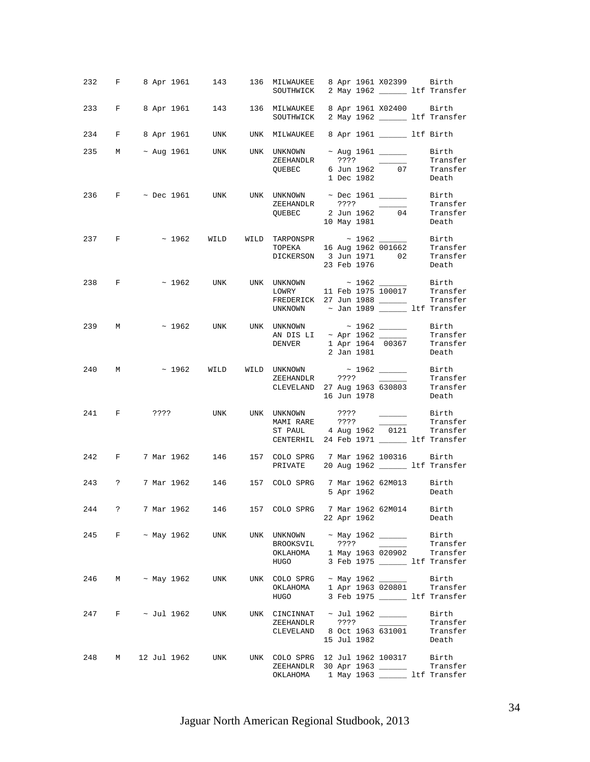|     |                     | 232 F 8 Apr 1961 143 136 MILWAUKEE 8 Apr 1961 X02399 Birth                            |     | SOUTHWICK 2 May 1962 ______ ltf Transfer                                                                                                                                  |          |             |                                                                                       |                                                                          |
|-----|---------------------|---------------------------------------------------------------------------------------|-----|---------------------------------------------------------------------------------------------------------------------------------------------------------------------------|----------|-------------|---------------------------------------------------------------------------------------|--------------------------------------------------------------------------|
|     |                     | 233 F 8 Apr 1961 143 136 MILWAUKEE 8 Apr 1961 X02400 Birth                            |     | SOUTHWICK 2 May 1962 ________ ltf Transfer                                                                                                                                |          |             |                                                                                       |                                                                          |
|     |                     | 234 F 8 Apr 1961 UNK UNK MILWAUKEE 8 Apr 1961 ________ ltf Birth                      |     |                                                                                                                                                                           |          |             |                                                                                       |                                                                          |
|     |                     | 235 M ~ Aug 1961 UNK UNK UNKNOWN ~ Aug 1961 ______                                    |     | ZEEHANDLR ???? _______<br>QUEBEC 6 Jun 1962 07 Transfer                                                                                                                   |          | 1 Dec 1982  |                                                                                       | Birth<br>Transfer<br>Death                                               |
|     |                     | 236 $\text{F}$ ~ Dec 1961 UNK UNK UNKNOWN ~ Dec 1961 _______ Birth                    |     | QUEBEC 2 Jun 1962 04 Transfer<br>10 May 1981 Death                                                                                                                        |          |             |                                                                                       | Transfer                                                                 |
|     |                     | 237 F $\sim$ 1962 WILD WILD TARPONSPR $\sim$ 1962 $\sim$ Birth                        |     | TOPEKA 16 Aug 1962 001662 Transfer<br>DICKERSON 3 Jun 1971 02 Transfer                                                                                                    |          |             |                                                                                       | 23 Feb 1976 Death                                                        |
|     | 238 F               |                                                                                       |     | $\sim$ 1962 UNK UNK UNKNOWN $\sim$ 1962 Birth LOWRY 11 Feb 1975 100017 Transfer<br>FREDERICK 27 Jun 1988 ________ Transfer<br>UNKNOWN $\sim$ Jan 1989 $\sim$ 1tf Transfer |          |             |                                                                                       |                                                                          |
|     |                     | 239 M ~ 1962 UNK UNK UNKNOWN ~ 1962 ______ Birth                                      |     | AN DIS LI $\sim$ Apr 1962 Transfer<br>DENVER 1 Apr 1964 00367 Transfer                                                                                                    |          |             |                                                                                       | 2 Jan 1981 Death                                                         |
|     |                     | 240 M $\sim$ 1962 WILD WILD UNKNOWN $\sim$ 1962 $\frac{1962}{2}$ Birth ZEEHANDLR 2223 |     | CLEVELAND 27 Aug 1963 630803 Transfer                                                                                                                                     |          |             | 16 Jun 1978                                                                           | Death                                                                    |
|     |                     | 241 F ???? UNK UNK UNKNOWN ???? ______ Birth                                          |     | MAMIRARE ???? Transfer<br>ST PAUL 4 Aug 1962 0121 Transfer<br>CENTERHIL 24 Feb 1971 ________ ltf Transfer                                                                 |          |             |                                                                                       |                                                                          |
|     |                     | 242 F 7 Mar 1962 146 157 COLO SPRG 7 Mar 1962 100316 Birth                            |     | PRIVATE 20 Aug 1962 _______ ltf Transfer                                                                                                                                  |          |             |                                                                                       |                                                                          |
|     |                     | 243 ? 7 Mar 1962 146 157 COLO SPRG 7 Mar 1962 62M013 Birth                            |     |                                                                                                                                                                           |          |             | 5 Apr 1962 Death                                                                      |                                                                          |
| 244 | $\ddot{\mathbf{?}}$ | 7 Mar 1962                                                                            | 146 | 157 COLO SPRG 7 Mar 1962 62M014 Birth                                                                                                                                     |          | 22 Apr 1962 |                                                                                       | Death                                                                    |
| 245 |                     | $F \sim$ May 1962                                                                     | UNK | UNK UNKNOWN<br>BROOKSVIL<br>OKLAHOMA<br>HUGO                                                                                                                              | ? ? ? ?  |             | $~\sim$ May 1962 ______<br><u> a shekara ta 1999 a shekara t</u><br>1 May 1963 020902 | Birth<br>Transfer<br>Transfer<br>3 Feb 1975 _______ ltf Transfer         |
| 246 |                     | M ~ May 1962                                                                          | UNK | UNK COLO SPRG ~ May 1962 ______<br>OKLAHOMA<br>HUGO                                                                                                                       |          |             |                                                                                       | Birth<br>1 Apr 1963 020801 Transfer<br>3 Feb 1975 _________ ltf Transfer |
| 247 |                     | $F \sim$ Jul 1962                                                                     | UNK | UNK CINCINNAT $\sim$ Jul 1962 ______<br>ZEEHANDLR<br>CLEVELAND 8 Oct 1963 631001                                                                                          | $??\ ??$ | 15 Jul 1982 |                                                                                       | Birth<br>Transfer<br>Transfer<br>Death                                   |
| 248 | M                   | 12 Jul 1962                                                                           | UNK | UNK COLO SPRG 12 Jul 1962 100317<br>ZEEHANDLR 30 Apr 1963 ______<br>OKLAHOMA 1 May 1963 ______ ltf Transfer                                                               |          |             |                                                                                       | Birth<br>Transfer                                                        |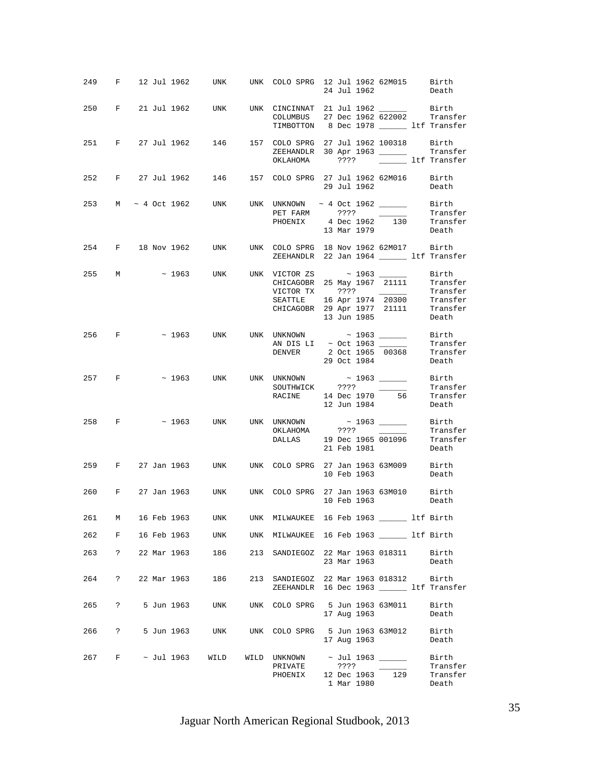|       |              |             |            | 249 F 12 Jul 1962 UNK UNK COLO SPRG 12 Jul 1962 62M015 Birth 24 Jul 1962                                                                                                                                                                                                                                                                                                                                                                                                 |                                                                                              |      |                           |                         |                                        |
|-------|--------------|-------------|------------|--------------------------------------------------------------------------------------------------------------------------------------------------------------------------------------------------------------------------------------------------------------------------------------------------------------------------------------------------------------------------------------------------------------------------------------------------------------------------|----------------------------------------------------------------------------------------------|------|---------------------------|-------------------------|----------------------------------------|
|       |              |             |            | 250 F 21 Jul 1962 UNK UNK CINCINNAT 21 Jul 1962 ________ Birth                                                                                                                                                                                                                                                                                                                                                                                                           | COLUMBUS 27 Dec 1962 622002 Transfer<br>TIMBOTTON 8 Dec 1978 _______ ltf Transfer            |      |                           |                         |                                        |
|       |              |             |            | 251 F 27 Jul 1962 146 157 COLO SPRG 27 Jul 1962 100318 Birth                                                                                                                                                                                                                                                                                                                                                                                                             | ZEEHANDLR 30 Apr 1963 _______ Transfer<br>OKLAHOMA ???? ______ ltf Transfer                  |      |                           |                         |                                        |
|       |              |             |            | 252 F 27 Jul 1962 146 157 COLO SPRG 27 Jul 1962 62M016 Birth                                                                                                                                                                                                                                                                                                                                                                                                             |                                                                                              |      |                           |                         | 29 Jul 1962 <b>Death</b>               |
|       |              |             |            | 253 M ~ 4 Oct 1962 UNK UNK UNKNOWN ~ 4 Oct 1962 _______ Birth<br>PET FARM ???? ______ Transfer                                                                                                                                                                                                                                                                                                                                                                           |                                                                                              |      |                           |                         |                                        |
|       |              |             |            | 254 F 18 Nov 1962 UNK UNK COLO SPRG 18 Nov 1962 62M017 Birth                                                                                                                                                                                                                                                                                                                                                                                                             | ZEEHANDLR 22 Jan 1964 _____ ltf Transfer                                                     |      |                           |                         |                                        |
|       |              |             |            | 255 M $\sim$ 1963 UNK UNK VICTOR ZS $\sim$ 1963 UNE CHICAGOBR 25 May 1967 21111 Transfer                                                                                                                                                                                                                                                                                                                                                                                 | VICTOR TX 2232<br>SEATTLE 16 Apr 1974 20300 Transfer<br>CHICAGOBR 29 Apr 1977 21111 Transfer |      | 13 Jun 1985               |                         | Death                                  |
|       |              |             |            | 256 F $\sim$ 1963 UNK UNK UNKNOWN $\sim$ 1963 ________ Birth                                                                                                                                                                                                                                                                                                                                                                                                             |                                                                                              |      |                           | 29 Oct 1984             | Death                                  |
|       |              |             |            | 257 F ~ 1963 UNK UNK UNKNOWN ~ 1963 _______ Birth                                                                                                                                                                                                                                                                                                                                                                                                                        | SOUTHWICK ???? Transfer<br>RACINE 14 Dec 1970 56 Transfer                                    |      | 12 Jun 1984               |                         | Death                                  |
|       |              |             |            | $\begin{tabular}{lcccccc} 258 & F & $\sim$ 1963 & UNK & UNK NOWN & $\sim$ 1963 & \begin{tabular}{l} \multicolumn{2}{c} {\small\bf{7}}\\ \multicolumn{2}{c} {\small\bf{8}}\\ \multicolumn{2}{c} {\small\bf{8}}\\ \multicolumn{2}{c} {\small\bf{8}}\\ \multicolumn{2}{c} {\small\bf{9}}\\ \multicolumn{2}{c} {\small\bf{9}}\\ \multicolumn{2}{c} {\small\bf{9}}\\ \multicolumn{2}{c} {\small\bf{9}}\\ \multicolumn{2}{c} {\small\bf{9}}\\ \multicolumn{2}{c} {\small\bf{9$ |                                                                                              |      |                           |                         |                                        |
|       |              |             |            | 259 F 27 Jan 1963 UNK UNK COLO SPRG 27 Jan 1963 63M009 Birth                                                                                                                                                                                                                                                                                                                                                                                                             |                                                                                              |      |                           | 10 Feb 1963 Death       |                                        |
|       |              |             |            | 260 F 27 Jan 1963 UNK UNK COLO SPRG 27 Jan 1963 63M010 Birth 10 Feb 1963                                                                                                                                                                                                                                                                                                                                                                                                 |                                                                                              |      |                           |                         |                                        |
|       |              |             |            | 261 M 16 Feb 1963 UNK UNK MILWAUKEE 16 Feb 1963 ______ ltf Birth                                                                                                                                                                                                                                                                                                                                                                                                         |                                                                                              |      |                           |                         |                                        |
|       |              |             |            | 262 F 16 Feb 1963 UNK UNK MILWAUKEE 16 Feb 1963 ______ ltf Birth                                                                                                                                                                                                                                                                                                                                                                                                         |                                                                                              |      |                           |                         |                                        |
|       |              |             |            | 263 ? 22 Mar 1963 186                                                                                                                                                                                                                                                                                                                                                                                                                                                    | 213 SANDIEGOZ 22 Mar 1963 018311 Birth                                                       |      | 23 Mar 1963               |                         | Death                                  |
| 264   | $\ddot{?}$   | 22 Mar 1963 |            | 186                                                                                                                                                                                                                                                                                                                                                                                                                                                                      | 213 SANDIEGOZ 22 Mar 1963 018312 Birth<br>ZEEHANDLR 16 Dec 1963 ______ ltf Transfer          |      |                           |                         |                                        |
| 265   | $\mathbb{R}$ |             | 5 Jun 1963 |                                                                                                                                                                                                                                                                                                                                                                                                                                                                          | UNK UNK COLO SPRG 5 Jun 1963 63M011                                                          |      | 17 Aug 1963               |                         | Birth<br>Death                         |
| 266 ? |              |             |            | 5 Jun 1963 UNK UNK COLO SPRG 5 Jun 1963 63M012 Birth                                                                                                                                                                                                                                                                                                                                                                                                                     |                                                                                              |      |                           | 17 Aug 1963             | Death                                  |
|       |              |             |            | 267 F ~ Jul 1963 WILD                                                                                                                                                                                                                                                                                                                                                                                                                                                    | WILD UNKNOWN<br>PRIVATE<br>PHOENIX                                                           | ???? | 12 Dec 1963<br>1 Mar 1980 | ~ Jul 1963 _____<br>129 | Birth<br>Transfer<br>Transfer<br>Death |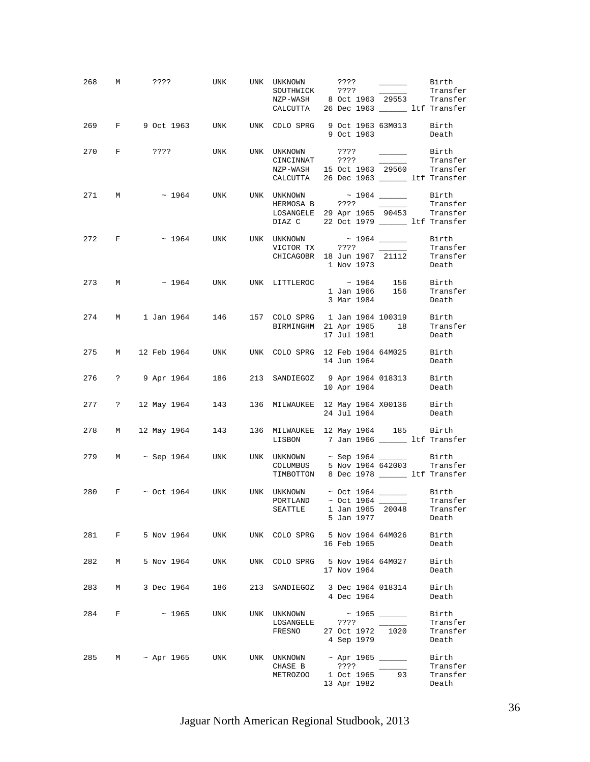|     |             |  |                 | 268 M ???? UNK UNK UNKNOWN ???? ______ Birth<br>SOUTHWICK ???? ______ Transfer<br>NZP-WASH 8 Oct 1963 29553 Transfer<br>CALCUTTA 26 Dec 1963 11f Transfer            |             |                   |                                        |
|-----|-------------|--|-----------------|----------------------------------------------------------------------------------------------------------------------------------------------------------------------|-------------|-------------------|----------------------------------------|
|     |             |  |                 | 269 F 9 Oct 1963 UNK UNK COLO SPRG 9 Oct 1963 63M013 Birth                                                                                                           |             |                   | 9 Oct 1963 Death                       |
|     |             |  |                 | 270 F ???? UNK UNK UNKNOWN ???? _______ Birth<br>CINCINNAT ???? ______ Transfer<br>NZP-WASH 15 Oct 1963 29560 Transfer<br>CALCUTTA 26 Dec 1963 ________ ltf Transfer |             |                   | Transfer                               |
|     |             |  |                 | 271 M $\sim 1964$ UNK UNK UNKNOWN $\sim 1964$ Birth<br>LOSANGELE 29 Apr 1965 90453 Transfer<br>DIAZ C 22 Oct 1979 _________ ltf Transfer                             |             |                   |                                        |
|     |             |  |                 | 272 F $\sim$ 1964 UNK UNK UNKNOWN $\sim$ 1964 _______ Birth                                                                                                          | 1 Nov 1973  |                   | Death                                  |
|     | 273 M       |  |                 | $\sim$ 1964 UNK UNK LITTLEROC $\sim$ 1964 156 Birth                                                                                                                  | 3 Mar 1984  |                   | 1 Jan 1966 156 Transfer<br>Death       |
|     |             |  |                 | 274 M 1 Jan 1964 146 157 COLO SPRG 1 Jan 1964 100319 Birth<br>BIRMINGHM 21 Apr 1965 18 Transfer                                                                      | 17 Jul 1981 |                   | Death                                  |
|     |             |  |                 | 275 M 12 Feb 1964 UNK UNK COLO SPRG 12 Feb 1964 64M025 Birth                                                                                                         |             | 14 Jun 1964       | Death                                  |
|     |             |  |                 | 276 ? 9 Apr 1964 186 213 SANDIEGOZ 9 Apr 1964 018313 Birth                                                                                                           |             | 10 Apr 1964 Death |                                        |
|     |             |  |                 | 277 ? 12 May 1964 143 136 MILWAUKEE 12 May 1964 X00136 Birth 24 Jul 1964 Death                                                                                       |             |                   |                                        |
|     |             |  |                 | 278 M 12 May 1964 143 136 MILWAUKEE 12 May 1964 185 Birth<br>LISBON 7 Jan 1966 ______ ltf Transfer                                                                   |             |                   |                                        |
|     |             |  |                 | 279 M $\sim$ Sep 1964 UNK UNK UNKNOWN $\sim$ Sep 1964 $\frac{1}{\sim}$ Birth<br>COLUMBUS 5 Nov 1964 642003 Transfer<br>TIMBOTTON 8 Dec 1978 ______ ltf Transfer      |             |                   |                                        |
|     |             |  |                 | 280 F $\sim$ Oct 1964 UNK UNK UNKNOWN $\sim$ Oct 1964 Birth PORTLAND $\sim$ Oct 1964 Transfer<br>SEATTLE                                                             | 5 Jan 1977  |                   | 1 Jan 1965 20048 Transfer<br>Death     |
|     |             |  |                 | 281 F 5 Nov 1964 UNK UNK COLO SPRG 5 Nov 1964 64M026 Birth                                                                                                           | 16 Feb 1965 |                   | Death                                  |
|     |             |  |                 | 282 M 5 Nov 1964 UNK UNK COLO SPRG 5 Nov 1964 64M027 Birth                                                                                                           |             | 17 Nov 1964       | Death                                  |
| 283 | M           |  | 3 Dec 1964 186  | 213 SANDIEGOZ 3 Dec 1964 018314 Birth                                                                                                                                | 4 Dec 1964  |                   | Death                                  |
| 284 | $F$ and $F$ |  | $\sim$ 1965 UNK | UNK UNKNOWN $\sim$ 1965 ________ Birth<br>LOSANGELE ????<br>FRESNO 27 Oct 1972 1020                                                                                  | 4 Sep 1979  |                   | Transfer<br>Transfer<br>Death          |
|     |             |  |                 | 285 M ~ Apr 1965 UNK UNK UNKNOWN ~ Apr 1965 ______<br>CHASE B ????<br>METROZOO                                                                                       | 13 Apr 1982 | 1 Oct 1965 93     | Birth<br>Transfer<br>Transfer<br>Death |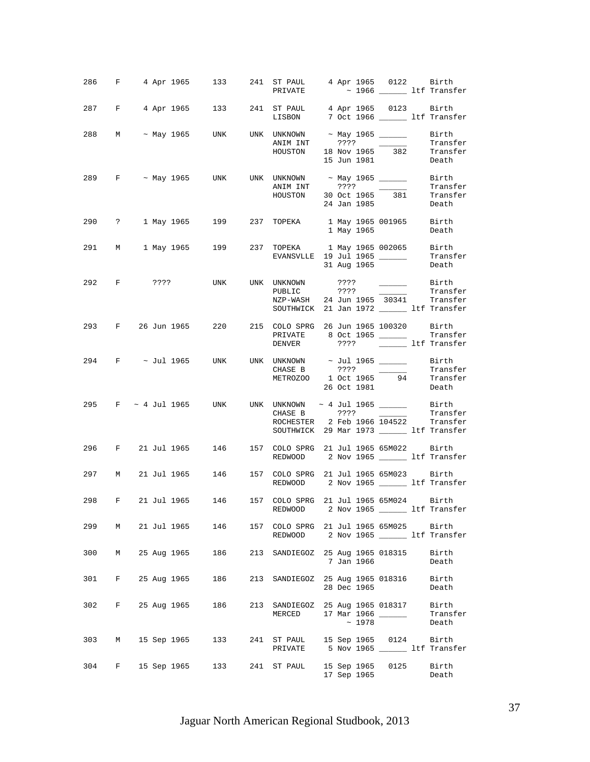|     |             |             | 286 F 4 Apr 1965 133 241 ST PAUL 4 Apr 1965 0122 Birth                                         |     | PRIVATE                                                                            |  |             |                   | $\sim$ 1966 $\_\_\_\_\_$ ltf Transfer |
|-----|-------------|-------------|------------------------------------------------------------------------------------------------|-----|------------------------------------------------------------------------------------|--|-------------|-------------------|---------------------------------------|
|     |             |             | 287 F 4 Apr 1965 133 241 ST PAUL 4 Apr 1965 0123 Birth                                         |     | LISBON 7 Oct 1966 _____ ltf Transfer                                               |  |             |                   |                                       |
|     |             |             | 288 M ~ May 1965 UNK UNK UNKNOWN ~ May 1965 _______ Birth                                      |     | ANIM INT ???? Transfer<br>HOUSTON 18 Nov 1965 382 Transfer                         |  | 15 Jun 1981 |                   | Transfer<br>Death                     |
|     |             |             | 289 F ~ May 1965 UNK UNK UNKNOWN ~ May 1965 _______ Birth                                      |     | ANIM INT ???? Transfer<br>HOUSTON 30 Oct 1965 381 Transfer<br>24 Jan 1985 Death    |  |             |                   |                                       |
|     |             |             | 290 ? 1 May 1965 199 237 TOPEKA 1 May 1965 001965 Birth                                        |     |                                                                                    |  |             | 1 May 1965        | Death                                 |
|     |             |             | 291 M 1 May 1965 199 237 TOPEKA 1 May 1965 002065 Birth                                        |     | EVANSVLLE 19 Jul 1965 _________ Transfer                                           |  | 31 Aug 1965 |                   | Death                                 |
|     |             |             |                                                                                                |     | NZP-WASH 24 Jun 1965 30341 Transfer<br>SOUTHWICK 21 Jan 1972 _______ ltf Transfer  |  |             |                   | ???? ________ Birth<br>Transfer       |
|     |             |             | 293 F 26 Jun 1965 220 215 COLO SPRG 26 Jun 1965 100320 Birth                                   |     | PRIVATE 8 Oct 1965 _________ Transfer<br>DENVER ???? ltf Transfer                  |  |             |                   |                                       |
|     |             |             | 294 F $\sim$ Jul 1965 UNK UNK UNKNOWN $\sim$ Jul 1965 Rirth                                    |     | CHASE B $?$ ??? ___________ Transfer<br>METROZOO 1 Oct 1965 94 Transfer<br>CHASE B |  | 26 Oct 1981 |                   | Death                                 |
|     |             |             | 295 F ~ 4 Jul 1965 UNK UNK UNKNOWN ~ 4 Jul 1965 ________ Birth<br>CHACFR 2222 _______ Transfer |     | ROCHESTER 2 Feb 1966 104522 Transfer<br>SOUTHWICK 29 Mar 1973 ______ ltf Transfer  |  |             |                   |                                       |
|     |             |             | 296 F 21 Jul 1965 146 157 COLO SPRG 21 Jul 1965 65M022 Birth                                   |     | REDWOOD 2 Nov 1965 _______ ltf Transfer                                            |  |             |                   |                                       |
|     |             |             | 297 M 21 Jul 1965 146 157 COLO SPRG 21 Jul 1965 65M023 Birth                                   |     | REDWOOD 2 Nov 1965 ________ ltf Transfer                                           |  |             |                   |                                       |
|     |             |             | 298 F 21 Jul 1965 146 157 COLO SPRG 21 Jul 1965 65M024 Birth                                   |     | REDWOOD                                                                            |  |             |                   | 2 Nov 1965 ________ ltf Transfer      |
| 299 | M           |             | 21 Jul 1965 146                                                                                |     | 157 COLO SPRG 21 Jul 1965 65M025 Birth<br>REDWOOD 2 Nov 1965 ______ ltf Transfer   |  |             |                   |                                       |
| 300 | M           | 25 Aug 1965 | 186                                                                                            |     | 213 SANDIEGOZ 25 Aug 1965 018315                                                   |  | 7 Jan 1966  |                   | Birth<br>Death                        |
| 301 | F           | 25 Aug 1965 | 186                                                                                            | 213 | SANDIEGOZ 25 Aug 1965 018316 Birth                                                 |  | 28 Dec 1965 |                   | Death                                 |
| 302 | F           | 25 Aug 1965 | 186                                                                                            | 213 | SANDIEGOZ 25 Aug 1965 018317 Birth<br>MERCED                                       |  | $\sim$ 1978 | 17 Mar 1966 _____ | Transfer<br>Death                     |
| 303 | M           |             | 15 Sep 1965 133                                                                                |     | 241 ST PAUL 15 Sep 1965 0124 Birth<br>PRIVATE 5 Nov 1965 _________ ltf Transfer    |  |             |                   |                                       |
| 304 | $F$ and $F$ |             | 15 Sep 1965 133                                                                                |     | 241 ST PAUL 15 Sep 1965 0125                                                       |  |             | 17 Sep 1965       | Birth<br>Death                        |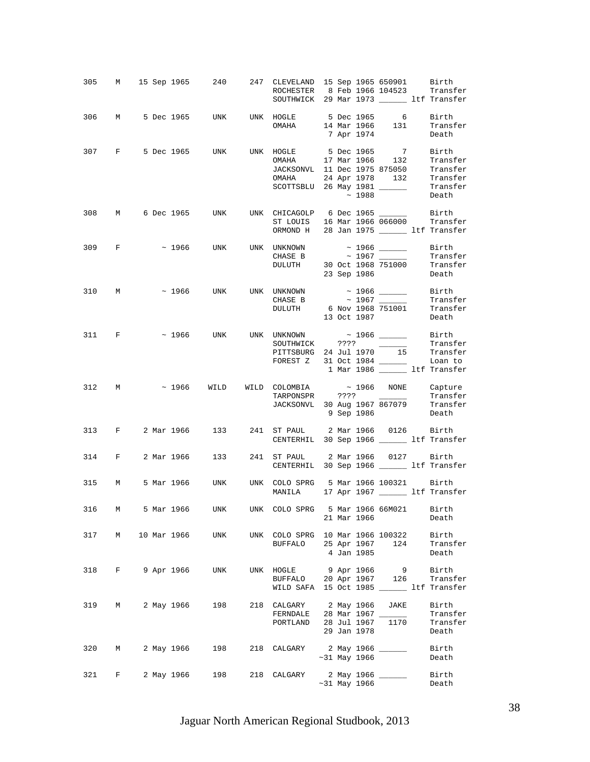|     |       |  |              |                | 305 M 15 Sep 1965 240 247 CLEVELAND 15 Sep 1965 650901 Birth<br>ROCHESTER 8 Feb 1966 104523 Transfer<br>SOUTHWICK 29 Mar 1973 ______ ltf Transfer                                       |  |                    |             |                                           |
|-----|-------|--|--------------|----------------|-----------------------------------------------------------------------------------------------------------------------------------------------------------------------------------------|--|--------------------|-------------|-------------------------------------------|
|     |       |  |              |                | 306 M 5 Dec 1965 UNK UNK HOGLE 5 Dec 1965 6 Birth<br>OMAHA 14 Mar 1966 131 Transfer                                                                                                     |  | 7 Apr 1974         |             | Death                                     |
|     |       |  |              |                | 307 F 5 Dec 1965 UNK UNK HOGLE 5 Dec 1965 7 Birth<br>OMAHA 17 Mar 1966 132 Transfer<br>JACKSONVL 11 Dec 1975 875050 Transfer<br>OMAHA 24 Apr 1978 132 Transfer<br>SCOTTSBLU 26 May 1981 |  | $~\sim~1988$       |             | Transfer<br>Death                         |
|     |       |  |              |                | 308 M 6 Dec 1965 UNK UNK CHICAGOLP 6 Dec 1965 ________ Birth<br>ST LOUIS 16 Mar 1966 066000 Transfer<br>ORMOND H 28 Jan 1975 _______ ltf Transfer                                       |  |                    |             |                                           |
|     | 309 F |  |              |                | $\sim$ 1966 UNK UNK UNKNOWN $\sim$ 1966 ______ Birth<br>CHASE B $\sim 1967$ Transfer<br>DULUTH 30 Oct 1968 751000 Transfer                                                              |  |                    | 23 Sep 1986 | Death                                     |
|     |       |  |              |                | 310 M $\sim$ 1966 UNK UNK UNKNOWN $\sim$ 1966 Birth CHASE B $\sim$ 1967 Transfer<br>DULUTH 6 Nov 1968 751001 Transfer                                                                   |  |                    | 13 Oct 1987 | Transfer<br>Death                         |
|     |       |  |              |                | 311 F $\sim$ 1966 UNK UNK UNKNOWN $\sim$ 1966 ______ Birth<br>FOREST Z 31 Oct 1984 ______                                                                                               |  |                    |             | Loan to<br>1 Mar 1986 ______ ltf Transfer |
|     |       |  |              |                |                                                                                                                                                                                         |  |                    |             |                                           |
|     | 312 M |  |              |                | $\sim$ 1966 WILD WILD COLOMBIA $\sim$ 1966 NONE Capture<br>TARPONSPR ????<br>TARPONSPR ???? Transfer<br>JACKSONVL 30 Aug 1967 867079 Transfer<br>9 Sep 1986 Death                       |  |                    |             |                                           |
|     |       |  |              |                | 313 F 2 Mar 1966 133 241 ST PAUL 2 Mar 1966 0126 Birth<br>CENTERHIL 30 Sep 1966 ________ ltf Transfer                                                                                   |  |                    |             |                                           |
|     | 314 F |  |              | 2 Mar 1966 133 | 241 ST PAUL 2 Mar 1966 0127 Birth<br>CENTERHIL 30 Sep 1966 ______ ltf Transfer                                                                                                          |  |                    |             |                                           |
|     |       |  |              |                | 315 M 5 Mar 1966 UNK UNK COLO SPRG 5 Mar 1966 100321 Birth<br>MANILA 17 Apr 1967 ________ ltf Transfer                                                                                  |  |                    |             |                                           |
| 316 | M     |  |              |                | 5 Mar 1966 UNK UNK COLO SPRG 5 Mar 1966 66M021 Birth                                                                                                                                    |  | 21 Mar 1966        |             | Death                                     |
| 317 | M     |  | 10 Mar 1966  | UNK            | UNK COLO SPRG 10 Mar 1966 100322 Birth<br>BUFFALO 25 Apr 1967 124 Transfer                                                                                                              |  | 4 Jan 1985         |             | Death                                     |
| 318 |       |  | F 9 Apr 1966 | UNK            | UNK HOGLE 9 Apr 1966 9 Birth<br>BUFFALO 20 Apr 1967 126 Transfer<br>WILD SAFA 15 Oct 1985 ________ ltf Transfer                                                                         |  |                    |             |                                           |
| 319 | M     |  | 2 May 1966   | 198            | 218 CALGARY 2 May 1966 JAKE<br>FERNDALE 28 Mar 1967 ______<br>PORTLAND 28 Jul 1967 1170                                                                                                 |  | 29 Jan 1978        |             | Birth<br>Transfer<br>Transfer<br>Death    |
| 320 | M     |  | 2 May 1966   | 198            | 218 CALGARY 2 May 1966 ______                                                                                                                                                           |  | $\sim$ 31 May 1966 |             | Birth<br>Death                            |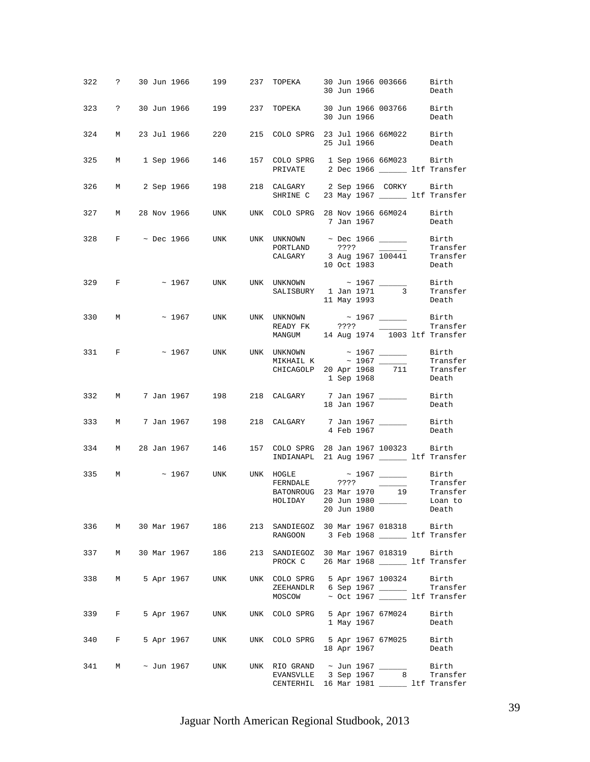|     |                  |  |            | 322 ? 30 Jun 1966 199 237 TOPEKA 30 Jun 1966 003666 Birth                                                           |                                                                                                                                                                  |  |             | 30 Jun 1966                                                                                             | Death             |
|-----|------------------|--|------------|---------------------------------------------------------------------------------------------------------------------|------------------------------------------------------------------------------------------------------------------------------------------------------------------|--|-------------|---------------------------------------------------------------------------------------------------------|-------------------|
|     |                  |  |            | 323 ? 30 Jun 1966 199 237 TOPEKA 30 Jun 1966 003766 Birth                                                           |                                                                                                                                                                  |  |             | 30 Jun 1966 Death                                                                                       |                   |
| 324 |                  |  |            | M 23 Jul 1966 220 215 COLO SPRG 23 Jul 1966 66M022 Birth                                                            |                                                                                                                                                                  |  |             | 25 Jul 1966                                                                                             | Death             |
|     |                  |  |            | 325 M 1 Sep 1966 146 157 COLO SPRG 1 Sep 1966 66M023 Birth                                                          | PRIVATE 2 Dec 1966 ________ ltf Transfer                                                                                                                         |  |             |                                                                                                         |                   |
|     |                  |  |            | 326 M 2 Sep 1966 198 218 CALGARY 2 Sep 1966 CORKY Birth<br>SHRINE C 23 May 1967 11f Transfer                        |                                                                                                                                                                  |  |             |                                                                                                         |                   |
|     |                  |  |            | 327 M 28 Nov 1966 UNK UNK COLO SPRG 28 Nov 1966 66M024 Birth                                                        |                                                                                                                                                                  |  |             | 7 Jan 1967                                                                                              | Death             |
|     |                  |  |            | 328 F $\sim$ Dec 1966 UNK UNK UNKNOWN $\sim$ Dec 1966 ______ Birth                                                  | PORTLAND ???? Transfer<br>CALGARY 3 Aug 1967 100441 Transfer                                                                                                     |  |             | 10 Oct 1983                                                                                             | Death             |
|     | 329 F            |  |            | $\sim$ 1967 UNK UNK UNKNOWN $\sim$ 1967 $\_\_\_\_\_\_$ Birth                                                        | SALISBURY 1 Jan 1971 3 Transfer                                                                                                                                  |  | 11 May 1993 |                                                                                                         | Death             |
|     | 330 M            |  |            | $\sim$ 1967 – UNK UNK UNKNOWN $\sim$ 1967 $\sim$                                                                    | READY FK ????<br>MANGUM 14 Aug 1974 1003 ltf Transfer                                                                                                            |  |             | $\frac{1}{2}$ and $\frac{1}{2}$ and $\frac{1}{2}$ and $\frac{1}{2}$ and $\frac{1}{2}$ and $\frac{1}{2}$ | Birth<br>Transfer |
|     | 331 F            |  |            | $\sim$ 1967 UNK UNK UNKNOWN $\sim$ 1967 $\_\_$                                                                      | $\begin{array}{lllllll} \texttt{MIKHALL K} & \sim 1967 & \texttt{Transfer} \\ \texttt{CHICAGOLP} & 20\ \texttt{Apr}\ 1968 & 711 & \texttt{Transfer} \end{array}$ |  |             | 1 Sep 1968                                                                                              | Birth<br>Death    |
|     |                  |  |            | 332 M 7 Jan 1967 198 218 CALGARY 7 Jan 1967 ________ Birth                                                          |                                                                                                                                                                  |  | 18 Jan 1967 |                                                                                                         | Death             |
|     |                  |  |            | 333 M 7 Jan 1967 198 218 CALGARY 7 Jan 1967 ________ Birth                                                          |                                                                                                                                                                  |  | 4 Feb 1967  |                                                                                                         | Death             |
|     |                  |  |            | 334 M 28 Jan 1967 146 157 COLO SPRG 28 Jan 1967 100323 Birth                                                        | INDIANAPL 21 Aug 1967 ______ ltf Transfer                                                                                                                        |  |             |                                                                                                         |                   |
|     |                  |  |            | 335 M $\sim$ 1967 UNK UNK HOGLE $\sim$ 1967 $\frac{\sim}{\sim}$ Birth<br>FERNDALE ???? $\frac{\sim}{\sim}$ Transfer | FERNDALE ???? Transfer<br>BATONROUG 23 Mar 1970 19 Transfer<br>HOLIDAY 20 Jun 1980                                                                               |  | 20 Jun 1980 |                                                                                                         | Loan to<br>Death  |
|     |                  |  |            | 336 M 30 Mar 1967 186                                                                                               | 213 SANDIEGOZ 30 Mar 1967 018318 Birth<br>RANGOON 3 Feb 1968 _______ ltf Transfer                                                                                |  |             |                                                                                                         |                   |
|     |                  |  |            | 337 M 30 Mar 1967 186                                                                                               | 213 SANDIEGOZ 30 Mar 1967 018319 Birth<br>PROCK C 26 Mar 1968 ______ ltf Transfer                                                                                |  |             |                                                                                                         |                   |
| 338 | $M_{\odot}$      |  | 5 Apr 1967 | UNK                                                                                                                 | UNK COLO SPRG 5 Apr 1967 100324 Birth<br>ZEEHANDLR 6 Sep 1967 ________ Transfer<br>MOSCOW ~ Oct 1967 _______ ltf Transfer                                        |  |             |                                                                                                         |                   |
|     | 339 F            |  | 5 Apr 1967 | UNK                                                                                                                 | UNK COLO SPRG 5 Apr 1967 67M024 Birth                                                                                                                            |  | 1 May 1967  |                                                                                                         | Death             |
| 340 | $F$ and $F$      |  |            | 5 Apr 1967 UNK UNK COLO SPRG 5 Apr 1967 67M025 Birth                                                                |                                                                                                                                                                  |  |             | 18 Apr 1967                                                                                             | Death             |
|     | 341 M ~ Jun 1967 |  |            | UNK                                                                                                                 | UNK RIO GRAND $\sim$ Jun 1967 _________ Birth<br>EVANSVLLE 3 Sep 1967 $\qquad$ 8 Transfer<br>CENTERHIL 16 Mar 1981 _______ ltf Transfer                          |  |             |                                                                                                         |                   |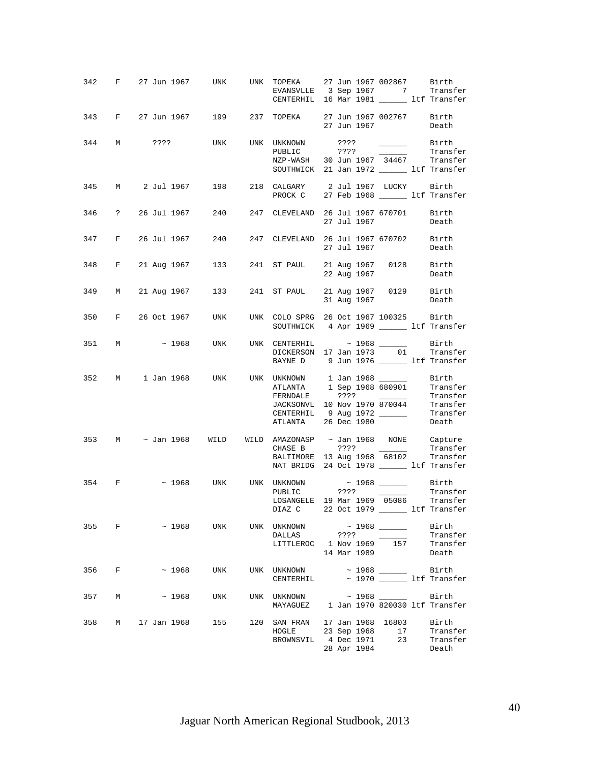|     |             |                                 |     |     |                            | 342 F 27 Jun 1967 UNK UNK TOPEKA 27 Jun 1967 002867 Birth<br>EVANSVLLE 3 Sep 1967 7 Transfer<br>CENTERHIL 16 Mar 1981 _______ ltf Transfer                                                                                                       |
|-----|-------------|---------------------------------|-----|-----|----------------------------|--------------------------------------------------------------------------------------------------------------------------------------------------------------------------------------------------------------------------------------------------|
|     |             |                                 |     |     |                            | 343 F 27 Jun 1967 199 237 TOPEKA 27 Jun 1967 002767 Birth<br>27 Jun 1967<br>Death                                                                                                                                                                |
|     |             | 344 M ???? UNK UNK UNKNOWN ???? |     |     | PUBLIC                     | Birth Birth<br>Transfer<br>????<br>NZP-WASH 30 Jun 1967 34467 Transfer<br>SOUTHWICK 21 Jan 1972 _______ ltf Transfer                                                                                                                             |
|     |             |                                 |     |     |                            | 345 M 2 Jul 1967 198 218 CALGARY 2 Jul 1967 LUCKY Birth<br>PROCK C 27 Feb 1968 11f Transfer                                                                                                                                                      |
|     |             |                                 |     |     |                            | 346 ? 26 Jul 1967 240 247 CLEVELAND 26 Jul 1967 670701 Birth<br>27 Jul 1967<br>Death                                                                                                                                                             |
|     |             |                                 |     |     |                            | 347 F 26 Jul 1967 240 247 CLEVELAND 26 Jul 1967 670702 Birth<br>27 Jul 1967<br>Death                                                                                                                                                             |
|     |             |                                 |     |     |                            | 348 F 21 Aug 1967 133 241 ST PAUL 21 Aug 1967 0128 Birth<br>22 Aug 1967<br>Death                                                                                                                                                                 |
|     |             |                                 |     |     |                            | 349 M 21 Aug 1967 133 241 ST PAUL 21 Aug 1967 0129 Birth<br>31 Aug 1967<br>Death                                                                                                                                                                 |
|     |             |                                 |     |     |                            | 350 F 26 Oct 1967 UNK UNK COLO SPRG 26 Oct 1967 100325 Birth<br>SOUTHWICK 4 Apr 1969 ______ ltf Transfer                                                                                                                                         |
|     |             |                                 |     |     |                            | 351 M $\sim$ 1968 UNK UNK CENTERHIL $\sim$ 1968 ______ Birth<br>DICKERSON 17 Jan 1973 01 Transfer<br>BAYNE D 9 Jun 1976 __________ ltf Transfer                                                                                                  |
|     |             |                                 |     |     |                            | 352 M 1 Jan 1968 UNK UNK UNKNOWN 1 Jan 1968 $\frac{\text{Birth}}{\text{ATLANTA}}$ 1 Sep 1968 680901 Transfer<br>FERNDALE 3??? Transfer<br>JACKSONVL 10 Nov 1970 870044 Transfer<br>CENTERHIL 9 Aug 1972 Transfer<br>Death<br>ATLANTA 26 Dec 1980 |
|     |             |                                 |     |     | CHASE B                    | 353 M ~ Jan 1968 WILD WILD AMAZONASP ~ Jan 1968 NONE Capture<br>Transfer<br>BALTIMORE 13 Aug 1968 68102 Transfer<br>NAT BRIDG 24 Oct 1978 _________ ltf Transfer                                                                                 |
|     |             |                                 |     |     |                            | 354 F ~ 1968 UNK UNK UNKNOWN ~ 1968 ______ Birth<br>PUBLIC ????<br>Transfer<br>FUBLIC 19 Mar 1969 05086 Transfer<br>LOSANGELE 19 Mar 1969 05086 Transfer<br>DIAZ C 22 Oct 1979 _________ ltf Transfer                                            |
| 355 |             | $F \sim 1968$                   | UNK |     | UNK UNKNOWN<br>DALLAS ???? | Birth<br>Transfer<br>LITTLEROC 1 Nov 1969 157<br>Transfer<br>14 Mar 1989<br>Death                                                                                                                                                                |
| 356 | F           | $\sim 1968$                     | UNK |     | CENTERHIL                  | UNK UNKNOWN ~ 1968 ______<br>Birth<br>$\sim$ 1970 $\_\_\_\_\_\_\_$ ltf Transfer                                                                                                                                                                  |
| 357 | $M_{\odot}$ | $\sim 1968$                     | UNK |     | UNK UNKNOWN                | Birth<br>MAYAGUEZ 1 Jan 1970 820030 ltf Transfer                                                                                                                                                                                                 |
| 358 |             | M 17 Jan 1968                   | 155 | 120 | HOGLE                      | SAN FRAN 17 Jan 1968 16803<br>Birth<br>23 Sep 1968<br>Transfer<br>17<br>BROWNSVIL 4 Dec 1971<br>23<br>Transfer<br>28 Apr 1984<br>Death                                                                                                           |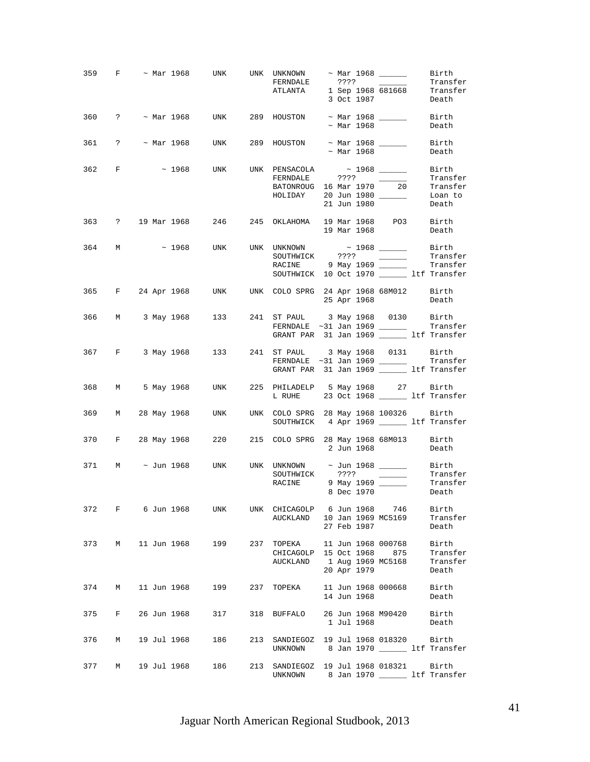|     |             |  |             | 359 F $\sim$ Mar 1968 UNK UNK UNKNOWN $\sim$ Mar 1968 _______                                                        |     | FERNDALE<br>ATLANTA 1 Sep 1968 681668 Transfer                                   |  |             | 3 Oct 1987               | Birth<br>Transfer<br>Death              |
|-----|-------------|--|-------------|----------------------------------------------------------------------------------------------------------------------|-----|----------------------------------------------------------------------------------|--|-------------|--------------------------|-----------------------------------------|
|     |             |  |             | 360 ? ~ Mar 1968 UNK 289 HOUSTON ~ Mar 1968 _______ Birth                                                            |     |                                                                                  |  | ~ Mar 1968  |                          | Death                                   |
|     |             |  |             | 361 ? ~ Mar 1968 UNK 289 HOUSTON ~ Mar 1968 _______                                                                  |     |                                                                                  |  | ~ Mar 1968  |                          | Birth<br>Death                          |
|     | 362 F       |  |             | $\sim$ 1968 UNK UNK PENSACOLA $\sim$ 1968 ________ Birth                                                             |     | FERNDALE ???? Transfer<br>BATONROUG 16 Mar 1970 20 Transfer                      |  | 21 Jun 1980 |                          | Death                                   |
|     |             |  |             | 363 ? 19 Mar 1968 246 245 OKLAHOMA 19 Mar 1968 PO3 Birth                                                             |     |                                                                                  |  |             | 19 Mar 1968              | Death                                   |
|     |             |  |             | 364 M $\sim$ 1968 UNK UNK UNKNOWN $\sim$ 1968 $\frac{1968}{\sim}$ Birth SOUTHWICK ???? $\frac{1968}{\sim}$ Transfere |     | RACINE 9 May 1969 Transfer<br>SOUTHWICK 10 Oct 1970 _______ ltf Transfer         |  |             |                          | Transfer                                |
|     |             |  |             | 365 F 24 Apr 1968 UNK UNK COLO SPRG 24 Apr 1968 68M012 Birth                                                         |     |                                                                                  |  |             | 25 Apr 1968              | Death                                   |
|     |             |  |             | 366 M 3 May 1968 133 241 ST PAUL 3 May 1968 0130 Birth                                                               |     | GRANT PAR 31 Jan 1969 ______ ltf Transfer                                        |  |             |                          |                                         |
|     |             |  |             | 367 F 3 May 1968 133 241 ST PAUL 3 May 1968 0131 Birth                                                               |     | GRANT PAR 31 Jan 1969 _________ ltf Transfer                                     |  |             |                          |                                         |
|     |             |  |             | 368 M 5 May 1968 UNK 225 PHILADELP 5 May 1968 27 Birth                                                               |     | L RUHE 23 Oct 1968 ________ ltf Transfer                                         |  |             |                          |                                         |
|     |             |  |             | 369 M 28 May 1968 UNK UNK COLO SPRG 28 May 1968 100326 Birth                                                         |     | SOUTHWICK 4 Apr 1969 Litf Transfer                                               |  |             |                          |                                         |
|     |             |  |             | 370 F 28 May 1968 220 215 COLO SPRG 28 May 1968 68M013 Birth                                                         |     |                                                                                  |  |             | 2 Jun 1968 Death         |                                         |
|     |             |  |             | 371 M ~ Jun 1968 UNK UNK UNKNOWN ~ Jun 1968 ________ Birth<br>SOUTHWICK ???? ________ Transfer                       |     | RACINE 9 May 1969                                                                |  | 8 Dec 1970  |                          | Transfer<br>Death                       |
|     |             |  |             | 372 F 6 Jun 1968 UNK                                                                                                 |     | UNK CHICAGOLP 6 Jun 1968 746<br>AUCKLAND 10 Jan 1969 MC5169                      |  | 27 Feb 1987 |                          | Birth<br>Transfer<br>Death              |
| 373 |             |  |             | M 11 Jun 1968 199                                                                                                    | 237 | TOPEKA 11 Jun 1968 000768<br>CHICAGOLP 15 Oct 1968<br>AUCKLAND 1 Aug 1969 MC5168 |  | 20 Apr 1979 | 875                      | Birth<br>Transfer<br>Transfer<br>Death  |
|     | 374 M       |  |             | 11 Jun 1968 199                                                                                                      |     | 237 TOPEKA 11 Jun 1968 000668                                                    |  | 14 Jun 1968 |                          | Birth<br>Death                          |
| 375 | $F$ and $F$ |  | 26 Jun 1968 | 317                                                                                                                  |     | 318 BUFFALO                                                                      |  | 1 Jul 1968  | 26 Jun 1968 M90420 Birth | Death                                   |
| 376 | М           |  | 19 Jul 1968 | 186                                                                                                                  | 213 | SANDIEGOZ 19 Jul 1968 018320 Birth<br>UNKNOWN 8 Jan 1970 Ltf Transfer            |  |             |                          |                                         |
| 377 | M           |  | 19 Jul 1968 | 186                                                                                                                  | 213 | SANDIEGOZ 19 Jul 1968 018321<br>UNKNOWN                                          |  |             |                          | Birth<br>8 Jan 1970 ______ ltf Transfer |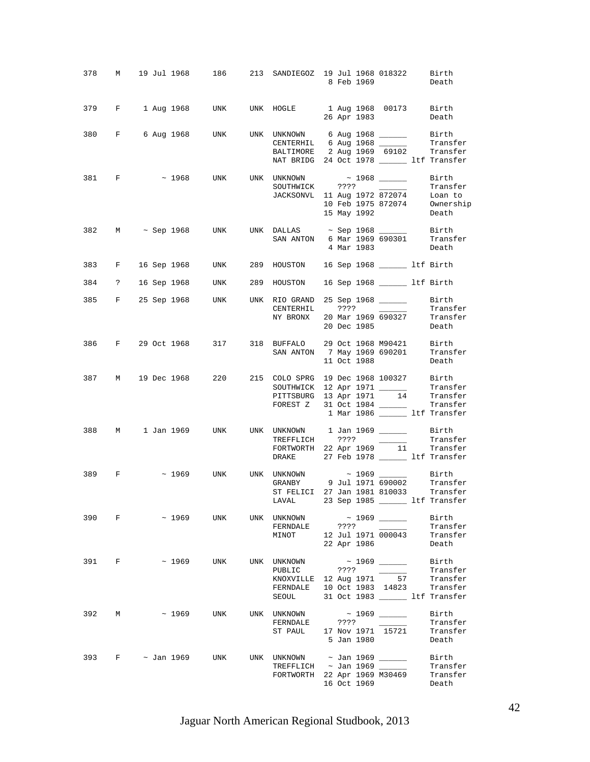| 378 |              |              |             |     | M 19 Jul 1968 186 213 SANDIEGOZ 19 Jul 1968 018322 Birth                                                                                                                                                                                                                                                                                                                                                                                                                                         |         |             | 8 Feb 1969         | Death                                                                                          |
|-----|--------------|--------------|-------------|-----|--------------------------------------------------------------------------------------------------------------------------------------------------------------------------------------------------------------------------------------------------------------------------------------------------------------------------------------------------------------------------------------------------------------------------------------------------------------------------------------------------|---------|-------------|--------------------|------------------------------------------------------------------------------------------------|
|     |              |              |             |     | 379 F 1 Aug 1968 UNK UNK HOGLE 1 Aug 1968 00173 Birth                                                                                                                                                                                                                                                                                                                                                                                                                                            |         |             | 26 Apr 1983        | Death                                                                                          |
|     |              |              |             |     | 380 F 6 Aug 1968 UNK UNK UNKNOWN 6 Aug 1968 Birth<br>CENTERHIL 6 Aug 1968 _______ Transfer<br>BALTIMORE 2 Aug 1969 69102 Transfer<br>NAT BRIDG 24 Oct 1978 ________ ltf Transfer                                                                                                                                                                                                                                                                                                                 |         |             |                    |                                                                                                |
|     | 381 F        |              |             |     | $\sim$ 1968 UNK UNK UNKNOWN $\sim$ 1968 $\_\_$<br>JACKSONVL 11 Aug 1972 872074 Loan to<br>10 Feb 1975 872074 Ownership                                                                                                                                                                                                                                                                                                                                                                           |         |             | 15 May 1992        | Birth<br>Transfer<br>Death                                                                     |
|     |              |              |             |     | 382 M $\sim$ Sep 1968 UNK UNK DALLAS $\sim$ Sep 1968 ________ Birth<br>SAN ANTON 6 Mar 1969 690301 Transfer                                                                                                                                                                                                                                                                                                                                                                                      |         |             | 4 Mar 1983         | Death                                                                                          |
|     |              |              |             |     | 383 F 16 Sep 1968 UNK 289 HOUSTON 16 Sep 1968 15 11f Birth                                                                                                                                                                                                                                                                                                                                                                                                                                       |         |             |                    |                                                                                                |
|     |              |              |             |     | 384 ? 16 Sep 1968 UNK 289 HOUSTON 16 Sep 1968 ______ ltf Birth                                                                                                                                                                                                                                                                                                                                                                                                                                   |         |             |                    |                                                                                                |
|     |              |              |             |     | 385 F 25 Sep 1968 UNK UNK RIO GRAND 25 Sep 1968 ______<br>NY BRONX 20 Mar 1969 690327 Transfer                                                                                                                                                                                                                                                                                                                                                                                                   |         |             | 20 Dec 1985        | Birth<br>Transfer<br>Death                                                                     |
|     |              |              |             |     | 386 F 29 Oct 1968 317 318 BUFFALO 29 Oct 1968 M90421 Birth<br>SAN ANTON 7 May 1969 690201                                                                                                                                                                                                                                                                                                                                                                                                        |         | 11 Oct 1988 |                    | Transfer<br>Death                                                                              |
|     |              |              |             |     | 387 M 19 Dec 1968 220 215 COLO SPRG 19 Dec 1968 100327 Birth<br>$\begin{tabular}{lllllll} \multicolumn{2}{c}{SOUTHWICK} & 12 Apr & 1971 & \hspace*{1.5cm} & \hspace*{1.5cm} & \hspace*{1.5cm} & \hspace*{1.5cm} & \hspace*{1.5cm} & \hspace*{1.5cm} & \hspace*{1.5cm} & \hspace*{1.5cm} & \hspace*{1.5cm} & \hspace*{1.5cm} & \hspace*{1.5cm} & \hspace*{1.5cm} & \hspace*{1.5cm} & \hspace*{1.5cm} & \hspace*{1.5cm} & \hspace*{1.5cm} & \hspace*{1$<br>FOREST Z 31 Oct 1984 _________ Transfer |         |             |                    | 1 Mar 1986 ______ ltf Transfer                                                                 |
| 388 |              |              |             |     | M 1 Jan 1969 UNK UNK UNKNOWN 1 Jan 1969 ________ Birth<br>TREFFLICH ???? ______<br>FORTWORTH 22 Apr 1969 $\overline{11}$ Transfer<br>DRAKE 27 Feb 1978 ________ 1tf Transfer                                                                                                                                                                                                                                                                                                                     |         |             |                    | Transfer                                                                                       |
| 389 | $\mathbf{F}$ |              | $\sim 1969$ | UNK | ST FELICI 27 Jan 1981 810033 Transfer<br>LAVAL 23 Sep 1985 ________ ltf Transfer                                                                                                                                                                                                                                                                                                                                                                                                                 |         |             |                    |                                                                                                |
| 390 | F            |              | ~ 1969      | UNK | UNK UNKNOWN<br>FERNDALE<br>MINOT                                                                                                                                                                                                                                                                                                                                                                                                                                                                 | ????    | 22 Apr 1986 | 12 Jul 1971 000043 | Birth<br>Transfer<br>Transfer<br>Death                                                         |
| 391 | F            |              | $\sim$ 1969 | UNK | UNK UNKNOWN<br>PUBLIC<br>KNOXVILLE 12 Aug 1971<br>FERNDALE<br>SEOUL                                                                                                                                                                                                                                                                                                                                                                                                                              | ????    |             | 57                 | Birth<br>Transfer<br>Transfer<br>10 Oct 1983 14823 Transfer<br>31 Oct 1983 ______ ltf Transfer |
| 392 | M            |              | $\sim 1969$ | UNK | UNK UNKNOWN<br>FERNDALE<br>ST PAUL                                                                                                                                                                                                                                                                                                                                                                                                                                                               | ? ? ? ? | 5 Jan 1980  | 17 Nov 1971 15721  | Birth<br>Transfer<br>Transfer<br>Death                                                         |
| 393 |              | F ~ Jan 1969 |             | UNK | UNK UNKNOWN ~ Jan 1969 _______<br>TREFFLICH ~ Jan 1969 ______<br>FORTWORTH 22 Apr 1969 M30469                                                                                                                                                                                                                                                                                                                                                                                                    |         | 16 Oct 1969 |                    | Birth<br>Transfer<br>Transfer<br>Death                                                         |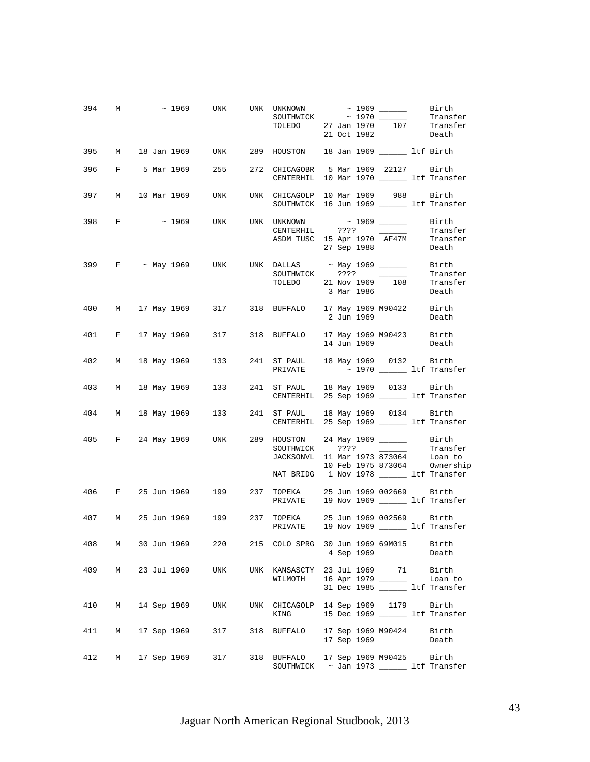|       |   | 394 M ~ 1969 UNK UNK UNKNOWN ~ 1969 ______ Birth                                                             |     |     | SOUTHWICK ~ 1970 ______                                                                                                                   |             |                             | Transfer                                              |
|-------|---|--------------------------------------------------------------------------------------------------------------|-----|-----|-------------------------------------------------------------------------------------------------------------------------------------------|-------------|-----------------------------|-------------------------------------------------------|
|       |   | 395 M 18 Jan 1969 UNK 289 HOUSTON 18 Jan 1969 181 Ltf Birth                                                  |     |     |                                                                                                                                           |             |                             |                                                       |
|       |   | 396 F 5 Mar 1969 255 272 CHICAGOBR 5 Mar 1969 22127 Birth                                                    |     |     | CENTERHIL 10 Mar 1970 _______ ltf Transfer                                                                                                |             |                             |                                                       |
|       |   | 397 M 10 Mar 1969 UNK UNK CHICAGOLP 10 Mar 1969 988 Birth                                                    |     |     | SOUTHWICK 16 Jun 1969 ______ ltf Transfer                                                                                                 |             |                             |                                                       |
|       |   | 398 F ~ 1969 UNK UNK UNKNOWN ~ 1969 ______                                                                   |     |     | CENTERHIL ????<br>ASDM TUSC 15 Apr 1970 AF47M                                                                                             | 27 Sep 1988 | $\sim$ $\sim$ $\sim$ $\sim$ | Birth<br>Transfer<br>Transfer<br>Death                |
|       |   | 399 F ~ May 1969 UNK UNK DALLAS ~ May 1969 ________ Birth<br>$\frac{1}{2}$ COUTTHWICK 2222 ________ Transfer |     |     | SOUTHWICK ???? ______<br>TOLEDO 21 Nov 1969 108 Transfer<br>3 Mar 1986 Death                                                              |             |                             |                                                       |
|       |   | 400 M 17 May 1969 317 318 BUFFALO 17 May 1969 M90422 Birth                                                   |     |     |                                                                                                                                           | 2 Jun 1969  |                             | Death                                                 |
|       |   | 401 F 17 May 1969 317 318 BUFFALO 17 May 1969 M90423 Birth                                                   |     |     |                                                                                                                                           | 14 Jun 1969 |                             | Death                                                 |
| 402   |   | M 18 May 1969 133 241 ST PAUL 18 May 1969 0132 Birth                                                         |     |     | PRIVATE $\sim 1970$ 1970 Itf Transfer                                                                                                     |             |                             |                                                       |
| 403 M |   | 18 May 1969   133   241   ST PAUL   18 May 1969   0133   Birth                                               |     |     | CENTERHIL 25 Sep 1969 ______ ltf Transfer                                                                                                 |             |                             |                                                       |
|       |   | 404 M 18 May 1969 133 241 ST PAUL 18 May 1969 0134 Birth                                                     |     |     | CENTERHIL 25 Sep 1969 _______ ltf Transfer                                                                                                |             |                             |                                                       |
|       |   | 405 F 24 May 1969 UNK 289 HOUSTON 24 May 1969 _______ Birth                                                  |     |     | SOUTHWICK ???? ______<br>JACKSONVL 11 Mar 1973 873064 Loan to<br>10 Feb 1975 873064 Ownership<br>NAT BRIDG 1 Nov 1978 ______ ltf Transfer |             |                             | Transfer                                              |
|       |   | 406 F 25 Jun 1969 199 237 TOPEKA 25 Jun 1969 002669 Birth                                                    |     |     | PRIVATE 19 Nov 1969 ______ ltf Transfer                                                                                                   |             |                             |                                                       |
|       |   | 407 M 25 Jun 1969 199 237 TOPEKA 25 Jun 1969 002569 Birth                                                    |     |     | PRIVATE 19 Nov 1969 ______ ltf Transfer                                                                                                   |             |                             |                                                       |
| 408   | М | 30 Jun 1969                                                                                                  | 220 |     | 215 COLO SPRG 30 Jun 1969 69M015                                                                                                          | 4 Sep 1969  |                             | Birth<br>Death                                        |
| 409   | M | 23 Jul 1969                                                                                                  | UNK |     | UNK KANSASCTY 23 Jul 1969 71<br>WILMOTH                                                                                                   |             | 16 Apr 1979 _____           | Birth<br>Loan to<br>31 Dec 1985 ________ ltf Transfer |
| 410   | M | 14 Sep 1969                                                                                                  | UNK |     | UNK CHICAGOLP<br>KING                                                                                                                     |             | 14 Sep 1969 1179            | Birth<br>15 Dec 1969 ________ ltf Transfer            |
| 411   | M | 17 Sep 1969                                                                                                  | 317 | 318 | BUFFALO                                                                                                                                   | 17 Sep 1969 | 17 Sep 1969 M90424          | Birth<br>Death                                        |
| 412   | M | 17 Sep 1969                                                                                                  | 317 |     | 318 BUFFALO<br>SOUTHWICK ~ Jan 1973 ______ ltf Transfer                                                                                   |             | 17 Sep 1969 M90425 Birth    |                                                       |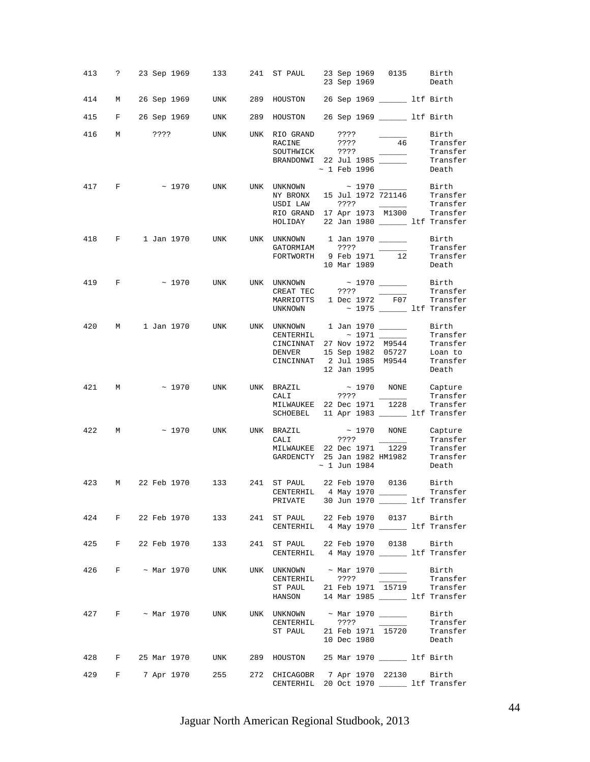|     |       |                       |     | 413 ? 23 Sep 1969 133 241 ST PAUL 23 Sep 1969 0135 Birth                                                                                                                                                                                                                                                                            |                      | 23 Sep 1969                                                         | Death                                                 |
|-----|-------|-----------------------|-----|-------------------------------------------------------------------------------------------------------------------------------------------------------------------------------------------------------------------------------------------------------------------------------------------------------------------------------------|----------------------|---------------------------------------------------------------------|-------------------------------------------------------|
|     |       |                       |     | 414 M 26 Sep 1969 UNK 289 HOUSTON 26 Sep 1969 15 1tf Birth                                                                                                                                                                                                                                                                          |                      |                                                                     |                                                       |
|     |       |                       |     | 415 F 26 Sep 1969 UNK 289 HOUSTON 26 Sep 1969 151 Ltf Birth                                                                                                                                                                                                                                                                         |                      |                                                                     |                                                       |
|     |       |                       |     | 416 M ???? UNK UNK RIO GRAND ????<br>RACINE ????<br>SOUTHWICK ????                                                                                                                                                                                                                                                                  | ????<br>~ 1 Feb 1996 | $\overline{\phantom{a}}$<br>$\overline{\phantom{a}}$                | Birth<br>46 Transfer<br>— Transfer<br>Death           |
|     | 417 F |                       |     | $\sim$ 1970 UNK UNK UNKNOWN $\sim$ 1970 _______ Birth<br>NY BRONX 15 Jul 1972 721146 Transfer<br>USDI LAW ???? ______<br>RIO GRAND 17 Apr 1973 M1300 Transfer<br>HOLIDAY 22 Jan 1980 ________ ltf Transfer                                                                                                                          |                      |                                                                     | Transfer                                              |
|     |       |                       |     | 418 F 1 Jan 1970 UNK UNK UNKNOWN 1 Jan 1970 ______<br>FORTWORTH 9 Feb 1971 12                                                                                                                                                                                                                                                       |                      | 10 Mar 1989                                                         | Birth<br>Transfer<br>Transfer<br>Death                |
|     |       |                       |     | 419 F ~ 1970 UNK UNK UNKNOWN ~ 1970 _______<br>MARRIOTTS 1 Dec 1972 F07 Transfer<br>UNKNOWN                                                                                                                                                                                                                                         |                      |                                                                     | Birth<br>Transfer<br>$\sim$ 1975 _______ ltf Transfer |
|     |       |                       |     | 420 M 1 Jan 1970 UNK UNK UNKNOWN 1 Jan 1970 _______ Birth<br>CENTERHIL ~1971<br>CENTERHIL ~1971 Transfer<br>CINCINNAT 27 Nov 1972 M9544 Transfer<br>DENVER 15 Sep 1982 05727 Loan to<br>CINCINNAT 2 Jul 1985 M9544 Transfer<br>12 Jan 1995 Death                                                                                    | 12 Jan 1995          |                                                                     | Death                                                 |
|     |       |                       |     |                                                                                                                                                                                                                                                                                                                                     |                      |                                                                     |                                                       |
|     |       |                       |     | 421 M ~ 1970 UNK UNK BRAZIL ~ 1970 NONE Capture<br>CALI ????<br>MILWAUKEE 22 Dec 1971 1228 Transfer<br>SCHOEBEL 11 Apr 1983 ______ ltf Transfer                                                                                                                                                                                     |                      | $\sim 100$                                                          | Transfer                                              |
|     |       |                       |     | 422 M ~ 1970 UNK UNK BRAZIL<br>CALI ????                                                                                                                                                                                                                                                                                            | $\sim$ 1 Jun 1984    |                                                                     | ~ 1970 NONE Capture<br>???? Transfer<br>Death         |
| 423 |       |                       |     | M 22 Feb 1970 133 241 ST PAUL 22 Feb 1970 0136 Birth<br>CENTERHIL 4 May 1970 ________ Transfer<br>PRIVATE 30 Jun 1970 _______ ltf Transfer                                                                                                                                                                                          |                      |                                                                     |                                                       |
|     |       | 424 F 22 Feb 1970 133 |     | 241 ST PAUL 22 Feb 1970 0137 Birth<br>CENTERHIL 4 May 1970 _______ ltf Transfer                                                                                                                                                                                                                                                     |                      |                                                                     |                                                       |
|     |       | 425 F 22 Feb 1970 133 |     | 241 ST PAUL 22 Feb 1970 0138 Birth<br>CENTERHIL 4 May 1970 ______ ltf Transfer                                                                                                                                                                                                                                                      |                      |                                                                     |                                                       |
| 426 |       | $F \sim$ Mar 1970     | UNK | UNK UNKNOWN $\sim$ Mar 1970 ________ Birth<br>CENTERHIL ????<br>$\begin{tabular}{lllllll} \texttt{ST PAUL} & 21 \texttt{ Feb} & 1971 & \texttt{15719} & \texttt{Transfer} \\ \texttt{HANSON} & 14 \texttt{ Mar} & 1985 & \textcolor{red}{\textbf{\textcolor{blue}{\textbf{1.1}}}} & \texttt{ltf} & \texttt{Transfer} \end{tabular}$ |                      | $\overline{\phantom{a}}$ . The contract of $\overline{\phantom{a}}$ | Transfer                                              |
|     |       |                       |     | 427 F $\sim$ Mar 1970 UNK UNK UNKNOWN $\sim$ Mar 1970 ______<br>CENTERHIL ????<br>ST PAUL 21 Feb 1971 15720                                                                                                                                                                                                                         |                      | 10 Dec 1980                                                         | Birth<br>Transfer<br>Transfer<br>Death                |
|     |       |                       |     | 428 F 25 Mar 1970 UNK 289 HOUSTON 25 Mar 1970 ______ ltf Birth                                                                                                                                                                                                                                                                      |                      |                                                                     |                                                       |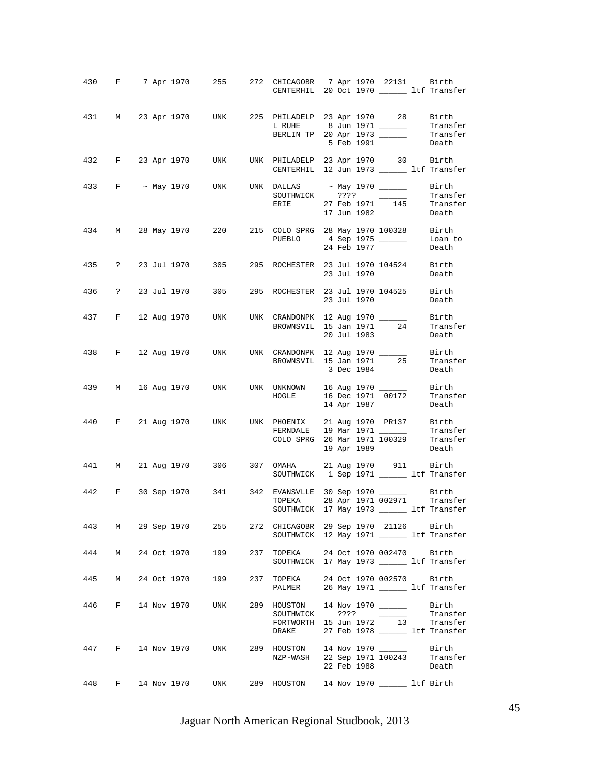|     |          |             |             | 430 F 7 Apr 1970 255 272 CHICAGOBR 7 Apr 1970 22131 Birth                                 |     | CENTERHIL 20 Oct 1970 ________ ltf Transfer                                                                                                                                                                                                                                                                                                                                                                                                                                                   |         |             |                    |                               |
|-----|----------|-------------|-------------|-------------------------------------------------------------------------------------------|-----|-----------------------------------------------------------------------------------------------------------------------------------------------------------------------------------------------------------------------------------------------------------------------------------------------------------------------------------------------------------------------------------------------------------------------------------------------------------------------------------------------|---------|-------------|--------------------|-------------------------------|
|     |          |             |             | 431 M 23 Apr 1970 UNK 225 PHILADELP 23 Apr 1970 28 Birth                                  |     | $\begin{tabular}{lllllllll} \texttt{L RULE} & 8 Jun 1971 & \texttt{\hspace{1cm}} & \texttt{\hspace{1cm}} & \texttt{\hspace{1cm}} & \texttt{\hspace{1cm}} & \texttt{\hspace{1cm}} & \texttt{\hspace{1cm}} & \texttt{\hspace{1cm}} & \texttt{\hspace{1cm}} & \texttt{\hspace{1cm}} & \texttt{\hspace{1cm}} & \texttt{\hspace{1cm}} & \texttt{\hspace{1cm}} & \texttt{\hspace{1cm}} & \texttt{\hspace{1cm}} & \texttt{\hspace{1cm}} & \texttt{\hspace{1cm}} & \texttt{\hspace{1cm}} & \texttt{\$ |         | 5 Feb 1991  |                    |                               |
|     |          |             |             | 432 F 23 Apr 1970 UNK UNK PHILADELP 23 Apr 1970 30 Birth                                  |     | CENTERHIL 12 Jun 1973 _______ ltf Transfer                                                                                                                                                                                                                                                                                                                                                                                                                                                    |         |             |                    |                               |
|     |          |             |             | 433 F ~ May 1970 UNK UNK DALLAS ~ May 1970 ________ Birth                                 |     | SOUTHWICK ???? ______<br>ERIE 27 Feb 1971 145                                                                                                                                                                                                                                                                                                                                                                                                                                                 |         | 17 Jun 1982 |                    | Transfer<br>Transfer<br>Death |
|     |          |             |             | 434 M 28 May 1970 220                                                                     |     | 215 COLO SPRG 28 May 1970 100328 Birth<br>PUEBLO                                                                                                                                                                                                                                                                                                                                                                                                                                              |         | 24 Feb 1977 | 4 Sep 1975 ______  | Loan to<br>Death              |
|     |          |             |             | 435 ? 23 Jul 1970 305 295 ROCHESTER 23 Jul 1970 104524 Birth                              |     |                                                                                                                                                                                                                                                                                                                                                                                                                                                                                               |         | 23 Jul 1970 |                    | Death                         |
|     |          |             |             | 436 ? 23 Jul 1970 305 295 ROCHESTER 23 Jul 1970 104525 Birth                              |     |                                                                                                                                                                                                                                                                                                                                                                                                                                                                                               |         | 23 Jul 1970 |                    | Death                         |
|     |          |             |             | 437 F 12 Aug 1970 UNK UNK CRANDONPK 12 Aug 1970 ________ Birth                            |     | BROWNSVIL 15 Jan 1971 24                                                                                                                                                                                                                                                                                                                                                                                                                                                                      |         | 20 Jul 1983 |                    | Transfer<br>Death             |
|     |          |             |             | 438 F 12 Aug 1970 UNK UNK CRANDONPK 12 Aug 1970                                           |     | BROWNSVIL 15 Jan 1971 25                                                                                                                                                                                                                                                                                                                                                                                                                                                                      |         | 3 Dec 1984  |                    | Birth<br>Transfer<br>Death    |
|     |          |             |             | 439 M 16 Aug 1970 UNK UNK UNKNOWN 16 Aug 1970 ______                                      |     | HOGLE 16 Dec 1971 00172 Transfer                                                                                                                                                                                                                                                                                                                                                                                                                                                              |         | 14 Apr 1987 |                    | Birth<br>Death                |
|     |          |             |             | 440 F 21 Aug 1970 UNK UNK PHOENIX 21 Aug 1970 PR137 Birth                                 |     | FERNDALE 19 Mar 1971 ________ Transfer<br>COLO SPRG 26 Mar 1971 100329 Transfer                                                                                                                                                                                                                                                                                                                                                                                                               |         |             | 19 Apr 1989 Death  |                               |
|     |          |             |             | 441 M 21 Aug 1970 306 307 OMAHA 21 Aug 1970 911 Birth<br>SOUTHWICK 1 Sep 1971 1f Transfer |     |                                                                                                                                                                                                                                                                                                                                                                                                                                                                                               |         |             |                    |                               |
|     |          |             |             | 442 F 30 Sep 1970 341 342 EVANSVLLE 30 Sep 1970 ________ Birth                            |     | TOPEKA 28 Apr 1971 002971 Transfer<br>SOUTHWICK 17 May 1973 ______ ltf Transfer                                                                                                                                                                                                                                                                                                                                                                                                               |         |             |                    |                               |
| 443 |          |             |             | M 29 Sep 1970 255                                                                         |     | 272 CHICAGOBR 29 Sep 1970 21126 Birth<br>SOUTHWICK 12 May 1971 _______ ltf Transfer                                                                                                                                                                                                                                                                                                                                                                                                           |         |             |                    |                               |
| 444 | M        |             |             | 24 Oct 1970 199                                                                           | 237 | TOPEKA 24 Oct 1970 002470 Birth<br>SOUTHWICK 17 May 1973 _______ ltf Transfer                                                                                                                                                                                                                                                                                                                                                                                                                 |         |             |                    |                               |
| 445 | M        | 24 Oct 1970 |             | 199                                                                                       | 237 | TOPEKA<br>PALMER 26 May 1971 _______ ltf Transfer                                                                                                                                                                                                                                                                                                                                                                                                                                             |         |             | 24 Oct 1970 002570 | Birth                         |
| 446 | $F \sim$ |             | 14 Nov 1970 | UNK                                                                                       | 289 | HOUSTON 14 Nov 1970 ________ Birth<br>SOUTHWICK<br>FORTWORTH 15 Jun 1972 13 Transfer<br>DRAKE 27 Feb 1978 ________ ltf Transfer                                                                                                                                                                                                                                                                                                                                                               | ? ? ? ? |             |                    | Transfer                      |
| 447 |          |             |             | F 14 Nov 1970 UNK                                                                         |     | 289 HOUSTON 14 Nov 1970<br>NZP-WASH 22 Sep 1971 100243 Transfer                                                                                                                                                                                                                                                                                                                                                                                                                               |         | 22 Feb 1988 |                    | Birth<br>Death                |
| 448 | $F \sim$ |             | 14 Nov 1970 | UNK                                                                                       |     | 289 HOUSTON 14 Nov 1970 _______ ltf Birth                                                                                                                                                                                                                                                                                                                                                                                                                                                     |         |             |                    |                               |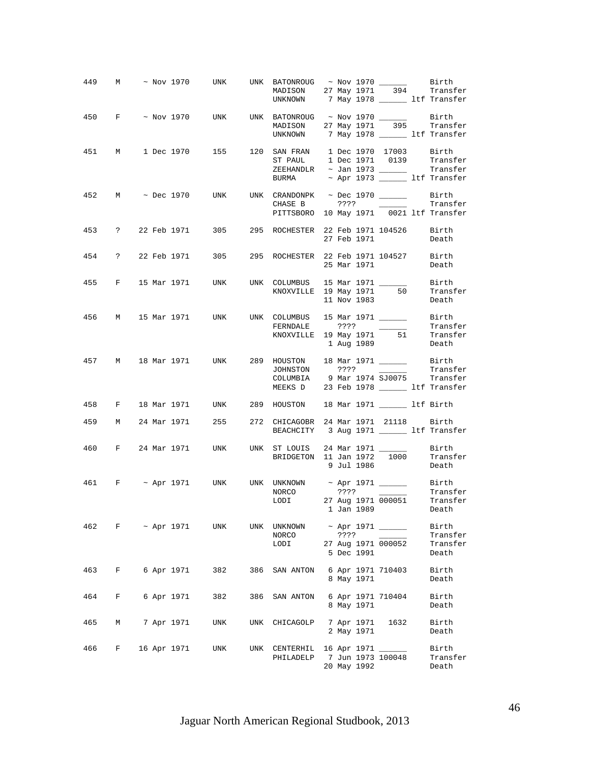| 449 |   |  |                   | M ~ Nov 1970 UNK                                                      |     | UNK BATONROUG ~ Nov 1970 _______ Birth<br>MADISON 27 May 1971 394 Transfer<br>UNKNOWN 7 May 1978 ________ ltf Transfer                                                                                                                                |      |                          |                                                                    |                                                  |
|-----|---|--|-------------------|-----------------------------------------------------------------------|-----|-------------------------------------------------------------------------------------------------------------------------------------------------------------------------------------------------------------------------------------------------------|------|--------------------------|--------------------------------------------------------------------|--------------------------------------------------|
|     |   |  |                   | 450 $F \sim$ Nov 1970 UNK UNK BATONROUG ~ Nov 1970 ______ Birth       |     | MADISON 27 May 1971 395 Transfer<br>UNKNOWN 7 May 1978 _______ ltf Transfer                                                                                                                                                                           |      |                          |                                                                    |                                                  |
|     |   |  |                   | 451 M 1 Dec 1970 155 120 SAN FRAN 1 Dec 1970 17003 Birth              |     | ST PAUL 1 Dec 1971 0139 Transfer<br>$ZEEHANDLR$ ~ Jan 1973 ________ Transfer<br>BURMA ~ Apr 1973 _______ ltf Transfer                                                                                                                                 |      |                          |                                                                    |                                                  |
|     |   |  |                   | 452 M $\sim$ Dec 1970 UNK UNK CRANDONPK $\sim$ Dec 1970 _______ Birth |     | CHASE B ????<br>PITTSBORO 10 May 1971 0021 ltf Transfer                                                                                                                                                                                               |      |                          |                                                                    | Transfer                                         |
|     |   |  |                   | 453 ? 22 Feb 1971 305 295 ROCHESTER 22 Feb 1971 104526 Birth          |     |                                                                                                                                                                                                                                                       |      | 27 Feb 1971              |                                                                    | Death                                            |
|     |   |  |                   | 454 ? 22 Feb 1971 305 295 ROCHESTER 22 Feb 1971 104527 Birth          |     |                                                                                                                                                                                                                                                       |      |                          | 25 Mar 1971                                                        | Death                                            |
|     |   |  |                   | 455 F 15 Mar 1971 UNK UNK COLUMBUS 15 Mar 1971 ________ Birth         |     | KNOXVILLE 19 May 1971 50 Transfer                                                                                                                                                                                                                     |      | 11 Nov 1983              |                                                                    | Death                                            |
|     |   |  |                   | 456 M 15 Mar 1971 UNK UNK COLUMBUS 15 Mar 1971 _______ Birth          |     | $\begin{tabular}{lllll} \multicolumn{2}{c}{\textbf{FERNDALE}} & & & \multicolumn{2}{c}{? ? ?} & & \multicolumn{2}{c}{\textbf{Transfer}}\\ \multicolumn{2}{c}{\textbf{KNOXVILLE}} & 19\ \textbf{May}\ 1971 & & 51 & & \textbf{Transfer} \end{tabular}$ |      |                          | 1 Aug 1989                                                         | Death                                            |
|     |   |  |                   | 457 M 18 Mar 1971 UNK 289 HOUSTON 18 Mar 1971 _______ Birth           |     | JOHNSTON ???? _____<br>COLUMBIA 9 Mar 1974 SJ0075 Transfer<br>MEEKS D 23 Feb 1978 _______ ltf Transfer                                                                                                                                                |      |                          |                                                                    | Transfer                                         |
| 458 |   |  |                   | F 18 Mar 1971 UNK 289 HOUSTON 18 Mar 1971 _______ ltf Birth           |     |                                                                                                                                                                                                                                                       |      |                          |                                                                    |                                                  |
| 459 |   |  |                   | M 24 Mar 1971 255                                                     |     | 272 CHICAGOBR 24 Mar 1971 21118 Birth<br>BEACHCITY 3 Aug 1971 ________ ltf Transfer                                                                                                                                                                   |      |                          |                                                                    |                                                  |
| 460 |   |  | F 24 Mar 1971     |                                                                       |     |                                                                                                                                                                                                                                                       |      | 9 Jul 1986               |                                                                    | Birth<br>Transfer<br>Death                       |
|     |   |  |                   | 461 F ~ Apr 1971 UNK UNK UNKNOWN ~ Apr 1971 _______ Birth             |     | NORCO<br>LODI                                                                                                                                                                                                                                         |      |                          | 1 Jan 1989                                                         | Transfer<br>27 Aug 1971 000051 Transfer<br>Death |
| 462 |   |  | $F \sim$ Apr 1971 | UNK                                                                   |     | UNK UNKNOWN<br>NORCO<br>LODI                                                                                                                                                                                                                          | ???? | 5 Dec 1991               | ~ Apr 1971 _____<br>$\overline{\phantom{a}}$<br>27 Aug 1971 000052 | Birth<br>Transfer<br>Transfer<br>Death           |
| 463 | F |  | 6 Apr 1971        | 382                                                                   | 386 | SAN ANTON                                                                                                                                                                                                                                             |      | 8 May 1971               | 6 Apr 1971 710403                                                  | Birth<br>Death                                   |
| 464 | F |  | 6 Apr 1971        | 382                                                                   | 386 | SAN ANTON                                                                                                                                                                                                                                             |      | 8 May 1971               | 6 Apr 1971 710404                                                  | Birth<br>Death                                   |
| 465 | М |  | 7 Apr 1971        | UNK                                                                   | UNK | CHICAGOLP                                                                                                                                                                                                                                             |      | 7 Apr 1971<br>2 May 1971 | 1632                                                               | Birth<br>Death                                   |
| 466 | F |  | 16 Apr 1971       | UNK                                                                   |     | UNK CENTERHIL 16 Apr 1971 _____<br>PHILADELP                                                                                                                                                                                                          |      | 20 May 1992              | 7 Jun 1973 100048                                                  | Birth<br>Transfer<br>Death                       |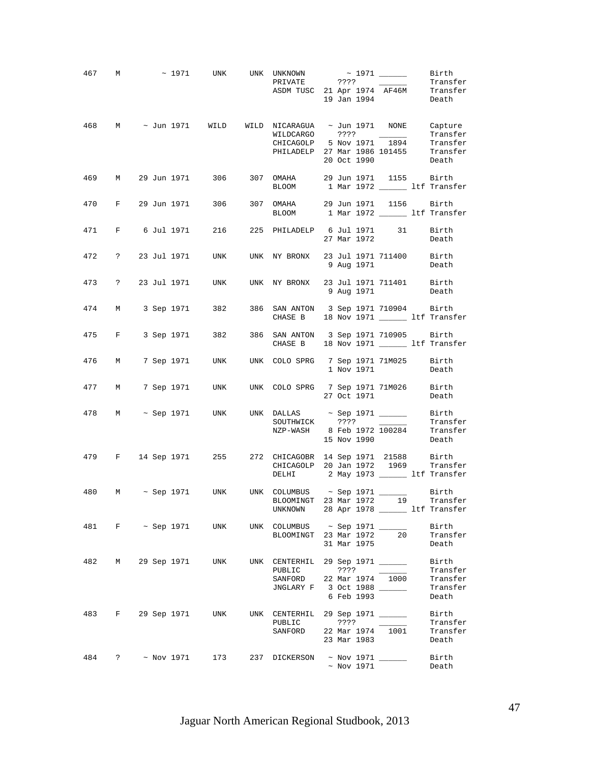|     |                           |  |                       | 467 M $\sim$ 1971 UNK UNK UNKNOWN $\sim$ 1971 _____<br>VNKNOWN ~ 1371<br>PRIVATE ??? Transfer<br>ASDM TUSC 21 Apr 1974 AF46M Transfer<br>19 Jan 1994 Death                                                                                     |  |                        |                   | Birth                                     |
|-----|---------------------------|--|-----------------------|------------------------------------------------------------------------------------------------------------------------------------------------------------------------------------------------------------------------------------------------|--|------------------------|-------------------|-------------------------------------------|
| 468 |                           |  |                       | M ~ Jun 1971 WILD WILD NICARAGUA ~ Jun 1971 NONE Capture                                                                                                                                                                                       |  | 20 Oct 1990            |                   | Transfer<br>Death                         |
|     |                           |  |                       | 469 M 29 Jun 1971 306 307 OMAHA 29 Jun 1971 1155 Birth<br>BLOOM 1 Mar 1972 ________ 1tf Transfer                                                                                                                                               |  |                        |                   |                                           |
|     |                           |  |                       | 470 F 29 Jun 1971 306 307 OMAHA 29 Jun 1971 1156 Birth<br>BLOOM 1 Mar 1972 ________ ltf Transfer                                                                                                                                               |  |                        |                   |                                           |
|     |                           |  | 471 F 6 Jul 1971 216  | 225 PHILADELP 6 Jul 1971 31 Birth                                                                                                                                                                                                              |  | 27 Mar 1972            |                   | Death                                     |
|     |                           |  |                       | 472 ? 23 Jul 1971 UNK UNK NY BRONX 23 Jul 1971 711400 Birth                                                                                                                                                                                    |  |                        | 9 Aug 1971 Death  |                                           |
|     |                           |  |                       | 9 73 711401 23 Jul 1971 UNK UNK NY BRONX 23 Jul 1971 711401 Birth 9 Aug 1971                                                                                                                                                                   |  |                        |                   |                                           |
|     |                           |  | 474 M 3 Sep 1971 382  | 386 SAN ANTON 3 Sep 1971 710904 Birth<br>CHASE B 18 Nov 1971 ________ ltf Transfer                                                                                                                                                             |  |                        |                   |                                           |
|     | 475 F                     |  | 3 Sep 1971 382        | 386 SAN ANTON 3 Sep 1971 710905 Birth<br>CHASE B 18 Nov 1971 _______ ltf Transfer                                                                                                                                                              |  |                        |                   |                                           |
| 476 | M                         |  |                       | 7 Sep 1971 UNK UNK COLO SPRG 7 Sep 1971 71M025 Birth                                                                                                                                                                                           |  |                        | 1 Nov 1971 Death  |                                           |
|     | 477 M                     |  |                       | 7 Sep 1971 UNK UNK COLO SPRG 7 Sep 1971 71M026 Birth                                                                                                                                                                                           |  |                        | 27 Oct 1971       | Death                                     |
|     |                           |  |                       | 478 M ~ Sep 1971 UNK UNK DALLAS ~ Sep 1971 ________ Birth<br>$\begin{array}{cccc}\n\text{SOUTHWICK} & & \text{???} & & \overline{ & & \text{Transfer}}\\ \n\text{NZP-WASH} & & 8 \text{ Feb } 1972 & 100284 & & \text{Transfer} \n\end{array}$ |  |                        | 15 Nov 1990 Death |                                           |
|     |                           |  |                       | 479 F 14 Sep 1971 255 272 CHICAGOBR 14 Sep 1971 21588 Birth<br>CHICAGOLP 20 Jan 1972 1969 Transfer<br>DELHI 2 May 1973 _______ 1tf Transfer                                                                                                    |  |                        |                   |                                           |
|     |                           |  |                       | 480 M ~ Sep 1971 UNK UNK COLUMBUS ~ Sep 1971 ________ Birth<br>BLOOMINGT 23 Mar 1972 19 Transfer<br>UNKNOWN 28 Apr 1978 _______ ltf Transfer                                                                                                   |  |                        |                   |                                           |
| 481 |                           |  | $F \sim$ Sep 1971 UNK | UNK COLUMBUS $\sim$ Sep 1971 ______<br>BLOOMINGT 23 Mar 1972                                                                                                                                                                                   |  |                        | 20<br>31 Mar 1975 | Birth<br>Transfer<br>Death                |
| 482 |                           |  | M 29 Sep 1971 UNK     | UNK CENTERHIL 29 Sep 1971 ________ Birth<br>PUBLIC<br>SANFORD 22 Mar 1974 1000<br>JNGLARY F 3 Oct 1988 _____                                                                                                                                   |  | ? ? ? ?<br>6 Feb 1993  |                   | Transfer<br>Transfer<br>Transfer<br>Death |
|     |                           |  |                       | 483 F 29 Sep 1971 UNK UNK CENTERHIL 29 Sep 1971 ______<br>PUBLIC<br>SANFORD 22 Mar $1974$ $1001$                                                                                                                                               |  | ? ? ? ?<br>23 Mar 1983 |                   | Birth<br>Transfer<br>Transfer<br>Death    |
| 484 | $? \sim \text{Nov } 1971$ |  | 173                   | 237 DICKERSON ~ Nov 1971 ______                                                                                                                                                                                                                |  |                        | $\sim$ Nov 1971   | Birth<br>Death                            |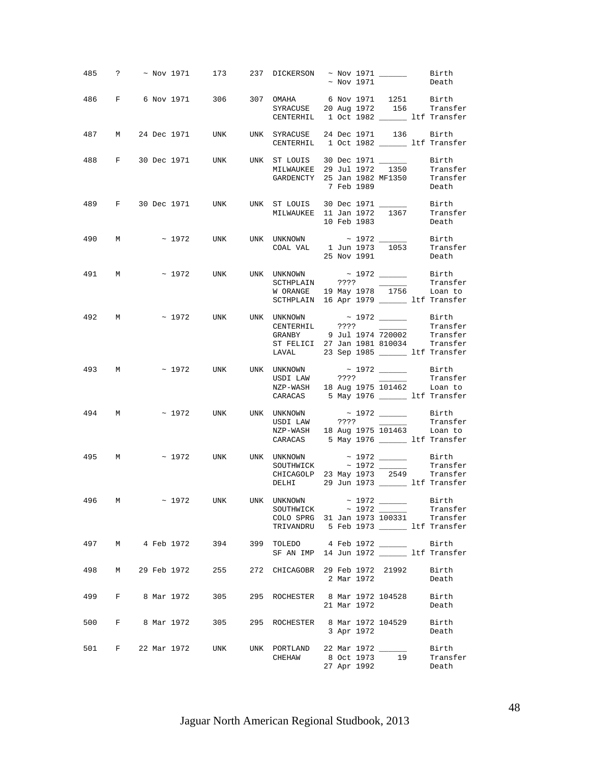|     |       |  |               | 485 ? ~ Nov 1971 173 237 DICKERSON ~ Nov 1971 ________ Birth                                         |                                                                                                                                                       |  | $\sim$ Nov 1971 |                                               | Death                                    |
|-----|-------|--|---------------|------------------------------------------------------------------------------------------------------|-------------------------------------------------------------------------------------------------------------------------------------------------------|--|-----------------|-----------------------------------------------|------------------------------------------|
|     |       |  |               | 486 F 6 Nov 1971 306 307 OMAHA 6 Nov 1971 1251 Birth                                                 | SYRACUSE 20 Aug 1972 156 Transfer<br>CENTERHIL 1 Oct 1982 _______ ltf Transfer                                                                        |  |                 |                                               |                                          |
|     |       |  |               | 487 M 24 Dec 1971 UNK UNK SYRACUSE 24 Dec 1971 136 Birth                                             | CENTERHIL 1 Oct 1982 ________ ltf Transfer                                                                                                            |  |                 |                                               |                                          |
|     |       |  |               | 488 F 30 Dec 1971 UNK UNK ST LOUIS 30 Dec 1971 ________ Birth<br>MILWAUKEE 29 Jul 1972 1350 Transfer | MILWAUKEE 23 001 1272 1000<br>GARDENCTY 25 Jan 1982 MF1350 Transfer<br>7 Feb 1989 Death                                                               |  |                 |                                               |                                          |
|     |       |  |               | 489 F 30 Dec 1971 UNK UNK ST LOUIS 30 Dec 1971 ________ Birth                                        | MILWAUKEE 11 Jan 1972 1367 Transfer                                                                                                                   |  | 10 Feb 1983     |                                               | Death                                    |
|     | 490 M |  |               | $\sim$ 1972 UNK UNK UNKNOWN $\sim$ 1972 _______ Birth                                                | $\begin{tabular}{llll} \texttt{COAL} & \texttt{VAL} & 1 Jun 1973 & 1053 & \texttt{Transfer} \\ & \texttt{25 Nov 1991} & \texttt{Death} \end{tabular}$ |  |                 |                                               |                                          |
|     | 491 M |  |               | $\sim$ 1972 UNK UNK UNKNOWN $\sim$ 1972 _______ Birth                                                | SCTHPLAIN ???? Transfer<br>WORANGE 19 May 1978 1756 Loan to<br>SCTHPLAIN 16 Apr 1979 ________ ltf Transfer                                            |  |                 |                                               |                                          |
|     |       |  |               | 492 M $\sim$ 1972 UNK UNK UNKNOWN $\sim$ 1972 UNK CENTERHIL 2222                                     | GRANBY 9 Jul 1974 720002 Transfer<br>ST FELICI 27 Jan 1981 810034 Transfer<br>LAVAL 23 Sep 1985 _________ ltf Transfer                                |  |                 |                                               |                                          |
|     |       |  |               | 493 M $\sim$ 1972 UNK UNK UNKNOWN $\sim$ 1972 ______ Birth                                           | NZP-WASH 18 Aug 1975 101462 Loan to<br>CARACAS 5 May 1976 _______ ltf Transfer                                                                        |  |                 |                                               | Transfer                                 |
|     | 494 M |  |               | ~ 1972 UNK UNK UNKNOWN ~ 1972 _______ Birth                                                          | USDI LAW ????<br>NZP-WASH 18 Aug 1975 101463 Loan to<br>CARACAS 5 May 1976 ________ ltf Transfer                                                      |  |                 | <u> 1989 - Jan Store, ameri</u> kansk politik | Transfer                                 |
|     |       |  |               | 495 M $\sim$ 1972 UNK UNK UNKNOWN $\sim$ 1972 $\sim$ Birth                                           | $SOLUTION \sim 1972$<br>CHICAGOLP 23 May 1973 2549 Transfer<br>DELHI 29 Jun 1973 _______ ltf Transfer                                                 |  |                 |                                               | Transfer                                 |
| 496 |       |  |               | $\sim$ 1972 UNK UNK UNKNOWN $\sim$ 1972 ______ Birth                                                 | COLO SPRG 31 Jan 1973 100331 Transfer<br>TRIVANDRU 5 Feb 1973 ______ ltf Transfer                                                                     |  |                 |                                               | Transfer                                 |
|     |       |  |               | 497 M 4 Feb 1972 394 399 TOLEDO 4 Feb 1972 ______                                                    | SF AN IMP 14 Jun 1972 _______ ltf Transfer                                                                                                            |  |                 |                                               | Birth                                    |
| 498 |       |  | M 29 Feb 1972 | 255                                                                                                  | 272 CHICAGOBR 29 Feb 1972 21992                                                                                                                       |  | 2 Mar 1972      |                                               | Birth<br>Death                           |
|     |       |  |               | 499 F 8 Mar 1972 305                                                                                 | 295 ROCHESTER 8 Mar 1972 104528 Birth                                                                                                                 |  | 21 Mar 1972     |                                               | Death                                    |
|     |       |  |               | 500 F 8 Mar 1972 305                                                                                 | 295 ROCHESTER 8 Mar 1972 104529                                                                                                                       |  |                 | 3 Apr 1972                                    | Birth<br>Death                           |
|     |       |  |               | 501 F 22 Mar 1972 UNK                                                                                | UNK PORTLAND 22 Mar 1972 ______<br>CHEHAW                                                                                                             |  | 27 Apr 1992     |                                               | Birth<br>8 Oct 1973 19 Transfer<br>Death |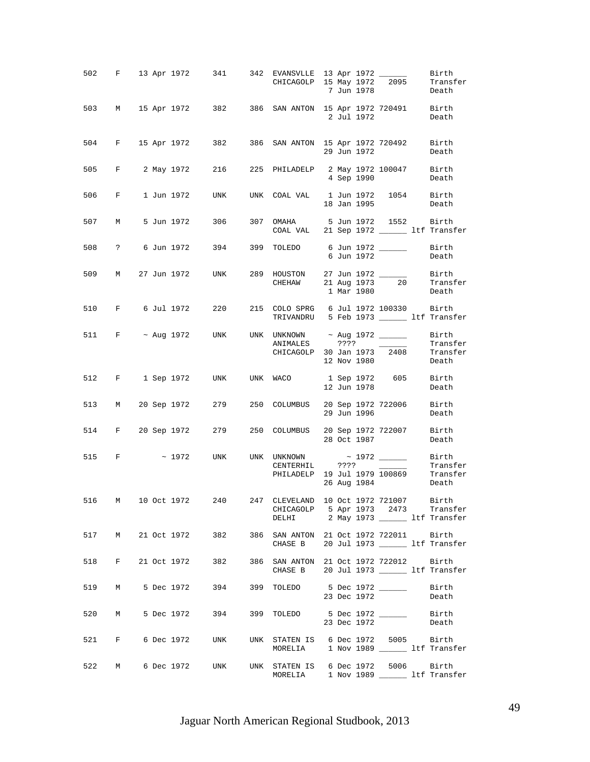|       |             |  |            | 502 F 13 Apr 1972 341 342 EVANSVLLE 13 Apr 1972 2095 Birth<br>CHICAGOLP 15 May 1972 2095 Transfer |                                                                                                                         |  |             | 7 Jun 1978        | Death             |
|-------|-------------|--|------------|---------------------------------------------------------------------------------------------------|-------------------------------------------------------------------------------------------------------------------------|--|-------------|-------------------|-------------------|
|       |             |  |            | 503 M 15 Apr 1972 382 386 SAN ANTON 15 Apr 1972 720491 Birth                                      |                                                                                                                         |  | 2 Jul 1972  |                   | Death             |
|       |             |  |            | 504 F 15 Apr 1972 382 386 SAN ANTON 15 Apr 1972 720492 Birth                                      |                                                                                                                         |  |             | 29 Jun 1972       | Death             |
|       |             |  |            | 505 F 2 May 1972 216                                                                              | 225 PHILADELP 2 May 1972 100047 Birth                                                                                   |  | 4 Sep 1990  |                   | Death             |
| 506   | $F$ and $F$ |  | 1 Jun 1972 | UNK                                                                                               | UNK COAL VAL 1 Jun 1972 1054 Birth                                                                                      |  | 18 Jan 1995 |                   | Death             |
|       |             |  |            | 507 M 5 Jun 1972 306 307 OMAHA 5 Jun 1972 1552 Birth                                              | COAL VAL 21 Sep 1972 ________ ltf Transfer                                                                              |  |             |                   |                   |
|       |             |  |            | 508 ? 6 Jun 1972 394 399 TOLEDO 6 Jun 1972 ________ Birth                                         |                                                                                                                         |  | 6 Jun 1972  |                   | Death             |
|       |             |  |            | 509 M 27 Jun 1972 UNK                                                                             | 289 HOUSTON 27 Jun 1972 ________ Birth<br>CHEHAW 21 Aug 1973 $\overline{20}$ Transfer                                   |  | 1 Mar 1980  |                   | Death             |
|       |             |  |            | 510 F 6 Jul 1972 220                                                                              | 215 COLO SPRG 6 Jul 1972 100330 Birth<br>TRIVANDRU 5 Feb 1973 ________ ltf Transfer                                     |  |             |                   |                   |
|       |             |  |            | 511 F ~ Aug 1972 UNK UNK UNKNOWN ~ Aug 1972 ________ Birth                                        | CHICAGOLP 30 Jan 1973 $\overline{2408}$ Transfer                                                                        |  | 12 Nov 1980 |                   | Transfer<br>Death |
|       |             |  |            | 512 F 1 Sep 1972 UNK UNK WACO 1 Sep 1972 605 Birth                                                |                                                                                                                         |  | 12 Jun 1978 |                   | Death             |
|       |             |  |            | 513 M 20 Sep 1972 279 250 COLUMBUS 20 Sep 1972 722006 Birth                                       |                                                                                                                         |  | 29 Jun 1996 |                   | Death             |
|       |             |  |            | 514 F 20 Sep 1972 279 250 COLUMBUS 20 Sep 1972 722007 Birth<br>28 Oct 1987 Death                  |                                                                                                                         |  |             | 28 Oct 1987       | Death             |
|       |             |  |            | 515 F $\sim$ 1972 UNK UNK UNKNOWN $\sim$ 1972 _______ Birth                                       | CENTERHIL ????<br>CENIERALL SALE CONFIDENCE<br>PHILADELP 19 Jul 1979 100869 Transfer                                    |  |             | 26 Aug 1984 Death | Transfer          |
| 516   |             |  |            | M 10 Oct 1972 240                                                                                 | 247 CLEVELAND 10 Oct 1972 721007 Birth<br>CHICAGOLP 5 Apr 1973 2473 Transfer<br>DELHI 2 May 1973 _________ 1tf Transfer |  |             |                   |                   |
|       |             |  |            | 517 M 21 Oct 1972 382 386 SAN ANTON 21 Oct 1972 722011 Birth                                      | CHASE B 20 Jul 1973 ________ ltf Transfer                                                                               |  |             |                   |                   |
| 518   |             |  |            | F 21 Oct 1972 382 386 SAN ANTON 21 Oct 1972 722012 Birth                                          | CHASE B 20 Jul 1973 ________ ltf Transfer                                                                               |  |             |                   |                   |
| 519 M |             |  |            |                                                                                                   |                                                                                                                         |  | 23 Dec 1972 |                   | Birth<br>Death    |
|       | 520 M       |  |            | 5 Dec 1972 394 399 TOLEDO 5 Dec 1972 ________ Birth                                               |                                                                                                                         |  | 23 Dec 1972 |                   | Death             |
|       |             |  |            | 521 F 6 Dec 1972 UNK UNK STATEN IS 6 Dec 1972 5005 Birth                                          | MORELIA 1 Nov 1989 ______ ltf Transfer                                                                                  |  |             |                   |                   |
| 522   | M           |  |            | 6 Dec 1972 UNK UNK STATEN IS 6 Dec 1972 5006 Birth                                                | MORELIA 1 Nov 1989 _______ ltf Transfer                                                                                 |  |             |                   |                   |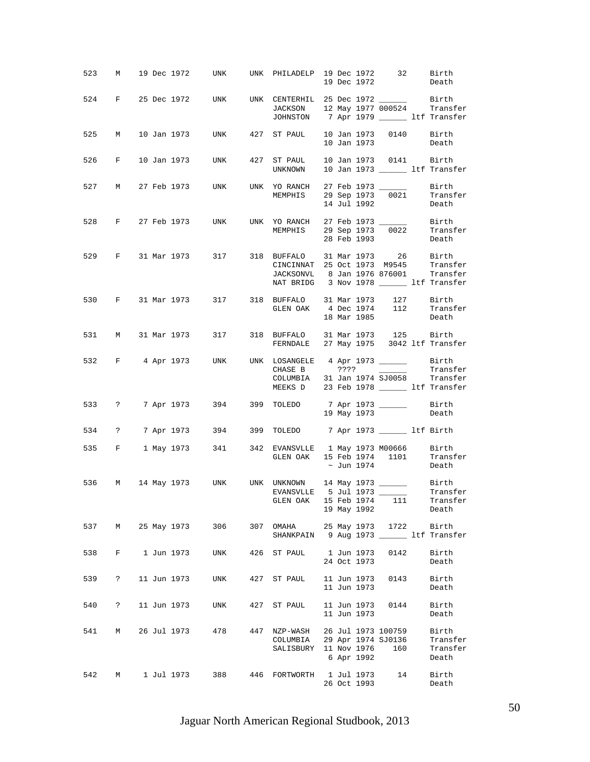| 523   |             |  |               |                                                                                                   | M 19 Dec 1972 UNK UNK PHILADELP 19 Dec 1972 32 Birth                                                                            |  | 19 Dec 1972 |                        | Death                                  |
|-------|-------------|--|---------------|---------------------------------------------------------------------------------------------------|---------------------------------------------------------------------------------------------------------------------------------|--|-------------|------------------------|----------------------------------------|
|       |             |  |               | 524 F 25 Dec 1972 UNK UNK CENTERHIL 25 Dec 1972 ________ Birth                                    | JACKSON 12 May 1977 000524 Transfer<br>JOHNSTON 7 Apr 1979 _______ ltf Transfer                                                 |  |             |                        |                                        |
| 525 M |             |  |               | 10 Jan 1973 UNK 427 ST PAUL 10 Jan 1973 0140 Birth                                                |                                                                                                                                 |  | 10 Jan 1973 |                        | Death                                  |
| 526   | $F$ and $F$ |  |               | 10 Jan 1973 UNK                                                                                   | 427 ST PAUL<br>UNKNOWN                                                                                                          |  |             | 10 Jan 1973 0141 Birth | 10 Jan 1973 _______ ltf Transfer       |
|       |             |  |               | 527 M 27 Feb 1973 UNK UNK YORANCH 27 Feb 1973 _______ Birth                                       | MEMPHIS 29 Sep 1973 0021 Transfer                                                                                               |  | 14 Jul 1992 |                        | Death                                  |
|       |             |  |               | 528 F 27 Feb 1973 UNK UNK YORANCH 27 Feb 1973 _______ Birth                                       | MEMPHIS 29 Sep 1973 0022 Transfer                                                                                               |  | 28 Feb 1993 |                        | Death                                  |
| 529   |             |  |               | F 31 Mar 1973 317 318 BUFFALO 31 Mar 1973 26 Birth                                                | CINCINNAT 25 Oct 1973 M9545 Transfer<br>JACKSONVL 8 Jan 1976 876001 Transfer<br>NAT BRIDG 3 Nov 1978 ________ ltf Transfer      |  |             |                        |                                        |
| 530   |             |  |               |                                                                                                   |                                                                                                                                 |  | 18 Mar 1985 |                        | Death                                  |
|       |             |  |               | 531 M 31 Mar 1973 317                                                                             | 318 BUFFALO 31 Mar 1973 125 Birth<br>FERNDALE 27 May 1975 3042 ltf Transfer                                                     |  |             |                        |                                        |
| 532   |             |  |               | F 4 Apr 1973 UNK UNK LOSANGELE 4 Apr 1973 _______ Birth                                           | MEEKS D 23 Feb 1978 _______ ltf Transfer                                                                                        |  |             |                        |                                        |
|       |             |  |               | 533 ? 7 Apr 1973 394 399 TOLEDO 7 Apr 1973 ________ Birth                                         |                                                                                                                                 |  |             | 19 May 1973            | Death                                  |
| 534   |             |  |               | ? 7 Apr 1973 394 399 TOLEDO 7 Apr 1973 ________ 1tf Birth                                         |                                                                                                                                 |  |             |                        |                                        |
|       |             |  |               | 535 F 1 May 1973 341 342 EVANSVLLE 1 May 1973 M00666 Birth                                        | GLEN OAK 15 Feb 1974 1101 Transfer                                                                                              |  | ~ Jun 1974  |                        | Death                                  |
| 536   |             |  |               | M 14 May 1973 UNK UNK UNKNOWN 14 May 1973 ________ Birth<br>EVANSVLLE 5 Jul 1973 _______ Transfer | GLEN OAK 15 Feb 1974 111 Transfer                                                                                               |  | 19 May 1992 |                        | Death                                  |
| 537   |             |  | M 25 May 1973 | 306 10                                                                                            | 307 OMAHA 25 May 1973 1722 Birth<br>SHANKPAIN 9 Aug 1973 _______ ltf Transfer                                                   |  |             |                        |                                        |
| 538   |             |  | F 1 Jun 1973  | <b>UNK</b>                                                                                        | 426 ST PAUL 1 Jun 1973 0142                                                                                                     |  | 24 Oct 1973 |                        | Birth<br>Death                         |
| 539   | $\ddot{?}$  |  |               | 11 Jun 1973 UNK                                                                                   | 427 ST PAUL                                                                                                                     |  | 11 Jun 1973 | 11 Jun 1973 0143       | Birth<br>Death                         |
| 540   | $\ddot{?}$  |  | 11 Jun 1973   | UNK                                                                                               | 427 ST PAUL                                                                                                                     |  | 11 Jun 1973 | 11 Jun 1973 0144       | Birth<br>Death                         |
| 541   | M           |  | 26 Jul 1973   | 478                                                                                               | 447 NZP-WASH 26 Jul 1973 100759<br>$N2P$ -WASH $29$ Apr 1974 SJ0136<br>COLUMBIA 29 Apr 1974 SJ0136<br>SALISBURY 11 Nov 1976 160 |  | 6 Apr 1992  |                        | Birth<br>Transfer<br>Transfer<br>Death |
| 542   | M           |  | 1 Jul 1973    | 388 38                                                                                            | 446 FORTWORTH 1 Jul 1973                                                                                                        |  | 26 Oct 1993 | 14                     | Birth<br>Death                         |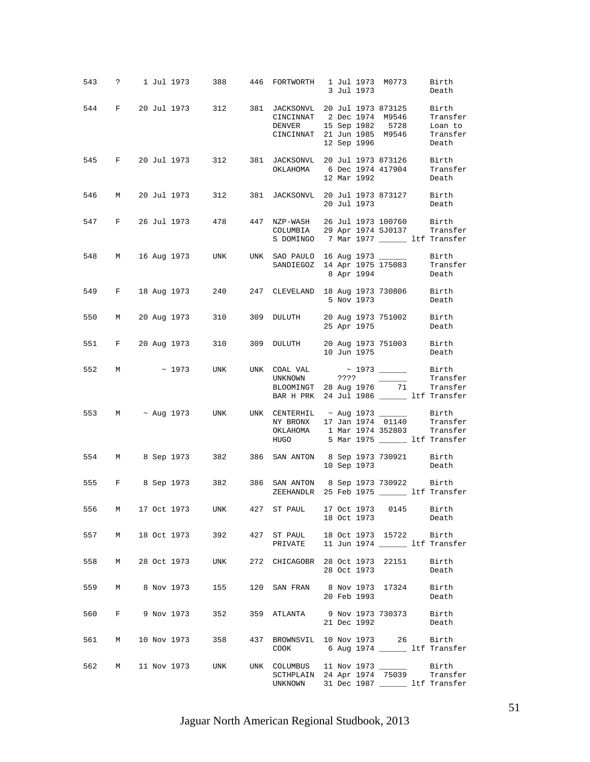|     |   |  | 543 ? 1 Jul 1973 388 446 FORTWORTH 1 Jul 1973 M0773                                                     |                                                                                                                                                                                                                                                                                                                                                                                                                                                                                                         |  | 3 Jul 1973  |                   | Birth<br>Death                           |
|-----|---|--|---------------------------------------------------------------------------------------------------------|---------------------------------------------------------------------------------------------------------------------------------------------------------------------------------------------------------------------------------------------------------------------------------------------------------------------------------------------------------------------------------------------------------------------------------------------------------------------------------------------------------|--|-------------|-------------------|------------------------------------------|
|     |   |  | 544 F 20 Jul 1973 312 381 JACKSONVL 20 Jul 1973 873125 Birth                                            | CINCINNAT 2 Dec 1974 M9546<br>DENVER 15 Sep 1982 5728<br>CINCINNAT 21 Jun 1985 M9546                                                                                                                                                                                                                                                                                                                                                                                                                    |  | 12 Sep 1996 |                   | Transfer<br>Loan to<br>Transfer<br>Death |
|     |   |  | 545 F 20 Jul 1973 312 381 JACKSONVL 20 Jul 1973 873126 Birth                                            | OKLAHOMA 6 Dec 1974 417904 Transfer<br>12 Mar 1992 Death                                                                                                                                                                                                                                                                                                                                                                                                                                                |  |             |                   |                                          |
|     |   |  | 546 M 20 Jul 1973 312 381 JACKSONVL 20 Jul 1973 873127 Birth                                            |                                                                                                                                                                                                                                                                                                                                                                                                                                                                                                         |  |             | 20 Jul 1973 Death |                                          |
|     |   |  | 547 F 26 Jul 1973 478 447 NZP-WASH 26 Jul 1973 100760 Birth<br>COLUMBIA 29 Apr 1974 SJ0137 Transfer     | S DOMINGO 7 Mar 1977 _________ ltf Transfer                                                                                                                                                                                                                                                                                                                                                                                                                                                             |  |             |                   |                                          |
|     |   |  | 548 M 16 Aug 1973 UNK UNK SAO PAULO 16 Aug 1973 ________ Birth<br>SANDIEGOZ 14 Apr 1975 175083 Transfer |                                                                                                                                                                                                                                                                                                                                                                                                                                                                                                         |  |             | 8 Apr 1994 Death  |                                          |
|     |   |  | 549 F 18 Aug 1973 240 247 CLEVELAND 18 Aug 1973 730806 Birth                                            |                                                                                                                                                                                                                                                                                                                                                                                                                                                                                                         |  |             | 5 Nov 1973        | Death                                    |
| 550 | M |  | 20 Aug 1973 310 309 DULUTH 20 Aug 1973 751002 Birth                                                     |                                                                                                                                                                                                                                                                                                                                                                                                                                                                                                         |  | 25 Apr 1975 |                   | Death                                    |
|     |   |  | 551 F 20 Aug 1973 310                                                                                   | 309 DULUTH 20 Aug 1973 751003 Birth                                                                                                                                                                                                                                                                                                                                                                                                                                                                     |  |             | 10 Jun 1975       | Death                                    |
|     |   |  | 552 M ~ 1973 UNK UNK COAL VAL ~ 1973 _______ Birth                                                      | UNKNOWN ???? $\frac{1}{\sqrt{1-\frac{1}{\sqrt{1-\frac{1}{\sqrt{1-\frac{1}{\sqrt{1-\frac{1}{\sqrt{1-\frac{1}{\sqrt{1-\frac{1}{\sqrt{1-\frac{1}{\sqrt{1-\frac{1}{\sqrt{1-\frac{1}{\sqrt{1-\frac{1}{\sqrt{1-\frac{1}{\sqrt{1-\frac{1}{\sqrt{1-\frac{1}{\sqrt{1-\frac{1}{\sqrt{1-\frac{1}{\sqrt{1-\frac{1}{\sqrt{1-\frac{1}{\sqrt{1-\frac{1}{\sqrt{1-\frac{1}{\sqrt{1-\frac{1}{\sqrt{1-\frac{1}{\sqrt{1-\frac{1}{\sqrt{1$<br>BLOOMINGT 28 Aug 1976 71 Transfer<br>BAR H PRK 24 Jul 1986 ______ ltf Transfer |  |             |                   | Transfer                                 |
|     |   |  | 553 M ~ Aug 1973 UNK UNK CENTERHIL ~ Aug 1973 $\frac{1}{01140}$ Birth                                   | OKLAHOMA 1 Mar 1974 352803 Transfer<br>HUGO                                                                                                                                                                                                                                                                                                                                                                                                                                                             |  |             |                   | 5 Mar 1975 ______ ltf Transfer           |
|     |   |  | 554 M 8 Sep 1973 382 386 SAN ANTON 8 Sep 1973 730921 Birth                                              |                                                                                                                                                                                                                                                                                                                                                                                                                                                                                                         |  |             | 10 Sep 1973       | Death                                    |
|     |   |  | 555 F 8 Sep 1973 382 386 SAN ANTON 8 Sep 1973 730922 Birth                                              | ZEEHANDLR 25 Feb 1975 _______ ltf Transfer                                                                                                                                                                                                                                                                                                                                                                                                                                                              |  |             |                   |                                          |
| 556 | M |  | 17 Oct 1973 UNK 427 ST PAUL 17 Oct 1973 0145 Birth                                                      |                                                                                                                                                                                                                                                                                                                                                                                                                                                                                                         |  | 18 Oct 1973 |                   | Death                                    |
|     |   |  | 557 M 18 Oct 1973 392 427 ST PAUL 18 Oct 1973 15722 Birth                                               | PRIVATE 11 Jun 1974 ________ ltf Transfer                                                                                                                                                                                                                                                                                                                                                                                                                                                               |  |             |                   |                                          |
|     |   |  | 558 M 28 Oct 1973 UNK 272 CHICAGOBR 28 Oct 1973 22151 Birth                                             |                                                                                                                                                                                                                                                                                                                                                                                                                                                                                                         |  | 28 Oct 1973 |                   | Death                                    |
|     |   |  | 559 M 8 Nov 1973 155 120 SAN FRAN 8 Nov 1973 17324 Birth                                                |                                                                                                                                                                                                                                                                                                                                                                                                                                                                                                         |  | 20 Feb 1993 |                   | Death                                    |
| 560 |   |  | F 9 Nov 1973 352                                                                                        | 359 ATLANTA 9 Nov 1973 730373 Birth                                                                                                                                                                                                                                                                                                                                                                                                                                                                     |  | 21 Dec 1992 |                   | Death                                    |
| 561 |   |  | M 10 Nov 1973 358 437 BROWNSVIL 10 Nov 1973 26 Birth                                                    | COOK                                                                                                                                                                                                                                                                                                                                                                                                                                                                                                    |  |             |                   | 6 Aug 1974 _______ ltf Transfer          |
|     |   |  | 562 M 11 Nov 1973 UNK UNK COLUMBUS 11 Nov 1973 _______ Birth<br>SCTHPLAIN 24 Apr 1974 75039 Transfer    | UNKNOWN 31 Dec 1987 _______ ltf Transfer                                                                                                                                                                                                                                                                                                                                                                                                                                                                |  |             |                   |                                          |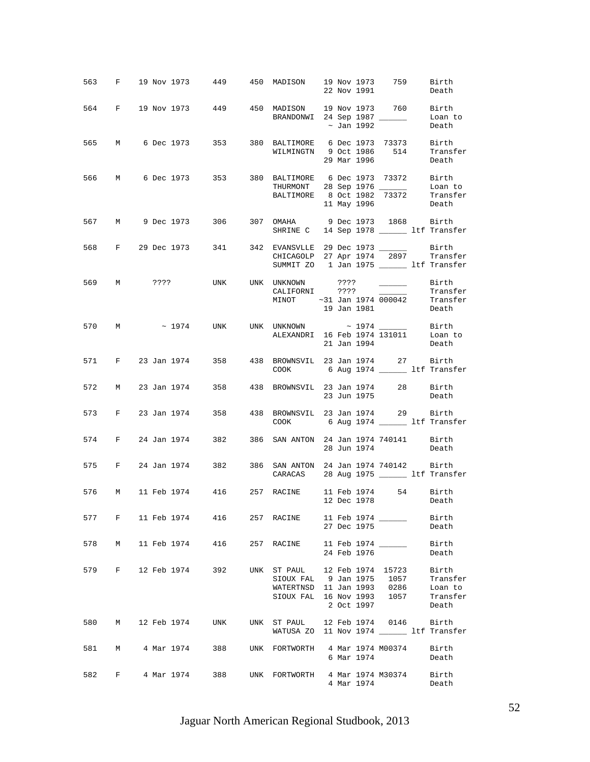|     |   |  |               | 563 F 19 Nov 1973 449 450 MADISON 19 Nov 1973 759 Birth                               |                                                                                                                                                                                                                                        |  | 22 Nov 1991 |                   | Death                                             |
|-----|---|--|---------------|---------------------------------------------------------------------------------------|----------------------------------------------------------------------------------------------------------------------------------------------------------------------------------------------------------------------------------------|--|-------------|-------------------|---------------------------------------------------|
|     |   |  |               | 564 F 19 Nov 1973 449 450 MADISON 19 Nov 1973 760 Birth                               | BRANDONWI 24 Sep 1987 ________ Loan to $\sim$ Jan 1992 Death                                                                                                                                                                           |  |             |                   |                                                   |
|     |   |  |               | 565 M 6 Dec 1973 353 380 BALTIMORE 6 Dec 1973 73373 Birth                             | WILMINGTN 9 Oct 1986 514 Transfer                                                                                                                                                                                                      |  | 29 Mar 1996 |                   | Death                                             |
|     |   |  |               | 566 M 6 Dec 1973 353 380 BALTIMORE 6 Dec 1973 73372 Birth                             | THURMONT 28 Sep 1976 ________ Loan to<br>BALTIMORE 8 Oct 1982 73372 Transfer                                                                                                                                                           |  |             | 11 May 1996 Death |                                                   |
|     |   |  |               | 567 M 9 Dec 1973 306 307 OMAHA 9 Dec 1973 1868 Birth                                  | SHRINE C 14 Sep 1978 ________ ltf Transfer                                                                                                                                                                                             |  |             |                   |                                                   |
|     |   |  |               | 568 F 29 Dec 1973 341 342 EVANSVLLE 29 Dec 1973 ________ Birth                        | CHICAGOLP 27 Apr 1974 2897 Transfer<br>SUMMIT ZO 1 Jan 1975 _______ ltf Transfer                                                                                                                                                       |  |             |                   |                                                   |
|     |   |  |               | 569 M ???? UNK UNK UNKNOWN ????                                                       | $\begin{tabular}{lllll} \multicolumn{2}{c}{\texttt{CALIFORNI}} & & & & \texttt{???} & & & \texttt{Transfer} \\ \multicolumn{2}{c}{\texttt{MINOT}} & & \sim 31 \text{ Jan } 1974 & \texttt{000042} & & \texttt{Transfer} \end{tabular}$ |  |             |                   | Birth Birth<br>19 Jan 1981 Death                  |
|     |   |  |               | 570 M ~ 1974 UNK UNK UNKNOWN ~ 1974 ______ Birth ALEXANDRI 16 Feb 1974 131011 Loan to |                                                                                                                                                                                                                                        |  |             | 21 Jan 1994 Death |                                                   |
|     |   |  |               | 571 F 23 Jan 1974 358 438 BROWNSVIL 23 Jan 1974 27 Birth                              | COOK 6 Aug 1974 ______ ltf Transfer                                                                                                                                                                                                    |  |             |                   |                                                   |
|     |   |  |               | 572 M 23 Jan 1974 358 438 BROWNSVIL 23 Jan 1974 28 Birth                              |                                                                                                                                                                                                                                        |  | 23 Jun 1975 |                   | Death                                             |
|     |   |  |               | 573 F 23 Jan 1974 358 438 BROWNSVIL 23 Jan 1974 29 Birth                              | COOK 6 Aug 1974 _________ ltf Transfer                                                                                                                                                                                                 |  |             |                   |                                                   |
|     |   |  |               | 574 F 24 Jan 1974 382 386 SAN ANTON 24 Jan 1974 740141 Birth                          |                                                                                                                                                                                                                                        |  |             | 28 Jun 1974 Death |                                                   |
|     |   |  |               | 575 F 24 Jan 1974 382 386 SAN ANTON 24 Jan 1974 740142 Birth                          | CARACAS 28 Aug 1975 _______ ltf Transfer                                                                                                                                                                                               |  |             |                   |                                                   |
|     |   |  |               | 576 M 11 Feb 1974 416 257 RACINE 11 Feb 1974 54 Birth                                 |                                                                                                                                                                                                                                        |  | 12 Dec 1978 |                   | Death                                             |
|     |   |  |               | 577 F 11 Feb 1974 416                                                                 | 257 RACINE 11 Feb 1974 ______                                                                                                                                                                                                          |  | 27 Dec 1975 |                   | Birth<br>Death                                    |
| 578 | M |  |               | 11 Feb 1974 416                                                                       | 257 RACINE 11 Feb 1974 ______                                                                                                                                                                                                          |  | 24 Feb 1976 |                   | Birth<br>Death                                    |
| 579 |   |  | F 12 Feb 1974 | 392 39                                                                                | UNK ST PAUL 12 Feb 1974 15723<br>SIOUX FAL 9 Jan 1975 1057<br>WATERTNSD 11 Jan 1993 0286<br>SIOUX FAL 16 Nov 1993 1057                                                                                                                 |  | 2 Oct 1997  |                   | Birth<br>Transfer<br>Loan to<br>Transfer<br>Death |
|     |   |  |               | 580 M 12 Feb 1974 UNK UNK ST PAUL 12 Feb 1974 0146 Birth                              | WATUSA ZO 11 Nov 1974 ________ ltf Transfer                                                                                                                                                                                            |  |             |                   |                                                   |
| 581 | M |  | 4 Mar 1974    | 388 — 1                                                                               | UNK FORTWORTH 4 Mar 1974 M00374 Birth                                                                                                                                                                                                  |  | 6 Mar 1974  |                   | Death                                             |
| 582 |   |  | F 4 Mar 1974  | 388 — 1                                                                               | UNK FORTWORTH 4 Mar 1974 M30374 Birth                                                                                                                                                                                                  |  | 4 Mar 1974  |                   | Death                                             |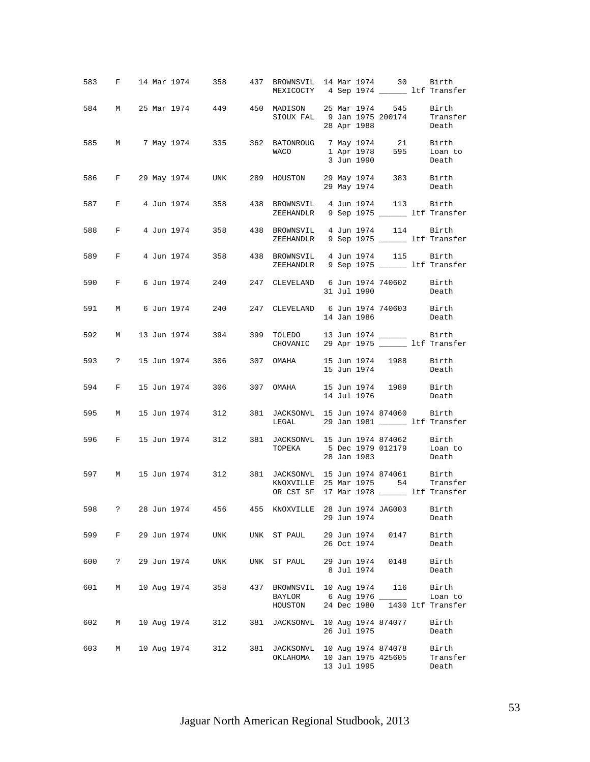|     |             |  |             | 583 F 14 Mar 1974 358 437 BROWNSVIL 14 Mar 1974 30 Birth                                     |     | MEXICOCTY 4 Sep 1974 _______ ltf Transfer                                       |  |             |                    |                                       |
|-----|-------------|--|-------------|----------------------------------------------------------------------------------------------|-----|---------------------------------------------------------------------------------|--|-------------|--------------------|---------------------------------------|
|     |             |  |             | 584 M 25 Mar 1974 449 450 MADISON 25 Mar 1974 545                                            |     | SIOUX FAL 9 Jan 1975 200174 Transfer<br>28 Apr 1988 Death                       |  | 28 Apr 1988 |                    | Birth<br>Death                        |
|     |             |  |             | 585 M 7 May 1974 335 362 BATONROUG 7 May 1974 21 Birth                                       |     | WACO 1 Apr 1978 595 Loan to                                                     |  | 3 Jun 1990  |                    | Death                                 |
|     |             |  |             | 586 F 29 May 1974 UNK 289 HOUSTON 29 May 1974 383 Birth                                      |     |                                                                                 |  |             | 29 May 1974 Death  |                                       |
|     |             |  |             | 587 F 4 Jun 1974 358 438 BROWNSVIL 4 Jun 1974 113 Birth<br>ZEEHANDLR 9 Sep 1975 11f Transfer |     |                                                                                 |  |             |                    |                                       |
|     |             |  |             | 588 F 4 Jun 1974 358 438 BROWNSVIL 4 Jun 1974 114 Birth                                      |     | ZEEHANDLR 9 Sep 1975 ________ ltf Transfer                                      |  |             |                    |                                       |
|     |             |  |             | 589 F 4 Jun 1974 358 438 BROWNSVIL 4 Jun 1974 115 Birth<br>ZEEHANDLR 9 Sep 1975 11f Transfer |     |                                                                                 |  |             |                    |                                       |
|     |             |  |             | 590 F 6 Jun 1974 240 247 CLEVELAND 6 Jun 1974 740602 Birth                                   |     |                                                                                 |  | 31 Jul 1990 |                    | Death                                 |
|     |             |  |             | 591 M 6 Jun 1974 240 247 CLEVELAND 6 Jun 1974 740603 Birth                                   |     |                                                                                 |  |             | 14 Jan 1986        | Death                                 |
|     |             |  |             | 592 M 13 Jun 1974 394 399 TOLEDO 13 Jun 1974 _______ Birth                                   |     | CHOVANIC 29 Apr 1975 _______ ltf Transfer                                       |  |             |                    |                                       |
|     |             |  |             | 593 ? 15 Jun 1974 306 307 OMAHA 15 Jun 1974 1988 Birth                                       |     |                                                                                 |  | 15 Jun 1974 |                    | Death                                 |
|     |             |  |             | 594 F 15 Jun 1974 306 307 OMAHA 15 Jun 1974 1989 Birth                                       |     |                                                                                 |  | 14 Jul 1976 |                    | Death                                 |
|     |             |  |             | 595 M 15 Jun 1974 312 381 JACKSONVL 15 Jun 1974 874060 Birth                                 |     | LEGAL 29 Jan 1981 _______ ltf Transfer                                          |  |             |                    |                                       |
|     |             |  |             | 596 F 15 Jun 1974 312 381 JACKSONVL 15 Jun 1974 874062 Birth                                 |     | TOPEKA 5 Dec 1979 012179 Loan to                                                |  | 28 Jan 1983 |                    | Death                                 |
|     |             |  |             | 597 M 15 Jun 1974 312 381 JACKSONVL 15 Jun 1974 874061 Birth                                 |     | KNOXVILLE 25 Mar 1975 54 Transfer<br>OR CST SF 17 Mar 1978 _______ ltf Transfer |  |             |                    |                                       |
| 598 |             |  |             | 28 Jun 1974   456   455   KNOXVILLE   28 Jun 1974   JAG003   Birth                           |     |                                                                                 |  | 29 Jun 1974 |                    | Death                                 |
| 599 | $F$ and $F$ |  | 29 Jun 1974 | UNK                                                                                          |     | UNK ST PAUL 29 Jun 1974 0147                                                    |  | 26 Oct 1974 |                    | Birth<br>Death                        |
| 600 | $\ddot{?}$  |  | 29 Jun 1974 | UNK                                                                                          |     | UNK ST PAUL 29 Jun 1974 0148                                                    |  | 8 Jul 1974  |                    | Birth<br>Death                        |
| 601 | М           |  | 10 Aug 1974 | 358                                                                                          | 437 | BROWNSVIL 10 Aug 1974 116<br>BAYLOR<br>HOUSTON                                  |  | 24 Dec 1980 | 6 Aug 1976         | Birth<br>Loan to<br>1430 ltf Transfer |
| 602 | M           |  |             | 10 Aug 1974 312                                                                              |     | 381 JACKSONVL 10 Aug 1974 874077                                                |  | 26 Jul 1975 |                    | Birth<br>Death                        |
| 603 | М           |  | 10 Aug 1974 | 312                                                                                          | 381 | JACKSONVL 10 Aug 1974 874078<br>ОКLАНОМА                                        |  | 13 Jul 1995 | 10 Jan 1975 425605 | Birth<br>Transfer<br>Death            |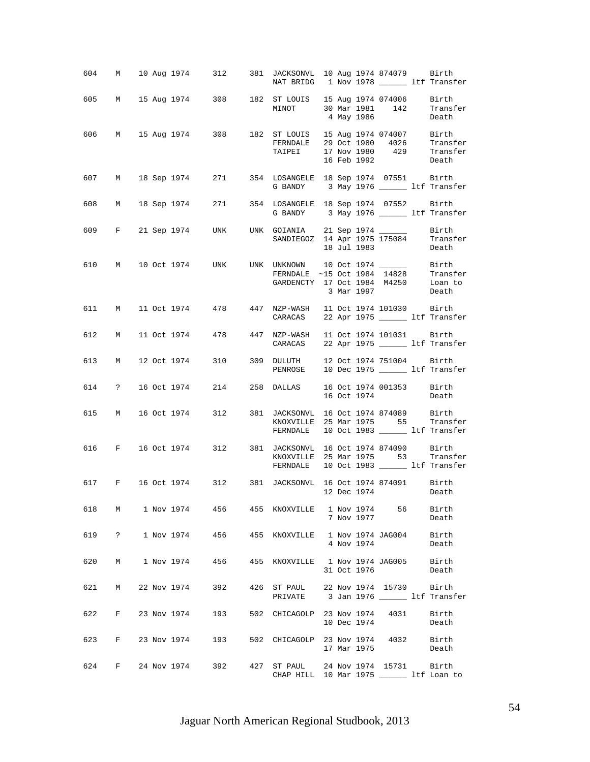|     |                     |  |                   |        | 604 M 10 Aug 1974 312 381 JACKSONVL 10 Aug 1974 874079 Birth<br>NAT BRIDG 1 Nov 1978 _________ ltf Transfer                                     |  |             |                         |                |
|-----|---------------------|--|-------------------|--------|-------------------------------------------------------------------------------------------------------------------------------------------------|--|-------------|-------------------------|----------------|
|     |                     |  |                   |        | 605 M 15 Aug 1974 308 182 ST LOUIS 15 Aug 1974 074006 Birth<br>MINOT 30 Mar 1981 142 Transfer<br>4 May 1986 Death                               |  |             |                         |                |
|     |                     |  |                   |        | 606 M 15 Aug 1974 308 182 ST LOUIS 15 Aug 1974 074007 Birth<br>FERNDALE 29 Oct 1980 4026 Transfer<br>TAIPEI 17 Nov 1980 429 Transfer            |  | 16 Feb 1992 |                         | Death          |
|     |                     |  |                   |        | 607 M 18 Sep 1974 271 354 LOSANGELE 18 Sep 1974 07551 Birth<br>G BANDY 3 May 1976 ________ ltf Transfer                                         |  |             |                         |                |
|     |                     |  |                   |        | 608 M 18 Sep 1974 271 354 LOSANGELE 18 Sep 1974 07552 Birth<br>G BANDY 3 May 1976 _________ ltf Transfer                                        |  |             |                         |                |
|     |                     |  |                   |        | 609 F 21 Sep 1974 UNK UNK GOIANIA 21 Sep 1974 ________ Birth<br>SANDIEGOZ 14 Apr 1975 175084 Transfer                                           |  |             | 18 Jul 1983 Death       |                |
|     |                     |  |                   |        | 610 M 10 Oct 1974 UNK UNK UNKNOWN 10 Oct 1974 $\frac{1974}{14828}$ Birth<br>CARDENCTY 17 Oct 1984 M4250 Loan to<br>3 Mar 1997 Death             |  |             |                         |                |
|     |                     |  |                   |        | 611 M 11 Oct 1974 478 447 NZP-WASH 11 Oct 1974 101030 Birth<br>CARACAS 22 Apr 1975 ________ ltf Transfer                                        |  |             |                         |                |
|     |                     |  |                   |        | 612 M 11 Oct 1974 478 447 NZP-WASH 11 Oct 1974 101031 Birth<br>CARACAS 22 Apr 1975 ________ ltf Transfer                                        |  |             |                         |                |
|     |                     |  |                   |        | 613 M 12 Oct 1974 310 309 DULUTH 12 Oct 1974 751004 Birth<br>PENROSE 10 Dec 1975 ________ ltf Transfer                                          |  |             |                         |                |
|     |                     |  |                   |        | 614 ? 16 Oct 1974 214 258 DALLAS 16 Oct 1974 001353 Birth                                                                                       |  |             | 16 Oct 1974             | Death          |
|     |                     |  |                   |        | 615 M 16 Oct 1974 312 381 JACKSONVL 16 Oct 1974 874089 Birth<br>KNOXVILLE 25 Mar 1975 55 Transfer<br>FERNDALE 10 Oct 1983 ________ ltf Transfer |  |             |                         |                |
|     |                     |  |                   |        | 616 F 16 Oct 1974 312 381 JACKSONVL 16 Oct 1974 874090 Birth<br>KNOXVILLE 25 Mar 1975 53 Transfer<br>FERNDALE 10 Oct 1983 ______ ltf Transfer   |  |             |                         |                |
|     |                     |  |                   |        | 617 F 16 Oct 1974 312 381 JACKSONVL 16 Oct 1974 874091 Birth                                                                                    |  | 12 Dec 1974 | Death                   |                |
|     |                     |  |                   |        | 618 M 1 Nov 1974 456 455 KNOXVILLE 1 Nov 1974 56                                                                                                |  | 7 Nov 1977  |                         | Birth<br>Death |
| 619 | $\ddot{\mathbf{?}}$ |  | 1 Nov 1974 456    |        | 455 KNOXVILLE                                                                                                                                   |  | 4 Nov 1974  | 1 Nov 1974 JAG004 Birth | Death          |
| 620 | M                   |  | 1 Nov 1974        | 456 11 | 455 KNOXVILLE 1 Nov 1974 JAG005 Birth                                                                                                           |  | 31 Oct 1976 |                         | Death          |
| 621 | M                   |  | 22 Nov 1974 392   |        | 426 ST PAUL 22 Nov 1974 15730<br>PRIVATE 3 Jan 1976 ______ ltf Transfer                                                                         |  |             |                         | Birth          |
| 622 |                     |  | F 23 Nov 1974 193 |        | 502 CHICAGOLP 23 Nov 1974 4031                                                                                                                  |  | 10 Dec 1974 |                         | Birth<br>Death |
| 623 | F                   |  | 23 Nov 1974 193   |        | 502 CHICAGOLP 23 Nov 1974 4032 Birth                                                                                                            |  | 17 Mar 1975 |                         | Death          |
| 624 |                     |  | F 24 Nov 1974     | 392 39 | 427 ST PAUL 24 Nov 1974 15731 Birth<br>CHAP HILL 10 Mar 1975 ________ ltf Loan to                                                               |  |             |                         |                |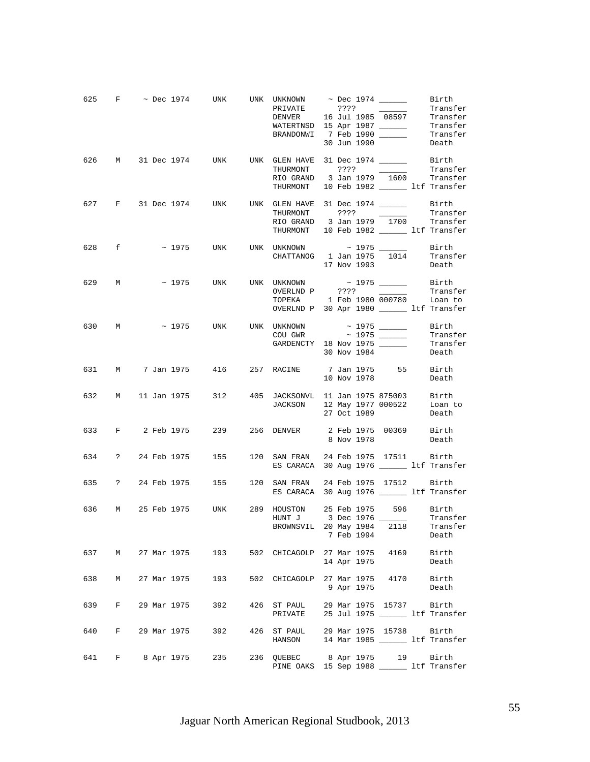|     |              |  | 625 F $\sim$ Dec 1974 UNK UNK UNKNOWN $\sim$ Dec 1974 Birth Birth PRIVATE 2???             | BRANDONWI 7 Feb 1990                                                                             |  | 30 Jun 1990 |                          | Iransfer<br>Transfer<br>Death          |
|-----|--------------|--|--------------------------------------------------------------------------------------------|--------------------------------------------------------------------------------------------------|--|-------------|--------------------------|----------------------------------------|
|     |              |  | 626 M 31 Dec 1974 UNK UNK GLEN HAVE 31 Dec 1974 ________ Birth                             | THURMONT ????<br>RIO GRAND 3 Jan 1979 1600 Transfer<br>THURMONT 10 Feb 1982 _______ ltf Transfer |  |             | $\overline{\phantom{a}}$ | Transfer                               |
|     |              |  | 627 F 31 Dec 1974 UNK UNK GLEN HAVE 31 Dec 1974 ________ Birth                             | RIO GRAND 3 Jan 1979 1700 Transfer<br>THURMONT 10 Feb 1982 ______ ltf Transfer                   |  |             |                          | Transfer                               |
|     | 628 f        |  | $\sim$ 1975 UNK UNK UNKNOWN $\sim$ 1975 _______ Birth                                      | CHATTANOG 1 Jan 1975 1014 Transfer                                                               |  | 17 Nov 1993 |                          | Death                                  |
|     | 629 M        |  | $\sim$ 1975 UNK UNK UNKNOWN $\sim$ 1975 _______ Birth                                      | TOPEKA 1 Feb 1980 000780 Loan to<br>OVERLND P 30 Apr 1980 ______ ltf Transfer                    |  |             |                          | Transfer                               |
|     |              |  | 630 M ~ 1975 UNK UNK UNKNOWN ~ 1975 ______                                                 | $COU$ GWR $\sim$ 1975 $\_\_$<br>GARDENCTY 18 Nov 1975                                            |  | 30 Nov 1984 |                          | Birth<br>Transfer<br>Transfer<br>Death |
|     |              |  | 631 M 7 Jan 1975 416 257 RACINE 7 Jan 1975 55 Birth                                        |                                                                                                  |  | 10 Nov 1978 |                          | Death                                  |
|     |              |  | 632 M 11 Jan 1975 312 405 JACKSONVL 11 Jan 1975 875003 Birth                               | JACKSON 12 May 1977 000522 Loan to<br>27 Oct 1989 Death                                          |  |             |                          |                                        |
|     |              |  | 633 F 2 Feb 1975 239 256 DENVER 2 Feb 1975 00369 Birth                                     |                                                                                                  |  | 8 Nov 1978  |                          | Death                                  |
|     |              |  | 634 ? 24 Feb 1975 155                                                                      | 120 SAN FRAN 24 Feb 1975 17511 Birth<br>ES CARACA 30 Aug 1976 _______ ltf Transfer               |  |             |                          |                                        |
|     |              |  | 635 ? 24 Feb 1975 155 120 SAN FRAN 24 Feb 1975 17512 Birth                                 | ES CARACA 30 Aug 1976 _______ ltf Transfer                                                       |  |             |                          |                                        |
| 636 |              |  | M 25 Feb 1975 UNK 289 HOUSTON 25 Feb 1975 596 Birth<br>HUNT J 3 Dec 1976 ________ Transfer | BROWNSVIL 20 May 1984                                                                            |  | 7 Feb 1994  | 2118                     | Transfer<br>Death                      |
| 637 |              |  | M 27 Mar 1975 193                                                                          | 502 CHICAGOLP 27 Mar 1975 4169                                                                   |  | 14 Apr 1975 |                          | Birth<br>Death                         |
| 638 | M            |  | 27 Mar 1975 193                                                                            | 502 CHICAGOLP 27 Mar 1975 4170 Birth                                                             |  | 9 Apr 1975  |                          | Death                                  |
| 639 | $\mathbf{F}$ |  | 29 Mar 1975 392                                                                            | 426 ST PAUL 29 Mar 1975 15737 Birth<br>PRIVATE 25 Jul 1975 _______ ltf Transfer                  |  |             |                          |                                        |
| 640 | F            |  | 29 Mar 1975       392                                                                      | 426 ST PAUL 29 Mar 1975 15738 Birth<br>HANSON 14 Mar 1985 ________ ltf Transfer                  |  |             |                          |                                        |
| 641 |              |  | F 8 Apr 1975 235                                                                           | 236 QUEBEC 8 Apr 1975 19 Birth<br>PINE OAKS 15 Sep 1988 ________ ltf Transfer                    |  |             |                          |                                        |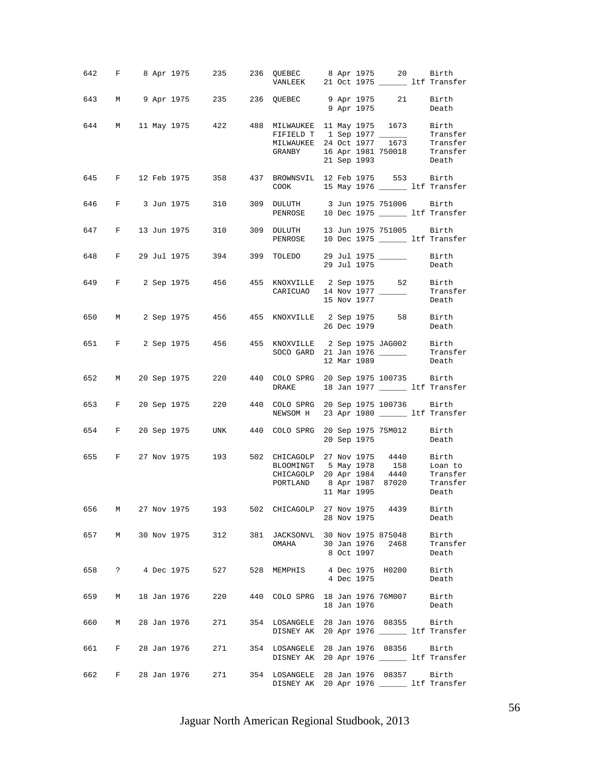|       |   |  |               | 642 F 8 Apr 1975 235 236 QUEBEC 8 Apr 1975 20 Birth<br>VANLEEK 21 Oct 1975 11 11 Transfer             |                                                                                                                                                                                                                                                                                                                                          |  |             |                        |                            |
|-------|---|--|---------------|-------------------------------------------------------------------------------------------------------|------------------------------------------------------------------------------------------------------------------------------------------------------------------------------------------------------------------------------------------------------------------------------------------------------------------------------------------|--|-------------|------------------------|----------------------------|
|       |   |  |               | 643 M 9 Apr 1975 235 236 QUEBEC 9 Apr 1975 21 Birth                                                   |                                                                                                                                                                                                                                                                                                                                          |  | 9 Apr 1975  |                        | Death                      |
|       |   |  |               | 644 M 11 May 1975 422 488 MILWAUKEE 11 May 1975 1673 Birth<br>FIFIELD T 1 Sep 1977 _________ Transfer |                                                                                                                                                                                                                                                                                                                                          |  |             |                        |                            |
|       |   |  |               |                                                                                                       | MILWAUKEE 24 OCt 1977 1673 Transfer<br>GRANBY 16 Apr 1981 750018 Transfer                                                                                                                                                                                                                                                                |  |             | 21 Sep 1993 Death      |                            |
|       |   |  |               | 645 F 12 Feb 1975 358 437 BROWNSVIL 12 Feb 1975 553 Birth<br>COOK 15 May 1976 15 May 1976 15 Transfer |                                                                                                                                                                                                                                                                                                                                          |  |             |                        |                            |
|       |   |  |               | 646 F 3 Jun 1975 310 309 DULUTH 3 Jun 1975 751006 Birth                                               | PENROSE 10 Dec 1975 _______ ltf Transfer                                                                                                                                                                                                                                                                                                 |  |             |                        |                            |
|       |   |  |               | 647 F 13 Jun 1975 310                                                                                 | 309 DULUTH 13 Jun 1975 751005 Birth<br>PENROSE 10 Dec 1975 1tf Transfer                                                                                                                                                                                                                                                                  |  |             |                        |                            |
|       |   |  |               | 648 F 29 Jul 1975 394 399 TOLEDO 29 Jul 1975 _______ Birth                                            |                                                                                                                                                                                                                                                                                                                                          |  | 29 Jul 1975 |                        | Death                      |
|       |   |  |               | 649 F 2 Sep 1975 456 455 KNOXVILLE 2 Sep 1975 52 Birth<br>CARICUAO 14 Nov 1977 ________ Transfer      | CARICUAO 14 Nov 1977 ______                                                                                                                                                                                                                                                                                                              |  | 15 Nov 1977 |                        | Death                      |
|       |   |  |               | 650 M 2 Sep 1975 456 455 KNOXVILLE 2 Sep 1975 58 Birth                                                |                                                                                                                                                                                                                                                                                                                                          |  | 26 Dec 1979 |                        | Death                      |
|       |   |  |               | 651 F 2 Sep 1975 456 455 KNOXVILLE 2 Sep 1975 JAG002 Birth                                            | SOCO GARD 21 Jan 1976 _______ Transfer                                                                                                                                                                                                                                                                                                   |  | 12 Mar 1989 |                        | Death                      |
|       |   |  |               | 652 M 20 Sep 1975 220 440 COLO SPRG 20 Sep 1975 100735 Birth                                          | DRAKE 18 Jan 1977 _______ ltf Transfer                                                                                                                                                                                                                                                                                                   |  |             |                        |                            |
|       |   |  |               | 653 F 20 Sep 1975 220 440 COLO SPRG 20 Sep 1975 100736 Birth                                          | NEWSOM H 23 Apr 1980 _______ ltf Transfer                                                                                                                                                                                                                                                                                                |  |             |                        |                            |
|       |   |  |               | 654 F 20 Sep 1975 UNK 440 COLO SPRG 20 Sep 1975 75M012 Birth                                          |                                                                                                                                                                                                                                                                                                                                          |  |             | 20 Sep 1975 Death      |                            |
|       |   |  |               | 655 F 27 Nov 1975 193 502 CHICAGOLP 27 Nov 1975 4440 Birth                                            | BLOOMINGT 5 May 1978 158<br>CHICAGOLP 20 Apr 1984 4440 Transfer<br>$\begin{tabular}{lllllll} \multicolumn{2}{c}{\textbf{PORTLAND}} & 8 & \multicolumn{2}{c}{\textbf{Apr}} & 1987 & 87020 &\multicolumn{2}{c}{\textbf{Transfer}} \\ & 11 & \multicolumn{2}{c}{\textbf{Mar}} & 1995 & \multicolumn{2}{c}{\textbf{Death}} \\ \end{tabular}$ |  |             |                        | Loan to                    |
| 656 1 |   |  |               | M 27 Nov 1975 193                                                                                     | 502 CHICAGOLP 27 Nov 1975 4439                                                                                                                                                                                                                                                                                                           |  | 28 Nov 1975 |                        | Birth<br>Death             |
| 657   | M |  |               | 30 Nov 1975 312                                                                                       | 381 JACKSONVL 30 Nov 1975 875048<br>OMAHA 30 Jan 1976 2468                                                                                                                                                                                                                                                                               |  | 8 Oct 1997  |                        | Birth<br>Transfer<br>Death |
| 658   |   |  | ? 4 Dec 1975  | 527                                                                                                   | 528 MEMPHIS                                                                                                                                                                                                                                                                                                                              |  | 4 Dec 1975  | 4 Dec 1975 H0200 Birth | Death                      |
| 659   | M |  | 18 Jan 1976   | 220                                                                                                   | 440 COLO SPRG 18 Jan 1976 76M007 Birth                                                                                                                                                                                                                                                                                                   |  | 18 Jan 1976 |                        | Death                      |
| 660   | M |  |               | 28 Jan 1976 271                                                                                       | 354 LOSANGELE 28 Jan 1976 08355 Birth<br>DISNEY AK 20 Apr 1976 ________ ltf Transfer                                                                                                                                                                                                                                                     |  |             |                        |                            |
| 661   |   |  |               | F 28 Jan 1976 271                                                                                     | 354 LOSANGELE 28 Jan 1976 08356<br>DISNEY AK 20 Apr 1976 ______ ltf Transfer                                                                                                                                                                                                                                                             |  |             |                        | Birth                      |
| 662   |   |  | F 28 Jan 1976 | 271                                                                                                   | 354 LOSANGELE 28 Jan 1976 08357<br>DISNEY AK 20 Apr 1976 ________ ltf Transfer                                                                                                                                                                                                                                                           |  |             |                        | Birth                      |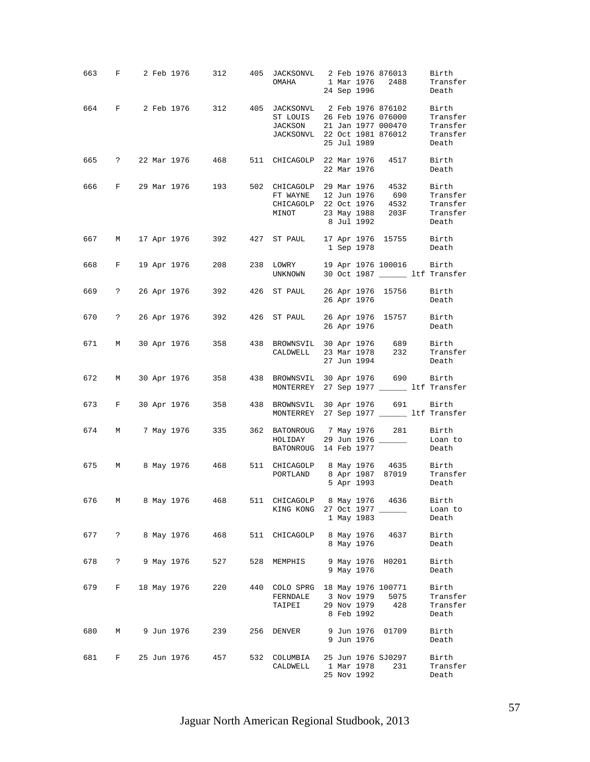|     |            |  |              | 663 F 2 Feb 1976 312 405 JACKSONVL 2 Feb 1976 876013                                               |     | OMAHA 1 Mar 1976 2488 Transfer                                                                              |  |                           | 24 Sep 1996               | Birth<br>Death                         |
|-----|------------|--|--------------|----------------------------------------------------------------------------------------------------|-----|-------------------------------------------------------------------------------------------------------------|--|---------------------------|---------------------------|----------------------------------------|
|     |            |  |              | 664 F 2 Feb 1976 312 405 JACKSONVL 2 Feb 1976 876102 Birth<br>ST LOUIS 26 Feb 1976 076000 Transfer |     | JACKSON 21 Jan 1977 000470 Transfer<br>JACKSONVL 22 Oct 1981 876012 Transfer                                |  | 25 Jul 1989               |                           | Death                                  |
|     |            |  |              | 665 ? 22 Mar 1976 468 511 CHICAGOLP 22 Mar 1976 4517 Birth                                         |     |                                                                                                             |  | 22 Mar 1976               |                           | Death                                  |
|     |            |  |              | 666 F 29 Mar 1976 193 502 CHICAGOLP 29 Mar 1976 4532 Birth                                         |     | FT WAYNE 12 Jun 1976 690 Transfer<br>CHICAGOLP 22 Oct 1976 4532 Transfer<br>MINOT 23 May 1988 203F Transfer |  | 8 Jul 1992                |                           | Death                                  |
|     |            |  |              | 667 M 17 Apr 1976 392 427 ST PAUL 17 Apr 1976 15755 Birth                                          |     |                                                                                                             |  |                           | 1 Sep 1978 Death          |                                        |
|     |            |  |              | 668 F 19 Apr 1976 208 238 LOWRY 19 Apr 1976 100016 Birth<br>UNKNOWN 30 Oct 1987 11f Transfer       |     |                                                                                                             |  |                           |                           |                                        |
|     |            |  |              | 669 ? 26 Apr 1976 392 426 ST PAUL 26 Apr 1976 15756 Birth                                          |     |                                                                                                             |  |                           | 26 Apr 1976 Death         |                                        |
|     |            |  |              | 670 ? 26 Apr 1976 392 426 ST PAUL 26 Apr 1976 15757 Birth                                          |     |                                                                                                             |  | 26 Apr 1976               |                           | Death                                  |
|     |            |  |              | 671 M 30 Apr 1976 358 438 BROWNSVIL 30 Apr 1976 689 Birth                                          |     | CALDWELL 23 Mar 1978 232 Transfer                                                                           |  | 27 Jun 1994               |                           | Death                                  |
|     |            |  |              | 672 M 30 Apr 1976 358                                                                              |     | 438 BROWNSVIL 30 Apr 1976 690 Birth<br>MONTERREY 27 Sep 1977 _______ ltf Transfer                           |  |                           |                           |                                        |
|     |            |  |              | 673 F 30 Apr 1976 358 438 BROWNSVIL 30 Apr 1976 691 Birth                                          |     | MONTERREY 27 Sep 1977 _________ ltf Transfer                                                                |  |                           |                           |                                        |
|     |            |  |              | 674 M 7 May 1976 335 362 BATONROUG 7 May 1976 281 Birth                                            |     | HOLIDAY 29 Jun 1976 ______<br>BATONROUG 14 Feb 1977                                                         |  |                           |                           | Loan to<br>Death                       |
|     |            |  |              | 675 M 8 May 1976 468 511 CHICAGOLP 8 May 1976 4635 Birth<br>PORTLAND 8 Apr 1987 87019 Transfer     |     |                                                                                                             |  |                           | 5 Apr 1993                | Death                                  |
| 676 |            |  |              | M 8 May 1976 468                                                                                   |     | 511 CHICAGOLP 8 May 1976 4636 Birth<br>KING KONG 27 Oct 1977                                                |  | 1 May 1983                |                           | Loan to<br>Death                       |
| 677 |            |  | ? 8 May 1976 | 468                                                                                                |     | 511 CHICAGOLP                                                                                               |  | 8 May 1976                | 8 May 1976 4637           | Birth<br>Death                         |
| 678 | $\ddot{ }$ |  | 9 May 1976   | 527                                                                                                |     | 528 MEMPHIS                                                                                                 |  | 9 May 1976                | 9 May 1976 H0201          | Birth<br>Death                         |
| 679 | F          |  | 18 May 1976  | 220                                                                                                |     | 440 COLO SPRG 18 May 1976 100771<br>FERNDALE 3 Nov 1979<br>TAIPEI                                           |  | 8 Feb 1992                | 5075<br>29 Nov 1979 428   | Birth<br>Transfer<br>Transfer<br>Death |
| 680 | M          |  | 9 Jun 1976   | 239                                                                                                |     | 256 DENVER                                                                                                  |  | 9 Jun 1976                | 9 Jun 1976 01709          | Birth<br>Death                         |
| 681 | $F \sim$   |  | 25 Jun 1976  | 457                                                                                                | 532 | COLUMBIA<br>CALDWELL                                                                                        |  | 1 Mar 1978<br>25 Nov 1992 | 25 Jun 1976 SJ0297<br>231 | Birth<br>Transfer<br>Death             |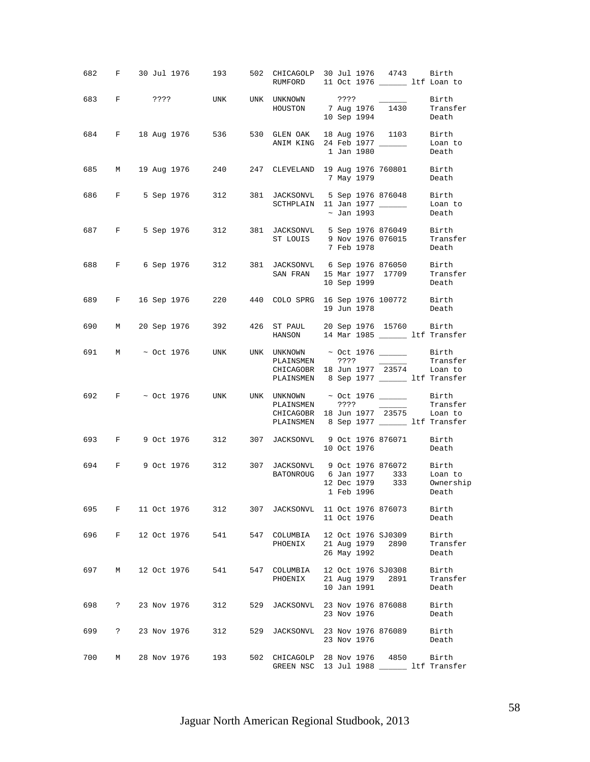| 682 |                      |                   |     |     |                         | F 30 Jul 1976 193 502 CHICAGOLP 30 Jul 1976 4743 Birth<br>RUMFORD 11 Oct 1976 ________ ltf Loan to                                                                                                                                                                                                                                                                                                                                                                                                                                                                         |
|-----|----------------------|-------------------|-----|-----|-------------------------|----------------------------------------------------------------------------------------------------------------------------------------------------------------------------------------------------------------------------------------------------------------------------------------------------------------------------------------------------------------------------------------------------------------------------------------------------------------------------------------------------------------------------------------------------------------------------|
|     |                      | 683 F ????        |     |     |                         | UNK UNK UNKNOWN ????<br>$\frac{1}{2} \left( \frac{1}{2} \right) \left( \frac{1}{2} \right) \left( \frac{1}{2} \right) \left( \frac{1}{2} \right) \left( \frac{1}{2} \right) \left( \frac{1}{2} \right) \left( \frac{1}{2} \right) \left( \frac{1}{2} \right) \left( \frac{1}{2} \right) \left( \frac{1}{2} \right) \left( \frac{1}{2} \right) \left( \frac{1}{2} \right) \left( \frac{1}{2} \right) \left( \frac{1}{2} \right) \left( \frac{1}{2} \right) \left( \frac{1}{2} \right) \left( \frac$<br>Birth<br>HOUSTON 7 Aug 1976 1430<br>Transfer<br>10 Sep 1994<br>Death |
|     |                      |                   |     |     |                         | 684 F 18 Aug 1976 536 530 GLEN OAK 18 Aug 1976 1103 Birth<br>ANIM KING 24 Feb 1977 _____<br>Loan to<br>1 Jan 1980<br>Death                                                                                                                                                                                                                                                                                                                                                                                                                                                 |
|     |                      |                   |     |     |                         | 685 M 19 Aug 1976 240 247 CLEVELAND 19 Aug 1976 760801 Birth<br>7 May 1979<br>Death                                                                                                                                                                                                                                                                                                                                                                                                                                                                                        |
| 686 |                      |                   |     |     |                         | F 5 Sep 1976 312 381 JACKSONVL 5 Sep 1976 876048 Birth<br>SCTHPLAIN 11 Jan 1977<br>Loan to<br>~ Jan 1993<br>Death                                                                                                                                                                                                                                                                                                                                                                                                                                                          |
|     | 687 F                |                   |     |     |                         | 5 Sep 1976 312 381 JACKSONVL 5 Sep 1976 876049 Birth<br>ST LOUIS 9 Nov 1976 076015 Transfer<br>7 Feb 1978<br>Death                                                                                                                                                                                                                                                                                                                                                                                                                                                         |
| 688 |                      |                   |     |     |                         | F 6 Sep 1976 312 381 JACKSONVL 6 Sep 1976 876050 Birth<br>SAN FRAN 15 Mar 1977 17709 Transfer<br>10 Sep 1999<br>Death                                                                                                                                                                                                                                                                                                                                                                                                                                                      |
| 689 |                      |                   |     |     |                         | F 16 Sep 1976 220 440 COLO SPRG 16 Sep 1976 100772 Birth<br>19 Jun 1978<br>Death                                                                                                                                                                                                                                                                                                                                                                                                                                                                                           |
| 690 | M                    |                   |     |     |                         | 20 Sep 1976 392 426 ST PAUL 20 Sep 1976 15760 Birth<br>HANSON 14 Mar 1985 _______ ltf Transfer                                                                                                                                                                                                                                                                                                                                                                                                                                                                             |
|     |                      |                   |     |     | PLAINSMEN ????          | 691 M ~ Oct 1976 UNK UNK UNKNOWN ~ Oct 1976 _______ Birth<br>Transfer<br><u> 1989 - Andrea State Barnett, ameri</u> kansk kon<br>CHICAGOBR 18 Jun 1977 23574 Loan to<br>PLAINSMEN 8 Sep 1977 _______ ltf Transfer                                                                                                                                                                                                                                                                                                                                                          |
| 692 |                      | $F \sim$ Oct 1976 |     |     |                         | UNK UNK UNKNOWN $\sim$ Oct 1976 $\_\_\_\_\_$ Birth<br>Transfer<br>PLAINSMEN ????<br>$\frac{1}{2}$<br>CHICAGOBR 18 Jun 1977 23575<br>Loan to<br>PLAINSMEN 8 Sep 1977 _______ ltf Transfer                                                                                                                                                                                                                                                                                                                                                                                   |
| 693 | $\mathbf{F}$         | 9 Oct 1976        | 312 |     |                         | 307 JACKSONVL 9 Oct 1976 876071<br>Birth<br>10 Oct 1976<br>Death                                                                                                                                                                                                                                                                                                                                                                                                                                                                                                           |
| 694 |                      |                   |     |     |                         | F 9 Oct 1976 312 307 JACKSONVL 9 Oct 1976 876072<br>Birth<br>BATONROUG 6 Jan 1977 333 Loan to<br>12 Dec 1979 333 Ownership<br>1 Feb 1996<br>Death                                                                                                                                                                                                                                                                                                                                                                                                                          |
| 695 | F                    | 11 Oct 1976       | 312 |     |                         | 307 JACKSONVL 11 Oct 1976 876073<br>Birth<br>11 Oct 1976<br>Death                                                                                                                                                                                                                                                                                                                                                                                                                                                                                                          |
| 696 | F                    | 12 Oct 1976       | 541 |     | 547 COLUMBIA<br>PHOENIX | 12 Oct 1976 SJ0309<br>Birth<br>21 Aug 1979<br>2890<br>Transfer<br>26 May 1992<br>Death                                                                                                                                                                                                                                                                                                                                                                                                                                                                                     |
| 697 | M                    | 12 Oct 1976       | 541 |     | 547 COLUMBIA<br>PHOENIX | 12 Oct 1976 SJ0308<br>Birth<br>21 Aug 1979<br>2891<br>Transfer<br>10 Jan 1991<br>Death                                                                                                                                                                                                                                                                                                                                                                                                                                                                                     |
| 698 | $\ddot{\phantom{0}}$ | 23 Nov 1976       | 312 |     |                         | 529 JACKSONVL 23 Nov 1976 876088<br>Birth<br>23 Nov 1976<br>Death                                                                                                                                                                                                                                                                                                                                                                                                                                                                                                          |
| 699 | $\mathbb{R}$         | 23 Nov 1976       | 312 | 529 |                         | JACKSONVL 23 Nov 1976 876089<br>Birth<br>23 Nov 1976<br>Death                                                                                                                                                                                                                                                                                                                                                                                                                                                                                                              |
| 700 | M                    | 28 Nov 1976       | 193 |     |                         | 502 CHICAGOLP 28 Nov 1976 4850<br>Birth<br>GREEN NSC 13 Jul 1988<br>ltf Transfer                                                                                                                                                                                                                                                                                                                                                                                                                                                                                           |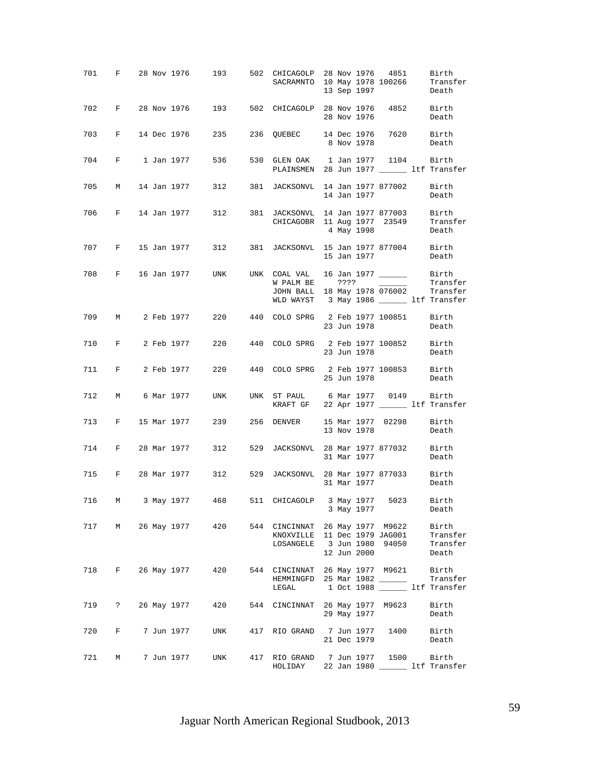|     |              |  |                  | 701 F 28 Nov 1976 193 502 CHICAGOLP 28 Nov 1976 4851 Birth                                           | SACRAMNTO 10 May 1978 100266 Transfer                                                                                                             |      | 13 Sep 1997 |                                                                                                | Death                                          |
|-----|--------------|--|------------------|------------------------------------------------------------------------------------------------------|---------------------------------------------------------------------------------------------------------------------------------------------------|------|-------------|------------------------------------------------------------------------------------------------|------------------------------------------------|
|     |              |  |                  | 702 F 28 Nov 1976 193 502 CHICAGOLP 28 Nov 1976 4852 Birth                                           |                                                                                                                                                   |      | 28 Nov 1976 |                                                                                                | Death                                          |
|     |              |  |                  | 703 F 14 Dec 1976 235 236 QUEBEC 14 Dec 1976 7620 Birth                                              |                                                                                                                                                   |      |             | 8 Nov 1978 Death                                                                               |                                                |
|     |              |  |                  | 704 F 1 Jan 1977 536                                                                                 | 530 GLEN OAK 1 Jan 1977 1104 Birth<br>PLAINSMEN 28 Jun 1977 ________ ltf Transfer                                                                 |      |             |                                                                                                |                                                |
|     |              |  |                  | 705 M 14 Jan 1977 312 381 JACKSONVL 14 Jan 1977 877002 Birth                                         |                                                                                                                                                   |      | 14 Jan 1977 |                                                                                                | Death                                          |
|     |              |  |                  | 706 F 14 Jan 1977 312 381 JACKSONVL 14 Jan 1977 877003 Birth<br>CHICAGOBR 11 Aug 1977 23549 Transfer |                                                                                                                                                   |      |             | 4 May 1998                                                                                     | Death                                          |
|     |              |  |                  | 707 F 15 Jan 1977 312 381 JACKSONVL 15 Jan 1977 877004 Birth                                         |                                                                                                                                                   |      |             | 15 Jan 1977                                                                                    | Death                                          |
|     |              |  |                  | 708 F 16 Jan 1977 UNK UNK COAL VAL 16 Jan 1977 _________ Birth                                       | W PALM BE<br>JOHN BALL 18 May 1978 076002 Transfer<br>WLD WAYST 3 May 1986 _______ ltf Transfer                                                   | ???? |             | $\frac{1}{\sqrt{1-\frac{1}{2}}\left(1-\frac{1}{2}\right)}\left(\frac{1}{2}-\frac{1}{2}\right)$ | Transfer                                       |
|     |              |  |                  | 709 M 2 Feb 1977 220 440 COLO SPRG 2 Feb 1977 100851 Birth                                           |                                                                                                                                                   |      | 23 Jun 1978 |                                                                                                | Death                                          |
|     |              |  |                  | 710 F 2 Feb 1977 220 440 COLO SPRG 2 Feb 1977 100852 Birth                                           |                                                                                                                                                   |      | 23 Jun 1978 |                                                                                                | Death                                          |
|     |              |  |                  | 711 F 2 Feb 1977 220 440 COLO SPRG 2 Feb 1977 100853 Birth                                           |                                                                                                                                                   |      | 25 Jun 1978 |                                                                                                | Death                                          |
|     |              |  |                  | 712 M 6 Mar 1977 UNK UNK ST PAUL 6 Mar 1977 0149 Birth                                               | KRAFT GF 22 Apr 1977 ________ ltf Transfer                                                                                                        |      |             |                                                                                                |                                                |
|     |              |  |                  | 713 F 15 Mar 1977 239 256 DENVER 15 Mar 1977 02298 Birth                                             |                                                                                                                                                   |      | 13 Nov 1978 |                                                                                                | Death                                          |
|     |              |  |                  | 714 F 28 Mar 1977 312 529 JACKSONVL 28 Mar 1977 877032 Birth                                         |                                                                                                                                                   |      | 31 Mar 1977 |                                                                                                | Death                                          |
|     |              |  |                  | 715 F 28 Mar 1977 312 529 JACKSONVL 28 Mar 1977 877033 Birth                                         |                                                                                                                                                   |      | 31 Mar 1977 |                                                                                                | Death                                          |
| 716 | M            |  |                  | 3 May 1977 468 511 CHICAGOLP 3 May 1977 5023 Birth                                                   |                                                                                                                                                   |      | 3 May 1977  |                                                                                                | Death                                          |
| 717 | M            |  |                  | 26 May 1977 420                                                                                      | 544 CINCINNAT 26 May 1977 M9622 Birth<br>KNOXVILLE 11 Dec 1979 JAG001 Transfer<br>LOSANGELE 3 Jun 1980 94050 Transfer                             |      | 12 Jun 2000 |                                                                                                | Death                                          |
| 718 |              |  |                  | F 26 May 1977 420                                                                                    | 544 CINCINNAT 26 May 1977 M9621 Birth<br>HEMMINGFD 25 Mar 1982 ________ Transfer<br>HEMMINGFD 25 Mar 1982 ______<br>LEGAL 1 Oct 1988 1tf Transfer |      |             |                                                                                                |                                                |
|     |              |  |                  | 719 ? 26 May 1977 420                                                                                | 544 CINCINNAT 26 May 1977 M9623                                                                                                                   |      | 29 May 1977 |                                                                                                | Birth<br>Death                                 |
| 720 | $\mathbf{F}$ |  |                  | 7 Jun 1977 - UNK                                                                                     | 417 RIO GRAND 7 Jun 1977 1400 Birth                                                                                                               |      | 21 Dec 1979 |                                                                                                | Death                                          |
|     |              |  | 721 M 7 Jun 1977 | UNK                                                                                                  | 417 RIO GRAND 7 Jun 1977<br>HOLIDAY                                                                                                               |      |             |                                                                                                | 1500 Birth<br>22 Jan 1980 _______ ltf Transfer |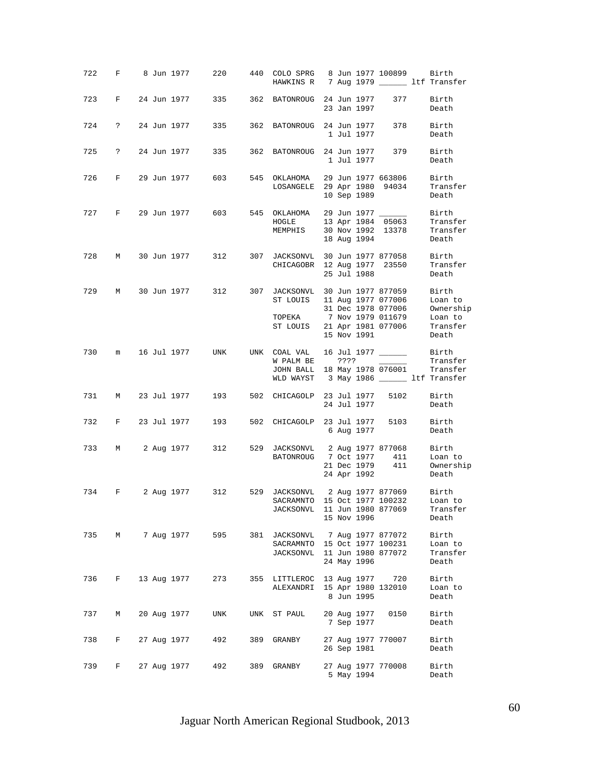|     |            |  | 722 F 8 Jun 1977 | 220                                                        |     | 440 COLO SPRG 8 Jun 1977 100899 Birth<br>HAWKINS R 7 Aug 1979 ________ ltf Transfer            |      |                            |                                                                |                                                                |
|-----|------------|--|------------------|------------------------------------------------------------|-----|------------------------------------------------------------------------------------------------|------|----------------------------|----------------------------------------------------------------|----------------------------------------------------------------|
| 723 |            |  |                  | F 24 Jun 1977 335 362 BATONROUG 24 Jun 1977                |     |                                                                                                |      | 23 Jan 1997                | 377                                                            | Birth<br>Death                                                 |
| 724 | $\ddot{?}$ |  | 24 Jun 1977      | 335                                                        |     | 362 BATONROUG 24 Jun 1977                                                                      |      | 1 Jul 1977                 | 378                                                            | Birth<br>Death                                                 |
| 725 |            |  | ? 24 Jun 1977    | 335                                                        |     | 362 BATONROUG 24 Jun 1977                                                                      |      | 1 Jul 1977                 | 379                                                            | Birth<br>Death                                                 |
|     |            |  |                  | 726 F 29 Jun 1977 603 545 OKLAHOMA 29 Jun 1977 663806      |     | LOSANGELE 29 Apr 1980 94034                                                                    |      | 10 Sep 1989                |                                                                | Birth<br>Transfer<br>Death                                     |
|     |            |  |                  | 727 F 29 Jun 1977 603 545 OKLAHOMA                         |     | HOGLE<br>MEMPHIS 30 Nov 1992 13378 Transfer                                                    |      | 18 Aug 1994                |                                                                | 29 Jun 1977 $\frac{197}{\sqrt{15063}}$ Birth Transfer<br>Death |
| 728 |            |  | M 30 Jun 1977    |                                                            |     | 312 307 JACKSONVL 30 Jun 1977 877058<br>CHICAGOBR 12 Aug 1977 23550                            |      | 25 Jul 1988                |                                                                | Birth<br>Transfer<br>Death                                     |
| 729 |            |  | M 30 Jun 1977    |                                                            |     | 312 307 JACKSONVL 30 Jun 1977 877059<br>ST LOUIS<br>TOPEKA 7 Nov 1979 011679<br>ST LOUIS       |      | 15 Nov 1991                | 11 Aug 1977 077006<br>31 Dec 1978 077006<br>21 Apr 1981 077006 | Birth<br>Loan to<br>Ownership<br>Loan to<br>Transfer<br>Death  |
|     |            |  |                  | 730 m 16 Jul 1977 UNK UNK COAL-VAL                         |     | W PALM BE<br>JOHN BALL 18 May 1978 076001 Transfer<br>WLD WAYST 3 May 1986 ______ ltf Transfer | ???? |                            |                                                                | Transfer                                                       |
| 731 |            |  |                  | M 23 Jul 1977 193 502 CHICAGOLP 23 Jul 1977 5102           |     |                                                                                                |      | 24 Jul 1977                |                                                                | Birth<br>Death                                                 |
| 732 |            |  |                  | F 23 Jul 1977 193 502 CHICAGOLP 23 Jul 1977                |     |                                                                                                |      | 6 Aug 1977                 | 5103                                                           | Birth<br>Death                                                 |
| 733 |            |  |                  | M 2 Aug 1977 312                                           |     | 529 JACKSONVL 2 Aug 1977 877068<br>BATONROUG 7 Oct 1977 411                                    |      | 21 Dec 1979<br>24 Apr 1992 | 411                                                            | Birth<br>Loan to<br>Ownership<br>Death                         |
|     |            |  |                  | 734 F 2 Aug 1977 312 529 JACKSONVL 2 Aug 1977 877069 Birth |     | SACRAMNTO 15 Oct 1977 100232<br>JACKSONVL 11 Jun 1980 877069                                   |      | 15 Nov 1996                |                                                                | Loan to<br>Transfer<br>Death                                   |
| 735 | М          |  | 7 Aug 1977       | 595                                                        |     | 381 JACKSONVL 7 Aug 1977 877072<br>SACRAMNTO<br>JACKSONVL 11 Jun 1980 877072                   |      | 24 May 1996                | 15 Oct 1977 100231                                             | Birth<br>Loan to<br>Transfer<br>Death                          |
| 736 | F          |  | 13 Aug 1977      | 273                                                        |     | 355 LITTLEROC<br>ALEXANDRI                                                                     |      | 13 Aug 1977<br>8 Jun 1995  | 720<br>15 Apr 1980 132010                                      | Birth<br>Loan to<br>Death                                      |
| 737 | М          |  | 20 Aug 1977      | UNK                                                        | UNK | ST PAUL                                                                                        |      | 20 Aug 1977<br>7 Sep 1977  | 0150                                                           | Birth<br>Death                                                 |
| 738 | F          |  | 27 Aug 1977      | 492                                                        | 389 | GRANBY                                                                                         |      | 26 Sep 1981                | 27 Aug 1977 770007                                             | Birth<br>Death                                                 |
| 739 | F          |  | 27 Aug 1977      | 492                                                        | 389 | GRANBY                                                                                         |      | 5 May 1994                 | 27 Aug 1977 770008                                             | Birth<br>Death                                                 |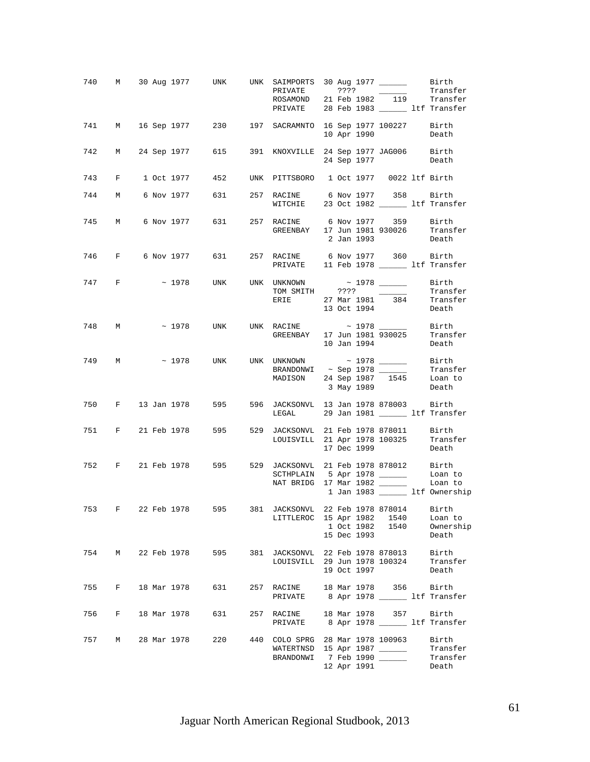|     |       |             |               |     | 740 M 30 Aug 1977 UNK UNK SAIMPORTS 30 Aug 1977 ________ Birth<br>ROSAMOND 21 Feb 1982 119 Transfer<br>PRIVATE 28 Feb 1983 _______ ltf Transfer |  |             |                       | Transfer                                                  |
|-----|-------|-------------|---------------|-----|-------------------------------------------------------------------------------------------------------------------------------------------------|--|-------------|-----------------------|-----------------------------------------------------------|
|     |       |             |               |     | 741 M 16 Sep 1977 230 197 SACRAMNTO 16 Sep 1977 100227 Birth                                                                                    |  | 10 Apr 1990 |                       | Death                                                     |
|     |       |             |               |     | 742 M 24 Sep 1977 615 391 KNOXVILLE 24 Sep 1977 JAG006 Birth                                                                                    |  |             | 24 Sep 1977           | Death                                                     |
|     |       |             |               |     | 743 F 1 Oct 1977 452 UNK PITTSBORO 1 Oct 1977 0022 ltf Birth                                                                                    |  |             |                       |                                                           |
|     |       |             |               |     | 744 M 6 Nov 1977 631 257 RACINE 6 Nov 1977 358 Birth<br>WITCHIE 23 Oct 1982 _______ ltf Transfer                                                |  |             |                       |                                                           |
|     |       |             |               |     | 745 M 6 Nov 1977 631 257 RACINE 6 Nov 1977 359 Birth<br>GREENBAY 17 Jun 1981 930026 Transfer                                                    |  |             | 2 Jan 1993            | Death                                                     |
|     |       |             |               |     |                                                                                                                                                 |  |             |                       |                                                           |
|     | 747 F |             |               |     | $\sim$ 1978 UNK UNK UNKNOWN<br>TOM SMITH ???? ______<br>ERIE 27 Mar 1981 384                                                                    |  |             | 13 Oct 1994           | Birth<br>Transfer<br>Transfer<br>Death                    |
|     |       |             |               |     | 748 M $\sim$ 1978 UNK UNK RACINE $\sim$ 1978 $\frac{1978}{930025}$                                                                              |  |             | 10 Jan 1994           | Birth<br>Transfer<br>Death                                |
|     |       |             |               |     | 749 m ~ 1978 unk unk unknown ~ 1978 _____<br>BRANDONWI ~ Sep 1978 ______<br>MADISON 24 Sep 1987 1545                                            |  | 3 May 1989  |                       | Birth<br>Transfer<br>Loan to<br>Death                     |
|     |       |             |               |     | 750 F 13 Jan 1978 595 596 JACKSONVL 13 Jan 1978 878003 Birth<br>LEGAL 29 Jan 1981 _______ ltf Transfer                                          |  |             |                       |                                                           |
|     |       |             |               |     | 751 F 21 Feb 1978 595 529 JACKSONVL 21 Feb 1978 878011 Birth<br>LOUISVILL 21 Apr 1978 100325                                                    |  | 17 Dec 1999 |                       | Transfer<br>Death                                         |
|     |       |             |               |     | 752 F 21 Feb 1978 595 529 JACKSONVL 21 Feb 1978 878012 Birth                                                                                    |  |             |                       | 1 Jan 1983 _______ ltf Ownership                          |
| 753 | F     |             |               |     | 22 Feb 1978 595 381 JACKSONVL 22 Feb 1978 878014 Birth<br>LITTLEROC 15 Apr 1982 1540                                                            |  | 15 Dec 1993 | 1 Oct 1982 1540       | Loan to<br>Ownership<br>Death                             |
| 754 |       |             | M 22 Feb 1978 | 595 | 381 JACKSONVL 22 Feb 1978 878013<br>LOUISVILL 29 Jun 1978 100324                                                                                |  | 19 Oct 1997 |                       | Birth<br>Transfer<br>Death                                |
| 755 | F     | 18 Mar 1978 |               | 631 | 257 RACINE<br>PRIVATE 8 Apr 1978 ________ ltf Transfer                                                                                          |  |             | 18 Mar 1978 356 Birth |                                                           |
| 756 | F     | 18 Mar 1978 |               | 631 | 257 RACINE<br>PRIVATE                                                                                                                           |  |             |                       | 18 Mar 1978 357 Birth<br>8 Apr 1978 ________ ltf Transfer |
| 757 | М     | 28 Mar 1978 |               | 220 | 440 COLO SPRG 28 Mar 1978 100963<br>WATERTNSD 15 Apr 1987<br>BRANDONWI                                                                          |  | 12 Apr 1991 | 7 Feb 1990 ______     | Birth<br>Transfer<br>Transfer<br>Death                    |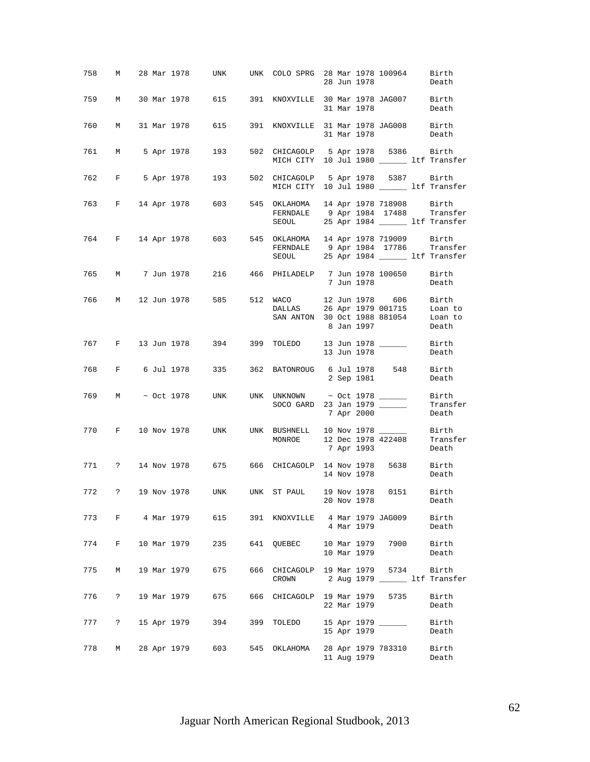| 758 |             |  |             | M 28 Mar 1978     UNK     UNK   COLO SPRG  28 Mar 1978 100964 |                                                                                    |  | 28 Jun 1978 |                    | Birth<br>Death                          |
|-----|-------------|--|-------------|---------------------------------------------------------------|------------------------------------------------------------------------------------|--|-------------|--------------------|-----------------------------------------|
| 759 | M           |  |             | 30 Mar 1978 615 391 KNOXVILLE 30 Mar 1978 JAG007 Birth        |                                                                                    |  | 31 Mar 1978 |                    | Death                                   |
| 760 | M           |  |             | 31 Mar 1978 615                                               | 391 KNOXVILLE 31 Mar 1978 JAG008 Birth                                             |  | 31 Mar 1978 |                    | Death                                   |
| 761 |             |  |             | M 5 Apr 1978 193                                              | 502 CHICAGOLP 5 Apr 1978 5386 Birth<br>MICH CITY 10 Jul 1980 ________ ltf Transfer |  |             |                    |                                         |
|     |             |  |             | 762 F 5 Apr 1978 193 502 CHICAGOLP 5 Apr 1978 5387 Birth      | MICH CITY 10 Jul 1980 _______ ltf Transfer                                         |  |             |                    |                                         |
|     |             |  |             | 763 F 14 Apr 1978 603 545 OKLAHOMA 14 Apr 1978 718908 Birth   | FERNDALE 9 Apr 1984 17488 Transfer<br>SEOUL 25 Apr 1984 _______ ltf Transfer       |  |             |                    |                                         |
|     |             |  |             | 764 F 14 Apr 1978 603 545 OKLAHOMA 14 Apr 1978 719009 Birth   | FERNDALE 9 Apr 1984 17786 Transfer<br>SEOUL 25 Apr 1984 _______ ltf Transfer       |  |             |                    |                                         |
|     |             |  |             | 765 M 7 Jun 1978 216 466 PHILADELP 7 Jun 1978 100650 Birth    |                                                                                    |  | 7 Jun 1978  |                    | Death                                   |
|     |             |  |             | 766 M 12 Jun 1978 585 512 WACO 12 Jun 1978 606 Birth          | DALLAS<br>SAN ANTON 30 Oct 1988 881054 Loan to                                     |  | 8 Jan 1997  | 26 Apr 1979 001715 | Loan to<br>Death                        |
|     |             |  |             | 767 F 13 Jun 1978 394 399 TOLEDO 13 Jun 1978 _______ Birth    |                                                                                    |  | 13 Jun 1978 |                    | Death                                   |
|     |             |  |             | 768 F 6 Jul 1978 335 362 BATONROUG 6 Jul 1978 548 Birth       |                                                                                    |  | 2 Sep 1981  |                    | Death                                   |
| 769 |             |  |             | M ~ Oct 1978 UNK UNK UNKNOWN ~ Oct 1978 _______ Birth         | SOCO GARD 23 Jan 1979 ______                                                       |  | 7 Apr 2000  |                    | Transfer<br>Death                       |
| 770 |             |  |             | F 10 Nov 1978 UNK UNK BUSHNELL 10 Nov 1978 _______ Birth      | MONROE 12 Dec 1978 422408 Transfer                                                 |  | 7 Apr 1993  |                    | Death                                   |
|     |             |  |             | 771 ? 14 Nov 1978 675 666 CHICAGOLP 14 Nov 1978 5638 Birth    |                                                                                    |  | 14 Nov 1978 |                    | Death                                   |
|     |             |  |             | 772 ? 19 Nov 1978 UNK UNK ST PAUL 19 Nov 1978 0151 Birth      |                                                                                    |  | 20 Nov 1978 |                    | Death                                   |
|     |             |  |             | 773 F 4 Mar 1979 615 391 KNOXVILLE 4 Mar 1979 JAG009          |                                                                                    |  | 4 Mar 1979  |                    | Birth<br>Death                          |
| 774 | $F$ and $F$ |  |             | 10 Mar 1979 235                                               | 641 QUEBEC 10 Mar 1979 7900                                                        |  | 10 Mar 1979 |                    | Birth<br>Death                          |
| 775 | M           |  | 19 Mar 1979 | 675                                                           | 666 CHICAGOLP 19 Mar 1979 5734<br>CROWN                                            |  |             |                    | Birth<br>2 Aug 1979 ______ ltf Transfer |
| 776 | $\ddot{?}$  |  | 19 Mar 1979 | 675                                                           | 666 CHICAGOLP 19 Mar 1979                                                          |  | 22 Mar 1979 | 5735               | Birth<br>Death                          |
| 777 | $\ddot{?}$  |  |             | 15 Apr 1979 394                                               | 399 TOLEDO                                                                         |  | 15 Apr 1979 | 15 Apr 1979 _____  | Birth<br>Death                          |
| 778 | M           |  |             | 28 Apr 1979 603                                               | 545 OKLAHOMA                                                                       |  | 11 Aug 1979 | 28 Apr 1979 783310 | Birth<br>Death                          |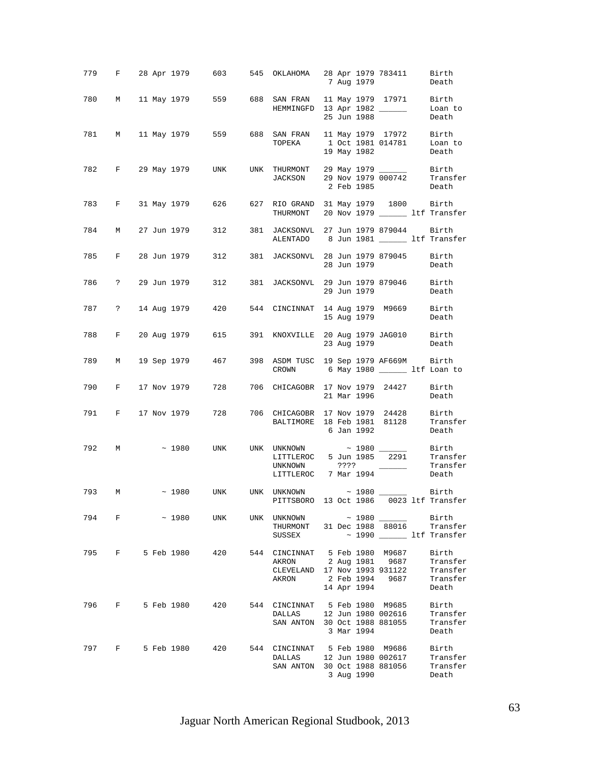|       |  |                       | 779 F 28 Apr 1979 603 545 OKLAHOMA 28 Apr 1979 783411 Birth 7 Aug 1979                                                                                                                                                                                            |  |             |             |                                        |
|-------|--|-----------------------|-------------------------------------------------------------------------------------------------------------------------------------------------------------------------------------------------------------------------------------------------------------------|--|-------------|-------------|----------------------------------------|
|       |  |                       | 780 M 11 May 1979 559 688 SAN FRAN 11 May 1979 17971 Birth<br>HEMMINGFD 13 Apr 1982 ______                                                                                                                                                                        |  | 25 Jun 1988 |             | Loan to<br>Death                       |
|       |  |                       | 781 M 11 May 1979 559 688 SAN FRAN 11 May 1979 17972 Birth<br>TOPEKA 1 Oct 1981 014781 Loan to                                                                                                                                                                    |  | 19 May 1982 |             | Death                                  |
|       |  |                       | 782 F 29 May 1979 UNK UNK THURMONT 29 May 1979 ________ Birth<br>JACKSON 29 Nov 1979 000742 Transfer                                                                                                                                                              |  | 2 Feb 1985  |             | Death                                  |
|       |  |                       | 783 F 31 May 1979 626 627 RIO GRAND 31 May 1979 1800 Birth<br>THURMONT 20 Nov 1979 _________ ltf Transfer                                                                                                                                                         |  |             |             |                                        |
| 784 M |  | 27 Jun 1979 312       | 381 JACKSONVL 27 Jun 1979 879044 Birth<br>ALENTADO 8 Jun 1981 ________ ltf Transfer                                                                                                                                                                               |  |             |             |                                        |
|       |  |                       | 785 F 28 Jun 1979 312 381 JACKSONVL 28 Jun 1979 879045 Birth                                                                                                                                                                                                      |  | 28 Jun 1979 |             | <b>Death</b>                           |
|       |  |                       | 786 ? 29 Jun 1979 312 381 JACKSONVL 29 Jun 1979 879046 Birth                                                                                                                                                                                                      |  | 29 Jun 1979 |             | Death                                  |
|       |  |                       | 787 ? 14 Aug 1979 420 544 CINCINNAT 14 Aug 1979 M9669 Birth                                                                                                                                                                                                       |  |             | 15 Aug 1979 | Death                                  |
|       |  | 788 F 20 Aug 1979 615 | 391 KNOXVILLE 20 Aug 1979 JAG010 Birth                                                                                                                                                                                                                            |  |             | 23 Aug 1979 | Death                                  |
|       |  |                       | 789 M 19 Sep 1979 467 398 ASDM TUSC 19 Sep 1979 AF669M Birth<br>CROWN 6 May 1980 ________ ltf Loan to                                                                                                                                                             |  |             |             |                                        |
|       |  |                       | 790 F 17 Nov 1979 728 706 CHICAGOBR 17 Nov 1979 24427                                                                                                                                                                                                             |  | 21 Mar 1996 |             | Birth<br>Death                         |
|       |  | 791 F 17 Nov 1979 728 | 706 CHICAGOBR 17 Nov 1979 24428 Birth<br>BALTIMORE 18 Feb 1981 81128 Transfer                                                                                                                                                                                     |  | 6 Jan 1992  |             | Death                                  |
| 792 M |  |                       | $\sim$ 1980 UNK UNK UNKNOWN $\sim$ 1980<br>$\begin{tabular}{lllllll} \hline \texttt{UNKNOWLEDM} & $\simeq$ & 1980 & $\text{---}$ & \texttt{Birth} \\ \texttt{LITTLEROC} & 5 Jun 1985 & 2291 & \texttt{Transfer} \end{tabular}$<br>UNKNOWN<br>LITTLEROC 7 Mar 1994 |  | ????        |             | Transfer<br>Death<br>Death             |
|       |  |                       | 793 M $\sim$ 1980 UNK UNK UNKNOWN $\sim$ 1980 Birth BITTSBORO 13 Oct 1986 0023 ltf Transfer                                                                                                                                                                       |  |             |             |                                        |
|       |  | 794 F ~ 1980 UNK      | UNK UNKNOWN $\sim$ 1980 $\sim$ Birth<br>THURMONT 31 Dec 1988 88016 Transfer<br>SUSSEX                                                                                                                                                                             |  |             |             | ~ 1990 ______ ltf Transfer             |
|       |  | 795 F 5 Feb 1980 420  | 544 CINCINNAT 5 Feb 1980 M9687<br>AKRON 2 Aug 1981 9687<br>CLEVELAND 17 Nov 1993 931122 Transfer<br>AKRON 2 Feb 1994 9687 Transfer                                                                                                                                |  | 14 Apr 1994 |             | Birth<br>Transfer<br>Death             |
|       |  | 796 F 5 Feb 1980 420  | 544 CINCINNAT 5 Feb 1980 M9685<br>DALLAS 12 Jun 1980 002616<br>SAN ANTON 30 Oct 1988 881055                                                                                                                                                                       |  | 3 Mar 1994  |             | Birth<br>Transfer<br>Transfer<br>Death |
|       |  |                       | 797 F 5 Feb 1980 420 544 CINCINNAT 5 Feb 1980 M9686<br>DALLAS 12 Jun 1980 002617<br>SAN ANTON 30 Oct 1988 881056                                                                                                                                                  |  | 3 Aug 1990  |             | Birth<br>Transfer<br>Transfer<br>Death |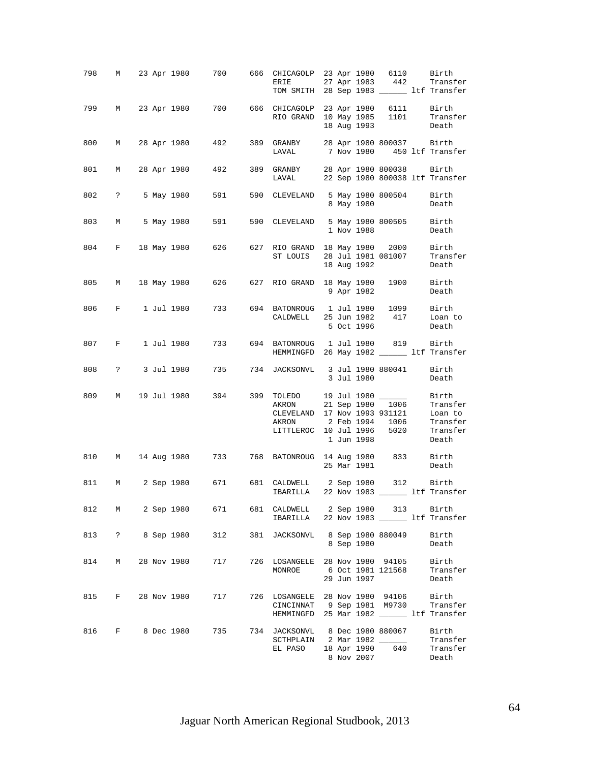|     |          |  |              | 798 M 23 Apr 1980 700 666 CHICAGOLP 23 Apr 1980 6110 Birth                                         |     | ERIE 27 Apr 1983 442 Transfer<br>TOM SMITH 28 Sep 1983 _______ ltf Transfer                                         |  |             |                               |                                                        |
|-----|----------|--|--------------|----------------------------------------------------------------------------------------------------|-----|---------------------------------------------------------------------------------------------------------------------|--|-------------|-------------------------------|--------------------------------------------------------|
|     |          |  |              | 799 M 23 Apr 1980 700 666 CHICAGOLP 23 Apr 1980 6111 Birth<br>RIO GRAND 10 May 1985 1101 Transfer  |     |                                                                                                                     |  | 18 Aug 1993 |                               | Death                                                  |
|     |          |  |              | 800 M 28 Apr 1980 492 389 GRANBY 28 Apr 1980 800037 Birth<br>LAVAL 7 Nov 1980 450 ltf Transf       |     |                                                                                                                     |  |             |                               | 7 Nov 1980 450 ltf Transfer                            |
| 801 |          |  |              | M 28 Apr 1980 492 389 GRANBY 28 Apr 1980 800038 Birth                                              |     | LAVAL 22 Sep 1980 800038 ltf Transfer                                                                               |  |             |                               |                                                        |
|     |          |  |              | 802 ? 5 May 1980 591                                                                               |     | 590 CLEVELAND 5 May 1980 800504 Birth                                                                               |  | 8 May 1980  |                               | Death                                                  |
|     |          |  |              | 803 M 5 May 1980 591 590 CLEVELAND 5 May 1980 800505 Birth                                         |     |                                                                                                                     |  | 1 Nov 1988  |                               | Death                                                  |
|     |          |  |              | 804 F 18 May 1980 626 627 RIO GRAND 18 May 1980 2000 Birth<br>ST LOUIS 28 Jul 1981 081007 Transfer |     |                                                                                                                     |  | 18 Aug 1992 |                               | Death                                                  |
|     |          |  |              | 805 M 18 May 1980 626 627 RIO GRAND 18 May 1980 1900 Birth                                         |     |                                                                                                                     |  | 9 Apr 1982  |                               | Death                                                  |
|     |          |  |              | 806 F 1 Jul 1980 733 694 BATONROUG 1 Jul 1980 1099 Birth                                           |     | CALDWELL 25 Jun 1982 417 Loan to                                                                                    |  | 5 Oct 1996  |                               | Death                                                  |
|     |          |  |              | 807 F 1 Jul 1980 733 694 BATONROUG 1 Jul 1980 819 Birth                                            |     | HEMMINGFD 26 May 1982 ______ ltf Transfer                                                                           |  |             |                               |                                                        |
|     |          |  |              | 808 ? 3 Jul 1980 735 734 JACKSONVL 3 Jul 1980 880041 Birth                                         |     |                                                                                                                     |  |             | 3 Jul 1980 Death              |                                                        |
| 809 |          |  |              | M 19 Jul 1980 394 399 TOLEDO 19 Jul 1980 _______ Birth                                             |     | AKRON 21 Sep 1980 1006 Transfer<br>CLEVELAND 17 Nov 1993 931121 Loan to<br>AKRON<br>LITTLEROC 10 Jul 1996 5020      |  | 1 Jun 1998  |                               | 2 Feb 1994 1006 Transfer<br>Transfer<br>Death<br>Death |
|     |          |  |              | 810 M 14 Aug 1980 733 768 BATONROUG 14 Aug 1980 833 Birth                                          |     |                                                                                                                     |  | 25 Mar 1981 |                               | Death                                                  |
|     |          |  |              | 811 M 2 Sep 1980 671 681 CALDWELL 2 Sep 1980 312 Birth                                             |     | $IBARILLA$ 22 Nov 1983 ______ ltf Transfer                                                                          |  |             |                               |                                                        |
| 812 | M        |  | 2 Sep 1980   | 671 7                                                                                              |     | 681 CALDWELL 2 Sep 1980 313<br>IBARILLA 22 Nov 1983 _______ ltf Transfer                                            |  |             |                               | Birth                                                  |
| 813 |          |  | ? 8 Sep 1980 | 312                                                                                                |     | 381 JACKSONVL 8 Sep 1980 880049                                                                                     |  | 8 Sep 1980  |                               | Birth<br>Death                                         |
| 814 | M        |  | 28 Nov 1980  | 717                                                                                                | 726 | LOSANGELE 28 Nov 1980 94105<br>MONROE                                                                               |  | 29 Jun 1997 |                               | Birth<br>6 Oct 1981 121568 Transfer<br>Death           |
| 815 | $F \sim$ |  | 28 Nov 1980  | 717                                                                                                |     | 726 LOSANGELE 28 Nov 1980 94106<br>CINCINNAT 9 Sep 1981 M9730 Transfer<br>HEMMINGFD 25 Mar 1982 ______ ltf Transfer |  |             |                               | Birth                                                  |
| 816 |          |  | F 8 Dec 1980 | 735                                                                                                |     | 734 JACKSONVL 8 Dec 1980 880067<br>SCTHPLAIN 2 Mar 1982 ______<br>EL PASO                                           |  |             | 18 Apr 1990 640<br>8 Nov 2007 | Birth<br>Transfer<br>Transfer<br>Death                 |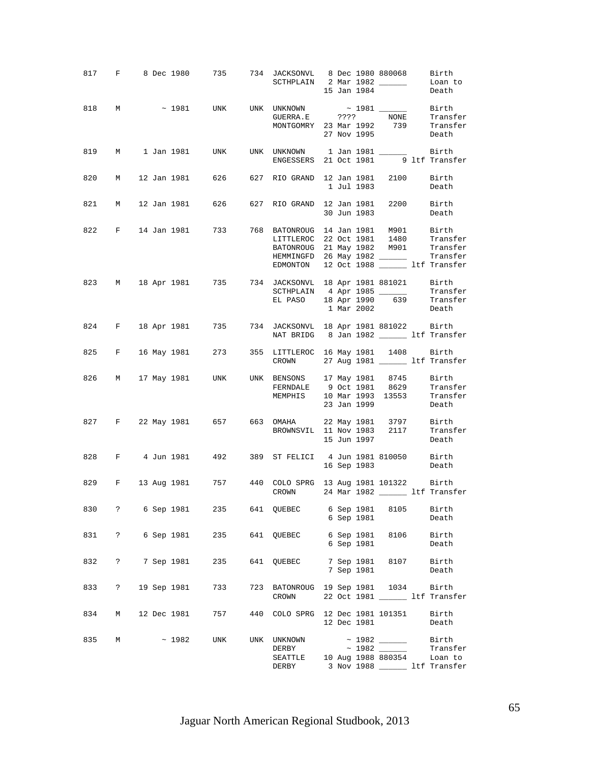|     |              |  |             | 817 F 8 Dec 1980 735 734 JACKSONVL 8 Dec 1980 880068 Birth                                            |     | SCTHPLAIN 2 Mar 1982 $\frac{1}{\sqrt{2}}$ Loan to                                                                           |  | 15 Jan 1984              |                                          | Death                                                             |
|-----|--------------|--|-------------|-------------------------------------------------------------------------------------------------------|-----|-----------------------------------------------------------------------------------------------------------------------------|--|--------------------------|------------------------------------------|-------------------------------------------------------------------|
|     |              |  |             | 818 M $\sim$ 1981 UNK UNK UNKNOWN $\sim$ 1981 $\frac{}{\sim}$ Birth Birth GUERRA.E ???? NONE Transfer |     | MONTGOMRY 23 Mar 1992 739 Transfer<br>27 Nov 1995 Death                                                                     |  |                          |                                          |                                                                   |
|     |              |  |             | 819 M 1 Jan 1981 UNK UNK UNKNOWN 1 Jan 1981 181 Birth BNGESSERS 21 Oct 1981 9 1tf Transfer            |     |                                                                                                                             |  |                          |                                          |                                                                   |
|     |              |  |             | 820 M 12 Jan 1981 626 627 RIO GRAND 12 Jan 1981 2100 Birth                                            |     |                                                                                                                             |  |                          | 1 Jul 1983                               | Death                                                             |
|     |              |  |             | 821 M 12 Jan 1981 626 627 RIO GRAND 12 Jan 1981 2200 Birth                                            |     |                                                                                                                             |  |                          |                                          | 30 Jun 1983 Death                                                 |
|     |              |  |             | 822 F 14 Jan 1981 733 768 BATONROUG 14 Jan 1981 M901 Birth<br>LITTLEROC 22 Oct 1981 1480 Transfer     |     | BATONROUG 21 May 1982 M901 Transfer<br>HEMMINGFD 26 May 1982 _________ Transfer<br>EDMONTON 12 Oct 1988 ______ ltf Transfer |  |                          |                                          |                                                                   |
|     |              |  |             | 823 M 18 Apr 1981 735 734 JACKSONVL 18 Apr 1981 881021 Birth                                          |     | SCTHPLAIN 4 Apr 1985<br>EL PASO 18 Apr 1990 639 Transfer                                                                    |  | 1 Mar 2002               |                                          | Transfer<br>Death                                                 |
|     |              |  |             | 824 F 18 Apr 1981 735 734 JACKSONVL 18 Apr 1981 881022 Birth                                          |     | NAT BRIDG 8 Jan 1982 _________ ltf Transfer                                                                                 |  |                          |                                          |                                                                   |
|     |              |  |             | 825 F 16 May 1981 273 355 LITTLEROC 16 May 1981 1408 Birth                                            |     | CROWN 27 Aug 1981 _________ ltf Transfer                                                                                    |  |                          |                                          |                                                                   |
|     |              |  |             | 826 M 17 May 1981 UNK UNK BENSONS 17 May 1981 8745 Birth                                              |     | FERNDALE 9 Oct 1981 8629 Transfer<br>MEMPHIS 10 Mar 1993 13553 Transfer<br>23 Jan 1999 Death                                |  | 23 Jan 1999              |                                          | Death                                                             |
|     |              |  |             | 827 F 22 May 1981 657 663 OMAHA 22 May 1981 3797 Birth                                                |     | BROWNSVIL 11 Nov 1983 2117 Transfer<br>15 Jun 1997 Death                                                                    |  | 15 Jun 1997              |                                          |                                                                   |
|     |              |  |             | 828 F 4 Jun 1981 492 389 ST FELICI 4 Jun 1981 810050 Birth                                            |     |                                                                                                                             |  |                          | 16 Sep 1983 Death                        |                                                                   |
|     |              |  |             | 829 F 13 Aug 1981 757 440 COLO SPRG 13 Aug 1981 101322 Birth                                          |     | CROWN 24 Mar 1982 ________ ltf Transfer                                                                                     |  |                          |                                          |                                                                   |
| 830 | $\ddot{?}$   |  |             | 6 Sep 1981 235                                                                                        |     | 641 QUEBEC                                                                                                                  |  | 6 Sep 1981<br>6 Sep 1981 | 8105                                     | Birth<br>Death                                                    |
| 831 | $\mathbb{R}$ |  | 6 Sep 1981  | 235                                                                                                   |     | 641 QUEBEC                                                                                                                  |  | 6 Sep 1981               | 6 Sep 1981 8106                          | Birth<br>Death                                                    |
| 832 | $\ddot{ }$   |  | 7 Sep 1981  | 235                                                                                                   |     | 641 OUEBEC                                                                                                                  |  | 7 Sep 1981               | 7 Sep 1981 8107                          | Birth<br>Death                                                    |
| 833 | $\ddot{?}$   |  | 19 Sep 1981 | 733                                                                                                   | 723 | BATONROUG 19 Sep 1981 1034<br>CROWN                                                                                         |  |                          |                                          | Birth<br>22 Oct 1981 ________ ltf Transfer                        |
| 834 | M            |  | 12 Dec 1981 | 757                                                                                                   |     | 440 COLO SPRG 12 Dec 1981 101351                                                                                            |  | 12 Dec 1981              |                                          | Birth<br>Death                                                    |
| 835 | М            |  | ~1982       | UNK                                                                                                   | UNK | UNKNOWN<br>DERBY<br>SEATTLE<br>DERBY                                                                                        |  |                          | $\sim$ 1982 ______<br>10 Aug 1988 880354 | Birth<br>Transfer<br>Loan to<br>3 Nov 1988 _________ ltf Transfer |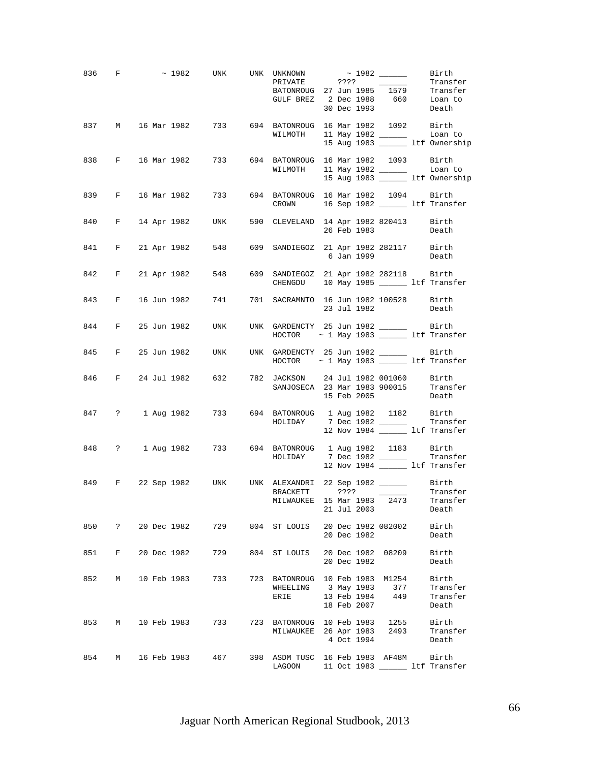|     |            |             |             |                   | 836 F $\sim$ 1982 UNK UNK UNKNOWN $\sim$ 1982 Birth<br>PRIVATE<br>PRIVATE<br>PRIVATE<br>PATONROUG 27 Jun 1985 1579 Transfer<br>GULF BREZ 2 Dec 1988 660 Loan to |  | 30 Dec 1993 |                 | Death                                       |
|-----|------------|-------------|-------------|-------------------|-----------------------------------------------------------------------------------------------------------------------------------------------------------------|--|-------------|-----------------|---------------------------------------------|
|     |            |             |             |                   | 837 M 16 Mar 1982 733 694 BATONROUG 16 Mar 1982 1092 Birth                                                                                                      |  |             |                 | Loan to<br>15 Aug 1983 ______ ltf Ownership |
|     |            |             |             |                   | 838 F 16 Mar 1982 733 694 BATONROUG 16 Mar 1982 1093 Birth<br>WILMOTH 11 May 1982 ________ Loan to<br>15 Aug 1983 _______ ltf Ownership                         |  |             |                 |                                             |
|     |            |             |             |                   | 839 F 16 Mar 1982 733 694 BATONROUG 16 Mar 1982 1094 Birth<br>CROWN 16 Sep 1982 _______ ltf Transfer                                                            |  |             |                 |                                             |
|     |            |             |             |                   | 840 F 14 Apr 1982 UNK 590 CLEVELAND 14 Apr 1982 820413 Birth                                                                                                    |  | 26 Feb 1983 |                 | Death                                       |
|     |            |             |             |                   | 841 F 21 Apr 1982 548 609 SANDIEGOZ 21 Apr 1982 282117 Birth 6 Jan 1999 Death                                                                                   |  |             |                 |                                             |
|     |            |             |             |                   | 842 F 21 Apr 1982 548 609 SANDIEGOZ 21 Apr 1982 282118 Birth<br>CHENGDU 10 May 1985 ______ ltf Transfer                                                         |  |             |                 |                                             |
|     |            |             |             |                   | 843 F 16 Jun 1982 741 701 SACRAMNTO 16 Jun 1982 100528 Birth                                                                                                    |  |             | 23 Jul 1982     | Death                                       |
|     |            |             |             |                   | 844 F 25 Jun 1982 UNK UNK GARDENCTY 25 Jun 1982 ________ Birth<br>$HOCTOR$ ~ 1 May 1983 ______ ltf Transfer                                                     |  |             |                 |                                             |
|     |            |             |             |                   | 845 F 25 Jun 1982 UNK UNK GARDENCTY 25 Jun 1982 ________ Birth<br>$HOCTOR$ ~ 1 May 1983 ______ ltf Transfer                                                     |  |             |                 |                                             |
|     |            |             |             |                   | 846 F 24 Jul 1982 632 782 JACKSON 24 Jul 1982 001060 Birth<br>SANJOSECA 23 Mar 1983 900015 Transfer                                                             |  | 15 Feb 2005 |                 | Death                                       |
|     |            |             |             |                   | 847 ? 1 Aug 1982 733 694 BATONROUG 1 Aug 1982 1182 Birth<br>HOLIDAY 7 Dec 1982 ______                                                                           |  |             |                 | Transfer<br>12 Nov 1984 _____ ltf Transfer  |
|     |            |             |             |                   | 848 ? 1 Aug 1982 733 694 BATONROUG 1 Aug 1982 1183 Birth<br>HOLIDAY 7 Dec 1982 _________ Transfer                                                               |  |             |                 | 12 Nov 1984 _______ ltf Transfer            |
|     |            |             |             |                   | 849 F 22 Sep 1982 UNK UNK ALEXANDRI 22 Sep 1982 _______ Birth<br>BRACKETT ???? _________ Transfer<br>MILWAUKEE 15 Mar 1983 2473 Transfer                        |  | 21 Jul 2003 |                 | Death                                       |
| 850 | $\ddot{?}$ | 20 Dec 1982 |             | 729               | 804 ST LOUIS 20 Dec 1982 082002                                                                                                                                 |  | 20 Dec 1982 |                 | Birth<br>Death                              |
| 851 | F          |             | 20 Dec 1982 | 729               | 804 ST LOUIS 20 Dec 1982 08209                                                                                                                                  |  | 20 Dec 1982 |                 | Birth<br>Death                              |
| 852 |            |             |             | M 10 Feb 1983 733 | 723 BATONROUG 10 Feb 1983 M1254<br>WHEELING 3 May 1983 377<br>ERIE                                                                                              |  | 18 Feb 2007 | 13 Feb 1984 449 | Birth<br>Transfer<br>Transfer<br>Death      |
| 853 | M          |             | 10 Feb 1983 | 733               | 723 BATONROUG 10 Feb 1983 1255<br>MILWAUKEE 26 Apr 1983 2493                                                                                                    |  | 4 Oct 1994  |                 | Birth<br>Transfer<br>Death                  |
| 854 |            |             |             | M 16 Feb 1983 467 | 398 ASDM TUSC 16 Feb 1983 AF48M Birth<br>LAGOON                                                                                                                 |  |             |                 | 11 Oct 1983 ______ ltf Transfer             |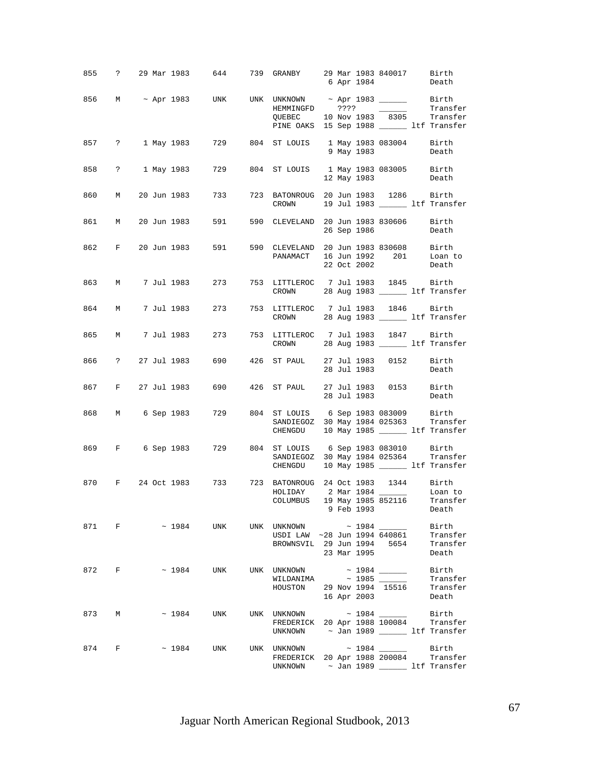|     |       |  | 855 ? 29 Mar 1983 644 739 GRANBY 29 Mar 1983 840017 Birth |                                                                                                                                                                       |  |             | 6 Apr 1984        | Death                                  |
|-----|-------|--|-----------------------------------------------------------|-----------------------------------------------------------------------------------------------------------------------------------------------------------------------|--|-------------|-------------------|----------------------------------------|
|     |       |  | 856 M ~ Apr 1983 UNK UNK UNKNOWN ~ Apr 1983 _______ Birth | QUEBEC $10$ Nov 1983 8305 Transfer<br>PINE OAKS 15 Sep 1988 ______ ltf Transfer                                                                                       |  |             |                   | Transfer                               |
|     |       |  | 857 ? 1 May 1983 729 804 ST LOUIS 1 May 1983 083004 Birth |                                                                                                                                                                       |  | 9 May 1983  |                   | Death                                  |
|     |       |  | 858 ? 1 May 1983 729 804 ST LOUIS 1 May 1983 083005 Birth |                                                                                                                                                                       |  | 12 May 1983 |                   | Death                                  |
| 860 |       |  | M 20 Jun 1983 733                                         | 723 BATONROUG 20 Jun 1983 1286 Birth<br>CROWN 19 Jul 1983 ______ ltf Transfer                                                                                         |  |             |                   |                                        |
|     |       |  | 861 M 20 Jun 1983 591                                     | 590 CLEVELAND 20 Jun 1983 830606 Birth                                                                                                                                |  |             | 26 Sep 1986 Death |                                        |
|     |       |  | 862 F 20 Jun 1983 591                                     | 590 CLEVELAND 20 Jun 1983 830608<br>CLEVELAND 20 Jun 1983 830608 Birth<br>PANAMACT 16 Jun 1992 201 Loan to                                                            |  | 22 Oct 2002 |                   | Death                                  |
|     |       |  | 863 M 7 Jul 1983 273 753 LITTLEROC 7 Jul 1983 1845 Birth  | CROWN 28 Aug 1983 ________ ltf Transfer                                                                                                                               |  |             |                   |                                        |
|     |       |  | 864 M 7 Jul 1983 273 753 LITTLEROC 7 Jul 1983 1846 Birth  | CROWN 28 Aug 1983 _______ ltf Transfer                                                                                                                                |  |             |                   |                                        |
| 865 |       |  | M 7 Jul 1983 273                                          | 753 LITTLEROC 7 Jul 1983 1847 Birth<br>CROWN 28 Aug 1983 _______ ltf Transfer                                                                                         |  |             |                   |                                        |
|     |       |  | 866 ? 27 Jul 1983 690 426 ST PAUL 27 Jul 1983 0152 Birth  |                                                                                                                                                                       |  | 28 Jul 1983 |                   | Death                                  |
|     |       |  | 867 F 27 Jul 1983 690 426 ST PAUL 27 Jul 1983 0153 Birth  |                                                                                                                                                                       |  | 28 Jul 1983 |                   | Death                                  |
|     |       |  | 868 M 6 Sep 1983 729 804 ST LOUIS 6 Sep 1983 083009 Birth | SANDIEGOZ 30 May 1984 025363 Transfer<br>CHENGDU 10 May 1985 ______ ltf Transfer                                                                                      |  |             |                   |                                        |
|     |       |  | 869 F 6 Sep 1983 729 804 ST LOUIS 6 Sep 1983 083010 Birth | SANDIEGOZ 30 May 1984 025364 Transfer<br>CHENGDU 10 May 1985 ______ ltf Transfer                                                                                      |  |             |                   |                                        |
| 870 |       |  | F 24 Oct 1983 733 723 BATONROUG 24 Oct 1983 1344 Birth    | HOLIDAY 2 Mar 1984 ________ Loan to<br>COLUMBUS 19 May 1985 852116 Transfer                                                                                           |  |             | 9 Feb 1993        | Death                                  |
|     |       |  | 871 F ~ 1984 UNK                                          | UNK UNKNOWN ~ 1984 ______<br>USDI LAW ~28 Jun 1994 640861<br>BROWNSVIL 29 Jun 1994 5654                                                                               |  | 23 Mar 1995 |                   | Birth<br>Transfer<br>Transfer<br>Death |
|     | 872 F |  | ~1984 UNK                                                 | UNK UNKNOWN<br>$\texttt{WILDANIMA} \qquad \qquad \texttt{\sim} \quad 1985 \; \underline{\texttt{\textcolor{red}{\textbf{10}}}}$<br>HOUSTON 29 Nov 1994 15516 Transfer |  |             | 16 Apr 2003       | Birth<br>Transfer<br>Death             |
|     |       |  | 873 M ~ 1984 UNK                                          | FREDERICK 20 Apr 1988 100084 Transfer<br>UNKNOWN $\sim$ Jan 1989 $\sim$ 1tf Transfer                                                                                  |  |             |                   | Birth                                  |
|     |       |  | 874 F ~ 1984 UNK                                          | UNK UNKNOWN ~ 1984 ______<br>FREDERICK 20 Apr 1988 200084 Transfer<br>UNKNOWN $\sim$ Jan 1989 $\sim$ 1tf Transfer                                                     |  |             |                   | Birth                                  |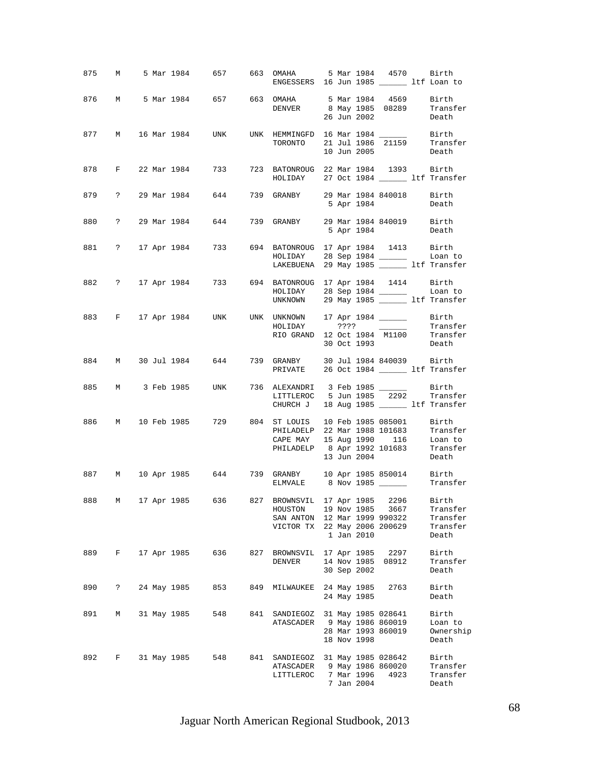|     |             |             |             |     | 875 M 5 Mar 1984 657 663 OMAHA 5 Mar 1984 4570 Birth<br>ENGESSERS 16 Jun 1985 ________ ltf Loan to                                                                                           |  |                           |                                                 |                                                           |
|-----|-------------|-------------|-------------|-----|----------------------------------------------------------------------------------------------------------------------------------------------------------------------------------------------|--|---------------------------|-------------------------------------------------|-----------------------------------------------------------|
|     |             |             |             |     | 876 M 5 Mar 1984 657 663 OMAHA 5 Mar 1984 4569 Birth<br>DENVER                                                                                                                               |  | 26 Jun 2002               |                                                 | 8 May 1985 08289 Transfer<br>26 Jun 2002 - Doath<br>Death |
|     |             |             |             |     | 877 M 16 Mar 1984 UNK UNK HEMMINGFD 16 Mar 1984 _______ Birth<br>TORONTO 21 Jul 1986 21159 Transfer                                                                                          |  |                           | 10 Jun 2005                                     | Death                                                     |
|     |             |             |             |     | 878 F 22 Mar 1984 733 723 BATONROUG 22 Mar 1984 1393 Birth<br>HOLIDAY 27 Oct 1984 _______ ltf Transfer                                                                                       |  |                           |                                                 |                                                           |
|     |             |             |             |     | 879 ? 29 Mar 1984 644 739 GRANBY 29 Mar 1984 840018 Birth                                                                                                                                    |  |                           | 5 Apr 1984                                      | Death                                                     |
|     |             |             |             |     | 880 ? 29 Mar 1984 644 739 GRANBY 29 Mar 1984 840019 Birth                                                                                                                                    |  |                           | 5 Apr 1984                                      | Death                                                     |
|     |             |             |             |     | 881 ? 17 Apr 1984 733 694 BATONROUG 17 Apr 1984 1413 Birth<br>HOLIDAY 28 Sep 1984 _______ Loan to<br>LAKEBUENA 29 May 1985 _______ ltf Transfer                                              |  |                           |                                                 |                                                           |
|     |             |             |             |     | 882 ? 17 Apr 1984 733 694 BATONROUG 17 Apr 1984 1414 Birth<br>HOLIDAY 28 Sep 1984 _______ Loan to<br>UNKNOWN 29 May 1985 _______ ltf Transfer                                                |  |                           |                                                 |                                                           |
|     |             |             |             |     | 883 F 17 Apr 1984 UNK UNK UNKNOWN 17 Apr 1984 ________ Birth<br>HOLIDAY ???? _______ Transfer<br>RIO GRAND 12 Oct 1984 M1100 Transfer                                                        |  | 30 Oct 1993               |                                                 | Death                                                     |
|     |             |             |             |     | 884 M 30 Jul 1984 644 739 GRANBY 30 Jul 1984 840039 Birth<br>PRIVATE 26 Oct 1984 _______ ltf Transfer                                                                                        |  |                           |                                                 |                                                           |
|     |             |             |             |     | 885 M 3 Feb 1985 UNK 736 ALEXANDRI 3 Feb 1985 _______ Birth<br>LITTLEROC 5 Jun 1985 2292 Transfer<br>CHURCH J 18 Aug 1985 ______ ltf Transfer                                                |  |                           |                                                 |                                                           |
|     |             |             |             |     | 886 M 10 Feb 1985 729 804 ST LOUIS 10 Feb 1985 085001 Birth<br>PHILADELP 22 Mar 1988 101683<br>CAPE MAY 15 Aug 1990 116 Loan to<br>PHILADELP 8 Apr 1992 101683 Transfer<br>13 Jun 2004 Death |  |                           |                                                 | Transfer                                                  |
|     |             |             |             |     | 887 M 10 Apr 1985 644 739 GRANBY 10 Apr 1985 850014 Birth<br>ELMVALE 8 Nov 1985 ______                                                                                                       |  |                           |                                                 | Transfer                                                  |
| 888 | M           |             |             |     | 17 Apr 1985 636 827 BROWNSVIL 17 Apr 1985 2296 Birth<br>HOUSTON<br>SAN ANTON 12 Mar 1999 990322<br>VICTOR TX 22 May 2006 200629                                                              |  | 19 Nov 1985<br>1 Jan 2010 | 3667                                            | Transfer<br>Transfer<br>Transfer<br>Death                 |
| 889 | $F$ and $F$ |             | 17 Apr 1985 | 636 | 827 BROWNSVIL 17 Apr 1985 2297<br>DENVER                                                                                                                                                     |  | 30 Sep 2002               | 14 Nov 1985 08912                               | Birth<br>Transfer<br>Death                                |
| 890 | $\ddot{?}$  |             | 24 May 1985 | 853 | 849 MILWAUKEE 24 May 1985                                                                                                                                                                    |  | 24 May 1985               | 2763                                            | Birth<br>Death                                            |
| 891 | М           | 31 May 1985 |             | 548 | 841 SANDIEGOZ 31 May 1985 028641<br>ATASCADER 9 May 1986 860019                                                                                                                              |  | 18 Nov 1998               | 28 Mar 1993 860019                              | Birth<br>Loan to<br>Ownership<br>Death                    |
| 892 | F           |             | 31 May 1985 | 548 | 841 SANDIEGOZ<br>ATASCADER<br>LITTLEROC                                                                                                                                                      |  | 7 Mar 1996<br>7 Jan 2004  | 31 May 1985 028642<br>9 May 1986 860020<br>4923 | Birth<br>Transfer<br>Transfer<br>Death                    |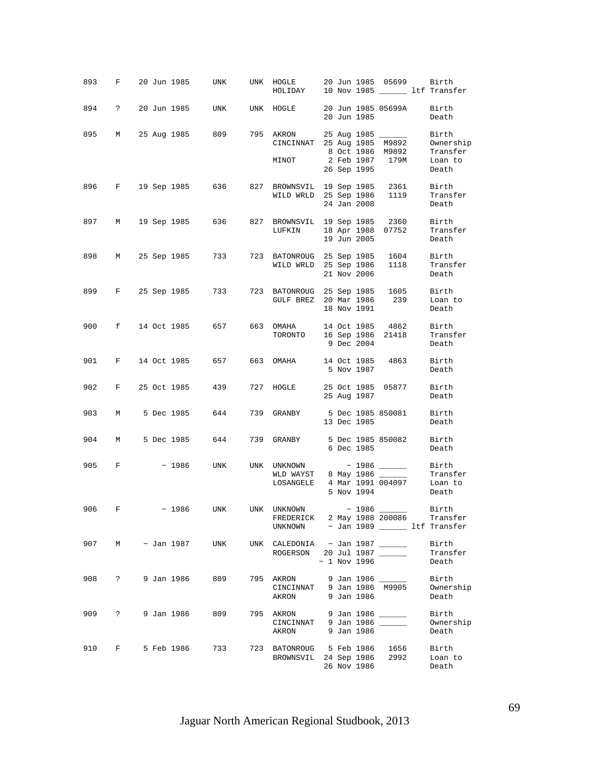| 893   | F                   |  | 20 Jun 1985     | UNK                                                  | UNK HOGLE 20 Jun 1985 05699 Birth<br>HOLIDAY 10 Nov 1985 _______ ltf Transfer                                    |  |                   |                                       |                                                    |
|-------|---------------------|--|-----------------|------------------------------------------------------|------------------------------------------------------------------------------------------------------------------|--|-------------------|---------------------------------------|----------------------------------------------------|
| 894   | $\ddot{\mathbf{?}}$ |  | 20 Jun 1985     | UNK                                                  | UNK HOGLE                                                                                                        |  | 20 Jun 1985       | 20 Jun 1985 05699A                    | Birth<br>Death                                     |
| 895   | M                   |  | 25 Aug 1985     |                                                      | 809 795 AKRON 25 Aug 1985 _______<br>CINCINNAT 25 Aug 1985 M9892<br>MINOT                                        |  | 26 Sep 1995       | 8 Oct 1986 M9892<br>2 Feb 1987   179M | Birth<br>Ownership<br>Transfer<br>Loan to<br>Death |
|       |                     |  |                 | 896 F 19 Sep 1985 636 827 BROWNSVIL 19 Sep 1985 2361 | WILD WRLD 25 Sep 1986 1119                                                                                       |  | 24 Jan 2008       |                                       | Birth<br>Transfer<br>Death                         |
|       |                     |  |                 | 897 M 19 Sep 1985 636 827 BROWNSVIL 19 Sep 1985 2360 | LUFKIN                                                                                                           |  | 19 Jun 2005       | 18 Apr 1988 07752                     | Birth<br>Transfer<br>Death                         |
| 898   |                     |  |                 | M 25 Sep 1985 733                                    | 723 BATONROUG 25 Sep 1985 1604<br>WILD WRLD                                                                      |  | 21 Nov 2006       | 25 Sep 1986 1118                      | Birth<br>Transfer<br>Death                         |
| 899   |                     |  |                 | F 25 Sep 1985 733 723 BATONROUG 25 Sep 1985 1605     | GULF BREZ 20 Mar 1986 239                                                                                        |  | 18 Nov 1991       |                                       | Birth<br>Loan to<br>Death                          |
| 900   |                     |  |                 | f 14 Oct 1985 657 663 OMAHA                          | TORONTO                                                                                                          |  | 9 Dec 2004        | 14 Oct 1985 4862<br>16 Sep 1986 21418 | Birth<br>Transfer<br>Death                         |
| 901   | $F$ and $F$         |  |                 | 14 Oct 1985 657 663 OMAHA 14 Oct 1985 4863           |                                                                                                                  |  | 5 Nov 1987        |                                       | Birth<br>Death                                     |
| 902   | $F$ and $F$         |  | 25 Oct 1985     | 439                                                  | 727 HOGLE                                                                                                        |  | 25 Aug 1987       | 25 Oct 1985 05877                     | Birth<br>Death                                     |
| 903   | M                   |  | 5 Dec 1985      | 644                                                  | 739 GRANBY                                                                                                       |  | 13 Dec 1985       | 5 Dec 1985 850081                     | Birth<br>Death                                     |
| 904   | M                   |  |                 | 5 Dec 1985 644 739 GRANBY                            |                                                                                                                  |  | 6 Dec 1985        | 5 Dec 1985 850082                     | Birth<br>Death                                     |
| 905 F |                     |  | ~1986           | UNK                                                  | UNK UNKNOWN ~ 1986 ______<br>WLD WAYST 8 May 1986<br>LOSANGELE                                                   |  | 5 Nov 1994        | 4 Mar 1991 004097                     | Birth<br>Transfer<br>Loan to<br>Death              |
| 906   | F                   |  | ~1986           |                                                      | UNK UNK UNKNOWN ~ 1986 ______<br>FREDERICK 2 May 1988 200086 Transfer<br>UNKNOWN ~ Jan 1989 _______ ltf Transfer |  |                   |                                       | Birth                                              |
| 907   | M                   |  | $\sim$ Jan 1987 | UNK                                                  | UNK CALEDONIA $\sim$ Jan 1987 _______<br>ROGERSON 20 Jul 1987                                                    |  | $\sim$ 1 Nov 1996 |                                       | Birth<br>Transfer<br>Death                         |
| 908   | $\ddot{?}$          |  | 9 Jan 1986      | 809                                                  | 795 AKRON<br>CINCINNAT 9 Jan 1986 M9905<br>AKRON                                                                 |  | 9 Jan 1986        | 9 Jan 1986 _____                      | Birth<br>Ownership<br>Death                        |
| 909   | $\ddot{?}$          |  | 9 Jan 1986      | 809                                                  | 795 AKRON<br>CINCINNAT 9 Jan 1986<br>AKRON                                                                       |  | 9 Jan 1986        | 9 Jan 1986 _____                      | Birth<br>Ownership<br>Death                        |
| 910   | F                   |  | 5 Feb 1986      | 733                                                  | 723 BATONROUG 5 Feb 1986<br>BROWNSVIL 24 Sep 1986                                                                |  | 26 Nov 1986       | 1656<br>2992                          | Birth<br>Loan to<br>Death                          |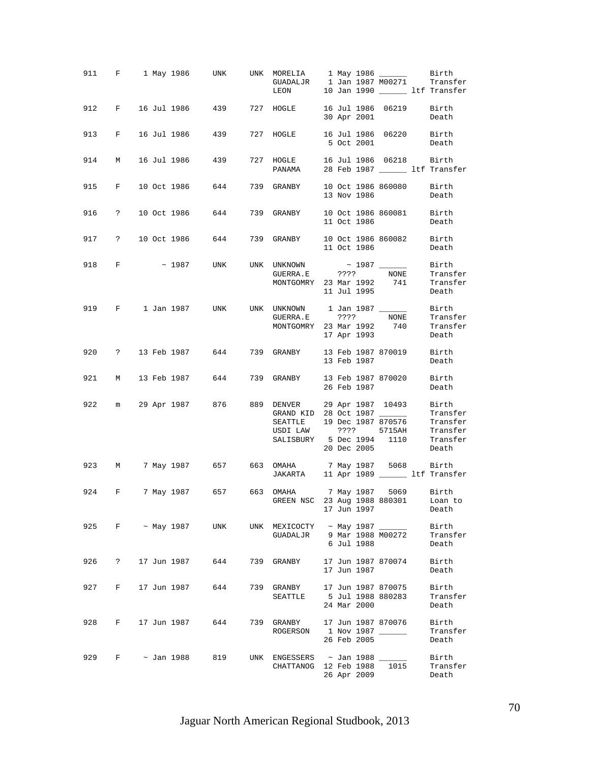|     |                      |  |                   | 911 F 1 May 1986 UNK UNK MORELIA 1 May 1986 ______ Birth<br>GUADALJR 1 Jan 1987 M00271 Transfer | LEON 10 Jan 1990 _______ ltf Transfer                                            |  |             |                                         |                            |
|-----|----------------------|--|-------------------|-------------------------------------------------------------------------------------------------|----------------------------------------------------------------------------------|--|-------------|-----------------------------------------|----------------------------|
|     |                      |  |                   | 912 F 16 Jul 1986 439 727 HOGLE 16 Jul 1986 06219 Birth                                         |                                                                                  |  |             | 30 Apr 2001                             | Death                      |
|     |                      |  |                   | 913 F 16 Jul 1986 439 727 HOGLE 16 Jul 1986 06220 Birth                                         |                                                                                  |  |             | 5 Oct 2001 Death                        |                            |
| 914 | M                    |  |                   | 16 Jul 1986 – 439                                                                               | 727 HOGLE 16 Jul 1986 06218 Birth<br>PANAMA 28 Feb 1987 11f Transfer             |  |             |                                         |                            |
|     |                      |  |                   | 915 F 10 Oct 1986 644 739 GRANBY 10 Oct 1986 860080 Birth                                       |                                                                                  |  | 13 Nov 1986 |                                         | Death                      |
|     |                      |  |                   | 916 ? 10 Oct 1986 644 739 GRANBY 10 Oct 1986 860081 Birth                                       |                                                                                  |  |             | 11 Oct 1986                             | Death                      |
|     |                      |  |                   | 917 ? 10 Oct 1986 644 739 GRANBY 10 Oct 1986 860082 Birth                                       |                                                                                  |  | 11 Oct 1986 |                                         | Death                      |
|     |                      |  |                   |                                                                                                 | MONTGOMRY 23 Mar 1992 741 Transfer                                               |  | 11 Jul 1995 |                                         | Death                      |
|     |                      |  |                   | 919 F 1 Jan 1987 UNK UNK UNKNOWN 1 Jan 1987 ________ Birth                                      | GUERRA.E ???? NONE Transfer<br>MONTGOMRY 23 Mar 1992 740                         |  | 17 Apr 1993 |                                         | Transfer<br>Death          |
| 920 |                      |  |                   | ? 13 Feb 1987 644 739 GRANBY 13 Feb 1987 870019 Birth                                           |                                                                                  |  | 13 Feb 1987 |                                         | Death                      |
|     |                      |  |                   | 921 M 13 Feb 1987 644 739 GRANBY 13 Feb 1987 870020 Birth                                       |                                                                                  |  | 26 Feb 1987 |                                         | Death                      |
|     |                      |  |                   | 922 m 29 Apr 1987 876 889 DENVER 29 Apr 1987 10493 Birth                                        | GRAND KID 28 Oct 1987 __________ Transfer<br>SEATTLE 19 Dec 1987 870576 Transfer |  | 20 Dec 2005 |                                         | Death                      |
|     |                      |  |                   | 923 M 7 May 1987 657 663 OMAHA 7 May 1987 5068 Birth<br>JAKARTA 11 Apr 1989 11 Lef Transfer     |                                                                                  |  |             |                                         |                            |
|     |                      |  |                   | 924 F 7 May 1987 657 663 OMAHA 7 May 1987 5069 Birth                                            | GREEN NSC 23 Aug 1988 880301                                                     |  | 17 Jun 1997 |                                         | Loan to<br>Death           |
| 925 |                      |  | $F \sim$ May 1987 | UNK                                                                                             | UNK $MEXICOCTY \sim May 1987$<br>GUADALJR 9 Mar 1988 M00272                      |  | 6 Jul 1988  |                                         | Birth<br>Transfer<br>Death |
| 926 | $\ddot{\mathcal{E}}$ |  | 17 Jun 1987       | 644                                                                                             | 739 GRANBY                                                                       |  | 17 Jun 1987 | 17 Jun 1987 870074                      | Birth<br>Death             |
|     |                      |  |                   | 927 F 17 Jun 1987 644                                                                           | 739 GRANBY<br>SEATTLE                                                            |  | 24 Mar 2000 | 17 Jun 1987 870075<br>5 Jul 1988 880283 | Birth<br>Transfer<br>Death |
| 928 |                      |  |                   | F 17 Jun 1987 644                                                                               | 739 GRANBY<br>ROGERSON                                                           |  | 26 Feb 2005 | 17 Jun 1987 870076<br>1 Nov 1987 ______ | Birth<br>Transfer<br>Death |
|     |                      |  |                   | 929 F ~ Jan 1988 819                                                                            | UNK ENGESSERS $\sim$ Jan 1988<br>CHATTANOG 12 Feb 1988                           |  | 26 Apr 2009 | 1015                                    | Birth<br>Transfer<br>Death |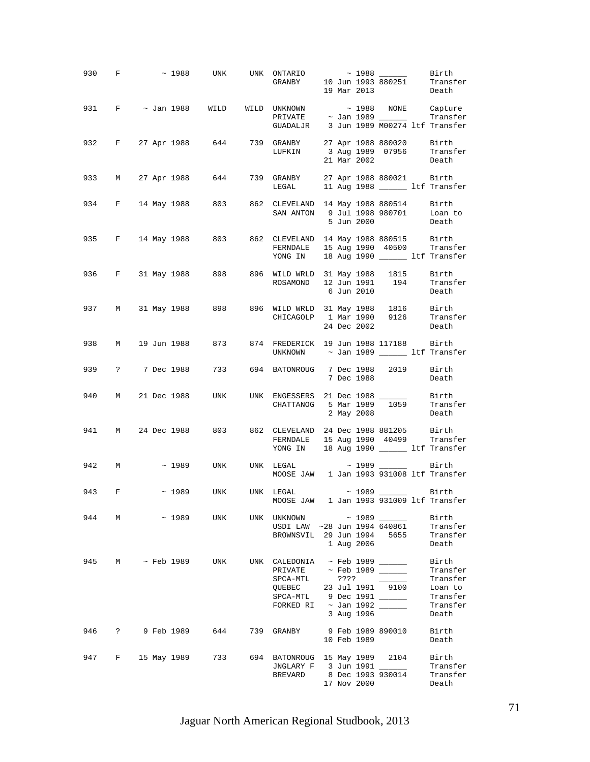|     |       |              |                       | 930 F $\sim$ 1988 UNK UNK ONTARIO $\sim$ 1988 Birth Birth GRANBY 10 Jun 1993 880251 Transfer                                                     |      |             | 19 Mar 2013 Death          |                                                                                     |
|-----|-------|--------------|-----------------------|--------------------------------------------------------------------------------------------------------------------------------------------------|------|-------------|----------------------------|-------------------------------------------------------------------------------------|
|     |       |              |                       | GUADALJR 3 Jun 1989 M00274 ltf Transfer                                                                                                          |      |             |                            |                                                                                     |
|     |       |              |                       | 932 F 27 Apr 1988 644 739 GRANBY 27 Apr 1988 880020 Birth<br>LUFKIN 3 Aug 1989 07956 Transfer                                                    |      |             | 21 Mar 2002 Death          |                                                                                     |
|     |       |              |                       | 933 M 27 Apr 1988 644 739 GRANBY 27 Apr 1988 880021 Birth<br>LEGAL 11 Aug 1988 11 LEGAL 11 Aug 1988                                              |      |             |                            |                                                                                     |
|     |       |              |                       | 934 F 14 May 1988 803 862 CLEVELAND 14 May 1988 880514 Birth<br>SAN ANTON 9 Jul 1998 980701 Loan to                                              |      | 5 Jun 2000  |                            | Death                                                                               |
|     |       |              |                       | 935 F 14 May 1988 803 862 CLEVELAND 14 May 1988 880515 Birth<br>FERNDALE 15 Aug 1990 40500 Transfer<br>YONG IN 18 Aug 1990 ______ ltf Transfer   |      |             |                            |                                                                                     |
|     |       |              |                       | 936 F 31 May 1988 898 896 WILD WRLD 31 May 1988 1815 Birth<br>ROSAMOND 12 Jun 1991 194 Transfer                                                  |      | 6 Jun 2010  |                            | Death                                                                               |
|     |       |              |                       | 937 M 31 May 1988 898 896 WILD WRLD 31 May 1988 1816 Birth<br>CHICAGOLP 1 Mar 1990 9126 Transfer                                                 |      | 24 Dec 2002 |                            | Death                                                                               |
|     |       |              |                       | 938 M 19 Jun 1988 873 874 FREDERICK 19 Jun 1988 117188 Birth<br>UNKNOWN $\sim$ Jan 1989 _________ ltf Transfer                                   |      |             |                            |                                                                                     |
|     |       |              | 939 ? 7 Dec 1988 733  | 694 BATONROUG 7 Dec 1988 2019 Birth                                                                                                              |      | 7 Dec 1988  |                            | Death                                                                               |
|     |       |              |                       | 940 M 21 Dec 1988 UNK UNK ENGESSERS 21 Dec 1988 _____<br>CHATTANOG 5 Mar 1989 1059 Transfer                                                      |      | 2 May 2008  |                            | Birth<br>Death                                                                      |
|     |       |              |                       | 941 M 24 Dec 1988 803 862 CLEVELAND 24 Dec 1988 881205 Birth<br>FERNDALE 15 Aug 1990 40499 Transfer<br>YONG IN 18 Aug 1990 ________ ltf Transfer |      |             |                            |                                                                                     |
|     | 942 M |              |                       | $\sim$ 1989 UNK UNK LEGAL $\sim$ 1989 $\sim$ Birth<br>MOOSE JAW 1 Jan 1993 931008 ltf Transfer                                                   |      |             |                            |                                                                                     |
|     |       |              |                       | 943 F ~ 1989 UNK UNK LEGAL<br>MOOSE JAW 1 Jan 1993 931009 ltf Transfer                                                                           |      |             | $\sim$ 1989 ________ Birth |                                                                                     |
| 944 |       |              | M ~ 1989 UNK          | UNK UNKNOWN<br>USDI LAW ~28 Jun 1994 640861<br>BROWNSVIL 29 Jun 1994 5655                                                                        |      | 1 Aug 2006  |                            | $\sim$ 1989 $\sim$ Birth<br>$\sim$ 28 Jun 1994 640861 Transfer<br>Transfer<br>Death |
| 945 |       | M ~ Feb 1989 | UNK                   | UNK CALEDONIA $\sim$ Feb 1989 ______<br>SPCA-MTL<br>QUEBEC 23 Jul 1991 9100<br>SPCA-MTL 9 Dec 1991 ______<br>FORKED RI ~ Jan 1992 ______         | ???? | 3 Aug 1996  |                            | Birth<br>Transfer<br>Transfer<br>Loan to<br>Transfer<br>Transfer<br>Death           |
| 946 |       |              | ? 9 Feb 1989   644    | 739 GRANBY 9 Feb 1989 890010                                                                                                                     |      | 10 Feb 1989 |                            | Birth<br>Death                                                                      |
|     |       |              | 947 F 15 May 1989 733 | 694 BATONROUG 15 May 1989 2104<br>JNGLARY F 3 Jun 1991<br>BREVARD 8 Dec 1993 930014                                                              |      | 17 Nov 2000 |                            | Birth<br>Transfer<br>Transfer<br>Death                                              |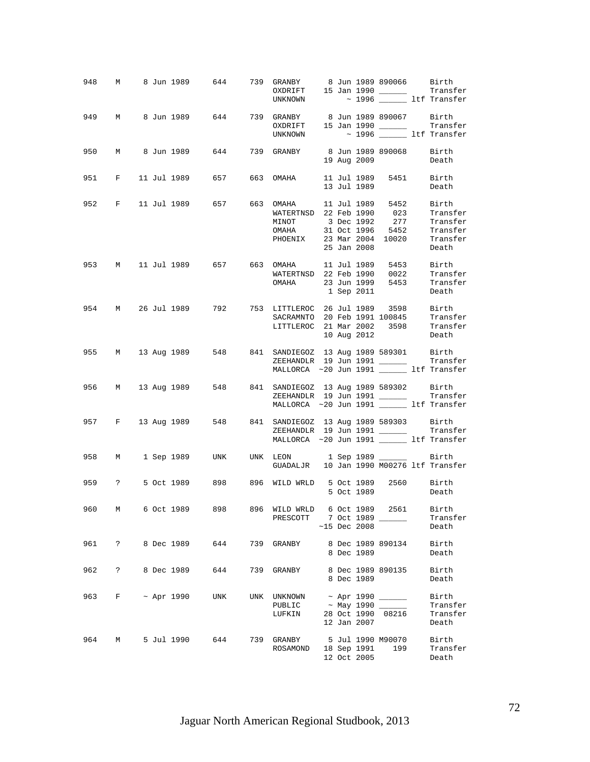|     |   |  | 948 M 8 Jun 1989 644 739 GRANBY 8 Jun 1989 890066 Birth<br>0XDRIFT 15 Jan 1990 16 Transfer   |                                                                                                                                                                                                  |  |                |                   |                  |
|-----|---|--|----------------------------------------------------------------------------------------------|--------------------------------------------------------------------------------------------------------------------------------------------------------------------------------------------------|--|----------------|-------------------|------------------|
|     |   |  |                                                                                              | UNKNOWN $\sim$ 1996 $\_\_\_\_\$ ltf Transfer                                                                                                                                                     |  |                |                   |                  |
|     |   |  | 949 M 8 Jun 1989 644 739 GRANBY 8 Jun 1989 890067 Birth<br>0XDRIFT 15 Jan 1990 16 Transfer   | UNKNOWN $\sim$ 1996 $\_\_\_\_\_$ ltf Transfer                                                                                                                                                    |  |                |                   |                  |
|     |   |  | 950 M 8 Jun 1989 644 739 GRANBY 8 Jun 1989 890068 Birth                                      |                                                                                                                                                                                                  |  |                |                   |                  |
|     |   |  |                                                                                              |                                                                                                                                                                                                  |  |                | 19 Aug 2009       | Death            |
|     |   |  | 951 F 11 Jul 1989 657 663 OMAHA 11 Jul 1989 5451 Birth                                       |                                                                                                                                                                                                  |  | 13 Jul 1989    |                   | Death            |
|     |   |  | 952 F 11 Jul 1989 657 663 OMAHA 11 Jul 1989 5452 Birth<br>WATERTNSD 22 Feb 1990 023 Transfer |                                                                                                                                                                                                  |  |                |                   |                  |
|     |   |  |                                                                                              |                                                                                                                                                                                                  |  |                |                   |                  |
|     |   |  |                                                                                              | MINOT 3 Dec 1992 277 Transfer<br>OMAHA 31 Oct 1996 5452 Transfer                                                                                                                                 |  |                |                   |                  |
|     |   |  |                                                                                              | PHOENIX 23 Mar 2004 10020 Transfer                                                                                                                                                               |  |                |                   |                  |
|     |   |  |                                                                                              |                                                                                                                                                                                                  |  | 25 Jan 2008    |                   | Death            |
|     |   |  | 953 M 11 Jul 1989 657 663 OMAHA 11 Jul 1989 5453 Birth                                       |                                                                                                                                                                                                  |  |                |                   |                  |
|     |   |  |                                                                                              |                                                                                                                                                                                                  |  |                |                   |                  |
|     |   |  |                                                                                              | WATERTNSD 22 Feb 1990 0022 Transfer<br>OMAHA 23 Jun 1999 5453 Transfer                                                                                                                           |  |                |                   |                  |
|     |   |  |                                                                                              |                                                                                                                                                                                                  |  | 1 Sep 2011     |                   | Death            |
|     |   |  | 954 M 26 Jul 1989 792 753 LITTLEROC 26 Jul 1989 3598 Birth                                   |                                                                                                                                                                                                  |  |                |                   |                  |
|     |   |  |                                                                                              | SACRAMNTO 20 Feb 1991 100845                                                                                                                                                                     |  |                |                   | Transfer         |
|     |   |  |                                                                                              | LITTLEROC 21 Mar 2002 3598 Transfer                                                                                                                                                              |  |                |                   |                  |
|     |   |  |                                                                                              |                                                                                                                                                                                                  |  |                | 10 Aug 2012       | Death            |
|     |   |  | 955 M 13 Aug 1989 548 841 SANDIEGOZ 13 Aug 1989 589301 Birth                                 |                                                                                                                                                                                                  |  |                |                   |                  |
|     |   |  |                                                                                              | ZEEHANDLR 19 Jun 1991 $\frac{1}{\sqrt{1-\frac{1}{2}} \cdot \frac{1}{\sqrt{1-\frac{1}{2}}}}$ Transfer MALLORCA ~20 Jun 1991 $\frac{1}{\sqrt{1-\frac{1}{2}} \cdot \frac{1}{\sqrt{1-\frac{1}{2}}}}$ |  |                |                   |                  |
|     |   |  |                                                                                              |                                                                                                                                                                                                  |  |                |                   |                  |
|     |   |  | 956 M 13 Aug 1989 548 841 SANDIEGOZ 13 Aug 1989 589302 Birth                                 |                                                                                                                                                                                                  |  |                |                   |                  |
|     |   |  |                                                                                              | ZEEHANDLR 19 Jun 1991 ________ Transfer<br>MALLORCA ~20 Jun 1991 ______ ltf Transfer                                                                                                             |  |                |                   |                  |
|     |   |  |                                                                                              |                                                                                                                                                                                                  |  |                |                   |                  |
|     |   |  | 957 F 13 Aug 1989 548 841 SANDIEGOZ 13 Aug 1989 589303 Birth                                 |                                                                                                                                                                                                  |  |                |                   |                  |
|     |   |  |                                                                                              | ZEEHANDLR 19 Jun 1991 Transfer<br>MALLORCA ~20 Jun 1991 ______ 1tf Transfer                                                                                                                      |  |                |                   |                  |
|     |   |  |                                                                                              |                                                                                                                                                                                                  |  |                |                   |                  |
|     |   |  | 958 M 1 Sep 1989 UNK UNK LEON 1 Sep 1989 1989 Birth GUADALJR 10 Jan 1990 M00276 1tf Transfer |                                                                                                                                                                                                  |  |                |                   |                  |
|     |   |  |                                                                                              |                                                                                                                                                                                                  |  |                |                   |                  |
|     |   |  | 959 ? 5 Oct 1989 898 896 WILD WRLD 5 Oct 1989 2560 Birth                                     |                                                                                                                                                                                                  |  |                |                   |                  |
|     |   |  |                                                                                              |                                                                                                                                                                                                  |  |                |                   | 5 Oct 1989 Death |
| 960 | M |  | 6 Oct 1989 898 896 WILD WRLD 6 Oct 1989 2561 Birth                                           |                                                                                                                                                                                                  |  |                |                   |                  |
|     |   |  |                                                                                              | PRESCOTT 7 Oct 1989 ______                                                                                                                                                                       |  |                |                   | Transfer         |
|     |   |  |                                                                                              |                                                                                                                                                                                                  |  | $~15$ Dec 2008 |                   | Death            |
|     |   |  | 961 ? 8 Dec 1989 644                                                                         | 739 GRANBY 8 Dec 1989 890134 Birth                                                                                                                                                               |  |                |                   |                  |
|     |   |  |                                                                                              |                                                                                                                                                                                                  |  | 8 Dec 1989     |                   | Death            |
| 962 |   |  | ? 8 Dec 1989 644 739 GRANBY 8 Dec 1989 890135                                                |                                                                                                                                                                                                  |  |                |                   | Birth            |
|     |   |  |                                                                                              |                                                                                                                                                                                                  |  | 8 Dec 1989     |                   | Death            |
|     |   |  | 963 F ~ Apr 1990 UNK UNK UNKNOWN                                                             |                                                                                                                                                                                                  |  |                |                   | Birth            |
|     |   |  |                                                                                              | PUBLIC                                                                                                                                                                                           |  |                | ~ May 1990 _____  | Transfer         |
|     |   |  |                                                                                              | LUFKIN                                                                                                                                                                                           |  |                | 28 Oct 1990 08216 | Transfer         |
|     |   |  |                                                                                              |                                                                                                                                                                                                  |  | 12 Jan 2007    |                   | Death            |
| 964 | M |  | 5 Jul 1990 644                                                                               | 739 GRANBY 5 Jul 1990 M90070                                                                                                                                                                     |  |                |                   | Birth            |
|     |   |  |                                                                                              | ROSAMOND 18 Sep 1991 199                                                                                                                                                                         |  |                |                   | Transfer         |
|     |   |  |                                                                                              |                                                                                                                                                                                                  |  | 12 Oct 2005    |                   | Death            |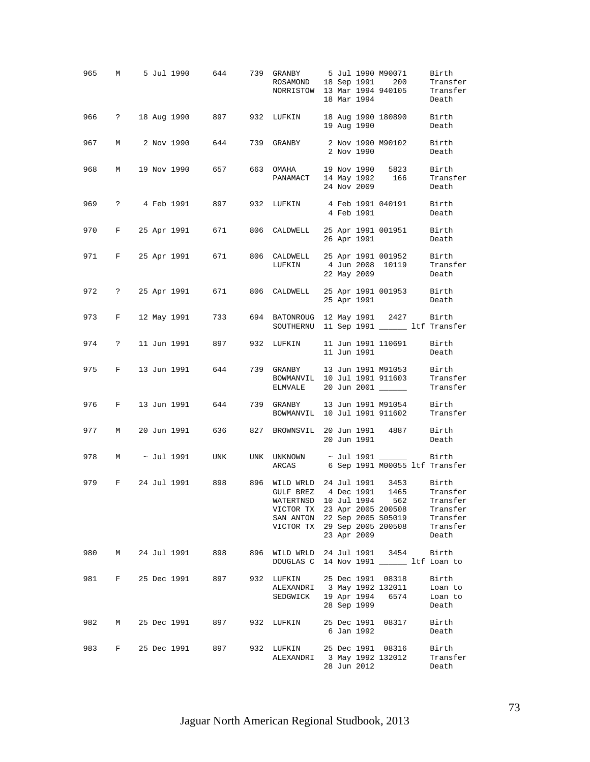|       |  |  | 965 M 5 Jul 1990 644 739 GRANBY 5 Jul 1990 M90071                                               | ROSAMOND 18 Sep 1991 200 Transfer<br>NORRISTOW 13 Mar 1994 940105 Transfer<br>18 Mar 1994 940105 Death                                                                            |  |             |                                         | Birth                                |
|-------|--|--|-------------------------------------------------------------------------------------------------|-----------------------------------------------------------------------------------------------------------------------------------------------------------------------------------|--|-------------|-----------------------------------------|--------------------------------------|
|       |  |  | 966 ? 18 Aug 1990 897 932 LUFKIN 18 Aug 1990 180890 Birth                                       |                                                                                                                                                                                   |  | 19 Aug 1990 |                                         | Death                                |
|       |  |  | 967 M 2 Nov 1990 644 739 GRANBY 2 Nov 1990 M90102 Birth                                         |                                                                                                                                                                                   |  | 2 Nov 1990  |                                         | Death                                |
| 968   |  |  | M 19 Nov 1990 657 663 OMAHA 19 Nov 1990 5823 Birth                                              | PANAMACT 14 May 1992 166 Transfer                                                                                                                                                 |  | 24 Nov 2009 |                                         | Death                                |
|       |  |  | 969 ? 4 Feb 1991 897 932 LUFKIN 4 Feb 1991 040191 Birth                                         |                                                                                                                                                                                   |  | 4 Feb 1991  |                                         | Death                                |
|       |  |  | 970 F 25 Apr 1991 671 806 CALDWELL 25 Apr 1991 001951 Birth                                     |                                                                                                                                                                                   |  | 26 Apr 1991 |                                         | Death                                |
|       |  |  | 971 F 25 Apr 1991 671 806 CALDWELL 25 Apr 1991 001952 Birth                                     | ${\tt LUFKIN} \hspace{1.6cm} {\tt 4\ Jan\ 2008\ \ 10119} \hspace{1.6cm} {\tt Transfer}$                                                                                           |  | 22 May 2009 |                                         | Death                                |
|       |  |  | 972 ? 25 Apr 1991 671 806 CALDWELL 25 Apr 1991 001953 Birth                                     |                                                                                                                                                                                   |  |             | 25 Apr 1991 Death                       |                                      |
|       |  |  | 973 F 12 May 1991 733 694 BATONROUG 12 May 1991 2427 Birth<br>SOUTHERNU 11 Sep 1991 11 Mer 1991 |                                                                                                                                                                                   |  |             |                                         |                                      |
|       |  |  | 974 ? 11 Jun 1991 897 932 LUFKIN                                                                |                                                                                                                                                                                   |  |             | 11 Jun 1991 110691 Birth<br>11 Jun 1991 | Death                                |
|       |  |  | 975 F 13 Jun 1991 644 739 GRANBY 13 Jun 1991 M91053 Birth                                       | BOWMANVIL 10 Jul 1991 911603 Transfer<br>ELMVALE 20 Jun 2001 _________ Transfer                                                                                                   |  |             |                                         |                                      |
|       |  |  | 976 F 13 Jun 1991 644 739 GRANBY 13 Jun 1991 M91054 Birth                                       | BOWMANVIL 10 Jul 1991 911602 Transfer                                                                                                                                             |  |             |                                         |                                      |
| 977 M |  |  | 20 Jun 1991 636 827 BROWNSVIL 20 Jun 1991 4887 Birth                                            |                                                                                                                                                                                   |  | 20 Jun 1991 |                                         | Death                                |
| 978   |  |  | M ~ Jul 1991 UNK                                                                                | ARCAS 6 Sep 1991 M00055 ltf Transfer                                                                                                                                              |  |             |                                         |                                      |
| 979   |  |  | F 24 Jul 1991 898 896 WILD WRLD 24 Jul 1991 3453 Birth                                          | GULF BREZ 4 Dec 1991 1465 Transfer<br>WATERTNSD 10 Jul 1994 562<br>VICTOR TX 23 Apr 2005 200508<br>SAN ANTON 22 Sep 2005 S05019 Transfer<br>VICTOR TX 29 Sep 2005 200508 Transfer |  | 23 Apr 2009 |                                         | Transfer<br>Transfer<br>Death        |
|       |  |  | 980 M 24 Jul 1991 898                                                                           | 896 WILD WRLD 24 Jul 1991 3454 Birth<br>DOUGLAS C 14 Nov 1991 ________ ltf Loan to                                                                                                |  |             |                                         |                                      |
| 981   |  |  | F 25 Dec 1991 897                                                                               | 932 LUFKIN 25 Dec 1991 08318<br>LUFKIN 25 Dec 1.1.<br>ALEXANDRI 3 May 1992 132011<br>SEDGWICK 19 Apr 1994                                                                         |  | 28 Sep 1999 | 6574                                    | Birth<br>Loan to<br>Loan to<br>Death |
| 982 M |  |  | 25 Dec 1991 897                                                                                 | 932 LUFKIN 25 Dec 1991 08317                                                                                                                                                      |  | 6 Jan 1992  |                                         | Birth<br>Death                       |
| 983   |  |  | F 25 Dec 1991 897                                                                               | 932 LUFKIN 25 Dec 1991 08316<br>ALEXANDRI 3 May 1992 132012                                                                                                                       |  | 28 Jun 2012 |                                         | Birth<br>Transfer<br>Death           |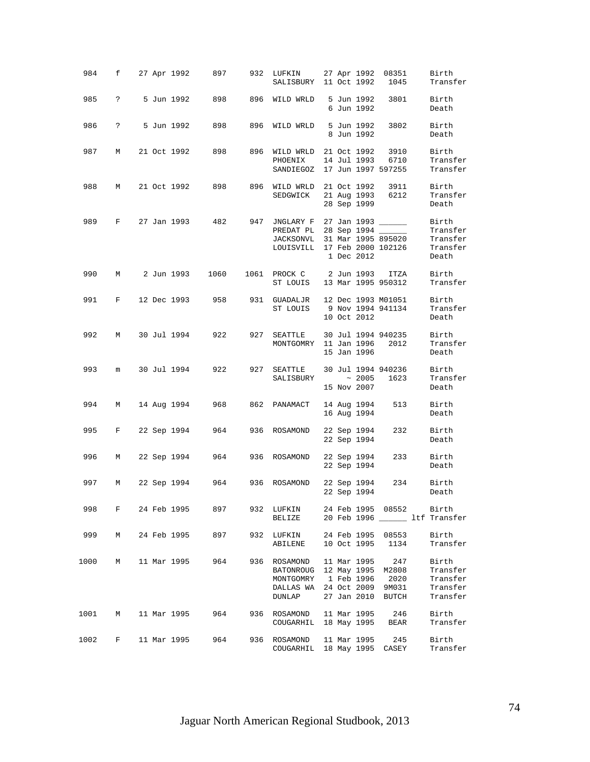| 984    |             |  |               | f 27 Apr 1992 897 |     | 932 LUFKIN<br>SALISBURY 11 Oct 1992 1045                                                                                     |  |                            | 27 Apr 1992 08351                     | Birth<br>Transfer                                     |
|--------|-------------|--|---------------|-------------------|-----|------------------------------------------------------------------------------------------------------------------------------|--|----------------------------|---------------------------------------|-------------------------------------------------------|
| 985    | $\ddot{ }$  |  |               | 5 Jun 1992 898    |     | 896 WILD WRLD                                                                                                                |  | 6 Jun 1992                 | 5 Jun 1992 3801                       | Birth<br>Death                                        |
| 986    | $\ddot{?}$  |  | 5 Jun 1992    | 898               | 896 | WILD WRLD                                                                                                                    |  | 5 Jun 1992<br>8 Jun 1992   | 3802                                  | Birth<br>Death                                        |
| 987    |             |  |               | M 21 Oct 1992 898 | 896 | WILD WRLD 21 Oct 1992 3910<br>PHOENIX<br>SANDIEGOZ 17 Jun 1997 597255 Transfer                                               |  |                            | 14 Jul 1993 6710                      | Birth<br>Transfer                                     |
| 988    |             |  |               |                   |     | M 21 Oct 1992 898 896 WILD WRLD 21 Oct 1992 3911<br>SEDGWICK 21 Aug 1993 6212                                                |  | 28 Sep 1999                |                                       | Birth<br>Transfer<br>Death                            |
| 989    |             |  |               | F 27 Jan 1993 482 | 947 | JNGLARY F 27 Jan 1993 ______<br>PREDAT PL 28 Sep 1994 ______<br>JACKSONVL 31 Mar 1995 895020<br>LOUISVILL 17 Feb 2000 102126 |  | 1 Dec 2012                 |                                       | Birth<br>Transfer<br>Transfer<br>Transfer<br>Death    |
| 990    | M           |  | 2 Jun 1993    | 1060              |     | 1061 PROCK C 2 Jun 1993 ITZA<br>ST LOUIS 13 Mar 1995 950312                                                                  |  |                            |                                       | Birth<br>Transfer                                     |
| 991    | $F$ and $F$ |  | 12 Dec 1993   | 958 —             |     | 931 GUADALJR 12 Dec 1993 M01051<br>ST LOUIS                                                                                  |  | 10 Oct 2012                | 9 Nov 1994 941134                     | Birth<br>Transfer<br>Death                            |
| 992    | M           |  | 30 Jul 1994   | 922               | 927 | SEATTLE<br>MONTGOMRY 11 Jan 1996 2012                                                                                        |  | 15 Jan 1996                | 30 Jul 1994 940235                    | Birth<br>Transfer<br>Death                            |
| 993    | m           |  | 30 Jul 1994   | 922               | 927 | SEATTLE<br>SALISBURY ~ 2005 1623                                                                                             |  | 15 Nov 2007                | 30 Jul 1994 940236                    | Birth<br>Transfer<br>Death                            |
| 994    | M           |  | 14 Aug 1994   | 968               |     | 862 PANAMACT                                                                                                                 |  | 16 Aug 1994                | 14 Aug 1994 513                       | Birth<br>Death                                        |
| 995    | F           |  |               | 22 Sep 1994 964   |     | 936 ROSAMOND                                                                                                                 |  | 22 Sep 1994<br>22 Sep 1994 | 232                                   | Birth<br>Death                                        |
| 996    | M           |  | 22 Sep 1994   | 964               |     | 936 ROSAMOND                                                                                                                 |  | 22 Sep 1994<br>22 Sep 1994 | 233                                   | Birth<br>Death                                        |
| 997    | M           |  |               | 22 Sep 1994 964   |     | 936 ROSAMOND                                                                                                                 |  | 22 Sep 1994<br>22 Sep 1994 |                                       | 234 Birth<br>Death                                    |
| 998    |             |  | F 24 Feb 1995 | 897 — 10          |     | 932 LUFKIN<br><b>BELIZE</b>                                                                                                  |  |                            | 24 Feb 1995 08552 Birth               | 20 Feb 1996 ______ ltf Transfer                       |
| 999    | М           |  | 24 Feb 1995   | 897               | 932 | LUFKIN<br>ABILENE                                                                                                            |  |                            | 24 Feb 1995 08553<br>10 Oct 1995 1134 | Birth<br>Transfer                                     |
| 1000   | M           |  | 11 Mar 1995   | 964               | 936 | ROSAMOND<br>BATONROUG 12 May 1995 M2808<br>MONTGOMRY 1 Feb 1996 2020<br>DALLAS WA 24 Oct 2009 9M031<br>DUNLAP                |  | 11 Mar 1995                | 247<br>27 Jan 2010 BUTCH              | Birth<br>Transfer<br>Transfer<br>Transfer<br>Transfer |
| 1001 M |             |  | 11 Mar 1995   | 964               | 936 | ROSAMOND<br>COUGARHIL 18 May 1995 BEAR                                                                                       |  | 11 Mar 1995                | 246                                   | Birth<br>Transfer                                     |
| 1002   | F           |  | 11 Mar 1995   | 964               | 936 | ROSAMOND<br>COUGARHIL 18 May 1995 CASEY                                                                                      |  | 11 Mar 1995                | 245                                   | Birth<br>Transfer                                     |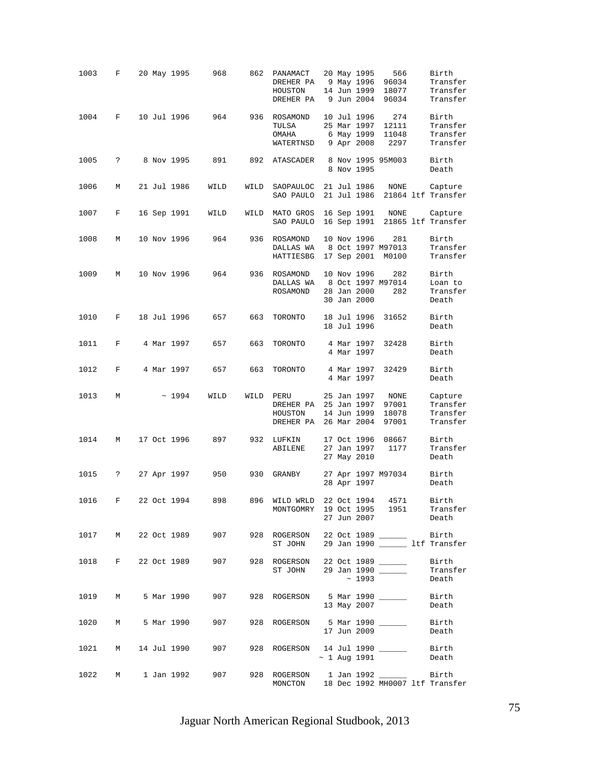| 1003   | F                 |  | 20 May 1995  | 968                    | 862  | PANAMACT<br>DREHER PA<br>HOUSTON<br>DREHER PA                                      |  | 20 May 1995<br>9 May 1996<br>14 Jun 1999<br>9 Jun 2004 | 566<br>96034<br>18077<br>96034                | Birth<br>Transfer<br>Transfer<br>Transfer   |
|--------|-------------------|--|--------------|------------------------|------|------------------------------------------------------------------------------------|--|--------------------------------------------------------|-----------------------------------------------|---------------------------------------------|
| 1004   | F                 |  | 10 Jul 1996  | 964                    | 936  | ROSAMOND<br>TULSA<br>OMAHA<br>WATERTNSD                                            |  | 10 Jul 1996<br>25 Mar 1997<br>6 May 1999<br>9 Apr 2008 | 274<br>12111<br>11048<br>2297                 | Birth<br>Transfer<br>Transfer<br>Transfer   |
| 1005   | ?                 |  | 8 Nov 1995   | 891                    | 892  | ATASCADER                                                                          |  | 8 Nov 1995                                             | 8 Nov 1995 95M003                             | Birth<br>Death                              |
| 1006   | М                 |  | 21 Jul 1986  | WILD                   | WILD | SAOPAULOC<br>SAO PAULO                                                             |  |                                                        | 21 Jul 1986 NONE                              | Capture<br>21 Jul 1986 21864 ltf Transfer   |
| 1007   | F                 |  | 16 Sep 1991  | WILD                   | WILD | MATO GROS<br>SAO PAULO                                                             |  |                                                        | 16 Sep 1991 NONE                              | Capture<br>16 Sep 1991 21865 ltf Transfer   |
| 1008   | М                 |  | 10 Nov 1996  | 964                    | 936  | ROSAMOND<br>DALLAS WA<br>HATTIESBG                                                 |  | 10 Nov 1996                                            | 281<br>8 Oct 1997 M97013<br>17 Sep 2001 M0100 | Birth<br>Transfer<br>Transfer               |
| 1009   | М                 |  | 10 Nov 1996  | 964                    | 936  | ROSAMOND<br>DALLAS WA<br>ROSAMOND                                                  |  | 10 Nov 1996<br>28 Jan 2000<br>30 Jan 2000              | 282<br>8 Oct 1997 M97014<br>282               | Birth<br>Loan to<br>Transfer<br>Death       |
| 1010   | $\mathbf{F}$      |  | 18 Jul 1996  | 657                    | 663  | TORONTO                                                                            |  | 18 Jul 1996<br>18 Jul 1996                             | 31652                                         | Birth<br>Death                              |
| 1011   | F                 |  | 4 Mar 1997   | 657                    | 663  | TORONTO                                                                            |  | 4 Mar 1997<br>4 Mar 1997                               | 32428                                         | Birth<br>Death                              |
| 1012   | F                 |  | 4 Mar 1997   | 657                    | 663  | TORONTO                                                                            |  | 4 Mar 1997<br>4 Mar 1997                               | 32429                                         | Birth<br>Death                              |
| 1013   | M                 |  | ~1994        | WILD                   | WILD | PERU<br>DREHER PA 25 Jan 1997<br>HOUSTON<br>DREHER PA                              |  | 25 Jan 1997<br>14 Jun 1999<br>26 Mar 2004              | NONE<br>97001<br>18078<br>97001               | Capture<br>Transfer<br>Transfer<br>Transfer |
| 1014   | М                 |  | 17 Oct 1996  | 897                    | 932  | LUFKIN<br><b>ABILENE</b>                                                           |  | 17 Oct 1996<br>27 Jan 1997<br>27 May 2010              | 08667<br>1177                                 | Birth<br>Transfer<br>Death                  |
| 1015   | ?                 |  | 27 Apr 1997  | 950                    | 930  | GRANBY                                                                             |  | 28 Apr 1997                                            | 27 Apr 1997 M97034                            | Birth<br>Death                              |
| 1016   | F                 |  | 22 Oct 1994  | 898                    |      | 896 WILD WRLD 22 Oct 1994 4571<br>MONTGOMRY 19 Oct 1995 1951                       |  | 27 Jun 2007                                            |                                               | Birth<br>Transfer<br>Death                  |
|        |                   |  |              | 1017 M 22 Oct 1989 907 |      | 928 ROGERSON 22 Oct 1989 ______<br>ST JOHN 29 Jan 1990 _______ ltf Transfer        |  |                                                        |                                               | Birth                                       |
|        |                   |  |              | 1018 F 22 Oct 1989 907 | 928  | ROGERSON 22 Oct 1989<br>ST JOHN 29 Jan 1990                                        |  | $\sim 1993$                                            |                                               | Birth<br>Transfer<br>Death                  |
|        | 1019 M 5 Mar 1990 |  |              | 907 — 10               |      | 928 ROGERSON 5 Mar 1990 ________ Birth                                             |  | 13 May 2007                                            |                                               | Death                                       |
|        |                   |  |              | 1020 M 5 Mar 1990 907  |      | 928 ROGERSON 5 Mar 1990 _____                                                      |  | 17 Jun 2009                                            |                                               | Birth<br>Death                              |
| 1021 M |                   |  |              | 14 Jul 1990 907        |      | 928 ROGERSON 14 Jul 1990 _______ Birth                                             |  | $\sim$ 1 Aug 1991                                      |                                               | Death                                       |
| 1022   |                   |  | M 1 Jan 1992 | 907 — 10               |      | 928 ROGERSON 1 Jan 1992 _________ Birth<br>MONCTON 18 Dec 1992 MH0007 ltf Transfer |  |                                                        |                                               |                                             |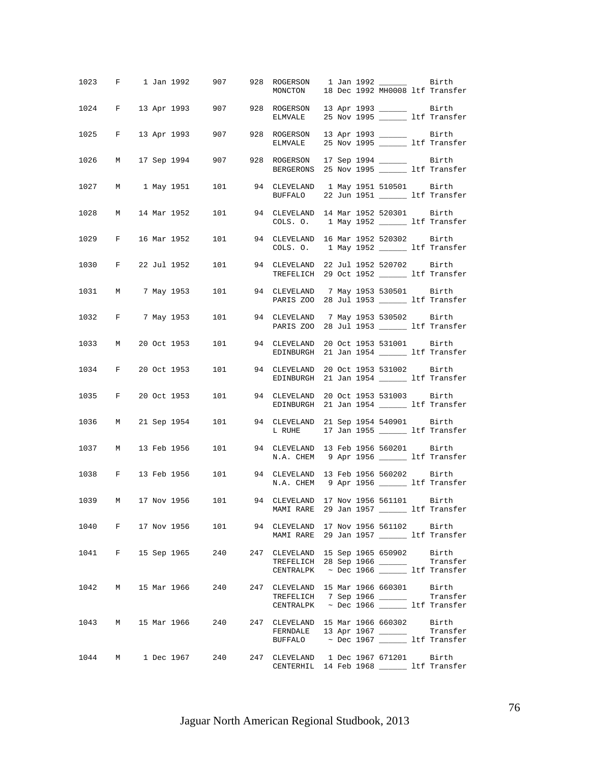|      |              |  |               | 1023 F 1 Jan 1992 907 | 928 ROGERSON<br>MONCTON                                                                                                                                                                                                   |  |                          | 18 Dec 1992 MH0008 ltf Transfer |
|------|--------------|--|---------------|-----------------------|---------------------------------------------------------------------------------------------------------------------------------------------------------------------------------------------------------------------------|--|--------------------------|---------------------------------|
|      |              |  |               |                       | 1024 F 13 Apr 1993 907 928 ROGERSON 13 Apr 1993 ________ Birth<br>ELMVALE 25 Nov 1995 ________ ltf Transfer                                                                                                               |  |                          |                                 |
| 1025 |              |  | F 13 Apr 1993 | 907 — 10              | 928 ROGERSON 13 Apr 1993 ________ Birth<br>ELMVALE 25 Nov 1995 _______ ltf Transfer                                                                                                                                       |  |                          |                                 |
| 1026 |              |  | M 17 Sep 1994 |                       | 907 928 ROGERSON 17 Sep 1994 _______ Birth<br>BERGERONS 25 Nov 1995 _______ ltf Transfer                                                                                                                                  |  |                          |                                 |
| 1027 |              |  |               |                       | M 1 May 1951 101 94 CLEVELAND 1 May 1951 510501 Birth<br>BUFFALO                                                                                                                                                          |  |                          | 22 Jun 1951 ______ ltf Transfer |
| 1028 | M            |  |               |                       | 14 Mar 1952 101 94 CLEVELAND 14 Mar 1952 520301 Birth<br>COLS. O. 1 May 1952 _______ ltf Transfer                                                                                                                         |  |                          |                                 |
| 1029 | $\mathbf{F}$ |  | 16 Mar 1952   | 101                   | 94 CLEVELAND 16 Mar 1952 520302 Birth<br>COLS. 0. 1 May 1952 ________ ltf Transfer                                                                                                                                        |  |                          |                                 |
| 1030 |              |  |               |                       | F 22 Jul 1952 101 94 CLEVELAND 22 Jul 1952 520702 Birth<br>TREFELICH 29 Oct 1952 ______ ltf Transfer                                                                                                                      |  |                          |                                 |
| 1031 |              |  |               |                       | M 7 May 1953      101          94   CLEVELAND    7 May 1953 530501       Birth<br>PARIS Z00 28 Jul 1953 ______ ltf Transfer                                                                                               |  |                          |                                 |
|      |              |  |               |                       | 1032 F 7 May 1953 101 94 CLEVELAND<br>PARIS Z00 28 Jul 1953 ______ ltf Transfer                                                                                                                                           |  | 7 May 1953 530502 Birth  |                                 |
|      | 1033 M       |  | 20 Oct 1953   |                       | 101 94 CLEVELAND<br>EDINBURGH 21 Jan 1954 ______ ltf Transfer                                                                                                                                                             |  | 20 Oct 1953 531001 Birth |                                 |
| 1034 |              |  |               |                       | F 20 Oct 1953 101 94 CLEVELAND<br>EDINBURGH                                                                                                                                                                               |  | 20 Oct 1953 531002 Birth | 21 Jan 1954 ______ ltf Transfer |
| 1035 |              |  |               |                       | F 20 Oct 1953 101 94 CLEVELAND<br>EDINBURGH 21 Jan 1954 ______ ltf Transfer                                                                                                                                               |  | 20 Oct 1953 531003 Birth |                                 |
| 1036 | M            |  | 21 Sep 1954   | 101                   | 94 CLEVELAND 21 Sep 1954 540901 Birth<br>L RUHE 17 Jan 1955 ________ ltf Transfer                                                                                                                                         |  |                          |                                 |
| 1037 | M            |  | 13 Feb 1956   |                       | 101 94 CLEVELAND 13 Feb 1956 560201 Birth<br>N.A. CHEM 9 Apr 1956 ________ ltf Transfer                                                                                                                                   |  |                          |                                 |
| 1038 |              |  |               | F 13 Feb 1956 101     | 94 CLEVELAND 13 Feb 1956 560202 Birth<br>N.A. CHEM 9 Apr 1956 ______ ltf Transfer                                                                                                                                         |  |                          |                                 |
|      |              |  |               |                       | 1039 M 17 Nov 1956 101 94 CLEVELAND 17 Nov 1956 561101 Birth<br>MAMI RARE 29 Jan 1957 _______ ltf Transfer                                                                                                                |  |                          |                                 |
|      |              |  |               |                       | 1040 F 17 Nov 1956 101 94 CLEVELAND 17 Nov 1956 561102 Birth<br>MAMI RARE 29 Jan 1957 ________ ltf Transfer                                                                                                               |  |                          |                                 |
|      |              |  |               |                       | 1041 F 15 Sep 1965 240 247 CLEVELAND 15 Sep 1965 650902 Birth<br>TREFELICH 28 Sep 1966 ________ Transfer<br>CENTRALPK ~ Dec 1966 ______ ltf Transfer                                                                      |  |                          |                                 |
|      |              |  |               |                       | 1042 M 15 Mar 1966 240 247 CLEVELAND 15 Mar 1966 660301 Birth<br>TREFELICH 7 Sep 1966 ________ Transfer                                                                                                                   |  |                          |                                 |
|      |              |  |               |                       | CENTRALPK $\sim$ Dec 1966 115 Itf Transfer<br>1043 M 15 Mar 1966 240 247 CLEVELAND 15 Mar 1966 660302 Birth                                                                                                               |  |                          |                                 |
|      |              |  |               |                       | $\begin{tabular}{ll} \texttt{FERNDALE} & 13 Apr 1967 \; \textcolor{red}{\textbf{-----}} & \texttt{Transfer} \\ \texttt{BUFFALO} & \sim Dec 1967 \; \textcolor{red}{\textbf{-----}} & \texttt{ltf Transfer} \end{tabular}$ |  |                          |                                 |
|      |              |  |               |                       | 1044 M 1 Dec 1967 240 247 CLEVELAND 1 Dec 1967 671201 Birth<br>CENTERHIL 14 Feb 1968 ______ ltf Transfer                                                                                                                  |  |                          |                                 |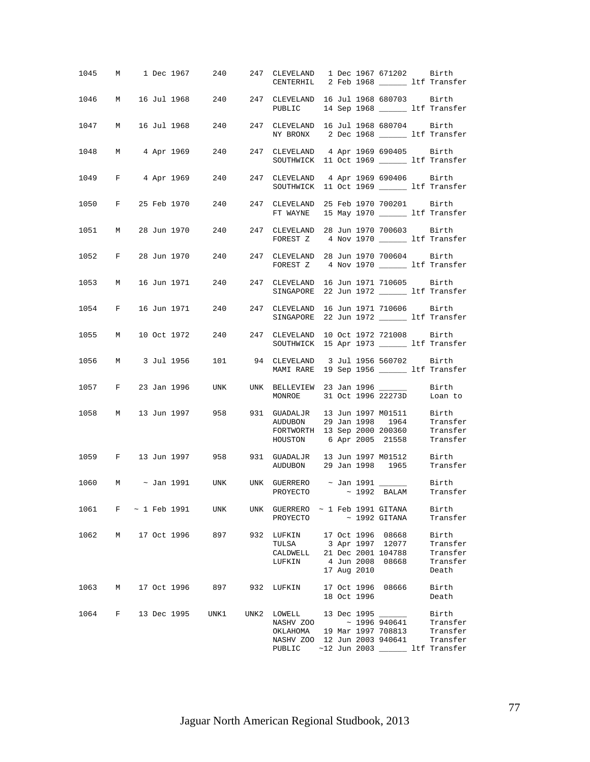|        |                     |  |               |                         | 1045 M 1 Dec 1967 240 247 CLEVELAND 1 Dec 1967 671202 Birth<br>CENTERHIL 2 Feb 1968 ______ ltf Transfer                                                                               |  |             |                                      |                                                    |
|--------|---------------------|--|---------------|-------------------------|---------------------------------------------------------------------------------------------------------------------------------------------------------------------------------------|--|-------------|--------------------------------------|----------------------------------------------------|
| 1046 M |                     |  |               |                         | 16 Jul 1968 240 247 CLEVELAND 16 Jul 1968 680703 Birth<br>PUBLIC 14 Sep 1968 ________ ltf Transfer                                                                                    |  |             |                                      |                                                    |
| 1047   | M                   |  |               |                         | 16 Jul 1968 240 247 CLEVELAND 16 Jul 1968 680704 Birth<br>NY BRONX 2 Dec 1968 _______ ltf Transfer                                                                                    |  |             |                                      |                                                    |
|        |                     |  |               |                         | 1048 M 4 Apr 1969 240 247 CLEVELAND 4 Apr 1969 690405 Birth<br>SOUTHWICK 11 Oct 1969 _______ ltf Transfer                                                                             |  |             |                                      |                                                    |
|        |                     |  |               |                         | 1049 F 4 Apr 1969 240 247 CLEVELAND 4 Apr 1969 690406 Birth<br>SOUTHWICK 11 Oct 1969 ________ ltf Transfer                                                                            |  |             |                                      |                                                    |
|        |                     |  |               |                         | 1050 F 25 Feb 1970 240 247 CLEVELAND 25 Feb 1970 700201 Birth<br>FT WAYNE 15 May 1970 _________ ltf Transfer                                                                          |  |             |                                      |                                                    |
| 1051 M |                     |  |               |                         | FOREST Z 4 Nov 1970 __________ ltf Transfer                                                                                                                                           |  |             |                                      |                                                    |
|        |                     |  |               |                         | 1052 F 28 Jun 1970 240 247 CLEVELAND 28 Jun 1970 700604 Birth<br>FOREST Z 4 Nov 1970 _________ ltf Transfer                                                                           |  |             |                                      |                                                    |
|        |                     |  |               |                         | 1053 M 16 Jun 1971 240 247 CLEVELAND 16 Jun 1971 710605 Birth<br>SINGAPORE 22 Jun 1972 _________ ltf Transfer                                                                         |  |             |                                      |                                                    |
|        |                     |  |               |                         | 1054 F 16 Jun 1971 240 247 CLEVELAND 16 Jun 1971 710606 Birth<br>SINGAPORE 22 Jun 1972 _________ ltf Transfer                                                                         |  |             |                                      |                                                    |
|        |                     |  |               |                         | 1055 M 10 Oct 1972 240 247 CLEVELAND 10 Oct 1972 721008 Birth<br>SOUTHWICK 15 Apr 1973 ________ ltf Transfer                                                                          |  |             |                                      |                                                    |
|        |                     |  |               |                         | 1056 M 3 Jul 1956 101 94 CLEVELAND 3 Jul 1956 560702 Birth<br>MAMI RARE 19 Sep 1956 ________ ltf Transfer                                                                             |  |             |                                      |                                                    |
|        |                     |  |               |                         | 1057 F 23 Jan 1996 UNK UNK BELLEVIEW 23 Jan 1996 ______<br>MONROE 31 Oct 1996 22273D Loan to                                                                                          |  |             |                                      | Birth                                              |
|        |                     |  |               |                         | 1058 M 13 Jun 1997 958 931 GUADALJR 13 Jun 1997 M01511 Birth<br>AUDUBON 29 Jan 1998 1964 Transfer<br>FORTWORTH 13 Sep 2000 200360 Transfer<br>HOUSTON 6 Apr 2005 21558 Transfer       |  |             |                                      |                                                    |
|        |                     |  |               |                         | 1059 F 13 Jun 1997 958 931 GUADALJR 13 Jun 1997 M01512 Birth<br>AUDUBON 29 Jan 1998 1965 Transfer                                                                                     |  |             |                                      |                                                    |
|        |                     |  |               |                         | 1060 M ~ Jan 1991 UNK UNK GUERRERO ~ Jan 1991 ________ Birth<br>PROYECTO ~ 1992 BALAM Transfer                                                                                        |  |             |                                      |                                                    |
|        | 1061 F ~ 1 Feb 1991 |  |               | UNK                     | UNK GUERRERO $\sim$ 1 Feb 1991 GITANA<br>PROYECTO ~ 1992 GITANA                                                                                                                       |  |             |                                      | Birth<br>Transfer                                  |
| 1062   |                     |  | M 17 Oct 1996 | 897                     | 932 LUFKIN 17 Oct 1996 08668<br>TULSA<br>CALDWELL 21 Dec 2001 104788<br>LUFKIN                                                                                                        |  | 17 Aug 2010 | 3 Apr 1997 12077<br>4 Jun 2008 08668 | Birth<br>Transfer<br>Transfer<br>Transfer<br>Death |
|        |                     |  |               |                         | 1063 M 17 Oct 1996 897 932 LUFKIN 17 Oct 1996 08666                                                                                                                                   |  | 18 Oct 1996 |                                      | Birth<br>Death                                     |
|        |                     |  |               | 1064 F 13 Dec 1995 UNK1 | UNK2 LOWELL 13 Dec 1995 _____<br>NASHV ZOO ~ 1996 940641 Transfer<br>OKLAHOMA 19 Mar 1997 708813<br>NASHV ZOO 12 Jun 2003 940641 Transfer<br>PUBLIC ~12 Jun 2003 _______ ltf Transfer |  |             |                                      | Birth<br>Transfer                                  |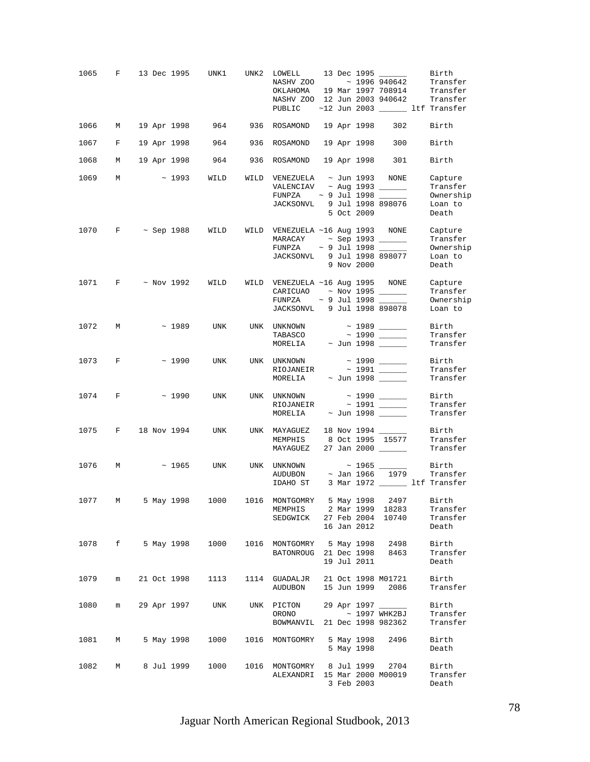| 1065   | F | 13 Dec 1995            |             | UNK1            | UNK2 | LOWELL<br>NASHV ZOO ~ 1996 940642<br>OKLAHOMA<br>NASHV ZOO 12 Jun 2003 940642 Transfer<br>PUBLIC ~12 Jun 2003 ______ ltf Transfer |  |                          | 13 Dec 1995<br>19 Mar 1997 708914       | Birth<br>Transfer<br>Transfer                        |
|--------|---|------------------------|-------------|-----------------|------|-----------------------------------------------------------------------------------------------------------------------------------|--|--------------------------|-----------------------------------------|------------------------------------------------------|
| 1066   | М | 19 Apr 1998            |             |                 |      | 964 936 ROSAMOND                                                                                                                  |  | 19 Apr 1998              | 302                                     | Birth                                                |
| 1067   | F | 19 Apr 1998            |             |                 |      | 964 936 ROSAMOND                                                                                                                  |  | 19 Apr 1998              | 300                                     | Birth                                                |
| 1068   | M | 19 Apr 1998            |             | 964             |      | 936 ROSAMOND                                                                                                                      |  | 19 Apr 1998              | 301                                     | Birth                                                |
| 1069   | M | $\sim$ 1993            |             | WILD            |      | WILD VENEZUELA $\sim$ Jun 1993 NONE<br>VALENCIAV $\sim$ Aug 1993 ________<br>FUNPZA<br>JACKSONVL 9 Jul 1998 898076                |  | 5 Oct 2009               | $\sim$ 9 Jul 1998 ______                | Capture<br>Transfer<br>Ownership<br>Loan to<br>Death |
| 1070   | F |                        | ~ Sep 1988  | WILD            |      | WILD VENEZUELA ~16 Aug 1993 NONE<br>FUNPZA<br>JACKSONVL 9 Jul 1998 898077                                                         |  | 9 Nov 2000               | $\sim$ 9 Jul 1998 $\_\_$                | Capture<br>Transfer<br>Ownership<br>Loan to<br>Death |
|        |   | 1071 F ~ Nov 1992 WILD |             |                 |      | WILD VENEZUELA ~16 Aug 1995 NONE<br>CARICUAO ~ Nov 1995 $\_\_$<br>JACKSONVL 9 Jul 1998 898078                                     |  |                          |                                         | Capture<br>Transfer<br>Ownership<br>Loan to          |
| 1072   | M |                        | $\sim 1989$ | UNK             |      | UNK UNKNOWN<br>TABASCO<br>MORELIA                                                                                                 |  |                          | $\sim$ 1989 _____<br>$\sim$ Jun 1998    | Birth<br>Transfer<br>Transfer                        |
| 1073 F |   |                        | $\sim 1990$ | UNK             |      | UNK UNKNOWN<br>RIOJANEIR<br>MORELIA                                                                                               |  |                          | $\sim$ Jun 1998 ______                  | Birth<br>Transfer<br>Transfer                        |
| 1074 F |   |                        | $\sim 1990$ | UNK             |      | UNK UNKNOWN<br>MORELIA ~ Jun 1998 ______                                                                                          |  |                          | $\sim$ 1990 _____                       | Birth<br>Transfer<br>Transfer                        |
| 1075   |   | F 18 Nov 1994          |             | UNK             |      | UNK MAYAGUEZ<br>MEMPHIS 8 Oct 1995 15577<br>MAYAGUEZ                                                                              |  |                          | 18 Nov 1994 _____<br>27 Jan 2000 ______ | Birth<br>Transfer<br>Transfer                        |
| 1076   | M |                        | $\sim 1965$ | UNK             |      | UNK UNKNOWN<br><b>AUDUBON</b><br>IDAHO ST 3 Mar 1972 ________ ltf Transfer                                                        |  | ~ Jan 1966               | $\sim$ 1965 _____<br>1979               | Birth<br>Transfer                                    |
| 1077   | M |                        |             |                 |      | 5 May 1998   1000   1016   MONTGOMRY   5 May 1998   2497   Birth<br>MEMPHIS 2 Mar 1999 18283<br>SEDGWICK                          |  | 16 Jan 2012              | 27 Feb 2004 10740                       | Transfer<br>Transfer<br>Death                        |
| 1078 f |   |                        |             | 5 May 1998 1000 |      | 1016 MONTGOMRY 5 May 1998 2498<br>BATONROUG 21 Dec 1998 8463                                                                      |  | 19 Jul 2011              |                                         | Birth<br>Transfer<br>Death                           |
| 1079   | m | 21 Oct 1998            |             | 1113            |      | 1114 GUADALJR<br>AUDUBON                                                                                                          |  |                          | 21 Oct 1998 M01721<br>15 Jun 1999 2086  | Birth<br>Transfer                                    |
| 1080   | m | 29 Apr 1997            |             | UNK             |      | UNK PICTON<br>ORONO<br>BOWMANVIL 21 Dec 1998 982362                                                                               |  |                          | 29 Apr 1997<br>~ 1997 WHK2BJ            | Birth<br>Transfer<br>Transfer                        |
| 1081   | М |                        | 5 May 1998  | 1000            |      | 1016 MONTGOMRY                                                                                                                    |  | 5 May 1998<br>5 May 1998 | 2496                                    | Birth<br>Death                                       |
| 1082   | М |                        | 8 Jul 1999  | 1000            |      | 1016 MONTGOMRY 8 Jul 1999<br>ALEXANDRI 15 Mar 2000 M00019                                                                         |  | 3 Feb 2003               | 2704                                    | Birth<br>Transfer<br>Death                           |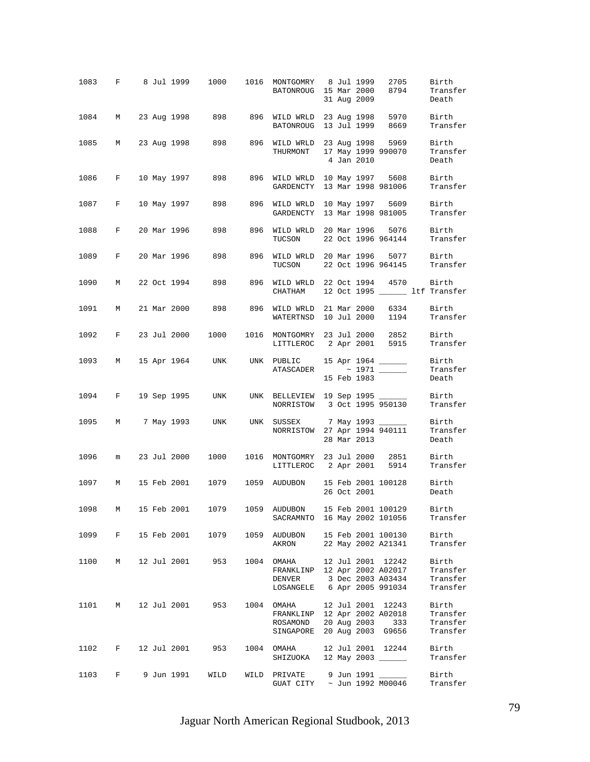| 1083   |                               |  | F 8 Jul 1999 | 1000                   |      | 1016 MONTGOMRY 8 Jul 1999<br>BATONROUG 15 Mar 2000                                                                      |  | 31 Aug 2009 | 2705<br>8794                               | Birth<br>Transfer<br>Death                |
|--------|-------------------------------|--|--------------|------------------------|------|-------------------------------------------------------------------------------------------------------------------------|--|-------------|--------------------------------------------|-------------------------------------------|
| 1084 M |                               |  |              | 23 Aug 1998 898        |      | 896 WILD WRLD 23 Aug 1998<br>BATONROUG 13 Jul 1999                                                                      |  |             | 5970<br>8669                               | Birth<br>Transfer                         |
| 1085   | М                             |  |              | 23 Aug 1998 898        |      | 896 WILD WRLD 23 Aug 1998<br>THURMONT                                                                                   |  | 4 Jan 2010  | 5969<br>17 May 1999 990070                 | Birth<br>Transfer<br>Death                |
| 1086   | F                             |  | 10 May 1997  | 898 — 10               |      | 896 WILD WRLD 10 May 1997<br>GARDENCTY                                                                                  |  |             | 5608<br>13 Mar 1998 981006                 | Birth<br>Transfer                         |
| 1087   | F                             |  | 10 May 1997  | 898                    |      | 896 WILD WRLD<br>GARDENCTY                                                                                              |  |             | 10 May 1997 5609<br>13 Mar 1998 981005     | Birth<br>Transfer                         |
| 1088   | F                             |  |              | 20 Mar 1996 898        |      | 896 WILD WRLD 20 Mar 1996<br>TUCSON                                                                                     |  |             | 5076<br>22 Oct 1996 964144                 | Birth<br>Transfer                         |
| 1089   | $\mathbf{F}$                  |  |              | 20 Mar 1996 898        | 896  | WILD WRLD 20 Mar 1996 5077<br>TUCSON                                                                                    |  |             | 22 Oct 1996 964145                         | Birth<br>Transfer                         |
| 1090   | М                             |  |              | 22 Oct 1994 898        | 896  | WILD WRLD 22 Oct 1994 4570<br>CHATHAM                                                                                   |  |             |                                            | Birth<br>12 Oct 1995 ______ ltf Transfer  |
| 1091   | М                             |  | 21 Mar 2000  | 898                    | 896  | WILD WRLD 21 Mar 2000 6334<br>WATERTNSD 10 Jul 2000                                                                     |  |             |                                            | Birth<br>1194 Transfer                    |
| 1092   | F                             |  | 23 Jul 2000  | 1000                   |      | 1016 MONTGOMRY 23 Jul 2000 2852<br>LITTLEROC 2 Apr 2001 5915                                                            |  |             |                                            | Birth<br>Transfer                         |
| 1093   | M                             |  |              | 15 Apr 1964 UNK        |      | UNK PUBLIC                                                                                                              |  | 15 Feb 1983 | 15 Apr 1964 _____                          | Birth<br>Transfer<br>Death                |
| 1094   | $\mathbf{F}$ and $\mathbf{F}$ |  | 19 Sep 1995  | UNK                    |      | UNK BELLEVIEW 19 Sep 1995 ______<br>NORRISTOW 3 Oct 1995 950130                                                         |  |             |                                            | Birth<br>Transfer                         |
| 1095   |                               |  | M 7 May 1993 | UNK                    |      | UNK SUSSEX 7 May 1993<br>NORRISTOW 27 Apr 1994 940111                                                                   |  | 28 Mar 2013 |                                            | Birth<br>Transfer<br>Death                |
| 1096   | m                             |  | 23 Jul 2000  | 1000                   |      | 1016 MONTGOMRY 23 Jul 2000 2851<br>LITTLEROC 2 Apr 2001 5914                                                            |  |             |                                            | Birth<br>Transfer                         |
| 1097   | М                             |  | 15 Feb 2001  | 1079                   | 1059 | AUDUBON 15 Feb 2001 100128                                                                                              |  | 26 Oct 2001 |                                            | Birth<br>Death                            |
| 1098   | M                             |  | 15 Feb 2001  | 1079                   |      | 1059 AUDUBON 15 Feb 2001 100129<br>SACRAMNTO 16 May 2002 101056                                                         |  |             |                                            | Birth<br>Transfer                         |
| 1099 F |                               |  | 15 Feb 2001  | 1079                   |      | 1059 AUDUBON 15 Feb 2001 100130<br>AKRON 22 May 2002 A21341                                                             |  |             |                                            | Birth<br>Transfer                         |
|        |                               |  |              | 1100 M 12 Jul 2001 953 |      | 1004 OMAHA 12 Jul 2001 12242<br>FRANKLINP 12 Apr 2002 A02017<br>DENVER 3 Dec 2003 A03434<br>LOSANGELE 6 Apr 2005 991034 |  |             |                                            | Birth<br>Transfer<br>Transfer<br>Transfer |
| 1101   | $M$ and $M$                   |  | 12 Jul 2001  | 953                    |      | 1004 OMAHA<br>FRANKLINP 12 Apr 2002 A02018<br>ROSAMOND<br>SINGAPORE 20 Aug 2003 G9656                                   |  | 20 Aug 2003 | 12 Jul 2001 12243<br>333                   | Birth<br>Transfer<br>Transfer<br>Transfer |
| 1102   | $F$ and $F$                   |  | 12 Jul 2001  | 953                    |      | 1004 OMAHA<br>SHIZUOKA 12 May 2003 ______                                                                               |  |             | 12 Jul 2001 12244                          | Birth<br>Transfer                         |
| 1103   | F                             |  | 9 Jun 1991   | WILD                   |      | WILD PRIVATE<br>GUAT CITY                                                                                               |  |             | 9 Jun 1991 _____<br>$\sim$ Jun 1992 M00046 | Birth<br>Transfer                         |

Jaguar North American Regional Studbook, 2013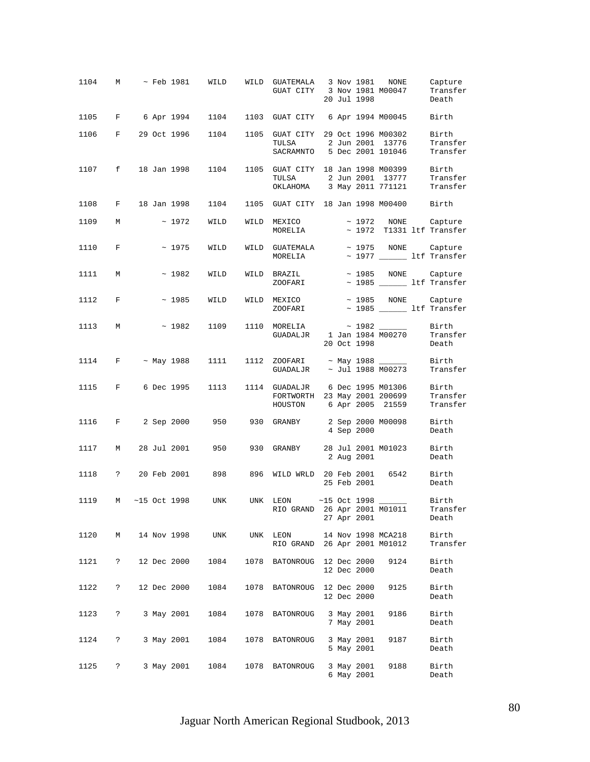| 1104 | М                 |  |                | $\sim$ Feb 1981 – WILD                                  |      | WILD GUATEMALA 3 Nov 1981 NONE<br>GUAT CITY 3 Nov 1981 M00047                                                                                                                                                                                                                         |  | 20 Jul 1998              |                    | Capture<br>Transfer<br>Death                          |
|------|-------------------|--|----------------|---------------------------------------------------------|------|---------------------------------------------------------------------------------------------------------------------------------------------------------------------------------------------------------------------------------------------------------------------------------------|--|--------------------------|--------------------|-------------------------------------------------------|
|      |                   |  |                | 1105 F 6 Apr 1994 1104 1103 GUAT CITY 6 Apr 1994 M00045 |      |                                                                                                                                                                                                                                                                                       |  |                          |                    | Birth                                                 |
| 1106 |                   |  | F 29 Oct 1996  | 1104                                                    | 1105 | GUAT CITY 29 Oct 1996 M00302<br>TULSA<br>SACRAMNTO 5 Dec 2001 101046                                                                                                                                                                                                                  |  |                          | 2 Jun 2001 13776   | Birth<br>Transfer<br>Transfer                         |
| 1107 | f                 |  | 18 Jan 1998    | 1104                                                    |      | 1105 GUAT CITY 18 Jan 1998 M00399<br>TULSA<br>OKLAHOMA 3 May 2011 771121 Transfer                                                                                                                                                                                                     |  |                          | 2 Jun 2001 13777   | Birth<br>Transfer                                     |
| 1108 | F                 |  | 18 Jan 1998    | 1104                                                    |      | 1105 GUAT CITY 18 Jan 1998 M00400 Birth                                                                                                                                                                                                                                               |  |                          |                    |                                                       |
| 1109 | M                 |  | $~\sim~1972$   | WILD                                                    |      | WILD MEXICO<br>MORELIA                                                                                                                                                                                                                                                                |  |                          |                    | ~ 1972 NONE Capture<br>$\sim$ 1972 T1331 ltf Transfer |
| 1110 | $\mathbf{F}$      |  | $\sim$ 1975    | WILD                                                    |      | $\verb WILD GUATEMALA ~ ~ ~ ~ 1975 \quad \text{NONE} \qquad \text{Capture}$<br>MORELIA $\sim$ 1977 $\qquad$ ltf Transfer                                                                                                                                                              |  |                          |                    |                                                       |
| 1111 | М                 |  | ~1982          | WILD                                                    |      | $\begin{tabular}{llllll} \texttt{WILD} & \texttt{BRAZIL} & \texttt{~~} & \texttt{--} & \texttt{1985} & \texttt{NONE} & \texttt{Capture} \\ & \texttt{ZOOFARI} & \texttt{~~} & \texttt{--} & \texttt{1985} & \texttt{\hspace{3.0cm}} & \texttt{ltf Transfer} \end{tabular}$<br>ZOOFARI |  |                          |                    |                                                       |
| 1112 | $\mathbf{F}$      |  | $\sim$ 1985    | WILD                                                    |      | WILD MEXICO<br>ZOOFARI ~ 1985 ______ ltf Transfer                                                                                                                                                                                                                                     |  |                          |                    | ~ 1985 NONE Capture                                   |
| 1113 | M                 |  | $\sim 1982$    | 1109 1110                                               |      | $\begin{tabular}{lllll} \texttt{MORELIA} & $\sim$ 1982 \; \underline{\hspace{1cm}}$ & \texttt{Birth} \\ \texttt{GUADALJR} & $\texttt{1 Jan 1984 M00270}$ & \texttt{Transfer} \end{tabular}$                                                                                           |  | 20 Oct 1998              |                    | Death                                                 |
| 1114 | $F \sim$ May 1988 |  |                |                                                         |      | 1111   1112     ZOOFARI     ~ May   1988     ______<br>GUADALJR ~ Jul 1988 M00273                                                                                                                                                                                                     |  |                          |                    | Birth<br>Transfer                                     |
| 1115 | $F$ and $F$       |  | 6 Dec 1995     | 1113                                                    |      | 1114 GUADALJR 6 Dec 1995 M01306<br>FORTWORTH 23 May 2001 200699<br>HOUSTON 6 Apr 2005 21559                                                                                                                                                                                           |  |                          |                    | Birth<br>Transfer<br>Transfer                         |
| 1116 | F                 |  | 2 Sep 2000     | 950 — 10                                                | 930  | GRANBY 2 Sep 2000 M00098                                                                                                                                                                                                                                                              |  | 4 Sep 2000               |                    | Birth<br>Death                                        |
| 1117 | M                 |  | 28 Jul 2001    | 950                                                     | 930  | GRANBY 28 Jul 2001 M01023                                                                                                                                                                                                                                                             |  | 2 Aug 2001               |                    | Birth<br>Death                                        |
| 1118 | $\mathbb{R}$      |  |                | 20 Feb 2001 898                                         |      | 896 WILD WRLD 20 Feb 2001 6542                                                                                                                                                                                                                                                        |  | 25 Feb 2001              |                    | Birth<br>Death                                        |
| 1119 | M                 |  | $~15$ Oct 1998 | <b>UNK</b>                                              |      | UNK LEON ~15 Oct 1998 _______ Birth<br>RIO GRAND 26 Apr 2001 M01011                                                                                                                                                                                                                   |  | 27 Apr 2001              |                    | Transfer<br>Death                                     |
| 1120 | М                 |  | 14 Nov 1998    | UNK                                                     |      | UNK LEON<br>RIO GRAND 26 Apr 2001 M01012                                                                                                                                                                                                                                              |  |                          | 14 Nov 1998 MCA218 | Birth<br>Transfer                                     |
| 1121 | $\ddot{?}$        |  | 12 Dec 2000    | 1084                                                    |      | 1078 BATONROUG 12 Dec 2000                                                                                                                                                                                                                                                            |  | 12 Dec 2000              | 9124               | Birth<br>Death                                        |
| 1122 | ?                 |  | 12 Dec 2000    | 1084                                                    |      | 1078 BATONROUG 12 Dec 2000                                                                                                                                                                                                                                                            |  | 12 Dec 2000              | 9125               | Birth<br>Death                                        |
| 1123 | $\ddot{\cdot}$    |  | 3 May 2001     | 1084                                                    | 1078 | BATONROUG                                                                                                                                                                                                                                                                             |  | 3 May 2001<br>7 May 2001 | 9186               | Birth<br>Death                                        |
| 1124 | $\ddot{ }$        |  | 3 May 2001     | 1084                                                    |      | 1078 BATONROUG                                                                                                                                                                                                                                                                        |  | 3 May 2001<br>5 May 2001 | 9187               | Birth<br>Death                                        |
| 1125 | $\mathbb{R}$      |  | 3 May 2001     | 1084                                                    |      | 1078 BATONROUG                                                                                                                                                                                                                                                                        |  | 3 May 2001<br>6 May 2001 | 9188               | Birth<br>Death                                        |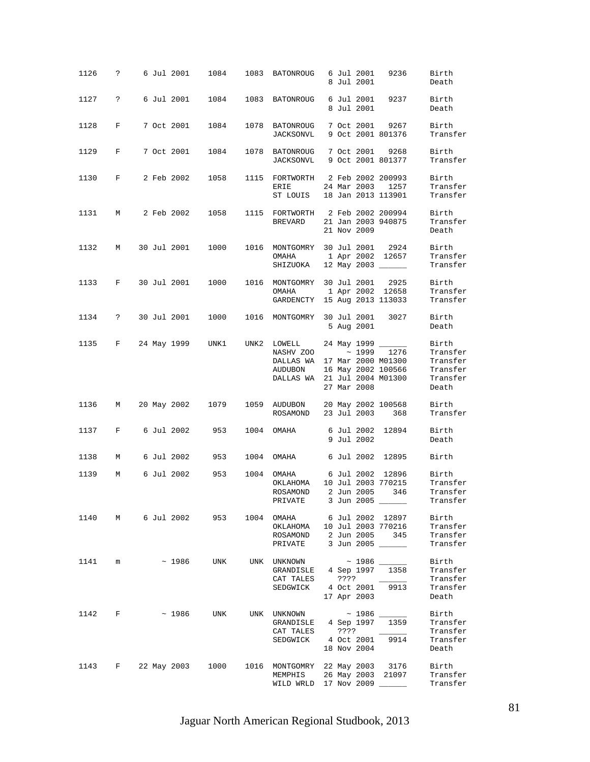| 1126 | ?                    |                    | 6 Jul 2001 | 1084                  | 1083 | BATONROUG                                                                                                       |  | 6 Jul 2001<br>8 Jul 2001     | 9236                                                              | Birth<br>Death                                                 |
|------|----------------------|--------------------|------------|-----------------------|------|-----------------------------------------------------------------------------------------------------------------|--|------------------------------|-------------------------------------------------------------------|----------------------------------------------------------------|
| 1127 | $\ddot{\phantom{0}}$ |                    | 6 Jul 2001 | 1084                  | 1083 | BATONROUG                                                                                                       |  | 6 Jul 2001<br>8 Jul 2001     | 9237                                                              | Birth<br>Death                                                 |
| 1128 | F                    |                    | 7 Oct 2001 | 1084                  | 1078 | BATONROUG<br>JACKSONVL                                                                                          |  |                              | 7 Oct 2001 9267<br>9 Oct 2001 801376                              | Birth<br>Transfer                                              |
| 1129 | F                    |                    | 7 Oct 2001 | 1084                  | 1078 | BATONROUG<br>JACKSONVL                                                                                          |  |                              | 7 Oct 2001 9268<br>9 Oct 2001 801377                              | Birth<br>Transfer                                              |
| 1130 | F                    |                    | 2 Feb 2002 | 1058                  | 1115 | FORTWORTH 2 Feb 2002 200993<br>ERIE<br>ST LOUIS                                                                 |  | 24 Mar 2003                  | 1257<br>18 Jan 2013 113901                                        | Birth<br>Transfer<br>Transfer                                  |
| 1131 | М                    |                    | 2 Feb 2002 | 1058                  | 1115 | FORTWORTH 2 Feb 2002 200994<br>BREVARD                                                                          |  | 21 Nov 2009                  | 21 Jan 2003 940875                                                | Birth<br>Transfer<br>Death                                     |
| 1132 | М                    | 30 Jul 2001        |            | 1000                  | 1016 | MONTGOMRY 30 Jul 2001 2924<br>OMAHA<br>SHIZUOKA                                                                 |  |                              | 1 Apr 2002 12657<br>12 May 2003 ______                            | Birth<br>Transfer<br>Transfer                                  |
| 1133 | F                    | 30 Jul 2001        |            | 1000                  | 1016 | MONTGOMRY<br>OMAHA<br>GARDENCTY                                                                                 |  |                              | 30 Jul 2001 2925<br>1 Apr 2002 12658<br>15 Aug 2013 113033        | Birth<br>Transfer<br>Transfer                                  |
| 1134 | $\ddot{?}$           | 30 Jul 2001        |            | 1000                  | 1016 | MONTGOMRY                                                                                                       |  | 30 Jul 2001<br>5 Aug 2001    | 3027                                                              | Birth<br>Death                                                 |
| 1135 | F                    | 24 May 1999        |            | UNK1                  |      | UNK2 LOWELL<br>NASHV ZOO ~ 1999 1276<br>DALLAS WA 17 Mar 2000 M01300<br>AUDUBON<br>DALLAS WA 21 Jul 2004 M01300 |  | 24 May 1999 _<br>27 Mar 2008 | 16 May 2002 100566                                                | Birth<br>Transfer<br>Transfer<br>Transfer<br>Transfer<br>Death |
| 1136 | M                    | 20 May 2002        |            | 1079                  | 1059 | AUDUBON<br>ROSAMOND                                                                                             |  |                              | 20 May 2002 100568<br>23 Jul 2003 368                             | Birth<br>Transfer                                              |
| 1137 | F                    |                    | 6 Jul 2002 | 953                   |      | 1004 OMAHA                                                                                                      |  | 9 Jul 2002                   | 6 Jul 2002 12894                                                  | Birth<br>Death                                                 |
| 1138 | М                    |                    | 6 Jul 2002 | 953                   | 1004 | OMAHA                                                                                                           |  |                              | 6 Jul 2002 12895                                                  | Birth                                                          |
| 1139 | М                    |                    | 6 Jul 2002 | 953                   | 1004 | OMAHA<br>OKLAHOMA<br>ROSAMOND<br>PRIVATE                                                                        |  | 2 Jun 2005                   | 6 Jul 2002 12896<br>10 Jul 2003 770215<br>346<br>3 Jun 2005 _____ | Birth<br>Transfer<br>Transfer<br>Transter                      |
|      |                      |                    |            | 1140 M 6 Jul 2002 953 |      | 1004 OMAHA 6 Jul 2002 12897<br>OKLAHOMA 10 Jul 2003 770216<br>ROSAMOND 2 Jun 2005 345<br>PRIVATE 3 Jun 2005     |  |                              |                                                                   | Birth<br>Transfer<br>Transfer<br>Transfer                      |
| 1141 | m                    |                    | ~ 1986     | UNK                   |      | UNK UNKNOWN ~ 1986 ______<br>GRANDISLE 4 Sep 1997 1358<br>CAT TALES ????<br>SEDGWICK 4 Oct 2001 9913            |  | 17 Apr 2003                  |                                                                   | Birth<br>Transfer<br>Transfer<br>Transfer<br>Death             |
|      | 1142 F               |                    |            |                       |      | $\sim$ 1986 UNK UNK UNKNOWN $\sim$ 1986<br>GRANDISLE 4 Sep 1997<br>CAT TALES ????<br>SEDGWICK 4 Oct 2001        |  | 18 Nov 2004                  | 1359<br>9914                                                      | Birth<br>Transfer<br>Transfer<br>Transfer<br>Death             |
|      |                      | 1143 F 22 May 2003 |            | 1000                  |      | 1016 MONTGOMRY 22 May 2003 3176<br>MEMPHIS 26 May 2003 21097<br>WILD WRLD 17 Nov 2009                           |  |                              |                                                                   | Birth<br>Transfer<br>Transfer                                  |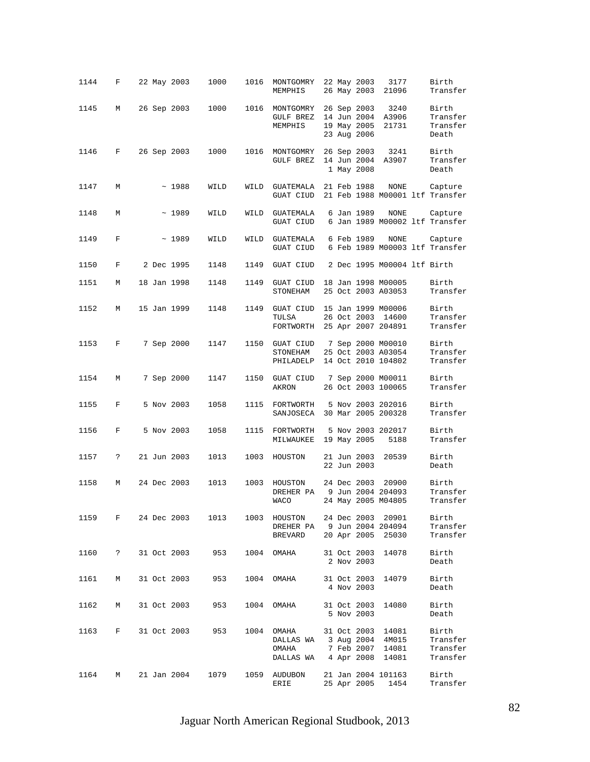| 1144   | F                  |  | 22 May 2003 | 1000 | 1016 | MONTGOMRY<br>MEMPHIS                                                       |  | 22 May 2003<br>26 May 2003                | 3177<br>21096                                                 | Birth<br>Transfer                          |
|--------|--------------------|--|-------------|------|------|----------------------------------------------------------------------------|--|-------------------------------------------|---------------------------------------------------------------|--------------------------------------------|
| 1145   | М                  |  | 26 Sep 2003 | 1000 | 1016 | MONTGOMRY<br>GULF BREZ<br>MEMPHIS                                          |  | 26 Sep 2003<br>19 May 2005<br>23 Aug 2006 | 3240<br>14 Jun 2004 A3906<br>21731                            | Birth<br>Transfer<br>Transfer<br>Death     |
| 1146   | F                  |  | 26 Sep 2003 | 1000 | 1016 | MONTGOMRY<br>GULF BREZ                                                     |  | 26 Sep 2003<br>14 Jun 2004<br>1 May 2008  | 3241<br>A3907                                                 | Birth<br>Transfer<br>Death                 |
| 1147   | M                  |  | ~1988       | WILD | WILD | GUATEMALA<br>GUAT CIUD                                                     |  | 21 Feb 1988                               | NONE                                                          | Capture<br>21 Feb 1988 M00001 ltf Transfer |
| 1148   | М                  |  | ~1989       | WILD | WILD | GUATEMALA<br>GUAT CIUD                                                     |  | 6 Jan 1989                                | <b>NONE</b>                                                   | Capture<br>6 Jan 1989 M00002 ltf Transfer  |
| 1149   | F                  |  | ~1989       | WILD | WILD | GUATEMALA<br>GUAT CIUD                                                     |  | 6 Feb 1989                                | NONE                                                          | Capture<br>6 Feb 1989 M00003 ltf Transfer  |
| 1150   | F                  |  | 2 Dec 1995  | 1148 | 1149 | GUAT CIUD                                                                  |  |                                           | 2 Dec 1995 M00004 ltf Birth                                   |                                            |
| 1151   | М                  |  | 18 Jan 1998 | 1148 | 1149 | GUAT CIUD<br>STONEHAM                                                      |  |                                           | 18 Jan 1998 M00005<br>25 Oct 2003 A03053                      | Birth<br>Transfer                          |
| 1152   | М                  |  | 15 Jan 1999 | 1148 | 1149 | GUAT CIUD<br>TULSA<br>FORTWORTH                                            |  |                                           | 15 Jan 1999 M00006<br>26 Oct 2003 14600<br>25 Apr 2007 204891 | Birth<br>Transfer<br>Transfer              |
| 1153   | F                  |  | 7 Sep 2000  | 1147 | 1150 | GUAT CIUD 7 Sep 2000 M00010<br>STONEHAM<br>PHILADELP                       |  |                                           | 25 Oct 2003 A03054<br>14 Oct 2010 104802                      | Birth<br>Transfer<br>Transfer              |
| 1154   | М                  |  | 7 Sep 2000  | 1147 | 1150 | GUAT CIUD<br>AKRON                                                         |  |                                           | 7 Sep 2000 M00011<br>26 Oct 2003 100065                       | Birth<br>Transfer                          |
| 1155   | F                  |  | 5 Nov 2003  | 1058 | 1115 | FORTWORTH<br>SANJOSECA                                                     |  |                                           | 5 Nov 2003 202016<br>30 Mar 2005 200328                       | Birth<br>Transfer                          |
| 1156   | F                  |  | 5 Nov 2003  | 1058 | 1115 | FORTWORTH<br>MILWAUKEE                                                     |  | 19 May 2005                               | 5 Nov 2003 202017<br>5188                                     | Birth<br>Transfer                          |
| 1157   | ?                  |  | 21 Jun 2003 | 1013 | 1003 | HOUSTON                                                                    |  | 21 Jun 2003<br>22 Jun 2003                | 20539                                                         | Birth<br>Death                             |
| 1158   | М                  |  | 24 Dec 2003 | 1013 | 1003 | HOUSTON<br>DREHER PA<br><b>WACO</b>                                        |  | 24 Dec 2003                               | 20900<br>9 Jun 2004 204093<br>24 May 2005 M04805              | Birth<br>Transfer<br>Transfer              |
|        | 1159 F 24 Dec 2003 |  |             | 1013 | 1003 | HOUSTON 24 Dec 2003 20901<br>DREHER PA 9 Jun 2004 204094<br><b>BREVARD</b> |  |                                           | 20 Apr 2005 25030                                             | Birth<br>Transfer<br>Transfer              |
| 1160   | $\ddot{?}$         |  | 31 Oct 2003 | 953  |      | 1004 OMAHA                                                                 |  | 2 Nov 2003                                | 31 Oct 2003 14078                                             | Birth<br>Death                             |
| 1161   | М                  |  | 31 Oct 2003 | 953  |      | 1004 OMAHA                                                                 |  | 4 Nov 2003                                | 31 Oct 2003 14079                                             | Birth<br>Death                             |
| 1162   | М                  |  | 31 Oct 2003 | 953  | 1004 | OMAHA 31 Oct 2003 14080                                                    |  | 5 Nov 2003                                |                                                               | Birth<br>Death                             |
| 1163 F |                    |  | 31 Oct 2003 | 953  | 1004 | OMAHA<br>DALLAS WA 3 Aug 2004 4M015<br>OMAHA<br>DALLAS WA 4 Apr 2008 14081 |  |                                           | 31 Oct 2003 14081<br>7 Feb 2007 14081                         | Birth<br>Transfer<br>Transfer<br>Transfer  |
| 1164   | M                  |  | 21 Jan 2004 | 1079 | 1059 | AUDUBON<br>ERIE                                                            |  | 25 Apr 2005                               | 21 Jan 2004 101163<br>1454                                    | Birth<br>Transfer                          |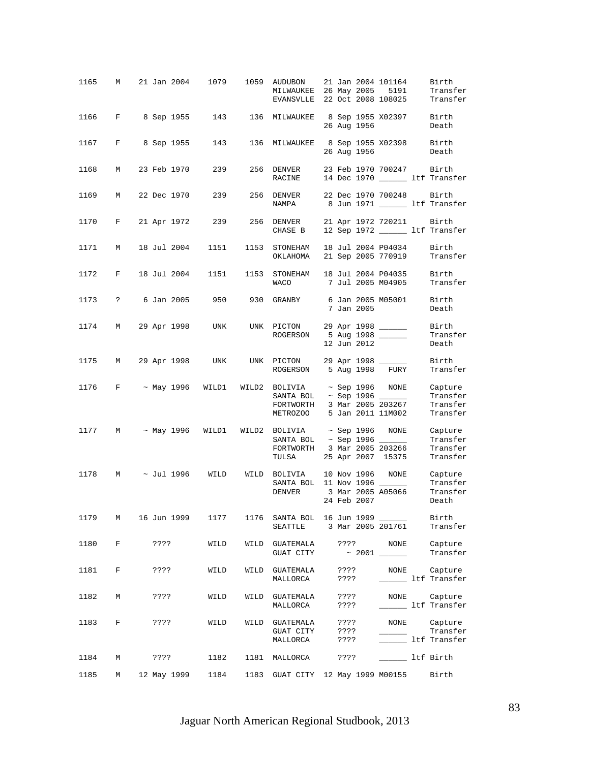| 1165   | М            |      |             |                        |      | 21 Jan 2004 1079 1059 AUDUBON<br>MILWAUKEE 26 May 2005<br>EVANSVLLE 22 Oct 2008 108025                                                   |              |             | 21 Jan 2004 101164<br>5191               | Birth<br>Transfer<br>Transfer                              |
|--------|--------------|------|-------------|------------------------|------|------------------------------------------------------------------------------------------------------------------------------------------|--------------|-------------|------------------------------------------|------------------------------------------------------------|
|        |              |      |             |                        |      | 1166 F 8 Sep 1955 143 136 MILWAUKEE 8 Sep 1955 X02397 Birth                                                                              |              | 26 Aug 1956 |                                          | Death                                                      |
| 1167   | $\mathbf{F}$ |      |             | 8 Sep 1955 143         |      | 136 MILWAUKEE 8 Sep 1955 X02398 Birth                                                                                                    |              | 26 Aug 1956 |                                          | Death                                                      |
| 1168   | M            |      | 23 Feb 1970 | 239                    |      | 256 DENVER<br>RACINE                                                                                                                     |              |             | 23 Feb 1970 700247 Birth                 | 14 Dec 1970 _________ ltf Transfer                         |
| 1169   | M            |      |             | 22 Dec 1970 239        |      | 256 DENVER 22 Dec 1970 700248 Birth<br>NAMPA                                                                                             |              |             |                                          | 8 Jun 1971 ______ ltf Transfer                             |
| 1170   | $F$ and $F$  |      |             | 21 Apr 1972 239        |      | 256 DENVER 21 Apr 1972 720211 Birth<br>CHASE B                                                                                           |              |             |                                          | 12 Sep 1972 ______ ltf Transfer                            |
| 1171   | M            |      | 18 Jul 2004 | 1151                   | 1153 | STONEHAM<br>OKLAHOMA                                                                                                                     |              |             | 18 Jul 2004 P04034<br>21 Sep 2005 770919 | Birth<br>Transfer                                          |
| 1172   | $F$ and $F$  |      | 18 Jul 2004 | 1151                   | 1153 | STONEHAM 18 Jul 2004 P04035<br>WACO                                                                                                      |              |             | 7 Jul 2005 M04905                        | Birth<br>Transfer                                          |
|        |              |      |             |                        |      | 1173 ? 6 Jan 2005 950 930 GRANBY 6 Jan 2005 M05001                                                                                       |              | 7 Jan 2005  |                                          | Birth<br>Death                                             |
|        |              |      |             | 1174 M 29 Apr 1998 UNK |      | UNK PICTON 29 Apr 1998 ______<br>ROGERSON 5 Aug 1998                                                                                     |              | 12 Jun 2012 |                                          | Birth<br>Transfer<br>Death                                 |
| 1175 M |              |      |             |                        |      | 29 Apr 1998 UNK UNK PICTON 29 Apr 1998 ______<br>ROGERSON 5 Aug 1998 FURY                                                                |              |             |                                          | Birth<br>Transfer                                          |
| 1176   |              |      |             |                        |      | $F$ ~ May 1996 WILD1 WILD2 BOLIVIA ~ Sep 1996 NONE<br>SANTA BOL ~ Sep 1996 ______<br>FORTWORTH<br><b>METROZOO</b>                        |              |             | 3 Mar 2005 203267<br>5 Jan 2011 11M002   | Capture<br>Transfer<br>Transfer<br>Transfer                |
|        |              |      |             |                        |      | $1177$ M $\sim$ May 1996 WILD1 WILD2 BOLIVIA $\sim$ Sep 1996 NONE<br>SANTA BOL ~ Sep 1996 ______<br>FORTWORTH 3 Mar 2005 203266<br>TULSA |              |             | 25 Apr 2007 15375                        | Capture<br>Transfer<br>Transfer<br>Transfer                |
|        |              |      |             | 1178 M ~ Jul 1996 WILD |      | WILD BOLIVIA 10 Nov 1996 NONE<br>SANTA BOL 11 Nov 1996 ______<br>DENVER                                                                  |              | 24 Feb 2007 |                                          | Capture<br>Transfer<br>3 Mar 2005 A05066 Transfer<br>Death |
|        |              |      |             |                        |      | 1179 M 16 Jun 1999 1177 1176 SANTA BOL 16 Jun 1999 ______<br>SEATTLE 3 Mar 2005 201761                                                   |              |             |                                          | Birth<br>Transfer                                          |
| 1180   | F            |      | ????        | WILD                   |      |                                                                                                                                          |              |             |                                          |                                                            |
| 1181   | $\mathbf{F}$ | ???? |             | WILD                   |      | WILD GUATEMALA<br>MALLORCA                                                                                                               |              | ? ? ? ?     |                                          | ???? NONE Capture<br>_______ ltf Transfer                  |
| 1182 M |              |      | 2222        | WILD                   |      | WILD GUATEMALA ????<br>MALLORCA ????                                                                                                     |              |             |                                          | NONE Capture<br>______ ltf Transfer                        |
| 1183   | F            |      | ????        | WILD                   |      | WILD GUATEMALA<br>GUAT CITY ????<br>MALLORCA                                                                                             | ????<br>???? |             |                                          | NONE Capture<br>Transfer<br>Ltf Transfer                   |
| 1184   | M            |      | ????        |                        |      | 1182 1181 MALLORCA ????                                                                                                                  |              |             | Ltf Birth                                |                                                            |
| 1185   | M            |      |             |                        |      | 12 May 1999   1184   1183   GUAT CITY   12 May 1999   M00155   Birth                                                                     |              |             |                                          |                                                            |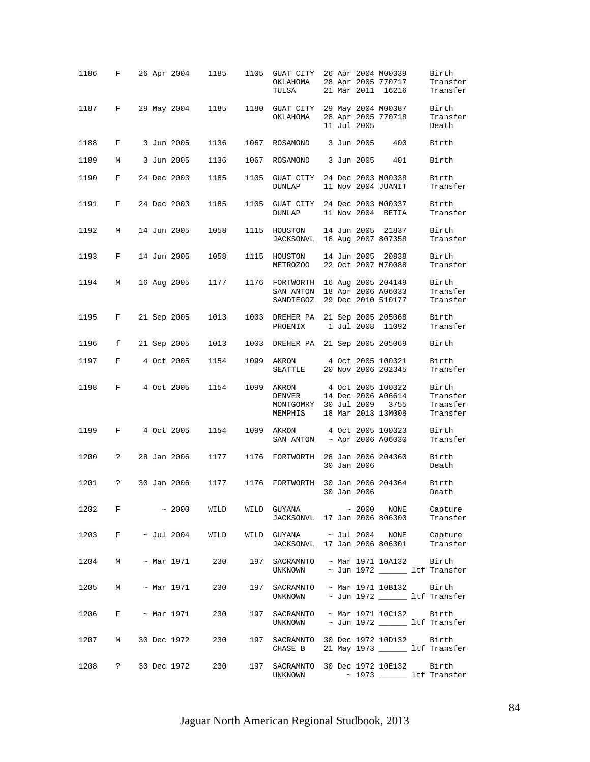| 1186                 | F            |  | 26 Apr 2004     | 1185                    | 1105 | GUAT CITY 26 Apr 2004 M00339<br>OKLAHOMA<br>TULSA                                           |  |             | 28 Apr 2005 770717<br>21 Mar 2011 16216                               | Birth<br>Transfer<br>Transfer                     |
|----------------------|--------------|--|-----------------|-------------------------|------|---------------------------------------------------------------------------------------------|--|-------------|-----------------------------------------------------------------------|---------------------------------------------------|
| 1187                 | $\mathbf{F}$ |  | 29 May 2004     | 1185                    | 1180 | GUAT CITY 29 May 2004 M00387<br>ОКLАНОМА                                                    |  | 11 Jul 2005 | 28 Apr 2005 770718                                                    | Birth<br>Transfer<br>Death                        |
| 1188                 | F            |  | 3 Jun 2005      | 1136                    | 1067 | ROSAMOND                                                                                    |  | 3 Jun 2005  | 400                                                                   | Birth                                             |
| 1189                 | М            |  | 3 Jun 2005      | 1136                    | 1067 | ROSAMOND                                                                                    |  | 3 Jun 2005  | 401                                                                   | Birth                                             |
| 1190                 | F            |  | 24 Dec 2003     | 1185                    | 1105 | GUAT CITY 24 Dec 2003 M00338<br><b>DUNLAP</b>                                               |  |             | 11 Nov 2004 JUANIT                                                    | Birth<br>Transfer                                 |
| 1191                 | $_{\rm F}$   |  | 24 Dec 2003     | 1185                    | 1105 | GUAT CITY 24 Dec 2003 M00337<br><b>DUNLAP</b>                                               |  |             | 11 Nov 2004 BETIA                                                     | Birth<br>Transfer                                 |
| 1192                 | М            |  | 14 Jun 2005     | 1058                    | 1115 | HOUSTON<br>JACKSONVL                                                                        |  |             | 14 Jun 2005 21837<br>18 Aug 2007 807358                               | Birth<br>Transfer                                 |
| 1193                 | F            |  | 14 Jun 2005     | 1058                    | 1115 | HOUSTON<br>METROZOO                                                                         |  |             | 14 Jun 2005 20838<br>22 Oct 2007 M70088                               | Birth<br>Transfer                                 |
| 1194                 | М            |  | 16 Aug 2005     | 1177                    | 1176 | FORTWORTH 16 Aug 2005 204149<br>SAN ANTON 18 Apr 2006 A06033<br>SANDIEGOZ                   |  |             | 29 Dec 2010 510177                                                    | Birth<br>Transfer<br>Transfer                     |
| 1195                 | F            |  | 21 Sep 2005     | 1013                    | 1003 | DREHER PA<br>PHOENIX                                                                        |  |             | 21 Sep 2005 205068<br>1 Jul 2008 11092                                | Birth<br>Transfer                                 |
| 1196                 | f            |  | 21 Sep 2005     | 1013                    | 1003 | DREHER PA 21 Sep 2005 205069                                                                |  |             |                                                                       | Birth                                             |
| 1197                 | $_{\rm F}$   |  | 4 Oct 2005      | 1154                    | 1099 | AKRON<br>SEATTLE                                                                            |  |             | 4 Oct 2005 100321<br>20 Nov 2006 202345                               | Birth<br>Transfer                                 |
| 1198                 | $_{\rm F}$   |  | 4 Oct 2005      | 1154                    | 1099 | AKRON<br>DENVER<br>MONTGOMRY 30 Jul 2009<br>MEMPHIS                                         |  |             | 4 Oct 2005 100322<br>14 Dec 2006 A06614<br>3755<br>18 Mar 2013 13M008 | Birth<br>Transfer<br>Transfer<br>Transfer         |
| 1199                 | F            |  | 4 Oct 2005      | 1154                    | 1099 | AKRON<br>SAN ANTON ~ Apr 2006 A06030                                                        |  |             | 4 Oct 2005 100323                                                     | Birth<br>Transfer                                 |
| 1200                 | $\mathbf{P}$ |  | 28 Jan 2006     | 1177                    | 1176 | FORTWORTH                                                                                   |  | 30 Jan 2006 | 28 Jan 2006 204360                                                    | Birth<br>Death                                    |
| 1201                 | ?            |  | 30 Jan 2006     | 1177                    | 1176 | FORTWORTH                                                                                   |  | 30 Jan 2006 | 30 Jan 2006 204364                                                    | Birth<br>Death                                    |
| $1202$ F $\sim 2000$ |              |  |                 |                         |      | WILD WILD GUYANA $\sim 2000$ NONE<br>JACKSONVL 17 Jan 2006 806300                           |  |             |                                                                       | Capture<br>Transfer                               |
|                      |              |  |                 | 1203 F ~ Jul 2004 WILD  |      | WILD GUYANA ~ Jul 2004 NONE Capture<br>JACKSONVL 17 Jan 2006 806301 Transfer                |  |             |                                                                       |                                                   |
| 1204 M               |              |  | $\sim$ Mar 1971 | 230                     |      | 197 SACRAMNTO ~ Mar 1971 10A132 Birth<br>UNKNOWN $\sim$ Jun 1972 $\frac{\ }{}$ 1tf Transfer |  |             |                                                                       |                                                   |
|                      |              |  |                 | 1205 M ~ Mar 1971 230   |      | 197 SACRAMNTO ~ Mar 1971 10B132 Birth<br>UNKNOWN                                            |  |             |                                                                       | ~ Jun 1972 ______ ltf Transfer                    |
|                      |              |  |                 | $1206$ F ~ Mar 1971 230 |      | 197 SACRAMNTO ~ Mar 1971 10C132<br>UNKNOWN $\sim$ Jun 1972 $\sim$ 1tf Transfer              |  |             |                                                                       | Birth                                             |
| 1207                 | M            |  | 30 Dec 1972     | 230                     |      | 197 SACRAMNTO 30 Dec 1972 10D132 Birth<br>CHASE B                                           |  |             |                                                                       | 21 May 1973 _______ ltf Transfer                  |
| 1208                 |              |  | ? 30 Dec 1972   | 230                     | 197  | SACRAMNTO 30 Dec 1972 10E132<br>UNKNOWN                                                     |  |             |                                                                       | Birth<br>$\sim$ 1973 $\frac{1}{100}$ ltf Transfer |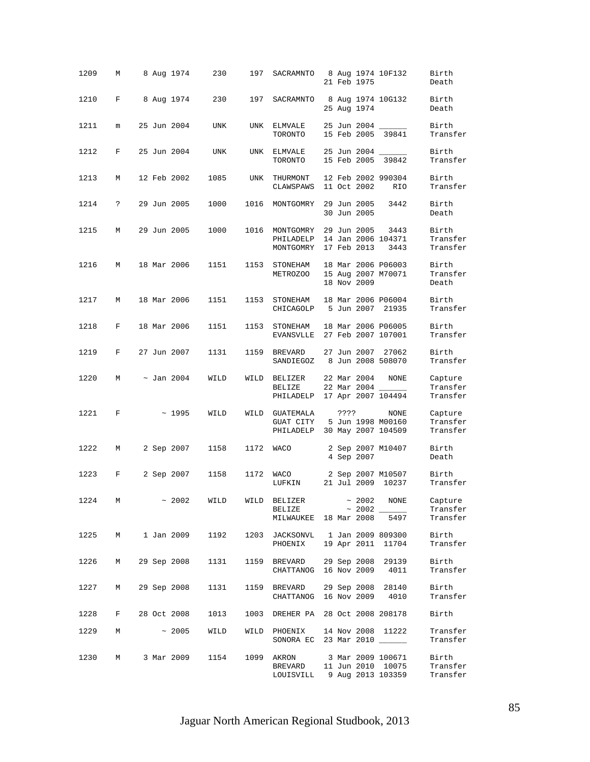| 1209   | М           |  | 8 Aug 1974      | 230              | 197  | SACRAMNTO                                                                   |      | 21 Feb 1975                | 8 Aug 1974 10F132                        | Birth<br>Death                  |
|--------|-------------|--|-----------------|------------------|------|-----------------------------------------------------------------------------|------|----------------------------|------------------------------------------|---------------------------------|
| 1210   | F           |  | 8 Aug 1974      | 230              | 197  | SACRAMNTO                                                                   |      | 25 Aug 1974                | 8 Aug 1974 10G132                        | Birth<br>Death                  |
| 1211   | m           |  | 25 Jun 2004     | UNK              | UNK  | ELMVALE<br>TORONTO                                                          |      |                            | 25 Jun 2004 ______<br>15 Feb 2005 39841  | Birth<br>Transfer               |
| 1212   | F           |  | 25 Jun 2004     | UNK              | UNK  | ELMVALE<br>TORONTO                                                          |      |                            | 25 Jun 2004 _____<br>15 Feb 2005 39842   | Birth<br>Transfer               |
| 1213   | М           |  | 12 Feb 2002     | 1085             | UNK  | THURMONT<br>CLAWSPAWS                                                       |      | 11 Oct 2002                | 12 Feb 2002 990304<br>RIO                | Birth<br>Transfer               |
| 1214   | ?           |  | 29 Jun 2005     | 1000             | 1016 | MONTGOMRY                                                                   |      | 29 Jun 2005<br>30 Jun 2005 | 3442                                     | Birth<br>Death                  |
| 1215   | М           |  | 29 Jun 2005     | 1000             | 1016 | MONTGOMRY<br>PHILADELP<br>MONTGOMRY                                         |      | 29 Jun 2005<br>17 Feb 2013 | 3443<br>14 Jan 2006 104371<br>3443       | Birth<br>Transfer<br>Transfer   |
| 1216   | М           |  | 18 Mar 2006     | 1151             | 1153 | STONEHAM<br>METROZOO                                                        |      | 18 Nov 2009                | 18 Mar 2006 P06003<br>15 Aug 2007 M70071 | Birth<br>Transfer<br>Death      |
| 1217   | М           |  | 18 Mar 2006     | 1151             | 1153 | STONEHAM<br>CHICAGOLP                                                       |      |                            | 18 Mar 2006 P06004<br>5 Jun 2007 21935   | Birth<br>Transfer               |
| 1218   | $_{\rm F}$  |  | 18 Mar 2006     | 1151             | 1153 | STONEHAM<br>EVANSVLLE                                                       |      |                            | 18 Mar 2006 P06005<br>27 Feb 2007 107001 | Birth<br>Transfer               |
| 1219   | F           |  | 27 Jun 2007     | 1131             | 1159 | BREVARD<br>SANDIEGOZ                                                        |      |                            | 27 Jun 2007 27062<br>8 Jun 2008 508070   | Birth<br>Transfer               |
| 1220   | M           |  | $\sim$ Jan 2004 | WILD             | WILD | BELIZER<br>BELIZE<br>PHILADELP                                              |      | 22 Mar 2004<br>22 Mar 2004 | NONE<br>17 Apr 2007 104494               | Capture<br>Transfer<br>Transfer |
| 1221   | F           |  | ~1995           | WILD             | WILD | GUATEMALA<br>GUAT CITY<br>PHILADELP 30 May 2007 104509                      | ???? |                            | NONE<br>5 Jun 1998 M00160                | Capture<br>Transfer<br>Transfer |
| 1222   | М           |  | 2 Sep 2007      | 1158             | 1172 | WACO                                                                        |      | 4 Sep 2007                 | 2 Sep 2007 M10407                        | Birth<br>Death                  |
| 1223   | F           |  | 2 Sep 2007      | 1158             | 1172 | WACO<br>LUFKIN                                                              |      |                            | 2 Sep 2007 M10507<br>21 Jul 2009 10237   | Birth<br>Transfer               |
| 1224   | M           |  |                 | $\sim 2002$ WILD | WILD | BELIZER<br>BELIZE<br>MILWAUKEE 18 Mar 2008 5497                             |      |                            | $\sim 2002$ NONE                         | Capture<br>Transfer<br>Transfer |
| 1225 M |             |  | 1 Jan 2009      | 1192             |      | 1203 JACKSONVL  1 Jan 2009 809300<br>PHOENIX 19 Apr 2011 11704              |      |                            |                                          | Birth<br>Transfer               |
| 1226   | M           |  | 29 Sep 2008     | 1131             |      | 1159 BREVARD 29 Sep 2008 29139<br>CHATTANOG 16 Nov 2009 4011                |      |                            |                                          | Birth<br>Transfer               |
| 1227 M |             |  | 29 Sep 2008     |                  |      | 1131 1159 BREVARD 29 Sep 2008 28140<br>CHATTANOG 16 Nov 2009 4010           |      |                            |                                          | Birth<br>Transfer               |
|        | 1228 F      |  | 28 Oct 2008     |                  |      | 1013 1003 DREHER PA 28 Oct 2008 208178                                      |      |                            |                                          | Birth                           |
| 1229   | $M_{\odot}$ |  | $\sim 2005$     | WILD             |      | WILD PHOENIX<br>SONORA EC 23 Mar 2010 _____                                 |      |                            | 14 Nov 2008 11222                        | Transfer<br>Transfer            |
| 1230 M |             |  | 3 Mar 2009      |                  |      | 1154 1099 AKRON 3 Mar 2009 100671<br>BREVARD<br>LOUISVILL 9 Aug 2013 103359 |      |                            | 11 Jun 2010 10075                        | Birth<br>Transfer<br>Transfer   |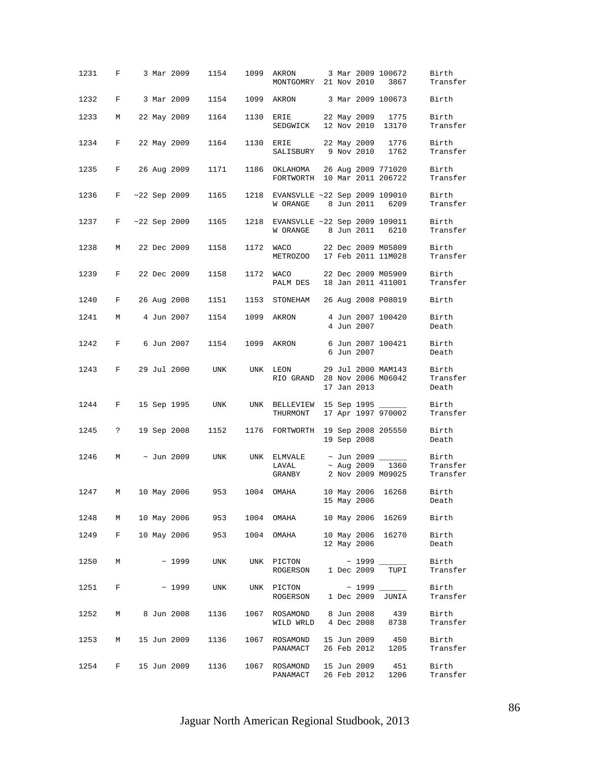| 1231   | $\mathbf{F}$         |  | 3 Mar 2009      | 1154       | 1099      | AKRON<br>MONTGOMRY 21 Nov 2010                            |  |             | 3 Mar 2009 100672<br>3867                | Birth<br>Transfer             |
|--------|----------------------|--|-----------------|------------|-----------|-----------------------------------------------------------|--|-------------|------------------------------------------|-------------------------------|
| 1232   | F                    |  | 3 Mar 2009      | 1154       |           | 1099 AKRON 3 Mar 2009 100673                              |  |             |                                          | Birth                         |
| 1233   | М                    |  | 22 May 2009     | 1164       | 1130      | ERIE<br>SEDGWICK 12 Nov 2010 13170                        |  |             | 22 May 2009 1775                         | Birth<br>Transfer             |
| 1234   | $_{\rm F}$           |  | 22 May 2009     | 1164       | 1130 ERIE | SALISBURY 9 Nov 2010                                      |  |             | 22 May 2009 1776<br>1762                 | Birth<br>Transfer             |
| 1235   | F                    |  | 26 Aug 2009     | 1171       | 1186      | OKLAHOMA<br>FORTWORTH 10 Mar 2011 206722                  |  |             | 26 Aug 2009 771020                       | Birth<br>Transfer             |
| 1236   | F                    |  | $~22$ Sep 2009  | 1165       | 1218      | EVANSVLLE ~22 Sep 2009 109010<br>W ORANGE 8 Jun 2011 6209 |  |             |                                          | Birth<br>Transfer             |
| 1237   | F                    |  | $~122$ Sep 2009 | 1165       | 1218      | EVANSVLLE ~22 Sep 2009 109011<br>W ORANGE 8 Jun 2011      |  |             | 6210                                     | Birth<br>Transfer             |
| 1238   | М                    |  | 22 Dec 2009     | 1158       | 1172      | <b>WACO</b><br>METROZOO 17 Feb 2011 11M028                |  |             | 22 Dec 2009 M05809                       | Birth<br>Transfer             |
| 1239   | F                    |  | 22 Dec 2009     | 1158       |           | 1172 WACO<br>PALM DES                                     |  |             | 22 Dec 2009 M05909<br>18 Jan 2011 411001 | Birth<br>Transfer             |
| 1240   | F                    |  | 26 Aug 2008     | 1151       | 1153      | STONEHAM 26 Aug 2008 P08019                               |  |             |                                          | Birth                         |
| 1241   | M                    |  | 4 Jun 2007      | 1154       | 1099      | AKRON                                                     |  | 4 Jun 2007  | 4 Jun 2007 100420                        | Birth<br>Death                |
| 1242   | F                    |  | 6 Jun 2007      | 1154       | 1099      | AKRON                                                     |  | 6 Jun 2007  | 6 Jun 2007 100421                        | Birth<br>Death                |
| 1243   | F                    |  | 29 Jul 2000     | UNK        |           | UNK LEON<br>RIO GRAND 28 Nov 2006 M06042                  |  | 17 Jan 2013 | 29 Jul 2000 MAM143                       | Birth<br>Transfer<br>Death    |
| 1244   | F                    |  | 15 Sep 1995     | UNK        |           | UNK BELLEVIEW 15 Sep 1995 ______<br>THURMONT              |  |             | 17 Apr 1997 970002                       | Birth<br>Transfer             |
| 1245   | $\ddot{\phantom{0}}$ |  | 19 Sep 2008     | 1152       |           | 1176 FORTWORTH 19 Sep 2008 205550                         |  | 19 Sep 2008 |                                          | Birth<br>Death                |
| 1246   | M                    |  | ~ Jun 2009      | UNK        | UNK       | ELMVALE $\sim$ Jun 2009 ______<br>LAVAL<br>GRANBY         |  |             | ~ Aug 2009 1360<br>2 Nov 2009 M09025     | Birth<br>Transfer<br>Transfer |
| 1247   | М                    |  | 10 May 2006     | 953        | 1004      | OMAHA                                                     |  | 15 May 2006 | 10 May 2006 16268                        | Birth<br>Death                |
| 1248   |                      |  | M 10 May 2006   |            |           | 953 1004 OMAHA                                            |  |             | 10 May 2006 16269                        | Birth                         |
| 1249   | F                    |  | 10 May 2006     |            |           | 953 1004 OMAHA                                            |  | 12 May 2006 | 10 May 2006 16270                        | Birth<br>Death                |
| 1250   | M                    |  | ~1999           | <b>UNK</b> |           | ROGERSON 1 Dec 2009                                       |  |             | TUPI                                     | Birth<br>Transfer             |
| 1251 F |                      |  | $\sim 1999$     | <b>UNK</b> |           | UNK PICTON<br>ROGERSON 1 Dec 2009 JUNIA                   |  |             |                                          | Birth<br>Transfer             |
| 1252   | M                    |  | 8 Jun 2008      | 1136       |           | 1067 ROSAMOND 8 Jun 2008 439<br>WILD WRLD 4 Dec 2008 8738 |  |             |                                          | Birth<br>Transfer             |
| 1253   | М                    |  | 15 Jun 2009     | 1136       | 1067      | ROSAMOND<br>PANAMACT                                      |  |             | 15 Jun 2009 450<br>26 Feb 2012 1205      | Birth<br>Transfer             |
| 1254   | F                    |  | 15 Jun 2009     | 1136       | 1067      | ROSAMOND 15 Jun 2009<br>PANAMACT                          |  | 26 Feb 2012 | 451<br>1206                              | Birth<br>Transfer             |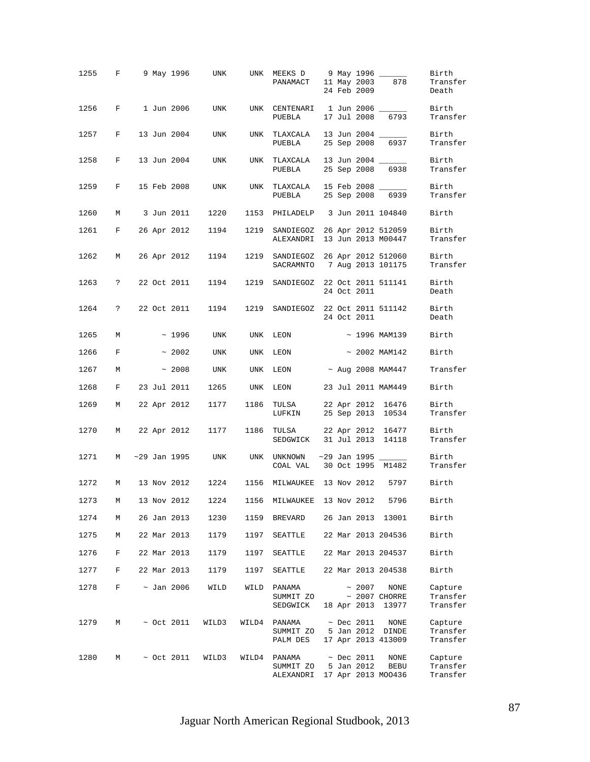|                   |              |  |                 | 1255 F 9 May 1996 UNK |          |                                                              |  | 24 Feb 2009                    |                                                 | Birth<br>Transfer<br>Death      |
|-------------------|--------------|--|-----------------|-----------------------|----------|--------------------------------------------------------------|--|--------------------------------|-------------------------------------------------|---------------------------------|
| 1256 F 1 Jun 2006 |              |  |                 | UNK                   |          | UNK CENTENARI 1 Jun 2006 _____<br>PUEBLA                     |  | 17 Jul 2008                    | 6793                                            | Birth<br>Transfer               |
| 1257              | F            |  | 13 Jun 2004     | UNK                   | UNK      | TLAXCALA<br>PUEBLA                                           |  |                                | 13 Jun 2004 _____<br>25 Sep 2008 6937           | Birth<br>Transfer               |
| 1258              | F            |  | 13 Jun 2004     | UNK                   |          | UNK TLAXCALA<br>PUEBLA                                       |  | 25 Sep 2008                    | 13 Jun 2004 _____<br>6938                       | Birth<br>Transfer               |
| 1259              | $\mathbf{F}$ |  | 15 Feb 2008     | UNK                   | UNK      | TLAXCALA 15 Feb 2008 ______<br>PUEBLA                        |  |                                | 25 Sep 2008 6939                                | Birth<br>Transfer               |
| 1260              | М            |  | 3 Jun 2011      | 1220                  |          | 1153 PHILADELP 3 Jun 2011 104840                             |  |                                |                                                 | Birth                           |
| 1261              | F            |  | 26 Apr 2012     | 1194                  | 1219     | SANDIEGOZ 26 Apr 2012 512059<br>ALEXANDRI                    |  |                                | 13 Jun 2013 M00447                              | Birth<br>Transfer               |
| 1262              | M            |  | 26 Apr 2012     | 1194                  | 1219     | SANDIEGOZ 26 Apr 2012 512060<br>SACRAMNTO 7 Aug 2013 101175  |  |                                |                                                 | Birth<br>Transfer               |
| 1263              | $\ddot{ }$   |  | 22 Oct 2011     | 1194                  | 1219     | SANDIEGOZ 22 Oct 2011 511141                                 |  | 24 Oct 2011                    |                                                 | Birth<br>Death                  |
| 1264              | $\ddot{ }$   |  | 22 Oct 2011     | 1194                  | 1219     | SANDIEGOZ 22 Oct 2011 511142                                 |  | 24 Oct 2011                    |                                                 | Birth<br>Death                  |
| 1265              | M            |  | $\sim 1996$     | UNK                   | UNK      | LEON ~ 1996 MAM139                                           |  |                                |                                                 | Birth                           |
| 1266              | $\mathbf{F}$ |  | $~\sim~2002$    | UNK                   |          | UNK LEON                                                     |  |                                | $\sim$ 2002 MAM142                              | Birth                           |
| 1267              | М            |  | ~2008           | UNK                   | UNK      | $LEON \sim \text{Aug } 2008 \text{ MAM}447$                  |  |                                |                                                 | Transfer                        |
| 1268              | F            |  | 23 Jul 2011     | 1265                  | UNK LEON |                                                              |  |                                | 23 Jul 2011 MAM449                              | Birth                           |
| 1269              | М            |  | 22 Apr 2012     | 1177                  | 1186     | TULSA 22 Apr 2012 16476<br>LUFKIN 25 Sep 2013 10534          |  |                                |                                                 | Birth<br>Transfer               |
| 1270              | M            |  | 22 Apr 2012     | 1177                  | 1186     | TULSA 22 Apr 2012 16477<br>SEDGWICK 31 Jul 2013 14118        |  |                                |                                                 | Birth<br>Transfer               |
| 1271              | M            |  | ~29 Jan 1995    |                       |          | UNK UNK UNKNOWN<br>COAL VAL 30 Oct 1995 M1482                |  |                                | ~29 Jan 1995 ______                             | Birth<br>Transfer               |
| 1272              | М            |  |                 | 13 Nov 2012 1224      |          | 1156 MILWAUKEE 13 Nov 2012 5797                              |  |                                |                                                 | Birth                           |
| 1273              | M            |  |                 |                       |          | 13 Nov 2012  1224  1156  MILWAUKEE  13 Nov 2012  5796  Birth |  |                                |                                                 |                                 |
| 1274              | M            |  | 26 Jan 2013     | 1230                  | 1159     | BREVARD 26 Jan 2013 13001                                    |  |                                |                                                 | Birth                           |
| 1275              | M            |  | 22 Mar 2013     | 1179                  | 1197     | SEATTLE 22 Mar 2013 204536                                   |  |                                |                                                 | Birth                           |
| 1276              | F            |  | 22 Mar 2013     | 1179                  | 1197     | SEATTLE 22 Mar 2013 204537                                   |  |                                |                                                 | Birth                           |
| 1277              | F            |  | 22 Mar 2013     | 1179                  | 1197     | SEATTLE 22 Mar 2013 204538                                   |  |                                |                                                 | Birth                           |
| 1278              | F            |  | ~ Jan 2006      | WILD                  | WILD     | PANAMA<br>SUMMIT ZO<br>SEDGWICK                              |  | $~\sim~2007$                   | NONE<br>$\sim$ 2007 CHORRE<br>18 Apr 2013 13977 | Capture<br>Transfer<br>Transfer |
| 1279              | M            |  | $\sim$ Oct 2011 | WILD3                 | WILD4    | PANAMA<br>SUMMIT ZO 5 Jan 2012 DINDE<br>PALM DES             |  | $~\sim$ Dec 2011               | NONE<br>17 Apr 2013 413009                      | Capture<br>Transfer<br>Transfer |
| 1280              | М            |  | $\sim$ Oct 2011 | WILD3                 | WILD4    | PANAMA<br>SUMMIT ZO<br>ALEXANDRI 17 Apr 2013 MOO436          |  | $~\sim$ Dec 2011<br>5 Jan 2012 | NONE<br>BEBU                                    | Capture<br>Transfer<br>Transfer |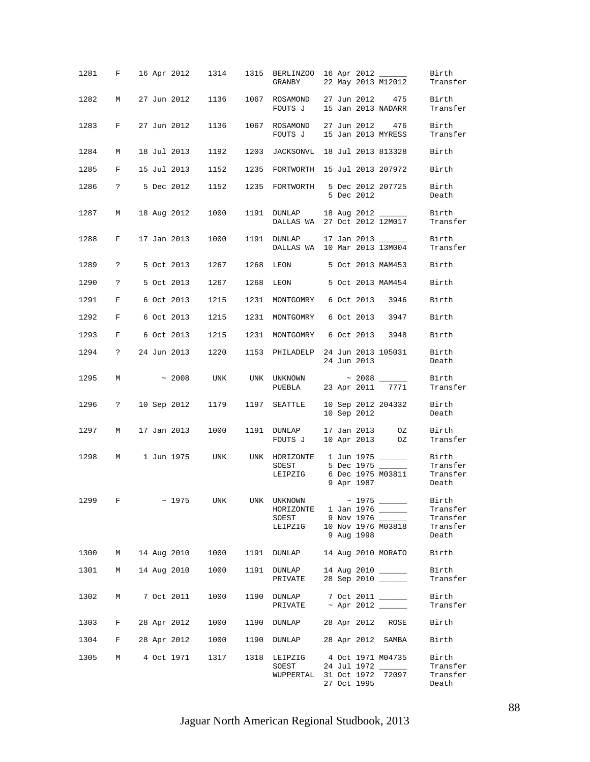|        |                    |  |               |                 |      | 1281 F 16 Apr 2012 1314 1315 BERLINZOO 16 Apr 2012<br>GRANBY      |  |             | 22 May 2013 M12012                                         | Birth<br>Transfer                      |
|--------|--------------------|--|---------------|-----------------|------|-------------------------------------------------------------------|--|-------------|------------------------------------------------------------|----------------------------------------|
| 1282   | M                  |  |               |                 |      | 27 Jun 2012 1136 1067 ROSAMOND 27 Jun 2012 475<br>FOUTS J         |  |             | 15 Jan 2013 NADARR                                         | Birth<br>Transfer                      |
| 1283   | F                  |  | 27 Jun 2012   | 1136            |      | 1067 ROSAMOND<br>FOUTS J 15 Jan 2013 MYRESS                       |  |             | 27 Jun 2012 476                                            | Birth<br>Transfer                      |
| 1284   | М                  |  | 18 Jul 2013   | 1192            | 1203 | JACKSONVL 18 Jul 2013 813328                                      |  |             |                                                            | Birth                                  |
| 1285   | F                  |  | 15 Jul 2013   | 1152            |      | 1235 FORTWORTH 15 Jul 2013 207972                                 |  |             |                                                            | Birth                                  |
| 1286   |                    |  | ? 5 Dec 2012  |                 |      | 1152 1235 FORTWORTH 5 Dec 2012 207725                             |  | 5 Dec 2012  |                                                            | Birth<br>Death                         |
| 1287 M |                    |  | 18 Aug 2012   | 1000            |      | 1191 DUNLAP 18 Aug 2012 ______<br>DALLAS WA 27 Oct 2012 12M017    |  |             |                                                            | Birth<br>Transfer                      |
| 1288   | F                  |  | 17 Jan 2013   | 1000            |      | 1191 DUNLAP<br>DALLAS WA 10 Mar 2013 13M004                       |  |             | 17 Jan 2013 ______                                         | Birth<br>Transfer                      |
|        | 1289 ? 5 Oct 2013  |  |               | 1267            |      | 1268 LEON 5 Oct 2013 MAM453                                       |  |             |                                                            | Birth                                  |
| 1290 ? |                    |  | 5 Oct 2013    | 1267            | 1268 | LEON                                                              |  |             | 5 Oct 2013 MAM454                                          | Birth                                  |
| 1291 F |                    |  | 6 Oct 2013    | 1215            | 1231 | MONTGOMRY 6 Oct 2013 3946                                         |  |             |                                                            | Birth                                  |
| 1292 F |                    |  | 6 Oct 2013    | 1215            | 1231 | MONTGOMRY 6 Oct 2013 3947                                         |  |             |                                                            | Birth                                  |
| 1293   | F 6 Oct 2013       |  |               | 1215            | 1231 | MONTGOMRY 6 Oct 2013 3948                                         |  |             |                                                            | Birth                                  |
| 1294   |                    |  | ? 24 Jun 2013 | 1220            | 1153 | PHILADELP 24 Jun 2013 105031                                      |  | 24 Jun 2013 |                                                            | Birth<br>Death                         |
| 1295   | M                  |  |               | $\sim$ 2008 UNK |      |                                                                   |  |             |                                                            | Birth<br>Transfer                      |
|        | 1296 ? 10 Sep 2012 |  |               | 1179            |      | 1197 SEATTLE                                                      |  |             | 10 Sep 2012 204332<br>10 Sep 2012                          | Birth<br>Death                         |
| 1297   | M                  |  | 17 Jan 2013   | 1000            |      | 1191 DUNLAP<br>FOUTS J                                            |  |             | 17 Jan 2013 0Z<br>10 Apr 2013 0Z                           | Birth<br>Transfer                      |
|        |                    |  |               |                 |      | 1298 M 1 Jun 1975 UNK UNK HORIZONTE 1 Jun 1975<br>SOEST           |  |             | 5 Dec 1975 _____                                           | Birth<br>Transfer                      |
|        |                    |  |               |                 |      | LEIPZIG                                                           |  | 9 Apr 1987  | 6 Dec 1975 M03811                                          | Transfer<br>Death                      |
| 1299   | $\mathbf{F}$       |  |               | ~1975 UNK       |      | UNK UNKNOWN ~ 1975 _______<br>HORIZONTE 1 Jan 1976 ______         |  |             |                                                            | Birth<br>Transfer                      |
|        |                    |  |               |                 |      | SOEST                                                             |  |             | 9 Nov 1976 _______ Transfer<br>10 Nov 1976 M03818 Transfer | Transfer                               |
|        |                    |  |               |                 |      | LEIPZIG                                                           |  | 9 Aug 1998  |                                                            | Death                                  |
|        | 1300 M 14 Aug 2010 |  |               |                 |      | 1000 1191 DUNLAP 14 Aug 2010 MORATO                               |  |             |                                                            | Birth                                  |
|        | 1301 M 14 Aug 2010 |  |               | 1000            |      | 1191 DUNLAP 14 Aug 2010 ________<br>PRIVATE 28 Sep 2010 _______   |  |             |                                                            | Birth<br>Transfer                      |
| 1302   | M                  |  | 7 Oct 2011    | 1000            |      | 1190 DUNLAP 7 Oct 2011 ______                                     |  |             |                                                            | Birth<br>Transfer                      |
|        | 1303 F 28 Apr 2012 |  |               |                 |      | 1000 1190 DUNLAP 28 Apr 2012 ROSE                                 |  |             |                                                            | Birth                                  |
|        | 1304 F 28 Apr 2012 |  |               |                 |      | 1000 1190 DUNLAP 28 Apr 2012 SAMBA                                |  |             |                                                            | Birth                                  |
|        | 1305 M 4 Oct 1971  |  |               | 1317 1318       |      | LEIPZIG 4 Oct 1971 M04735<br>SOEST<br>WUPPERTAL 31 Oct 1972 72097 |  | 27 Oct 1995 | 24 Jul 1972 ______                                         | Birth<br>Transfer<br>Transfer<br>Death |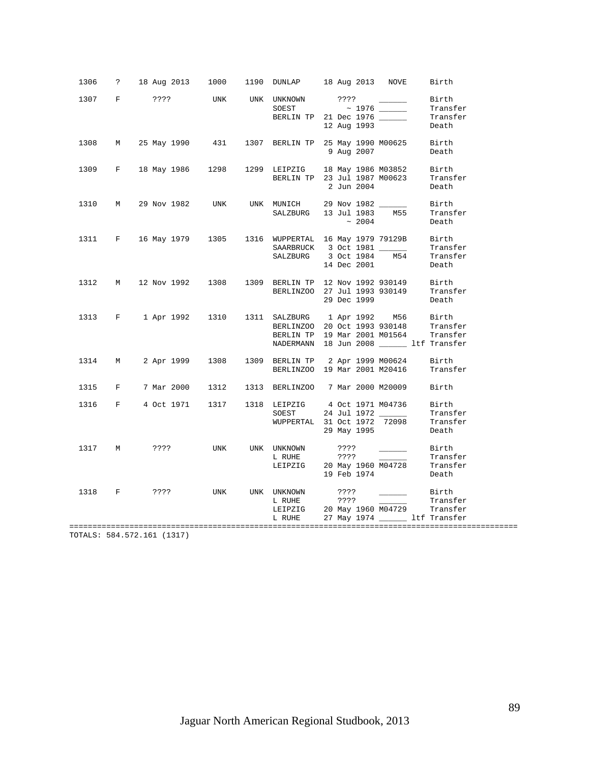| 1306 |   |                        |            |             | ? 18 Aug 2013 1000 1190 DUNLAP 18 Aug 2013 NOVE<br>Birth                                                                                                                                                                                                                                                                                           |  |
|------|---|------------------------|------------|-------------|----------------------------------------------------------------------------------------------------------------------------------------------------------------------------------------------------------------------------------------------------------------------------------------------------------------------------------------------------|--|
| 1307 |   | F ???? UNK UNK UNKNOWN |            |             | UNKNOWN ????<br>SOEST ~ 1976 ——<br>BERLIN TP 21 Dec 1976 ——<br>12 Aug 1993<br>Birth<br>Transfer<br>Transfer<br>12 Aug 1993<br>Death                                                                                                                                                                                                                |  |
| 1308 | M | 25 May 1990 431        |            |             | 1307 BERLIN TP 25 May 1990 M00625 Birth<br>9 Aug 2007<br>Death                                                                                                                                                                                                                                                                                     |  |
| 1309 |   |                        |            |             | F 18 May 1986 1298 1299 LEIPZIG 18 May 1986 M03852<br>Birth<br>BERLIN TP 23 Jul 1987 M00623<br>Transfer<br>2 Jun 2004<br>Death                                                                                                                                                                                                                     |  |
|      |   | 1310 M 29 Nov 1982     | <b>UNK</b> | SALZBURG    | UNK MUNICH 29 Nov 1982 ______<br>Birth<br>13 Jul 1983 M55<br>Transfer<br>$~\sim~2004$<br>Death                                                                                                                                                                                                                                                     |  |
| 1311 |   |                        |            |             | F 16 May 1979 1305 1316 WUPPERTAL 16 May 1979 79129B Birth<br>SAARBRUCK 3 Oct 1981 17 Transf<br>SALZBURG 3 Oct 1984 M54 Transf<br>Transfer<br>Transfer<br>14 Dec 2001<br>Death                                                                                                                                                                     |  |
| 1312 |   |                        |            |             | M 12 Nov 1992 1308 1309 BERLIN TP 12 Nov 1992 930149<br>Birth<br>BERLINZOO 27 Jul 1993 930149<br>Transfer<br>29 Dec 1999<br>Death                                                                                                                                                                                                                  |  |
|      |   | 1313 F 1 Apr 1992 1310 |            |             | 1311 SALZBURG 1 Apr 1992 M56 Birth<br>BERLINZOO 20 Oct 1993 930148 Transfer<br>BERLIN TP 19 Mar 2001 M01564 Transfer<br>NADERMANN 18 Jun 2008 ______ ltf Transfer                                                                                                                                                                                  |  |
| 1314 | M | 2 Apr 1999 1308        |            |             | 1309 BERLIN TP 2 Apr 1999 M00624<br>Birth<br>BERLINZOO 19 Mar 2001 M20416<br>Transfer                                                                                                                                                                                                                                                              |  |
| 1315 | F |                        |            |             | Birth                                                                                                                                                                                                                                                                                                                                              |  |
| 1316 |   |                        |            |             | F 4 Oct 1971 1317 1318 LEIPZIG 4 Oct 1971 M04736<br>Birth<br>24 Jul 1972<br>WUPPERTAL 31 Oct 1972 72098 Transfer<br>29 Mav 1995                                                                                                                                                                                                                    |  |
| 1317 | M | ????                   | UNK        | UNK UNKNOWN | ????<br><u>and the company of the company of the company of the company of the company of the company of the company of the company of the company of the company of the company of the company of the company of the company of the com</u><br>Birth<br>L RUHE ????<br>LEIPZIG 20 May 1960 M04728<br>Transfer<br>Transfer<br>19 Feb 1974<br>Death |  |
| 1318 |   | F ????                 | UNK        | UNK UNKNOWN | Birth<br>????<br>L RUHE 2??? Transfer<br>LEIPZIG 20 May 1960 M04729 Transfer<br>L RUHE 27 May 1974 ________ ltf Transfer                                                                                                                                                                                                                           |  |

TOTALS: 584.572.161 (1317)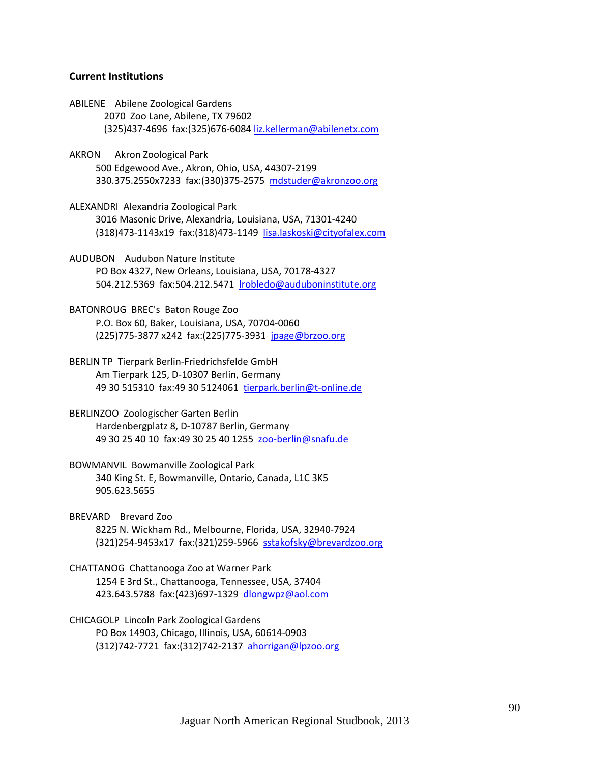### **Current Institutions**

- ABILENE Abilene Zoological Gardens 2070 Zoo Lane, Abilene, TX 79602 (325)437‐4696 fax:(325)676‐6084 liz.kellerman@abilenetx.com
- AKRON Akron Zoological Park 500 Edgewood Ave., Akron, Ohio, USA, 44307‐2199 330.375.2550x7233 fax:(330)375‐2575 mdstuder@akronzoo.org
- ALEXANDRI Alexandria Zoological Park 3016 Masonic Drive, Alexandria, Louisiana, USA, 71301‐4240 (318)473‐1143x19 fax:(318)473‐1149 lisa.laskoski@cityofalex.com
- AUDUBON Audubon Nature Institute PO Box 4327, New Orleans, Louisiana, USA, 70178‐4327 504.212.5369 fax:504.212.5471 lrobledo@auduboninstitute.org
- BATONROUG BREC's Baton Rouge Zoo P.O. Box 60, Baker, Louisiana, USA, 70704‐0060 (225)775‐3877 x242 fax:(225)775‐3931 jpage@brzoo.org
- BERLIN TP Tierpark Berlin‐Friedrichsfelde GmbH Am Tierpark 125, D‐10307 Berlin, Germany 49 30 515310 fax:49 30 5124061 tierpark.berlin@t‐online.de
- BERLINZOO Zoologischer Garten Berlin Hardenbergplatz 8, D‐10787 Berlin, Germany 49 30 25 40 10 fax:49 30 25 40 1255 zoo‐berlin@snafu.de
- BOWMANVIL Bowmanville Zoological Park 340 King St. E, Bowmanville, Ontario, Canada, L1C 3K5 905.623.5655
- BREVARD Brevard Zoo 8225 N. Wickham Rd., Melbourne, Florida, USA, 32940‐7924 (321)254‐9453x17 fax:(321)259‐5966 sstakofsky@brevardzoo.org
- CHATTANOG Chattanooga Zoo at Warner Park 1254 E 3rd St., Chattanooga, Tennessee, USA, 37404 423.643.5788 fax:(423)697‐1329 dlongwpz@aol.com
- CHICAGOLP Lincoln Park Zoological Gardens PO Box 14903, Chicago, Illinois, USA, 60614‐0903 (312)742‐7721 fax:(312)742‐2137 ahorrigan@lpzoo.org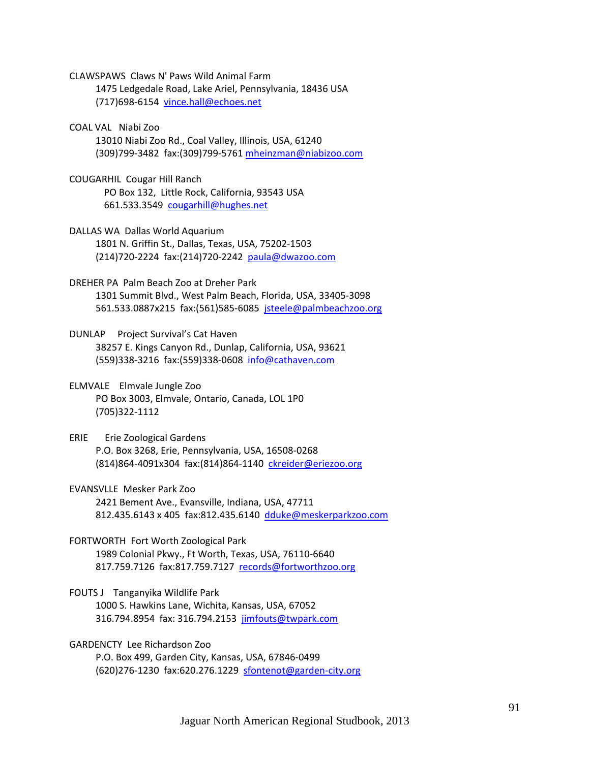CLAWSPAWS Claws N' Paws Wild Animal Farm 1475 Ledgedale Road, Lake Ariel, Pennsylvania, 18436 USA (717)698‐6154 vince.hall@echoes.net

COAL VAL Niabi Zoo 13010 Niabi Zoo Rd., Coal Valley, Illinois, USA, 61240 (309)799‐3482 fax:(309)799‐5761 mheinzman@niabizoo.com

COUGARHIL Cougar Hill Ranch PO Box 132, Little Rock, California, 93543 USA 661.533.3549 cougarhill@hughes.net

- DALLAS WA Dallas World Aquarium 1801 N. Griffin St., Dallas, Texas, USA, 75202‐1503 (214)720‐2224 fax:(214)720‐2242 paula@dwazoo.com
- DREHER PA Palm Beach Zoo at Dreher Park 1301 Summit Blvd., West Palm Beach, Florida, USA, 33405‐3098 561.533.0887x215 fax:(561)585‐6085 jsteele@palmbeachzoo.org
- DUNLAP Project Survival's Cat Haven 38257 E. Kings Canyon Rd., Dunlap, California, USA, 93621 (559)338‐3216 fax:(559)338‐0608 info@cathaven.com

# ELMVALE Elmvale Jungle Zoo PO Box 3003, Elmvale, Ontario, Canada, LOL 1P0 (705)322‐1112

ERIE Erie Zoological Gardens P.O. Box 3268, Erie, Pennsylvania, USA, 16508‐0268 (814)864‐4091x304 fax:(814)864‐1140 ckreider@eriezoo.org

EVANSVLLE Mesker Park Zoo 2421 Bement Ave., Evansville, Indiana, USA, 47711 812.435.6143 x 405 fax:812.435.6140 dduke@meskerparkzoo.com

FORTWORTH Fort Worth Zoological Park 1989 Colonial Pkwy., Ft Worth, Texas, USA, 76110‐6640 817.759.7126 fax:817.759.7127 records@fortworthzoo.org

FOUTS J Tanganyika Wildlife Park 1000 S. Hawkins Lane, Wichita, Kansas, USA, 67052 316.794.8954 fax: 316.794.2153 jimfouts@twpark.com

GARDENCTY Lee Richardson Zoo P.O. Box 499, Garden City, Kansas, USA, 67846‐0499 (620)276-1230 fax:620.276.1229 <u>sfontenot@garden-city.org</u>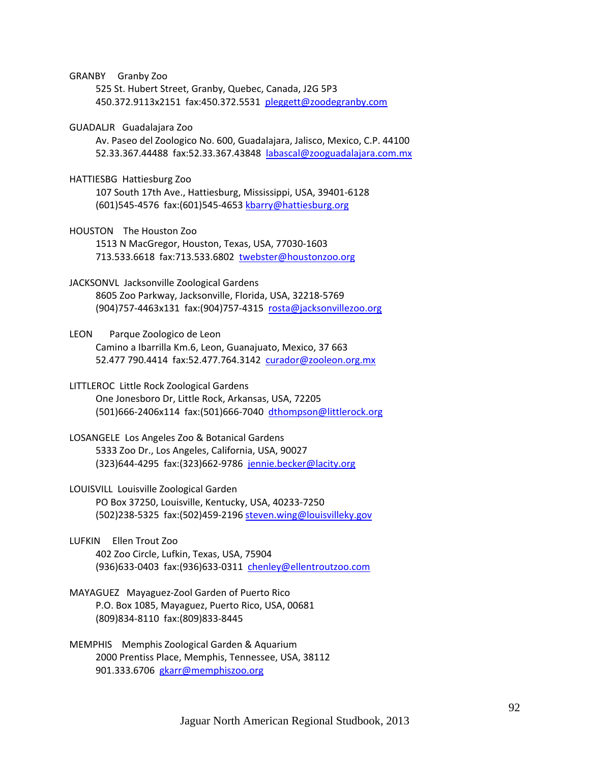GRANBY Granby Zoo

 525 St. Hubert Street, Granby, Quebec, Canada, J2G 5P3 450.372.9113x2151 fax:450.372.5531 pleggett@zoodegranby.com

GUADALJR Guadalajara Zoo

 Av. Paseo del Zoologico No. 600, Guadalajara, Jalisco, Mexico, C.P. 44100 52.33.367.44488 fax:52.33.367.43848 labascal@zooguadalajara.com.mx

HATTIESBG Hattiesburg Zoo

 107 South 17th Ave., Hattiesburg, Mississippi, USA, 39401‐6128 (601)545‐4576 fax:(601)545‐4653 kbarry@hattiesburg.org

HOUSTON The Houston Zoo

 1513 N MacGregor, Houston, Texas, USA, 77030‐1603 713.533.6618 fax:713.533.6802 twebster@houstonzoo.org

JACKSONVL Jacksonville Zoological Gardens

 8605 Zoo Parkway, Jacksonville, Florida, USA, 32218‐5769 (904)757‐4463x131 fax:(904)757‐4315 rosta@jacksonvillezoo.org

LEON Parque Zoologico de Leon Camino a Ibarrilla Km.6, Leon, Guanajuato, Mexico, 37 663 52.477 790.4414 fax:52.477.764.3142 curador@zooleon.org.mx

LITTLEROC Little Rock Zoological Gardens One Jonesboro Dr, Little Rock, Arkansas, USA, 72205 (501)666‐2406x114 fax:(501)666‐7040 dthompson@littlerock.org

LOSANGELE Los Angeles Zoo & Botanical Gardens 5333 Zoo Dr., Los Angeles, California, USA, 90027 (323)644‐4295 fax:(323)662‐9786 jennie.becker@lacity.org

LOUISVILL Louisville Zoological Garden PO Box 37250, Louisville, Kentucky, USA, 40233‐7250 (502)238‐5325 fax:(502)459‐2196 steven.wing@louisvilleky.gov

LUFKIN Ellen Trout Zoo 402 Zoo Circle, Lufkin, Texas, USA, 75904 (936)633‐0403 fax:(936)633‐0311 chenley@ellentroutzoo.com

MAYAGUEZ Mayaguez‐Zool Garden of Puerto Rico P.O. Box 1085, Mayaguez, Puerto Rico, USA, 00681 (809)834‐8110 fax:(809)833‐8445

MEMPHIS Memphis Zoological Garden & Aquarium 2000 Prentiss Place, Memphis, Tennessee, USA, 38112 901.333.6706 gkarr@memphiszoo.org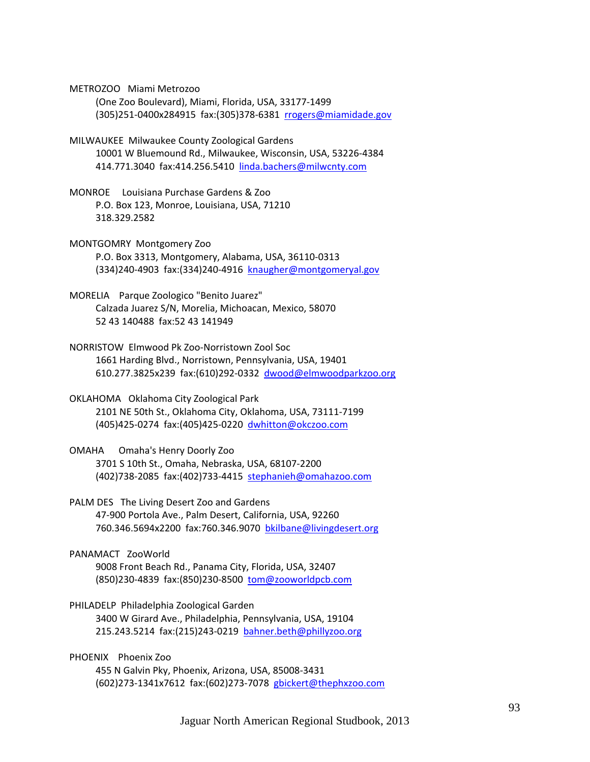METROZOO Miami Metrozoo

 (One Zoo Boulevard), Miami, Florida, USA, 33177‐1499 (305)251‐0400x284915 fax:(305)378‐6381 rrogers@miamidade.gov

- MILWAUKEE Milwaukee County Zoological Gardens 10001 W Bluemound Rd., Milwaukee, Wisconsin, USA, 53226‐4384 414.771.3040 fax:414.256.5410 linda.bachers@milwcnty.com
- MONROE Louisiana Purchase Gardens & Zoo P.O. Box 123, Monroe, Louisiana, USA, 71210 318.329.2582
- MONTGOMRY Montgomery Zoo P.O. Box 3313, Montgomery, Alabama, USA, 36110‐0313 (334)240‐4903 fax:(334)240‐4916 knaugher@montgomeryal.gov
- MORELIA Parque Zoologico "Benito Juarez" Calzada Juarez S/N, Morelia, Michoacan, Mexico, 58070 52 43 140488 fax:52 43 141949
- NORRISTOW Elmwood Pk Zoo‐Norristown Zool Soc 1661 Harding Blvd., Norristown, Pennsylvania, USA, 19401 610.277.3825x239 fax:(610)292‐0332 dwood@elmwoodparkzoo.org
- OKLAHOMA Oklahoma City Zoological Park 2101 NE 50th St., Oklahoma City, Oklahoma, USA, 73111‐7199 (405)425‐0274 fax:(405)425‐0220 dwhitton@okczoo.com
- OMAHA Omaha's Henry Doorly Zoo 3701 S 10th St., Omaha, Nebraska, USA, 68107‐2200 (402)738‐2085 fax:(402)733‐4415 stephanieh@omahazoo.com
- PALM DES The Living Desert Zoo and Gardens 47‐900 Portola Ave., Palm Desert, California, USA, 92260 760.346.5694x2200 fax:760.346.9070 bkilbane@livingdesert.org
- PANAMACT ZooWorld 9008 Front Beach Rd., Panama City, Florida, USA, 32407 (850)230‐4839 fax:(850)230‐8500 tom@zooworldpcb.com
- PHILADELP Philadelphia Zoological Garden 3400 W Girard Ave., Philadelphia, Pennsylvania, USA, 19104 215.243.5214 fax:(215)243‐0219 bahner.beth@phillyzoo.org
- PHOENIX Phoenix Zoo 455 N Galvin Pky, Phoenix, Arizona, USA, 85008‐3431 (602)273‐1341x7612 fax:(602)273‐7078 gbickert@thephxzoo.com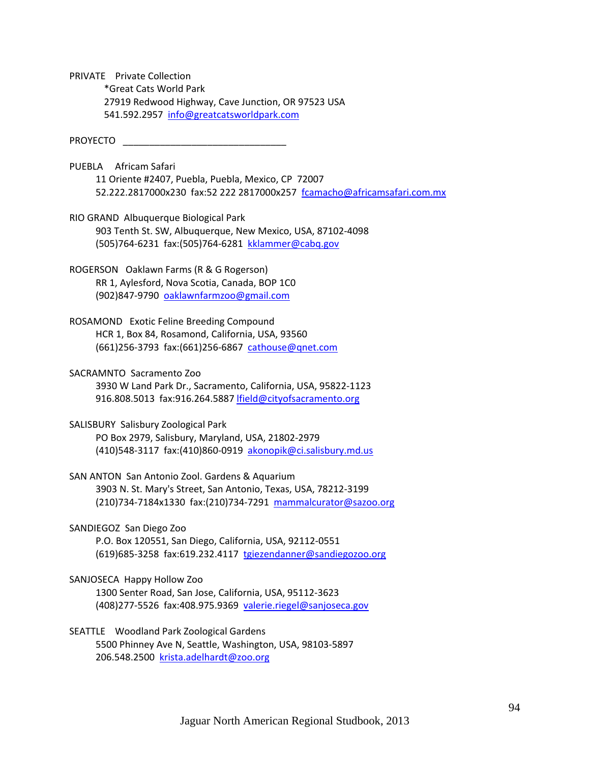PRIVATE Private Collection \*Great Cats World Park 27919 Redwood Highway, Cave Junction, OR 97523 USA 541.592.2957 info@greatcatsworldpark.com

PROYECTO \_\_\_\_\_\_\_\_\_\_\_\_\_\_\_\_\_\_\_\_\_\_\_\_\_\_\_\_\_\_\_

- PUEBLA Africam Safari 11 Oriente #2407, Puebla, Puebla, Mexico, CP 72007 52.222.2817000x230 fax:52 222 2817000x257 fcamacho@africamsafari.com.mx
- RIO GRAND Albuquerque Biological Park 903 Tenth St. SW, Albuquerque, New Mexico, USA, 87102‐4098 (505)764‐6231 fax:(505)764‐6281 kklammer@cabq.gov
- ROGERSON Oaklawn Farms (R & G Rogerson) RR 1, Aylesford, Nova Scotia, Canada, BOP 1C0 (902)847‐9790 oaklawnfarmzoo@gmail.com
- ROSAMOND Exotic Feline Breeding Compound HCR 1, Box 84, Rosamond, California, USA, 93560 (661)256‐3793 fax:(661)256‐6867 cathouse@qnet.com
- SACRAMNTO Sacramento Zoo 3930 W Land Park Dr., Sacramento, California, USA, 95822‐1123 916.808.5013 fax:916.264.5887 lfield@cityofsacramento.org
- SALISBURY Salisbury Zoological Park PO Box 2979, Salisbury, Maryland, USA, 21802‐2979 (410)548‐3117 fax:(410)860‐0919 akonopik@ci.salisbury.md.us
- SAN ANTON San Antonio Zool. Gardens & Aquarium 3903 N. St. Mary's Street, San Antonio, Texas, USA, 78212‐3199 (210)734‐7184x1330 fax:(210)734‐7291 mammalcurator@sazoo.org
- SANDIEGOZ San Diego Zoo P.O. Box 120551, San Diego, California, USA, 92112‐0551 (619)685‐3258 fax:619.232.4117 tgiezendanner@sandiegozoo.org

## SANJOSECA Happy Hollow Zoo

 1300 Senter Road, San Jose, California, USA, 95112‐3623 (408)277‐5526 fax:408.975.9369 valerie.riegel@sanjoseca.gov

SEATTLE Woodland Park Zoological Gardens 5500 Phinney Ave N, Seattle, Washington, USA, 98103‐5897 206.548.2500 krista.adelhardt@zoo.org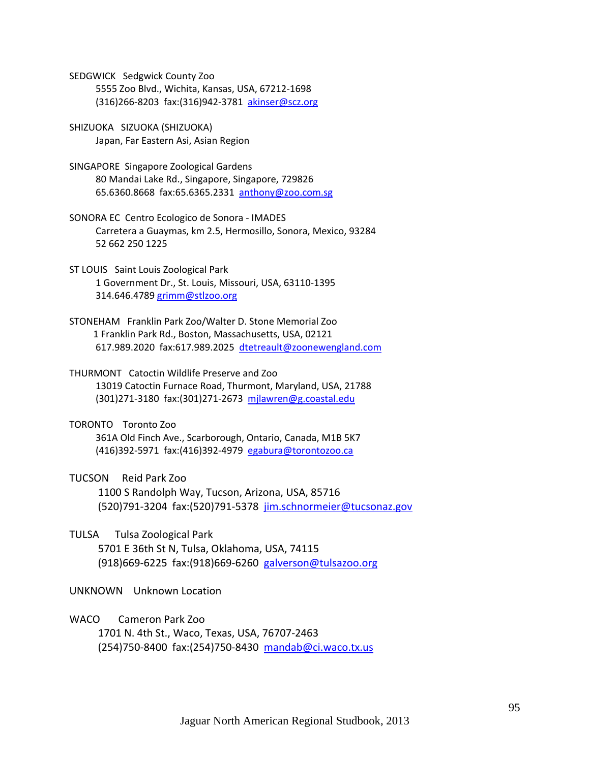SEDGWICK Sedgwick County Zoo 5555 Zoo Blvd., Wichita, Kansas, USA, 67212‐1698 (316)266‐8203 fax:(316)942‐3781 akinser@scz.org

SHIZUOKA SIZUOKA (SHIZUOKA) Japan, Far Eastern Asi, Asian Region

SINGAPORE Singapore Zoological Gardens 80 Mandai Lake Rd., Singapore, Singapore, 729826 65.6360.8668 fax:65.6365.2331 anthony@zoo.com.sg

SONORA EC Centro Ecologico de Sonora ‐ IMADES Carretera a Guaymas, km 2.5, Hermosillo, Sonora, Mexico, 93284 52 662 250 1225

ST LOUIS Saint Louis Zoological Park 1 Government Dr., St. Louis, Missouri, USA, 63110‐1395 314.646.4789 grimm@stlzoo.org

STONEHAM Franklin Park Zoo/Walter D. Stone Memorial Zoo 1 Franklin Park Rd., Boston, Massachusetts, USA, 02121 617.989.2020 fax:617.989.2025 dtetreault@zoonewengland.com

THURMONT Catoctin Wildlife Preserve and Zoo 13019 Catoctin Furnace Road, Thurmont, Maryland, USA, 21788 (301)271‐3180 fax:(301)271‐2673 mjlawren@g.coastal.edu

TORONTO Toronto Zoo 361A Old Finch Ave., Scarborough, Ontario, Canada, M1B 5K7 (416)392‐5971 fax:(416)392‐4979 egabura@torontozoo.ca

TUCSON Reid Park Zoo 1100 S Randolph Way, Tucson, Arizona, USA, 85716 (520)791‐3204 fax:(520)791‐5378 jim.schnormeier@tucsonaz.gov

TULSA Tulsa Zoological Park 5701 E 36th St N, Tulsa, Oklahoma, USA, 74115 (918)669‐6225 fax:(918)669‐6260 galverson@tulsazoo.org

UNKNOWN Unknown Location

WACO Cameron Park Zoo

 1701 N. 4th St., Waco, Texas, USA, 76707‐2463 (254)750‐8400 fax:(254)750‐8430 mandab@ci.waco.tx.us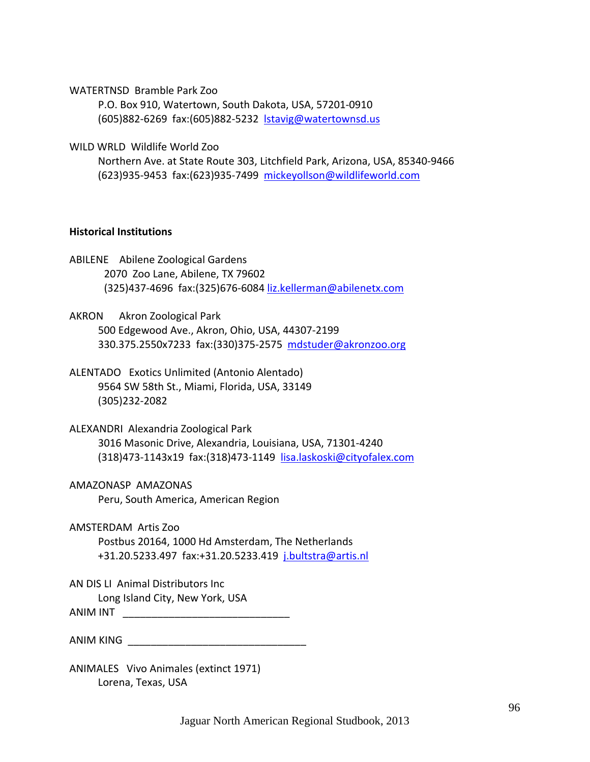WATERTNSD Bramble Park Zoo

 P.O. Box 910, Watertown, South Dakota, USA, 57201‐0910 (605)882‐6269 fax:(605)882‐5232 lstavig@watertownsd.us

WILD WRLD Wildlife World Zoo

 Northern Ave. at State Route 303, Litchfield Park, Arizona, USA, 85340‐9466 (623)935‐9453 fax:(623)935‐7499 mickeyollson@wildlifeworld.com

## **Historical Institutions**

- ABILENE Abilene Zoological Gardens 2070 Zoo Lane, Abilene, TX 79602 (325)437‐4696 fax:(325)676‐6084 liz.kellerman@abilenetx.com
- AKRON Akron Zoological Park 500 Edgewood Ave., Akron, Ohio, USA, 44307‐2199 330.375.2550x7233 fax:(330)375‐2575 mdstuder@akronzoo.org
- ALENTADO Exotics Unlimited (Antonio Alentado) 9564 SW 58th St., Miami, Florida, USA, 33149 (305)232‐2082
- ALEXANDRI Alexandria Zoological Park 3016 Masonic Drive, Alexandria, Louisiana, USA, 71301‐4240 (318)473‐1143x19 fax:(318)473‐1149 lisa.laskoski@cityofalex.com
- AMAZONASP AMAZONAS Peru, South America, American Region
- AMSTERDAM Artis Zoo Postbus 20164, 1000 Hd Amsterdam, The Netherlands +31.20.5233.497 fax:+31.20.5233.419 j.bultstra@artis.nl
- AN DIS LI Animal Distributors Inc Long Island City, New York, USA ANIM INT \_\_\_\_\_\_\_\_\_\_\_\_\_\_\_\_\_\_\_\_\_\_\_\_\_\_\_\_\_

| ANIM KING |
|-----------|
|           |

ANIMALES Vivo Animales (extinct 1971) Lorena, Texas, USA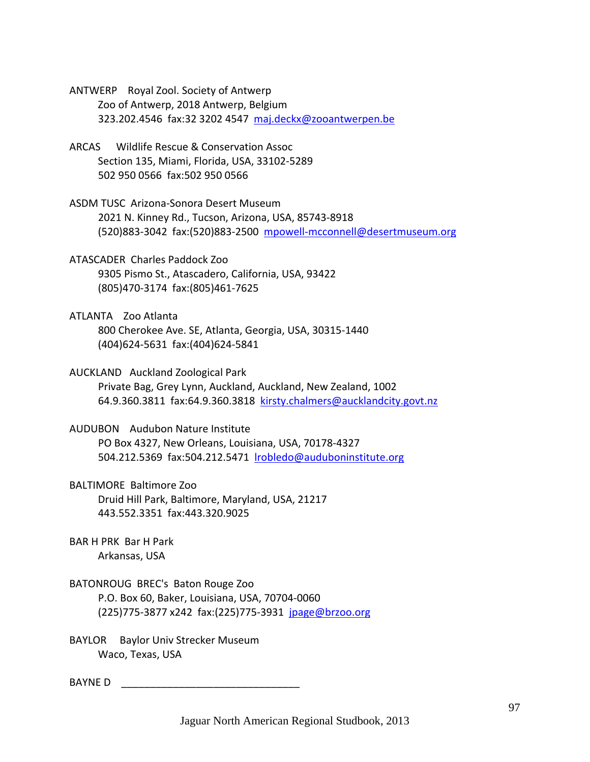ANTWERP Royal Zool. Society of Antwerp Zoo of Antwerp, 2018 Antwerp, Belgium 323.202.4546 fax:32 3202 4547 maj.deckx@zooantwerpen.be

- ARCAS Wildlife Rescue & Conservation Assoc Section 135, Miami, Florida, USA, 33102‐5289 502 950 0566 fax:502 950 0566
- ASDM TUSC Arizona‐Sonora Desert Museum 2021 N. Kinney Rd., Tucson, Arizona, USA, 85743‐8918 (520)883‐3042 fax:(520)883‐2500 mpowell‐mcconnell@desertmuseum.org
- ATASCADER Charles Paddock Zoo 9305 Pismo St., Atascadero, California, USA, 93422 (805)470‐3174 fax:(805)461‐7625
- ATLANTA Zoo Atlanta 800 Cherokee Ave. SE, Atlanta, Georgia, USA, 30315‐1440 (404)624‐5631 fax:(404)624‐5841
- AUCKLAND Auckland Zoological Park Private Bag, Grey Lynn, Auckland, Auckland, New Zealand, 1002 64.9.360.3811 fax:64.9.360.3818 kirsty.chalmers@aucklandcity.govt.nz
- AUDUBON Audubon Nature Institute PO Box 4327, New Orleans, Louisiana, USA, 70178‐4327 504.212.5369 fax:504.212.5471 lrobledo@auduboninstitute.org
- BALTIMORE Baltimore Zoo Druid Hill Park, Baltimore, Maryland, USA, 21217 443.552.3351 fax:443.320.9025
- BAR H PRK Bar H Park Arkansas, USA
- BATONROUG BREC's Baton Rouge Zoo P.O. Box 60, Baker, Louisiana, USA, 70704‐0060 (225)775‐3877 x242 fax:(225)775‐3931 jpage@brzoo.org
- BAYLOR Baylor Univ Strecker Museum Waco, Texas, USA

BAYNE D \_\_\_\_\_\_\_\_\_\_\_\_\_\_\_\_\_\_\_\_\_\_\_\_\_\_\_\_\_\_\_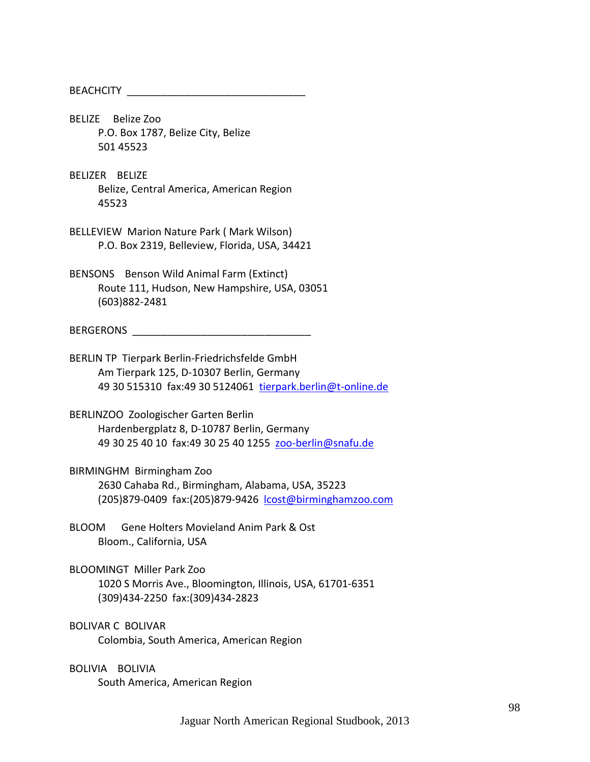BEACHCITY \_\_\_\_\_\_\_\_\_\_\_\_\_\_\_\_\_\_\_\_\_\_\_\_\_\_\_\_\_\_\_

BELIZE Belize Zoo P.O. Box 1787, Belize City, Belize 501 45523

BELIZER BELIZE Belize, Central America, American Region 45523

BELLEVIEW Marion Nature Park ( Mark Wilson) P.O. Box 2319, Belleview, Florida, USA, 34421

BENSONS Benson Wild Animal Farm (Extinct) Route 111, Hudson, New Hampshire, USA, 03051 (603)882‐2481

BERGERONS \_\_\_\_\_\_\_\_\_\_\_\_\_\_\_\_\_\_\_\_\_\_\_\_\_\_\_\_\_\_\_

BERLIN TP Tierpark Berlin‐Friedrichsfelde GmbH Am Tierpark 125, D‐10307 Berlin, Germany 49 30 515310 fax:49 30 5124061 tierpark.berlin@t‐online.de

BERLINZOO Zoologischer Garten Berlin Hardenbergplatz 8, D‐10787 Berlin, Germany 49 30 25 40 10 fax:49 30 25 40 1255 zoo-berlin@snafu.de

BIRMINGHM Birmingham Zoo

 2630 Cahaba Rd., Birmingham, Alabama, USA, 35223 (205)879‐0409 fax:(205)879‐9426 lcost@birminghamzoo.com

BLOOM Gene Holters Movieland Anim Park & Ost Bloom., California, USA

BLOOMINGT Miller Park Zoo 1020 S Morris Ave., Bloomington, Illinois, USA, 61701‐6351 (309)434‐2250 fax:(309)434‐2823

BOLIVAR C BOLIVAR Colombia, South America, American Region

BOLIVIA BOLIVIA South America, American Region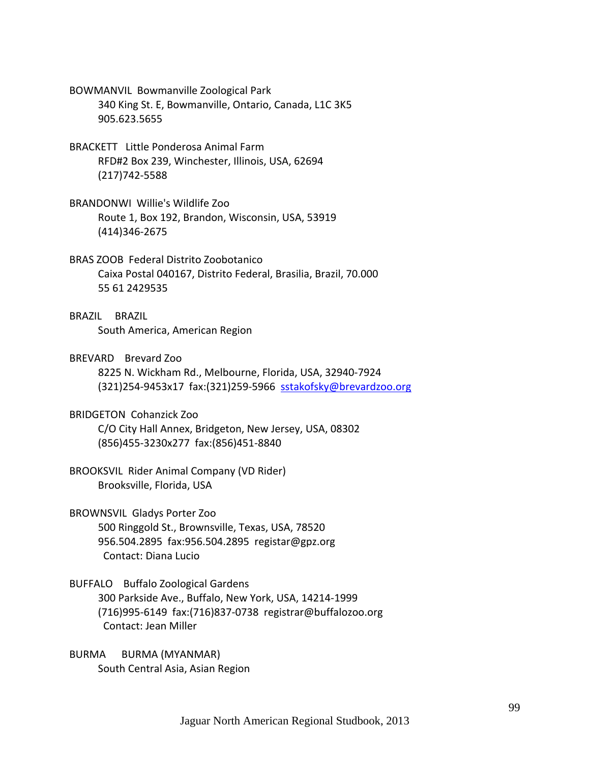- BOWMANVIL Bowmanville Zoological Park 340 King St. E, Bowmanville, Ontario, Canada, L1C 3K5 905.623.5655
- BRACKETT Little Ponderosa Animal Farm RFD#2 Box 239, Winchester, Illinois, USA, 62694 (217)742‐5588
- BRANDONWI Willie's Wildlife Zoo Route 1, Box 192, Brandon, Wisconsin, USA, 53919 (414)346‐2675
- BRAS ZOOB Federal Distrito Zoobotanico Caixa Postal 040167, Distrito Federal, Brasilia, Brazil, 70.000 55 61 2429535
- BRAZIL BRAZIL South America, American Region
- BREVARD Brevard Zoo

 8225 N. Wickham Rd., Melbourne, Florida, USA, 32940‐7924 (321)254‐9453x17 fax:(321)259‐5966 sstakofsky@brevardzoo.org

BRIDGETON Cohanzick Zoo

 C/O City Hall Annex, Bridgeton, New Jersey, USA, 08302 (856)455‐3230x277 fax:(856)451‐8840

- BROOKSVIL Rider Animal Company (VD Rider) Brooksville, Florida, USA
- BROWNSVIL Gladys Porter Zoo 500 Ringgold St., Brownsville, Texas, USA, 78520 956.504.2895 fax:956.504.2895 registar@gpz.org Contact: Diana Lucio
- BUFFALO Buffalo Zoological Gardens 300 Parkside Ave., Buffalo, New York, USA, 14214‐1999 (716)995‐6149 fax:(716)837‐0738 registrar@buffalozoo.org Contact: Jean Miller
- BURMA BURMA (MYANMAR) South Central Asia, Asian Region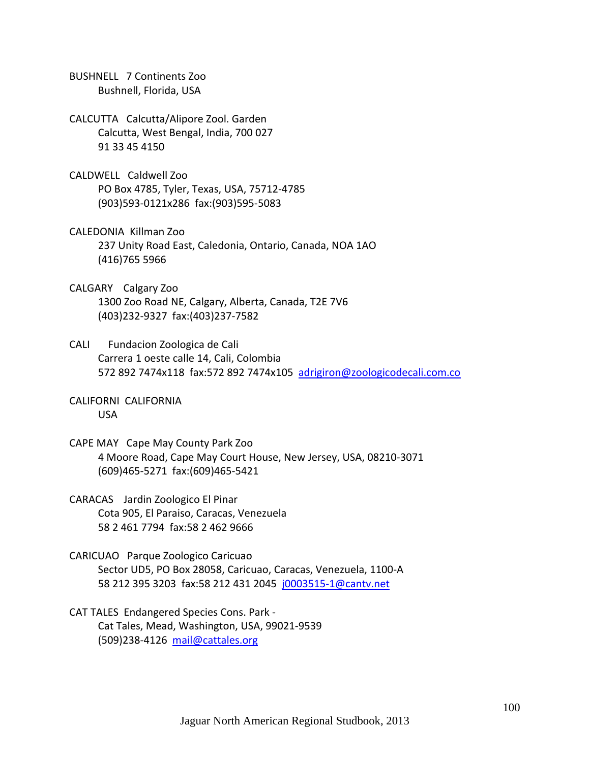BUSHNELL 7 Continents Zoo Bushnell, Florida, USA

CALCUTTA Calcutta/Alipore Zool. Garden Calcutta, West Bengal, India, 700 027 91 33 45 4150

CALDWELL Caldwell Zoo PO Box 4785, Tyler, Texas, USA, 75712‐4785 (903)593‐0121x286 fax:(903)595‐5083

CALEDONIA Killman Zoo 237 Unity Road East, Caledonia, Ontario, Canada, NOA 1AO (416)765 5966

- CALGARY Calgary Zoo 1300 Zoo Road NE, Calgary, Alberta, Canada, T2E 7V6 (403)232‐9327 fax:(403)237‐7582
- CALI Fundacion Zoologica de Cali Carrera 1 oeste calle 14, Cali, Colombia 572 892 7474x118 fax:572 892 7474x105 adrigiron@zoologicodecali.com.co
- CALIFORNI CALIFORNIA USA
- CAPE MAY Cape May County Park Zoo 4 Moore Road, Cape May Court House, New Jersey, USA, 08210‐3071 (609)465‐5271 fax:(609)465‐5421
- CARACAS Jardin Zoologico El Pinar Cota 905, El Paraiso, Caracas, Venezuela 58 2 461 7794 fax:58 2 462 9666
- CARICUAO Parque Zoologico Caricuao Sector UD5, PO Box 28058, Caricuao, Caracas, Venezuela, 1100‐A 58 212 395 3203 fax:58 212 431 2045 j0003515‐1@cantv.net
- CAT TALES Endangered Species Cons. Park ‐ Cat Tales, Mead, Washington, USA, 99021‐9539 (509)238‐4126 mail@cattales.org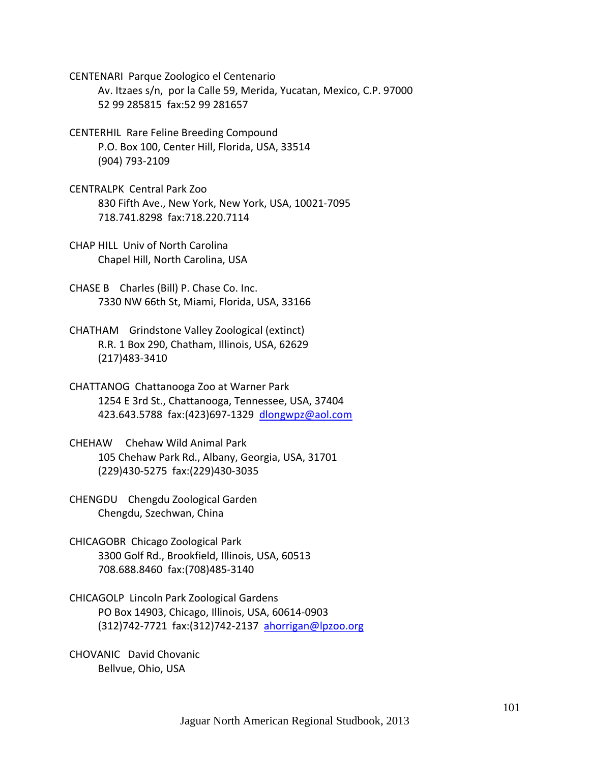CENTENARI Parque Zoologico el Centenario

 Av. Itzaes s/n, por la Calle 59, Merida, Yucatan, Mexico, C.P. 97000 52 99 285815 fax:52 99 281657

- CENTERHIL Rare Feline Breeding Compound P.O. Box 100, Center Hill, Florida, USA, 33514 (904) 793‐2109
- CENTRALPK Central Park Zoo 830 Fifth Ave., New York, New York, USA, 10021‐7095 718.741.8298 fax:718.220.7114
- CHAP HILL Univ of North Carolina Chapel Hill, North Carolina, USA
- CHASE B Charles (Bill) P. Chase Co. Inc. 7330 NW 66th St, Miami, Florida, USA, 33166
- CHATHAM Grindstone Valley Zoological (extinct) R.R. 1 Box 290, Chatham, Illinois, USA, 62629 (217)483‐3410
- CHATTANOG Chattanooga Zoo at Warner Park 1254 E 3rd St., Chattanooga, Tennessee, USA, 37404 423.643.5788 fax:(423)697‐1329 dlongwpz@aol.com
- CHEHAW Chehaw Wild Animal Park 105 Chehaw Park Rd., Albany, Georgia, USA, 31701 (229)430‐5275 fax:(229)430‐3035
- CHENGDU Chengdu Zoological Garden Chengdu, Szechwan, China
- CHICAGOBR Chicago Zoological Park 3300 Golf Rd., Brookfield, Illinois, USA, 60513 708.688.8460 fax:(708)485‐3140
- CHICAGOLP Lincoln Park Zoological Gardens PO Box 14903, Chicago, Illinois, USA, 60614‐0903 (312)742‐7721 fax:(312)742‐2137 ahorrigan@lpzoo.org
- CHOVANIC David Chovanic Bellvue, Ohio, USA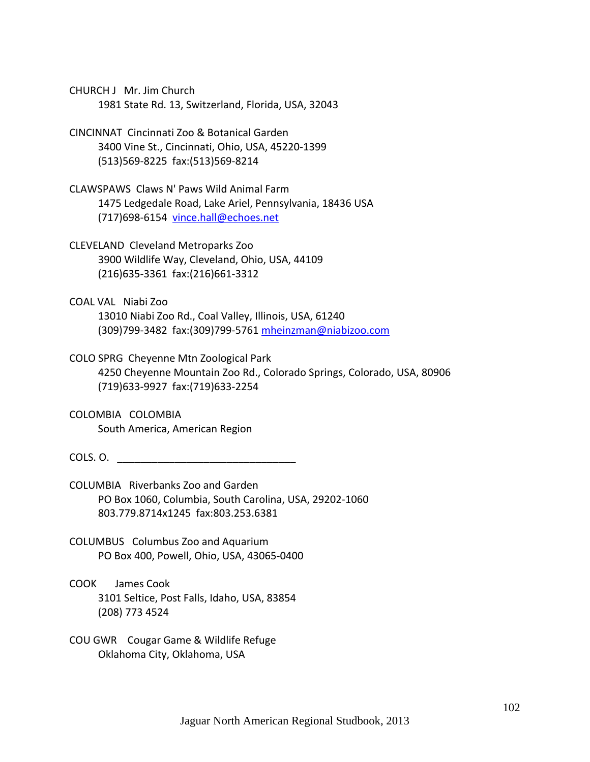CHURCH J Mr. Jim Church 1981 State Rd. 13, Switzerland, Florida, USA, 32043

CINCINNAT Cincinnati Zoo & Botanical Garden 3400 Vine St., Cincinnati, Ohio, USA, 45220‐1399 (513)569‐8225 fax:(513)569‐8214

CLAWSPAWS Claws N' Paws Wild Animal Farm 1475 Ledgedale Road, Lake Ariel, Pennsylvania, 18436 USA (717)698‐6154 vince.hall@echoes.net

CLEVELAND Cleveland Metroparks Zoo 3900 Wildlife Way, Cleveland, Ohio, USA, 44109 (216)635‐3361 fax:(216)661‐3312

COAL VAL Niabi Zoo 13010 Niabi Zoo Rd., Coal Valley, Illinois, USA, 61240 (309)799‐3482 fax:(309)799‐5761 mheinzman@niabizoo.com

COLO SPRG Cheyenne Mtn Zoological Park 4250 Cheyenne Mountain Zoo Rd., Colorado Springs, Colorado, USA, 80906 (719)633‐9927 fax:(719)633‐2254

COLOMBIA COLOMBIA South America, American Region

COLS. O. \_\_\_\_\_\_\_\_\_\_\_\_\_\_\_\_\_\_\_\_\_\_\_\_\_\_\_\_\_\_\_

COLUMBIA Riverbanks Zoo and Garden PO Box 1060, Columbia, South Carolina, USA, 29202‐1060 803.779.8714x1245 fax:803.253.6381

COLUMBUS Columbus Zoo and Aquarium PO Box 400, Powell, Ohio, USA, 43065‐0400

COOK James Cook 3101 Seltice, Post Falls, Idaho, USA, 83854 (208) 773 4524

COU GWR Cougar Game & Wildlife Refuge Oklahoma City, Oklahoma, USA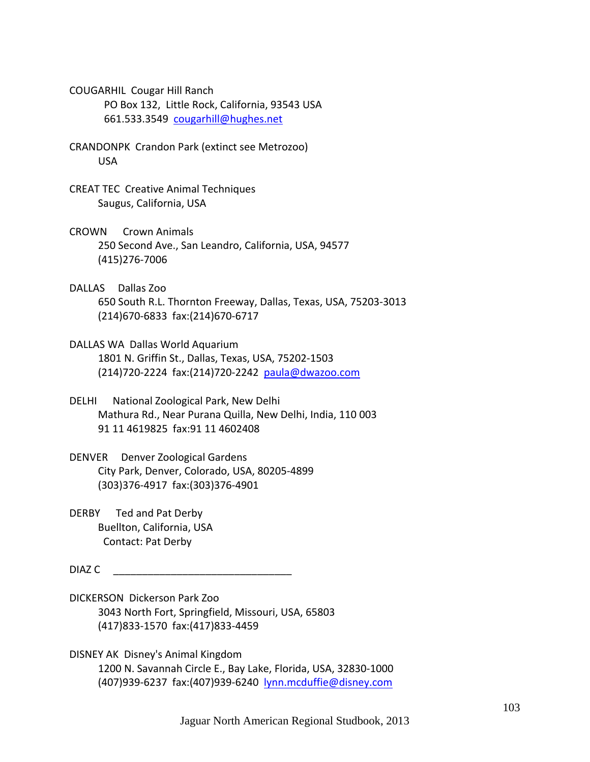- COUGARHIL Cougar Hill Ranch PO Box 132, Little Rock, California, 93543 USA 661.533.3549 cougarhill@hughes.net
- CRANDONPK Crandon Park (extinct see Metrozoo) USA
- CREAT TEC Creative Animal Techniques Saugus, California, USA
- CROWN Crown Animals 250 Second Ave., San Leandro, California, USA, 94577 (415)276‐7006
- DALLAS Dallas Zoo 650 South R.L. Thornton Freeway, Dallas, Texas, USA, 75203‐3013 (214)670‐6833 fax:(214)670‐6717
- DALLAS WA Dallas World Aquarium 1801 N. Griffin St., Dallas, Texas, USA, 75202‐1503 (214)720‐2224 fax:(214)720‐2242 paula@dwazoo.com
- DELHI National Zoological Park, New Delhi Mathura Rd., Near Purana Quilla, New Delhi, India, 110 003 91 11 4619825 fax:91 11 4602408
- DENVER Denver Zoological Gardens City Park, Denver, Colorado, USA, 80205‐4899 (303)376‐4917 fax:(303)376‐4901
- DERBY Ted and Pat Derby Buellton, California, USA Contact: Pat Derby

 $DIAZC$ 

DICKERSON Dickerson Park Zoo 3043 North Fort, Springfield, Missouri, USA, 65803 (417)833‐1570 fax:(417)833‐4459

DISNEY AK Disney's Animal Kingdom 1200 N. Savannah Circle E., Bay Lake, Florida, USA, 32830‐1000 (407)939‐6237 fax:(407)939‐6240 lynn.mcduffie@disney.com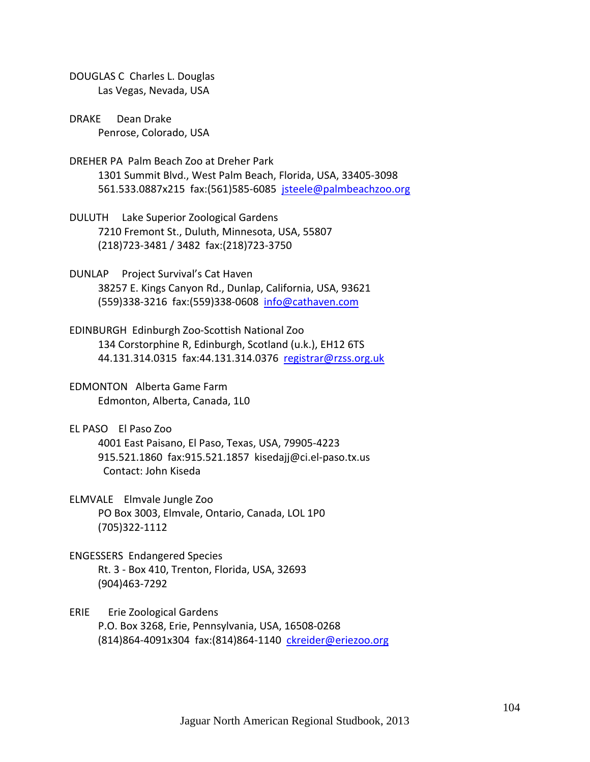- DOUGLAS C Charles L. Douglas Las Vegas, Nevada, USA
- DRAKE Dean Drake Penrose, Colorado, USA
- DREHER PA Palm Beach Zoo at Dreher Park 1301 Summit Blvd., West Palm Beach, Florida, USA, 33405‐3098 561.533.0887x215 fax:(561)585‐6085 jsteele@palmbeachzoo.org
- DULUTH Lake Superior Zoological Gardens 7210 Fremont St., Duluth, Minnesota, USA, 55807 (218)723‐3481 / 3482 fax:(218)723‐3750
- DUNLAP Project Survival's Cat Haven 38257 E. Kings Canyon Rd., Dunlap, California, USA, 93621 (559)338‐3216 fax:(559)338‐0608 info@cathaven.com
- EDINBURGH Edinburgh Zoo‐Scottish National Zoo 134 Corstorphine R, Edinburgh, Scotland (u.k.), EH12 6TS 44.131.314.0315 fax:44.131.314.0376 registrar@rzss.org.uk
- EDMONTON Alberta Game Farm Edmonton, Alberta, Canada, 1L0
- EL PASO El Paso Zoo 4001 East Paisano, El Paso, Texas, USA, 79905‐4223 915.521.1860 fax:915.521.1857 kisedajj@ci.el‐paso.tx.us Contact: John Kiseda
- ELMVALE Elmvale Jungle Zoo PO Box 3003, Elmvale, Ontario, Canada, LOL 1P0 (705)322‐1112
- ENGESSERS Endangered Species Rt. 3 ‐ Box 410, Trenton, Florida, USA, 32693 (904)463‐7292
- ERIE Erie Zoological Gardens P.O. Box 3268, Erie, Pennsylvania, USA, 16508‐0268 (814)864‐4091x304 fax:(814)864‐1140 ckreider@eriezoo.org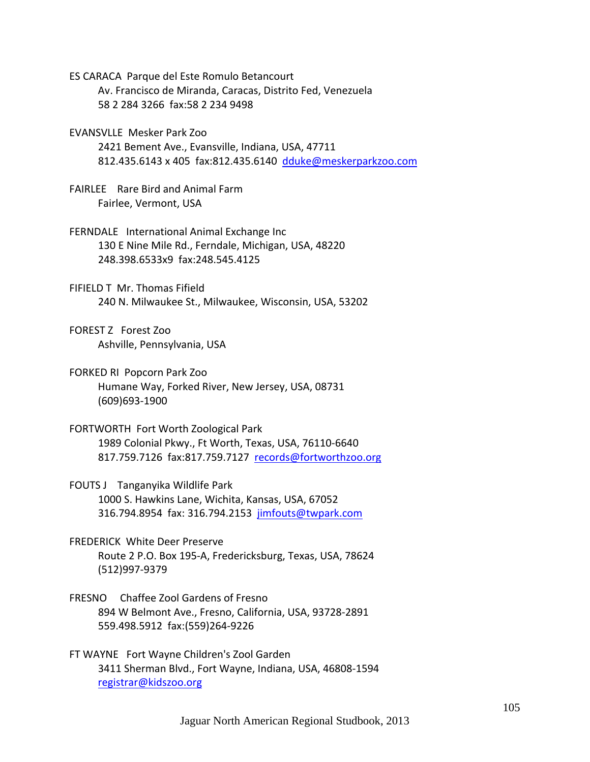ES CARACA Parque del Este Romulo Betancourt

 Av. Francisco de Miranda, Caracas, Distrito Fed, Venezuela 58 2 284 3266 fax:58 2 234 9498

EVANSVLLE Mesker Park Zoo

 2421 Bement Ave., Evansville, Indiana, USA, 47711 812.435.6143 x 405 fax:812.435.6140 dduke@meskerparkzoo.com

- FAIRLEE Rare Bird and Animal Farm Fairlee, Vermont, USA
- FERNDALE International Animal Exchange Inc 130 E Nine Mile Rd., Ferndale, Michigan, USA, 48220 248.398.6533x9 fax:248.545.4125
- FIFIELD T Mr. Thomas Fifield 240 N. Milwaukee St., Milwaukee, Wisconsin, USA, 53202

FOREST Z Forest Zoo Ashville, Pennsylvania, USA

- FORKED RI Popcorn Park Zoo Humane Way, Forked River, New Jersey, USA, 08731 (609)693‐1900
- FORTWORTH Fort Worth Zoological Park 1989 Colonial Pkwy., Ft Worth, Texas, USA, 76110‐6640 817.759.7126 fax:817.759.7127 records@fortworthzoo.org
- FOUTS J Tanganyika Wildlife Park 1000 S. Hawkins Lane, Wichita, Kansas, USA, 67052 316.794.8954 fax: 316.794.2153 jimfouts@twpark.com
- FREDERICK White Deer Preserve Route 2 P.O. Box 195‐A, Fredericksburg, Texas, USA, 78624 (512)997‐9379
- FRESNO Chaffee Zool Gardens of Fresno 894 W Belmont Ave., Fresno, California, USA, 93728‐2891 559.498.5912 fax:(559)264‐9226
- FT WAYNE Fort Wayne Children's Zool Garden 3411 Sherman Blvd., Fort Wayne, Indiana, USA, 46808‐1594 registrar@kidszoo.org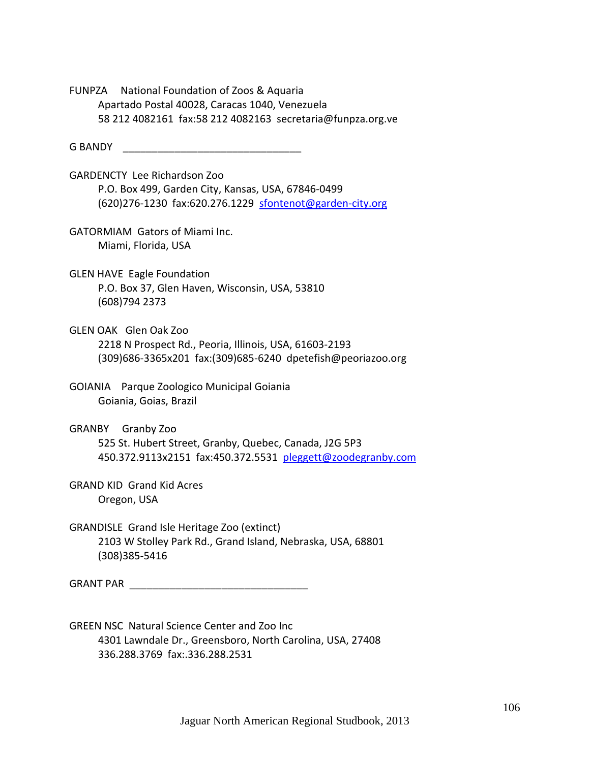FUNPZA National Foundation of Zoos & Aquaria Apartado Postal 40028, Caracas 1040, Venezuela 58 212 4082161 fax:58 212 4082163 secretaria@funpza.org.ve

G BANDY **SANDY CONSUMING BANDY** 

GARDENCTY Lee Richardson Zoo P.O. Box 499, Garden City, Kansas, USA, 67846‐0499 (620)276-1230 fax:620.276.1229 sfontenot@garden-city.org

GATORMIAM Gators of Miami Inc. Miami, Florida, USA

GLEN HAVE Eagle Foundation P.O. Box 37, Glen Haven, Wisconsin, USA, 53810 (608)794 2373

GLEN OAK Glen Oak Zoo 2218 N Prospect Rd., Peoria, Illinois, USA, 61603‐2193 (309)686‐3365x201 fax:(309)685‐6240 dpetefish@peoriazoo.org

GOIANIA Parque Zoologico Municipal Goiania Goiania, Goias, Brazil

GRANBY Granby Zoo 525 St. Hubert Street, Granby, Quebec, Canada, J2G 5P3 450.372.9113x2151 fax:450.372.5531 pleggett@zoodegranby.com

GRAND KID Grand Kid Acres Oregon, USA

GRANDISLE Grand Isle Heritage Zoo (extinct) 2103 W Stolley Park Rd., Grand Island, Nebraska, USA, 68801 (308)385‐5416

GRANT PAR **EXECUTE AND THE SET OF STANDARD STANDARD STANDARD STANDARD STANDARD STANDARD STANDARD STANDARD STANDARD STANDARD STANDARD STANDARD STANDARD STANDARD STANDARD STANDARD STANDARD STANDARD STANDARD STANDARD STANDARD** 

GREEN NSC Natural Science Center and Zoo Inc 4301 Lawndale Dr., Greensboro, North Carolina, USA, 27408 336.288.3769 fax:.336.288.2531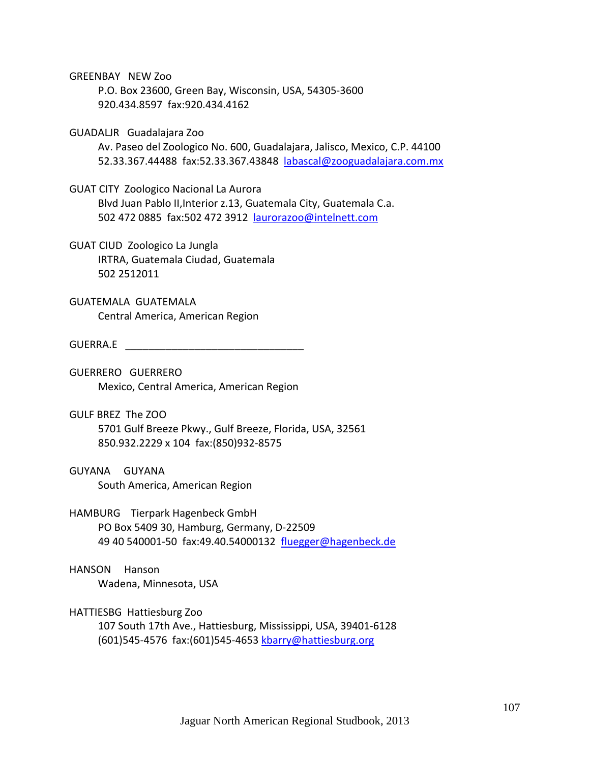GREENBAY NEW Zoo

 P.O. Box 23600, Green Bay, Wisconsin, USA, 54305‐3600 920.434.8597 fax:920.434.4162

## GUADALJR Guadalajara Zoo

 Av. Paseo del Zoologico No. 600, Guadalajara, Jalisco, Mexico, C.P. 44100 52.33.367.44488 fax:52.33.367.43848 labascal@zooguadalajara.com.mx

### GUAT CITY Zoologico Nacional La Aurora

 Blvd Juan Pablo II,Interior z.13, Guatemala City, Guatemala C.a. 502 472 0885 fax:502 472 3912 laurorazoo@intelnett.com

GUAT CIUD Zoologico La Jungla IRTRA, Guatemala Ciudad, Guatemala 502 2512011

GUATEMALA GUATEMALA Central America, American Region

#### GUERRA.E \_\_\_\_\_\_\_\_\_\_\_\_\_\_\_\_\_\_\_\_\_\_\_\_\_\_\_\_\_\_\_

GUERRERO GUERRERO Mexico, Central America, American Region

GULF BREZ The ZOO 5701 Gulf Breeze Pkwy., Gulf Breeze, Florida, USA, 32561 850.932.2229 x 104 fax:(850)932‐8575

### GUYANA GUYANA

South America, American Region

# HAMBURG Tierpark Hagenbeck GmbH

 PO Box 5409 30, Hamburg, Germany, D‐22509 49 40 540001‐50 fax:49.40.54000132 fluegger@hagenbeck.de

# HANSON Hanson

Wadena, Minnesota, USA

### HATTIESBG Hattiesburg Zoo

 107 South 17th Ave., Hattiesburg, Mississippi, USA, 39401‐6128 (601)545‐4576 fax:(601)545‐4653 kbarry@hattiesburg.org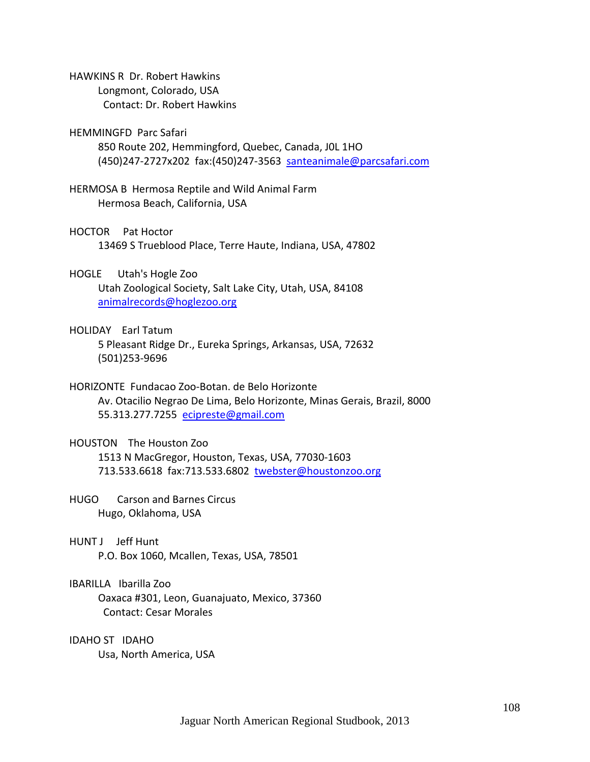HAWKINS R Dr. Robert Hawkins Longmont, Colorado, USA

Contact: Dr. Robert Hawkins

### HEMMINGFD Parc Safari

 850 Route 202, Hemmingford, Quebec, Canada, J0L 1HO (450)247‐2727x202 fax:(450)247‐3563 santeanimale@parcsafari.com

HERMOSA B Hermosa Reptile and Wild Animal Farm Hermosa Beach, California, USA

#### HOCTOR Pat Hoctor

13469 S Trueblood Place, Terre Haute, Indiana, USA, 47802

### HOGLE Utah's Hogle Zoo

 Utah Zoological Society, Salt Lake City, Utah, USA, 84108 animalrecords@hoglezoo.org

### HOLIDAY Earl Tatum

 5 Pleasant Ridge Dr., Eureka Springs, Arkansas, USA, 72632 (501)253‐9696

# HORIZONTE Fundacao Zoo‐Botan. de Belo Horizonte

 Av. Otacilio Negrao De Lima, Belo Horizonte, Minas Gerais, Brazil, 8000 55.313.277.7255 ecipreste@gmail.com

# HOUSTON The Houston Zoo

 1513 N MacGregor, Houston, Texas, USA, 77030‐1603 713.533.6618 fax:713.533.6802 twebster@houstonzoo.org

# HUGO Carson and Barnes Circus Hugo, Oklahoma, USA

# HUNT J Jeff Hunt

P.O. Box 1060, Mcallen, Texas, USA, 78501

# IBARILLA Ibarilla Zoo

 Oaxaca #301, Leon, Guanajuato, Mexico, 37360 Contact: Cesar Morales

# IDAHO ST IDAHO

Usa, North America, USA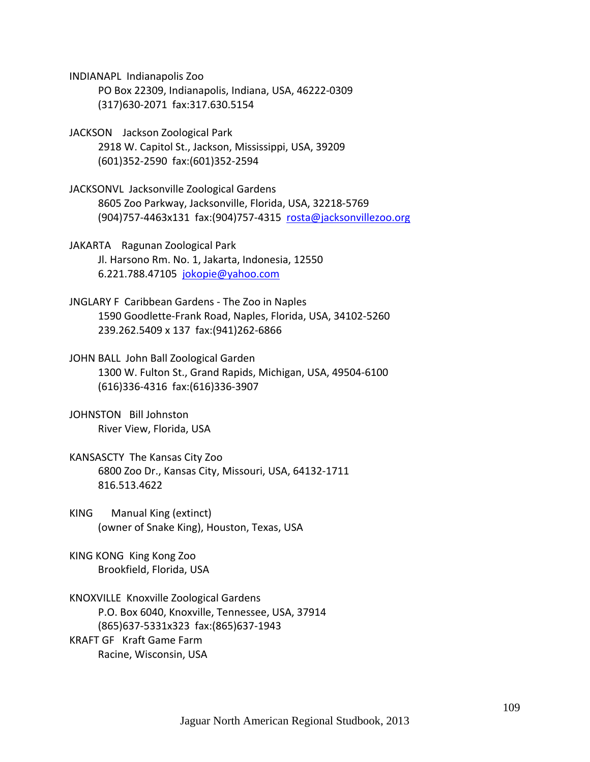INDIANAPL Indianapolis Zoo PO Box 22309, Indianapolis, Indiana, USA, 46222‐0309 (317)630‐2071 fax:317.630.5154

- JACKSON Jackson Zoological Park 2918 W. Capitol St., Jackson, Mississippi, USA, 39209 (601)352‐2590 fax:(601)352‐2594
- JACKSONVL Jacksonville Zoological Gardens 8605 Zoo Parkway, Jacksonville, Florida, USA, 32218‐5769 (904)757‐4463x131 fax:(904)757‐4315 rosta@jacksonvillezoo.org
- JAKARTA Ragunan Zoological Park Jl. Harsono Rm. No. 1, Jakarta, Indonesia, 12550 6.221.788.47105 jokopie@yahoo.com
- JNGLARY F Caribbean Gardens ‐ The Zoo in Naples 1590 Goodlette‐Frank Road, Naples, Florida, USA, 34102‐5260 239.262.5409 x 137 fax:(941)262‐6866
- JOHN BALL John Ball Zoological Garden 1300 W. Fulton St., Grand Rapids, Michigan, USA, 49504‐6100 (616)336‐4316 fax:(616)336‐3907
- JOHNSTON Bill Johnston River View, Florida, USA
- KANSASCTY The Kansas City Zoo 6800 Zoo Dr., Kansas City, Missouri, USA, 64132‐1711 816.513.4622
- KING Manual King (extinct) (owner of Snake King), Houston, Texas, USA
- KING KONG King Kong Zoo Brookfield, Florida, USA

KNOXVILLE Knoxville Zoological Gardens P.O. Box 6040, Knoxville, Tennessee, USA, 37914 (865)637‐5331x323 fax:(865)637‐1943 KRAFT GF Kraft Game Farm Racine, Wisconsin, USA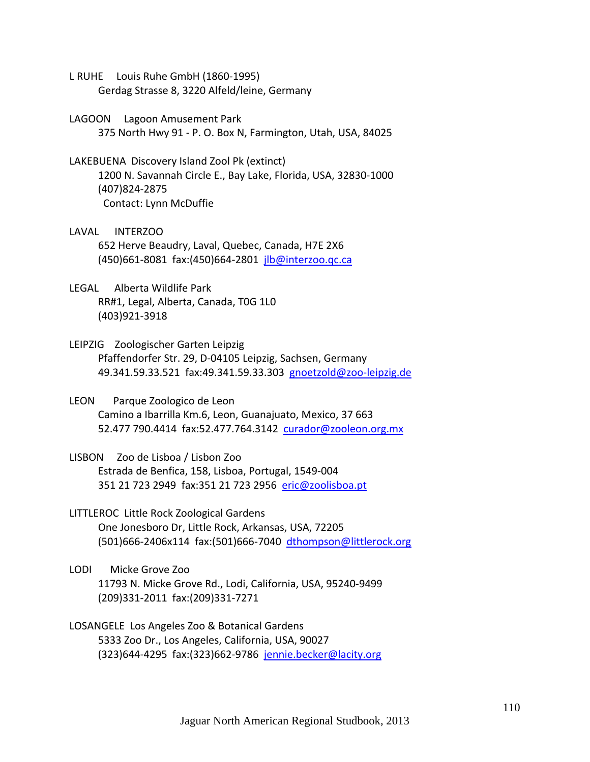- L RUHE Louis Ruhe GmbH (1860‐1995) Gerdag Strasse 8, 3220 Alfeld/leine, Germany
- LAGOON Lagoon Amusement Park 375 North Hwy 91 ‐ P. O. Box N, Farmington, Utah, USA, 84025
- LAKEBUENA Discovery Island Zool Pk (extinct) 1200 N. Savannah Circle E., Bay Lake, Florida, USA, 32830‐1000 (407)824‐2875 Contact: Lynn McDuffie
- LAVAL INTERZOO 652 Herve Beaudry, Laval, Quebec, Canada, H7E 2X6 (450)661‐8081 fax:(450)664‐2801 jlb@interzoo.qc.ca
- LEGAL Alberta Wildlife Park RR#1, Legal, Alberta, Canada, T0G 1L0 (403)921‐3918
- LEIPZIG Zoologischer Garten Leipzig Pfaffendorfer Str. 29, D‐04105 Leipzig, Sachsen, Germany 49.341.59.33.521 fax:49.341.59.33.303 gnoetzold@zoo‐leipzig.de
- LEON Parque Zoologico de Leon Camino a Ibarrilla Km.6, Leon, Guanajuato, Mexico, 37 663 52.477 790.4414 fax:52.477.764.3142 curador@zooleon.org.mx
- LISBON Zoo de Lisboa / Lisbon Zoo Estrada de Benfica, 158, Lisboa, Portugal, 1549‐004 351 21 723 2949 fax:351 21 723 2956 eric@zoolisboa.pt
- LITTLEROC Little Rock Zoological Gardens One Jonesboro Dr, Little Rock, Arkansas, USA, 72205 (501)666‐2406x114 fax:(501)666‐7040 dthompson@littlerock.org
- LODI Micke Grove Zoo 11793 N. Micke Grove Rd., Lodi, California, USA, 95240‐9499 (209)331‐2011 fax:(209)331‐7271
- LOSANGELE Los Angeles Zoo & Botanical Gardens 5333 Zoo Dr., Los Angeles, California, USA, 90027 (323)644‐4295 fax:(323)662‐9786 jennie.becker@lacity.org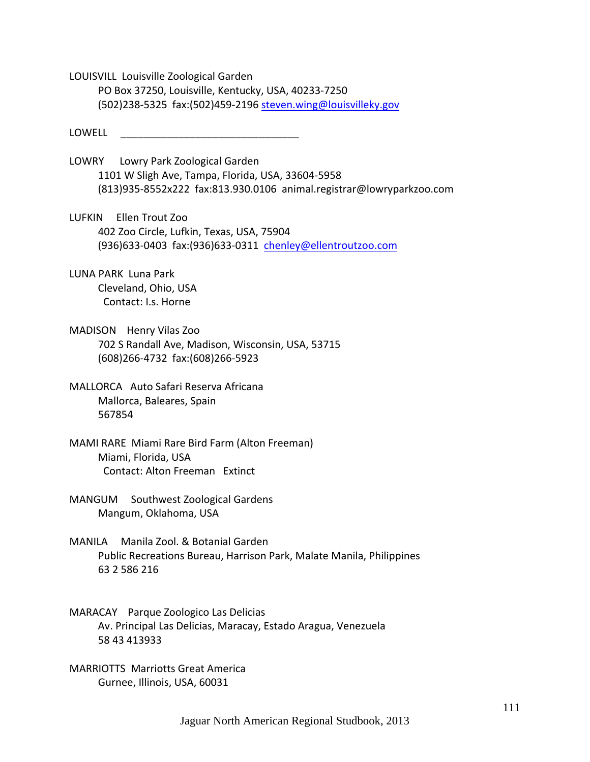LOUISVILL Louisville Zoological Garden PO Box 37250, Louisville, Kentucky, USA, 40233‐7250 (502)238‐5325 fax:(502)459‐2196 steven.wing@louisvilleky.gov

LOWELL \_\_\_\_\_\_\_\_\_\_\_\_\_\_\_\_\_\_\_\_\_\_\_\_\_\_\_\_\_\_\_

LOWRY Lowry Park Zoological Garden 1101 W Sligh Ave, Tampa, Florida, USA, 33604‐5958 (813)935‐8552x222 fax:813.930.0106 animal.registrar@lowryparkzoo.com

LUFKIN Ellen Trout Zoo 402 Zoo Circle, Lufkin, Texas, USA, 75904 (936)633‐0403 fax:(936)633‐0311 chenley@ellentroutzoo.com

LUNA PARK Luna Park Cleveland, Ohio, USA Contact: I.s. Horne

MADISON Henry Vilas Zoo 702 S Randall Ave, Madison, Wisconsin, USA, 53715 (608)266‐4732 fax:(608)266‐5923

MALLORCA Auto Safari Reserva Africana Mallorca, Baleares, Spain 567854

MAMI RARE Miami Rare Bird Farm (Alton Freeman) Miami, Florida, USA Contact: Alton Freeman Extinct

MANGUM Southwest Zoological Gardens Mangum, Oklahoma, USA

MANILA Manila Zool. & Botanial Garden Public Recreations Bureau, Harrison Park, Malate Manila, Philippines 63 2 586 216

MARACAY Parque Zoologico Las Delicias Av. Principal Las Delicias, Maracay, Estado Aragua, Venezuela 58 43 413933

MARRIOTTS Marriotts Great America Gurnee, Illinois, USA, 60031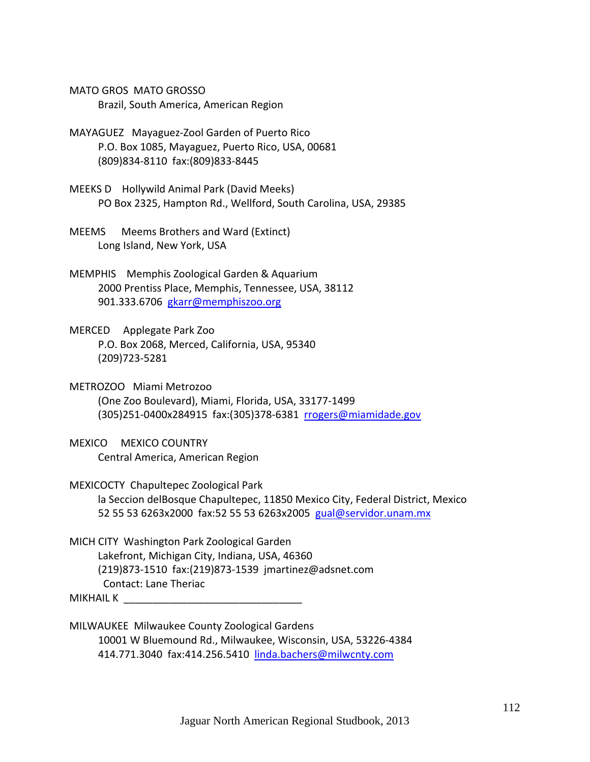MATO GROS MATO GROSSO Brazil, South America, American Region

- MAYAGUEZ Mayaguez‐Zool Garden of Puerto Rico P.O. Box 1085, Mayaguez, Puerto Rico, USA, 00681 (809)834‐8110 fax:(809)833‐8445
- MEEKS D Hollywild Animal Park (David Meeks) PO Box 2325, Hampton Rd., Wellford, South Carolina, USA, 29385
- MEEMS Meems Brothers and Ward (Extinct) Long Island, New York, USA
- MEMPHIS Memphis Zoological Garden & Aquarium 2000 Prentiss Place, Memphis, Tennessee, USA, 38112 901.333.6706 gkarr@memphiszoo.org
- MERCED Applegate Park Zoo P.O. Box 2068, Merced, California, USA, 95340 (209)723‐5281
- METROZOO Miami Metrozoo (One Zoo Boulevard), Miami, Florida, USA, 33177‐1499 (305)251‐0400x284915 fax:(305)378‐6381 rrogers@miamidade.gov
- MEXICO MEXICO COUNTRY Central America, American Region
- MEXICOCTY Chapultepec Zoological Park la Seccion delBosque Chapultepec, 11850 Mexico City, Federal District, Mexico 52 55 53 6263x2000 fax:52 55 53 6263x2005 gual@servidor.unam.mx
- MICH CITY Washington Park Zoological Garden Lakefront, Michigan City, Indiana, USA, 46360 (219)873‐1510 fax:(219)873‐1539 jmartinez@adsnet.com Contact: Lane Theriac
- MIKHAIL K
- MILWAUKEE Milwaukee County Zoological Gardens 10001 W Bluemound Rd., Milwaukee, Wisconsin, USA, 53226‐4384 414.771.3040 fax:414.256.5410 linda.bachers@milwcnty.com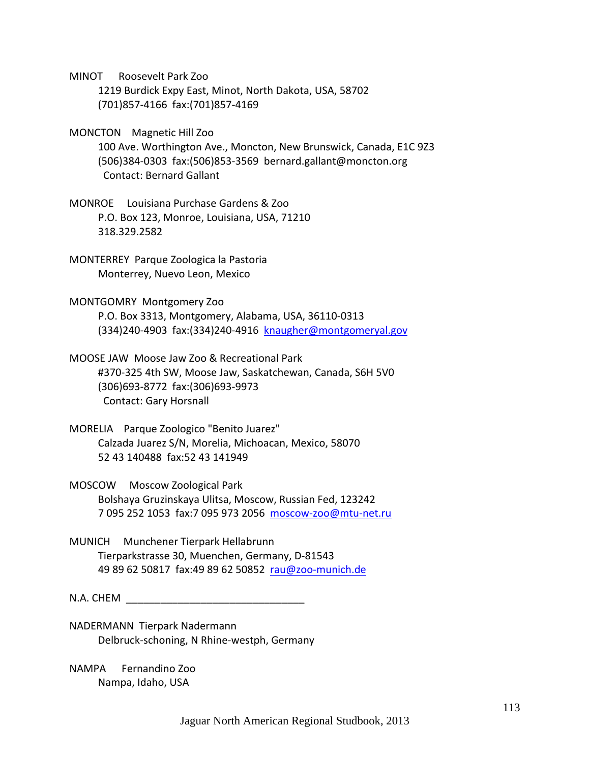MINOT Roosevelt Park Zoo

 1219 Burdick Expy East, Minot, North Dakota, USA, 58702 (701)857‐4166 fax:(701)857‐4169

MONCTON Magnetic Hill Zoo

 100 Ave. Worthington Ave., Moncton, New Brunswick, Canada, E1C 9Z3 (506)384‐0303 fax:(506)853‐3569 bernard.gallant@moncton.org Contact: Bernard Gallant

MONROE Louisiana Purchase Gardens & Zoo P.O. Box 123, Monroe, Louisiana, USA, 71210 318.329.2582

MONTERREY Parque Zoologica la Pastoria Monterrey, Nuevo Leon, Mexico

MONTGOMRY Montgomery Zoo P.O. Box 3313, Montgomery, Alabama, USA, 36110‐0313 (334)240‐4903 fax:(334)240‐4916 knaugher@montgomeryal.gov

MOOSE JAW Moose Jaw Zoo & Recreational Park #370‐325 4th SW, Moose Jaw, Saskatchewan, Canada, S6H 5V0 (306)693‐8772 fax:(306)693‐9973 Contact: Gary Horsnall

MORELIA Parque Zoologico "Benito Juarez" Calzada Juarez S/N, Morelia, Michoacan, Mexico, 58070 52 43 140488 fax:52 43 141949

MOSCOW Moscow Zoological Park Bolshaya Gruzinskaya Ulitsa, Moscow, Russian Fed, 123242 7 095 252 1053 fax:7 095 973 2056 moscow‐zoo@mtu‐net.ru

MUNICH Munchener Tierpark Hellabrunn Tierparkstrasse 30, Muenchen, Germany, D‐81543 49 89 62 50817 fax:49 89 62 50852 rau@zoo‐munich.de

N.A. CHEM

NADERMANN Tierpark Nadermann Delbruck‐schoning, N Rhine‐westph, Germany

NAMPA Fernandino Zoo Nampa, Idaho, USA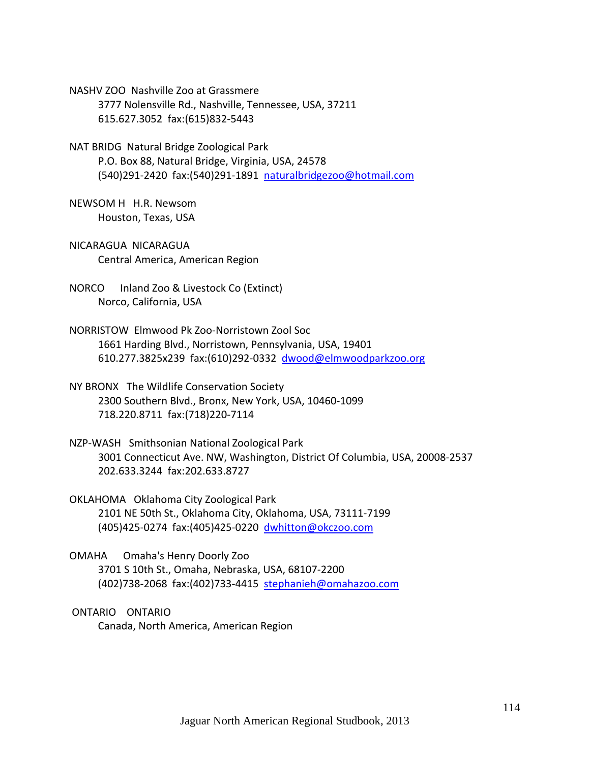NASHV ZOO Nashville Zoo at Grassmere 3777 Nolensville Rd., Nashville, Tennessee, USA, 37211 615.627.3052 fax:(615)832‐5443

NAT BRIDG Natural Bridge Zoological Park P.O. Box 88, Natural Bridge, Virginia, USA, 24578 (540)291‐2420 fax:(540)291‐1891 naturalbridgezoo@hotmail.com

NEWSOM H H.R. Newsom Houston, Texas, USA

NICARAGUA NICARAGUA Central America, American Region

NORCO Inland Zoo & Livestock Co (Extinct) Norco, California, USA

- NORRISTOW Elmwood Pk Zoo‐Norristown Zool Soc 1661 Harding Blvd., Norristown, Pennsylvania, USA, 19401 610.277.3825x239 fax:(610)292‐0332 dwood@elmwoodparkzoo.org
- NY BRONX The Wildlife Conservation Society 2300 Southern Blvd., Bronx, New York, USA, 10460‐1099 718.220.8711 fax:(718)220‐7114
- NZP‐WASH Smithsonian National Zoological Park 3001 Connecticut Ave. NW, Washington, District Of Columbia, USA, 20008‐2537 202.633.3244 fax:202.633.8727

OKLAHOMA Oklahoma City Zoological Park 2101 NE 50th St., Oklahoma City, Oklahoma, USA, 73111‐7199 (405)425‐0274 fax:(405)425‐0220 dwhitton@okczoo.com

OMAHA Omaha's Henry Doorly Zoo 3701 S 10th St., Omaha, Nebraska, USA, 68107‐2200 (402)738‐2068 fax:(402)733‐4415 stephanieh@omahazoo.com

ONTARIO ONTARIO Canada, North America, American Region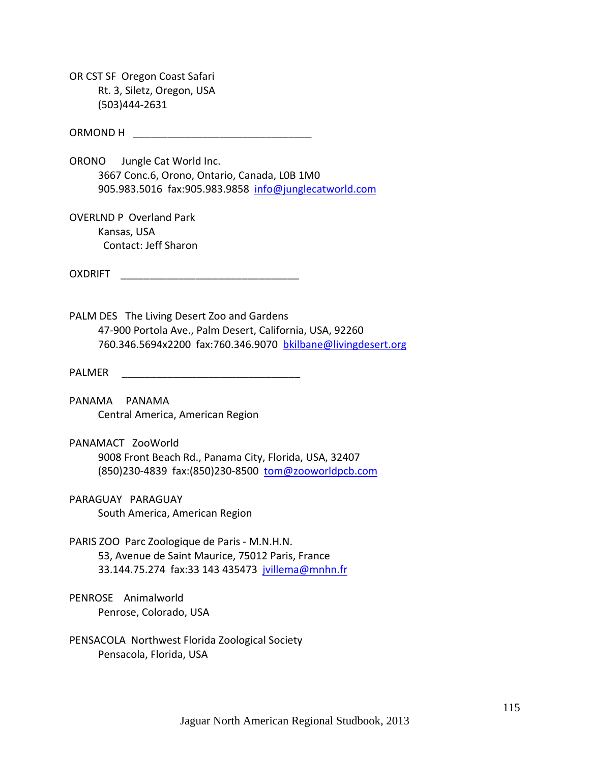OR CST SF Oregon Coast Safari Rt. 3, Siletz, Oregon, USA (503)444‐2631

ORMOND H

ORONO Jungle Cat World Inc. 3667 Conc.6, Orono, Ontario, Canada, L0B 1M0 905.983.5016 fax:905.983.9858 info@junglecatworld.com

OVERLND P Overland Park Kansas, USA Contact: Jeff Sharon

OXDRIFT \_\_\_\_\_\_\_\_\_\_\_\_\_\_\_\_\_\_\_\_\_\_\_\_\_\_\_\_\_\_\_

PALM DES The Living Desert Zoo and Gardens 47‐900 Portola Ave., Palm Desert, California, USA, 92260 760.346.5694x2200 fax:760.346.9070 bkilbane@livingdesert.org

PALMER \_\_\_\_\_\_\_\_\_\_\_\_\_\_\_\_\_\_\_\_\_\_\_\_\_\_\_\_\_\_\_

PANAMA PANAMA Central America, American Region

PANAMACT ZooWorld 9008 Front Beach Rd., Panama City, Florida, USA, 32407

(850)230‐4839 fax:(850)230‐8500 tom@zooworldpcb.com

PARAGUAY PARAGUAY South America, American Region

PARIS ZOO Parc Zoologique de Paris ‐ M.N.H.N. 53, Avenue de Saint Maurice, 75012 Paris, France 33.144.75.274 fax:33 143 435473 jvillema@mnhn.fr

PENROSE Animalworld Penrose, Colorado, USA

PENSACOLA Northwest Florida Zoological Society Pensacola, Florida, USA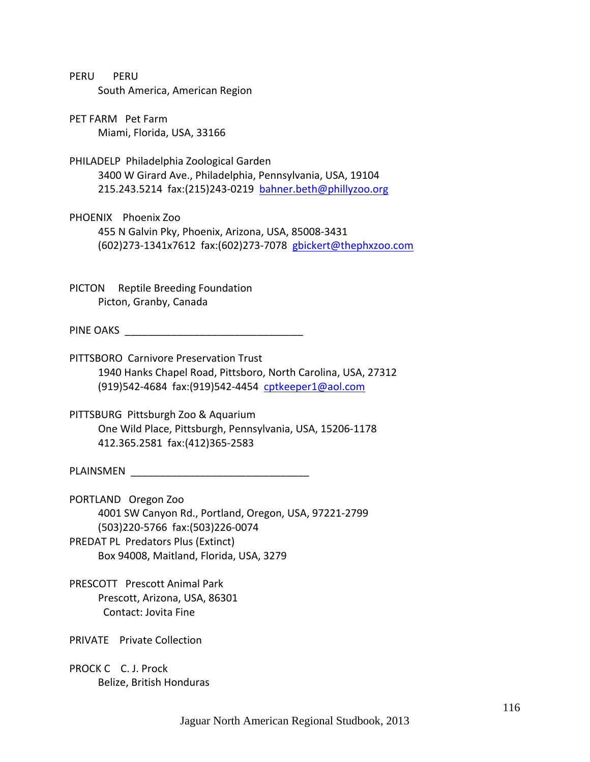| PERU | PERU |                                |
|------|------|--------------------------------|
|      |      | South America, American Region |

PET FARM Pet Farm Miami, Florida, USA, 33166

- PHILADELP Philadelphia Zoological Garden 3400 W Girard Ave., Philadelphia, Pennsylvania, USA, 19104 215.243.5214 fax:(215)243‐0219 bahner.beth@phillyzoo.org
- PHOENIX Phoenix Zoo 455 N Galvin Pky, Phoenix, Arizona, USA, 85008‐3431 (602)273‐1341x7612 fax:(602)273‐7078 gbickert@thephxzoo.com

PICTON Reptile Breeding Foundation Picton, Granby, Canada

PINE OAKS \_\_\_\_\_\_\_\_\_\_\_\_\_\_\_\_\_\_\_\_\_\_\_\_\_\_\_\_\_\_\_

- PITTSBORO Carnivore Preservation Trust 1940 Hanks Chapel Road, Pittsboro, North Carolina, USA, 27312 (919)542‐4684 fax:(919)542‐4454 cptkeeper1@aol.com
- PITTSBURG Pittsburgh Zoo & Aquarium One Wild Place, Pittsburgh, Pennsylvania, USA, 15206‐1178 412.365.2581 fax:(412)365‐2583

PLAINSMEN **EXECUTE AND THE SET OF STATISTICS** 

- PORTLAND Oregon Zoo 4001 SW Canyon Rd., Portland, Oregon, USA, 97221‐2799 (503)220‐5766 fax:(503)226‐0074 PREDAT PL Predators Plus (Extinct) Box 94008, Maitland, Florida, USA, 3279
- PRESCOTT Prescott Animal Park Prescott, Arizona, USA, 86301 Contact: Jovita Fine

PRIVATE Private Collection

PROCK C C. J. Prock Belize, British Honduras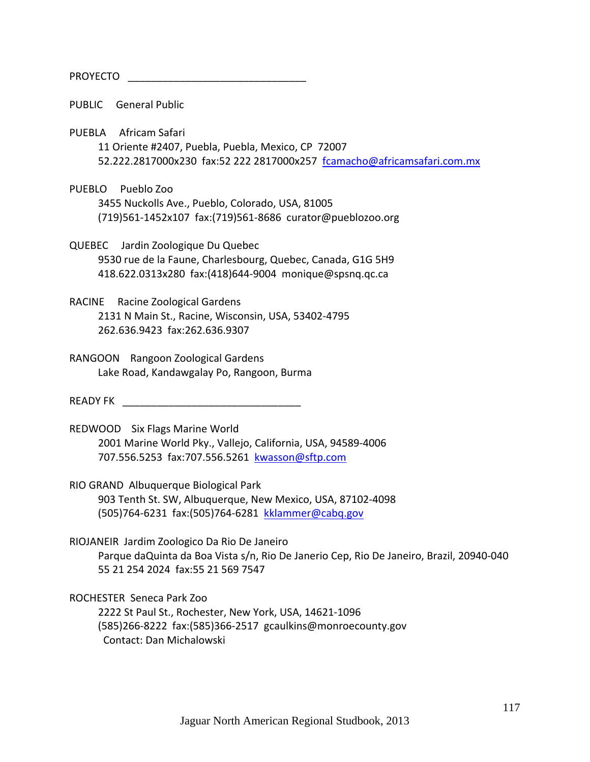# PROYECTO **and the set of the set of the set of the set of the set of the set of the set of the set of the set of the set of the set of the set of the set of the set of the set of the set of the set of the set of the set of**

PUBLIC General Public

PUEBLA Africam Safari

 11 Oriente #2407, Puebla, Puebla, Mexico, CP 72007 52.222.2817000x230 fax:52 222 2817000x257 fcamacho@africamsafari.com.mx

PUEBLO Pueblo Zoo 3455 Nuckolls Ave., Pueblo, Colorado, USA, 81005 (719)561‐1452x107 fax:(719)561‐8686 curator@pueblozoo.org

QUEBEC Jardin Zoologique Du Quebec 9530 rue de la Faune, Charlesbourg, Quebec, Canada, G1G 5H9 418.622.0313x280 fax:(418)644‐9004 monique@spsnq.qc.ca

RACINE Racine Zoological Gardens 2131 N Main St., Racine, Wisconsin, USA, 53402‐4795 262.636.9423 fax:262.636.9307

RANGOON Rangoon Zoological Gardens Lake Road, Kandawgalay Po, Rangoon, Burma

READY FK **EXAMPLE ASSESSED FOR A STATE OF A STATE OF A STATE OF A STATE OF A STATE OF A STATE OF A STATE OF A ST** 

- REDWOOD Six Flags Marine World 2001 Marine World Pky., Vallejo, California, USA, 94589‐4006 707.556.5253 fax:707.556.5261 kwasson@sftp.com
- RIO GRAND Albuquerque Biological Park 903 Tenth St. SW, Albuquerque, New Mexico, USA, 87102‐4098 (505)764‐6231 fax:(505)764‐6281 kklammer@cabq.gov

RIOJANEIR Jardim Zoologico Da Rio De Janeiro Parque daQuinta da Boa Vista s/n, Rio De Janerio Cep, Rio De Janeiro, Brazil, 20940‐040 55 21 254 2024 fax:55 21 569 7547

ROCHESTER Seneca Park Zoo

 2222 St Paul St., Rochester, New York, USA, 14621‐1096 (585)266‐8222 fax:(585)366‐2517 gcaulkins@monroecounty.gov Contact: Dan Michalowski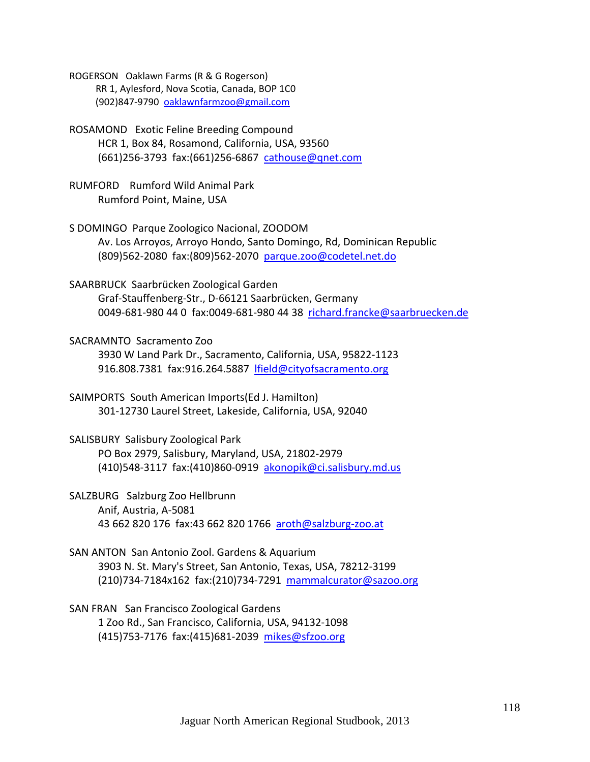ROGERSON Oaklawn Farms (R & G Rogerson) RR 1, Aylesford, Nova Scotia, Canada, BOP 1C0 (902)847‐9790 oaklawnfarmzoo@gmail.com

ROSAMOND Exotic Feline Breeding Compound HCR 1, Box 84, Rosamond, California, USA, 93560 (661)256-3793 fax:(661)256-6867 cathouse@qnet.com

RUMFORD Rumford Wild Animal Park Rumford Point, Maine, USA

S DOMINGO Parque Zoologico Nacional, ZOODOM Av. Los Arroyos, Arroyo Hondo, Santo Domingo, Rd, Dominican Republic (809)562‐2080 fax:(809)562‐2070 parque.zoo@codetel.net.do

SAARBRUCK Saarbrücken Zoological Garden Graf‐Stauffenberg‐Str., D‐66121 Saarbrücken, Germany 0049‐681‐980 44 0 fax:0049‐681‐980 44 38 richard.francke@saarbruecken.de

SACRAMNTO Sacramento Zoo 3930 W Land Park Dr., Sacramento, California, USA, 95822‐1123 916.808.7381 fax:916.264.5887 lfield@cityofsacramento.org

SAIMPORTS South American Imports(Ed J. Hamilton) 301‐12730 Laurel Street, Lakeside, California, USA, 92040

SALISBURY Salisbury Zoological Park PO Box 2979, Salisbury, Maryland, USA, 21802‐2979 (410)548‐3117 fax:(410)860‐0919 akonopik@ci.salisbury.md.us

SALZBURG Salzburg Zoo Hellbrunn Anif, Austria, A‐5081 43 662 820 176 fax:43 662 820 1766 aroth@salzburg‐zoo.at

- SAN ANTON San Antonio Zool. Gardens & Aquarium 3903 N. St. Mary's Street, San Antonio, Texas, USA, 78212‐3199 (210)734‐7184x162 fax:(210)734‐7291 mammalcurator@sazoo.org
- SAN FRAN San Francisco Zoological Gardens 1 Zoo Rd., San Francisco, California, USA, 94132‐1098 (415)753‐7176 fax:(415)681‐2039 mikes@sfzoo.org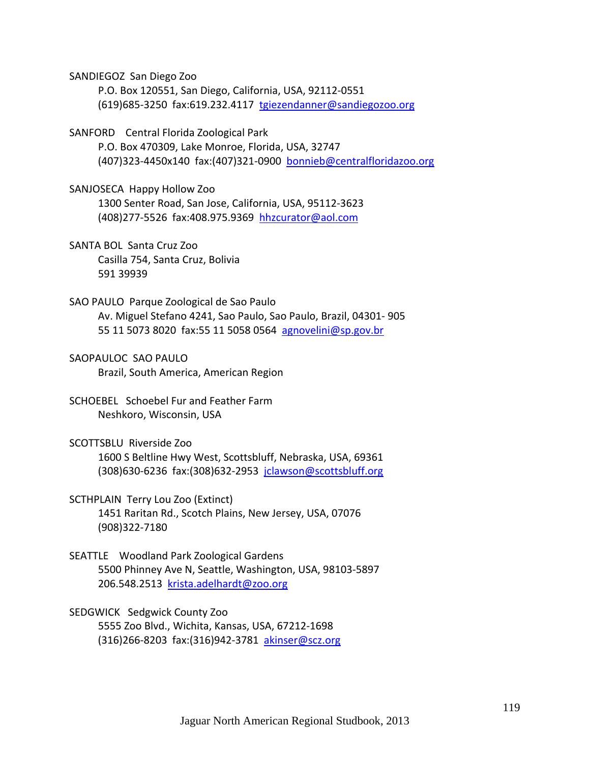SANDIEGOZ San Diego Zoo

 P.O. Box 120551, San Diego, California, USA, 92112‐0551 (619)685‐3250 fax:619.232.4117 tgiezendanner@sandiegozoo.org

SANFORD Central Florida Zoological Park

 P.O. Box 470309, Lake Monroe, Florida, USA, 32747 (407)323‐4450x140 fax:(407)321‐0900 bonnieb@centralfloridazoo.org

SANJOSECA Happy Hollow Zoo

 1300 Senter Road, San Jose, California, USA, 95112‐3623 (408)277‐5526 fax:408.975.9369 hhzcurator@aol.com

SANTA BOL Santa Cruz Zoo Casilla 754, Santa Cruz, Bolivia 591 39939

- SAO PAULO Parque Zoological de Sao Paulo Av. Miguel Stefano 4241, Sao Paulo, Sao Paulo, Brazil, 04301‐ 905 55 11 5073 8020 fax:55 11 5058 0564 agnovelini@sp.gov.br
- SAOPAULOC SAO PAULO Brazil, South America, American Region
- SCHOEBEL Schoebel Fur and Feather Farm Neshkoro, Wisconsin, USA
- SCOTTSBLU Riverside Zoo 1600 S Beltline Hwy West, Scottsbluff, Nebraska, USA, 69361 (308)630‐6236 fax:(308)632‐2953 jclawson@scottsbluff.org

SCTHPLAIN Terry Lou Zoo (Extinct) 1451 Raritan Rd., Scotch Plains, New Jersey, USA, 07076 (908)322‐7180

SEATTLE Woodland Park Zoological Gardens 5500 Phinney Ave N, Seattle, Washington, USA, 98103‐5897 206.548.2513 krista.adelhardt@zoo.org

SEDGWICK Sedgwick County Zoo 5555 Zoo Blvd., Wichita, Kansas, USA, 67212‐1698 (316)266‐8203 fax:(316)942‐3781 akinser@scz.org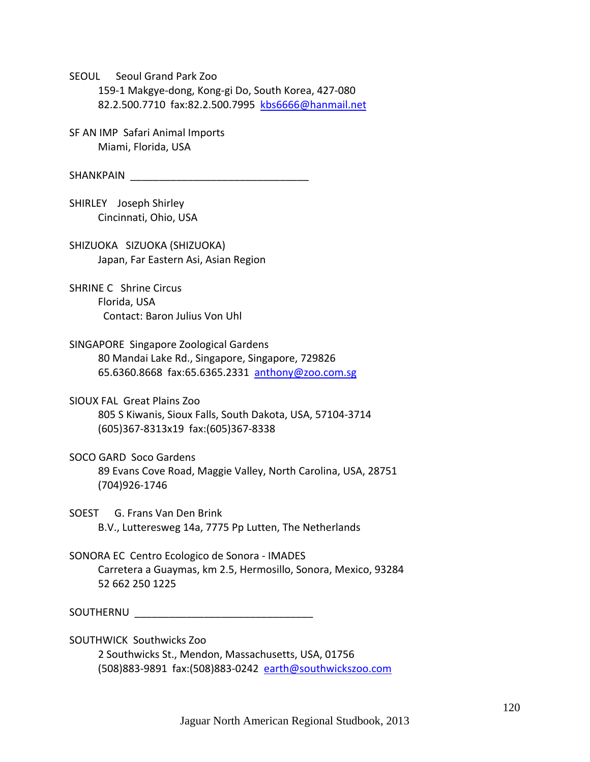SEOUL Seoul Grand Park Zoo 159‐1 Makgye‐dong, Kong‐gi Do, South Korea, 427‐080 82.2.500.7710 fax:82.2.500.7995 kbs6666@hanmail.net

SF AN IMP Safari Animal Imports Miami, Florida, USA

SHANKPAIN **External SHANKPAIN** 

SHIRLEY Joseph Shirley Cincinnati, Ohio, USA

SHIZUOKA SIZUOKA (SHIZUOKA) Japan, Far Eastern Asi, Asian Region

SHRINE C Shrine Circus Florida, USA Contact: Baron Julius Von Uhl

SINGAPORE Singapore Zoological Gardens 80 Mandai Lake Rd., Singapore, Singapore, 729826 65.6360.8668 fax:65.6365.2331 anthony@zoo.com.sg

SIOUX FAL Great Plains Zoo 805 S Kiwanis, Sioux Falls, South Dakota, USA, 57104‐3714 (605)367‐8313x19 fax:(605)367‐8338

SOCO GARD Soco Gardens 89 Evans Cove Road, Maggie Valley, North Carolina, USA, 28751 (704)926‐1746

SOEST G. Frans Van Den Brink B.V., Lutteresweg 14a, 7775 Pp Lutten, The Netherlands

SONORA EC Centro Ecologico de Sonora ‐ IMADES Carretera a Guaymas, km 2.5, Hermosillo, Sonora, Mexico, 93284 52 662 250 1225

SOUTHERNU \_\_\_\_\_\_\_\_\_\_\_\_\_\_\_\_\_\_\_\_\_\_\_\_\_\_\_\_\_\_\_

SOUTHWICK Southwicks Zoo 2 Southwicks St., Mendon, Massachusetts, USA, 01756 (508)883-9891 fax:(508)883-0242 earth@southwickszoo.com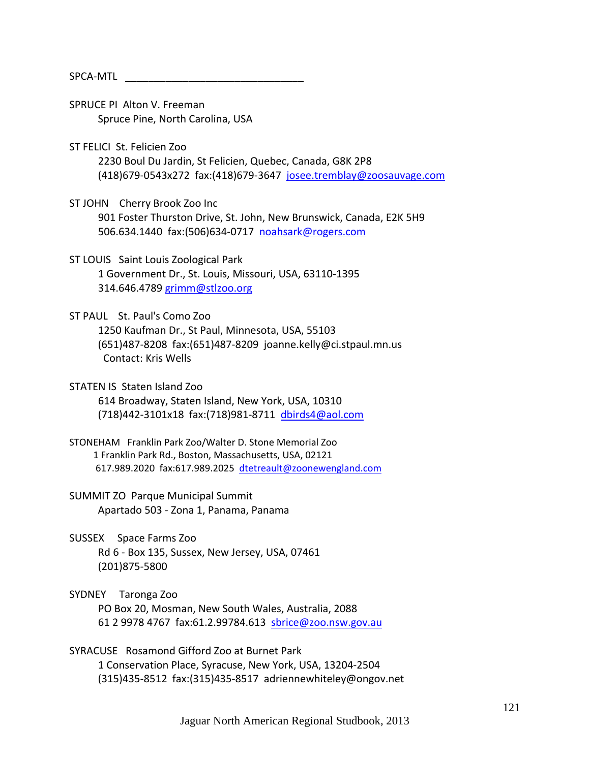# SPCA‐MTL \_\_\_\_\_\_\_\_\_\_\_\_\_\_\_\_\_\_\_\_\_\_\_\_\_\_\_\_\_\_\_

- SPRUCE PI Alton V. Freeman Spruce Pine, North Carolina, USA
- ST FELICI St. Felicien Zoo
	- 2230 Boul Du Jardin, St Felicien, Quebec, Canada, G8K 2P8 (418)679‐0543x272 fax:(418)679‐3647 josee.tremblay@zoosauvage.com
- ST JOHN Cherry Brook Zoo Inc 901 Foster Thurston Drive, St. John, New Brunswick, Canada, E2K 5H9 506.634.1440 fax:(506)634-0717 noahsark@rogers.com
- ST LOUIS Saint Louis Zoological Park 1 Government Dr., St. Louis, Missouri, USA, 63110‐1395 314.646.4789 grimm@stlzoo.org
- ST PAUL St. Paul's Como Zoo

 1250 Kaufman Dr., St Paul, Minnesota, USA, 55103 (651)487‐8208 fax:(651)487‐8209 joanne.kelly@ci.stpaul.mn.us Contact: Kris Wells

- STATEN IS Staten Island Zoo 614 Broadway, Staten Island, New York, USA, 10310 (718)442‐3101x18 fax:(718)981‐8711 dbirds4@aol.com
- STONEHAM Franklin Park Zoo/Walter D. Stone Memorial Zoo 1 Franklin Park Rd., Boston, Massachusetts, USA, 02121 617.989.2020 fax:617.989.2025 dtetreault@zoonewengland.com
- SUMMIT ZO Parque Municipal Summit Apartado 503 ‐ Zona 1, Panama, Panama
- SUSSEX Space Farms Zoo Rd 6 ‐ Box 135, Sussex, New Jersey, USA, 07461 (201)875‐5800
- SYDNEY Taronga Zoo PO Box 20, Mosman, New South Wales, Australia, 2088 61 2 9978 4767 fax:61.2.99784.613 sbrice@zoo.nsw.gov.au

SYRACUSE Rosamond Gifford Zoo at Burnet Park 1 Conservation Place, Syracuse, New York, USA, 13204‐2504 (315)435‐8512 fax:(315)435‐8517 adriennewhiteley@ongov.net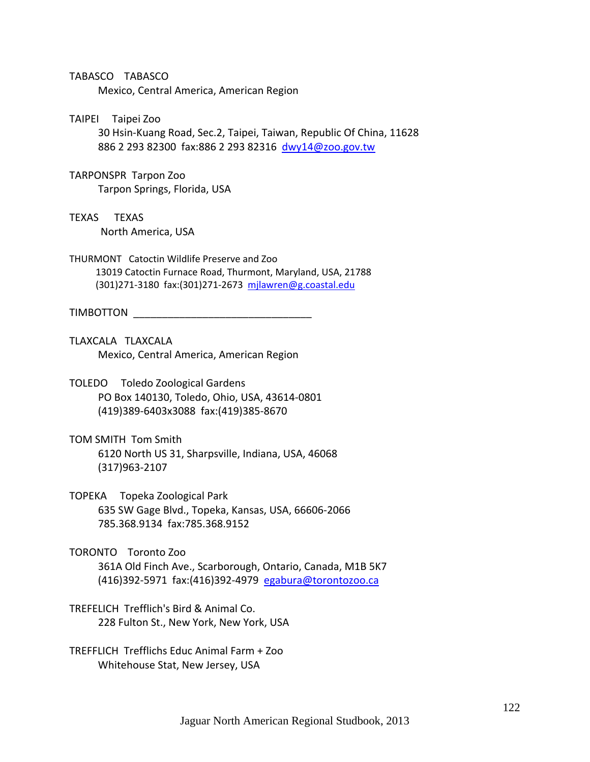#### TABASCO TABASCO

Mexico, Central America, American Region

#### TAIPEI Taipei Zoo

 30 Hsin‐Kuang Road, Sec.2, Taipei, Taiwan, Republic Of China, 11628 886 2 293 82300 fax:886 2 293 82316 dwy14@zoo.gov.tw

#### TARPONSPR Tarpon Zoo

Tarpon Springs, Florida, USA

TEXAS TEXAS

North America, USA

THURMONT Catoctin Wildlife Preserve and Zoo 13019 Catoctin Furnace Road, Thurmont, Maryland, USA, 21788 (301)271‐3180 fax:(301)271‐2673 mjlawren@g.coastal.edu

#### TIMBOTTON **TERMING TERMING TERMING**

- TLAXCALA TLAXCALA Mexico, Central America, American Region
- TOLEDO Toledo Zoological Gardens PO Box 140130, Toledo, Ohio, USA, 43614‐0801 (419)389‐6403x3088 fax:(419)385‐8670
- TOM SMITH Tom Smith 6120 North US 31, Sharpsville, Indiana, USA, 46068 (317)963‐2107
- TOPEKA Topeka Zoological Park 635 SW Gage Blvd., Topeka, Kansas, USA, 66606‐2066 785.368.9134 fax:785.368.9152
- TORONTO Toronto Zoo 361A Old Finch Ave., Scarborough, Ontario, Canada, M1B 5K7 (416)392‐5971 fax:(416)392‐4979 egabura@torontozoo.ca
- TREFELICH Trefflich's Bird & Animal Co. 228 Fulton St., New York, New York, USA
- TREFFLICH Trefflichs Educ Animal Farm + Zoo Whitehouse Stat, New Jersey, USA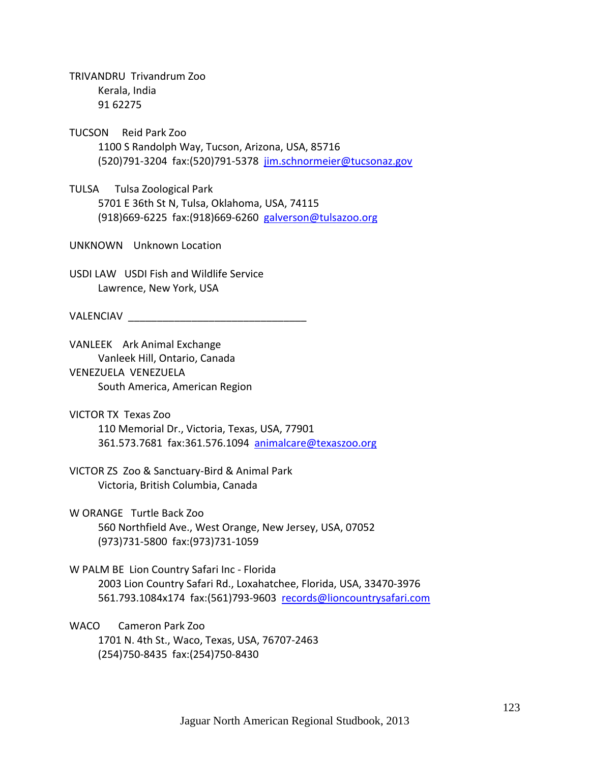TRIVANDRU Trivandrum Zoo Kerala, India 91 62275

TUCSON Reid Park Zoo 1100 S Randolph Way, Tucson, Arizona, USA, 85716 (520)791‐3204 fax:(520)791‐5378 jim.schnormeier@tucsonaz.gov

TULSA Tulsa Zoological Park 5701 E 36th St N, Tulsa, Oklahoma, USA, 74115 (918)669‐6225 fax:(918)669‐6260 galverson@tulsazoo.org

UNKNOWN Unknown Location

USDI LAW USDI Fish and Wildlife Service Lawrence, New York, USA

VALENCIAV **ALENCIAV** 

VANLEEK Ark Animal Exchange Vanleek Hill, Ontario, Canada VENEZUELA VENEZUELA South America, American Region

VICTOR TX Texas Zoo 110 Memorial Dr., Victoria, Texas, USA, 77901 361.573.7681 fax:361.576.1094 animalcare@texaszoo.org

VICTOR ZS Zoo & Sanctuary‐Bird & Animal Park Victoria, British Columbia, Canada

W ORANGE Turtle Back Zoo

 560 Northfield Ave., West Orange, New Jersey, USA, 07052 (973)731‐5800 fax:(973)731‐1059

W PALM BE Lion Country Safari Inc ‐ Florida 2003 Lion Country Safari Rd., Loxahatchee, Florida, USA, 33470‐3976 561.793.1084x174 fax:(561)793-9603 records@lioncountrysafari.com

WACO Cameron Park Zoo 1701 N. 4th St., Waco, Texas, USA, 76707‐2463 (254)750‐8435 fax:(254)750‐8430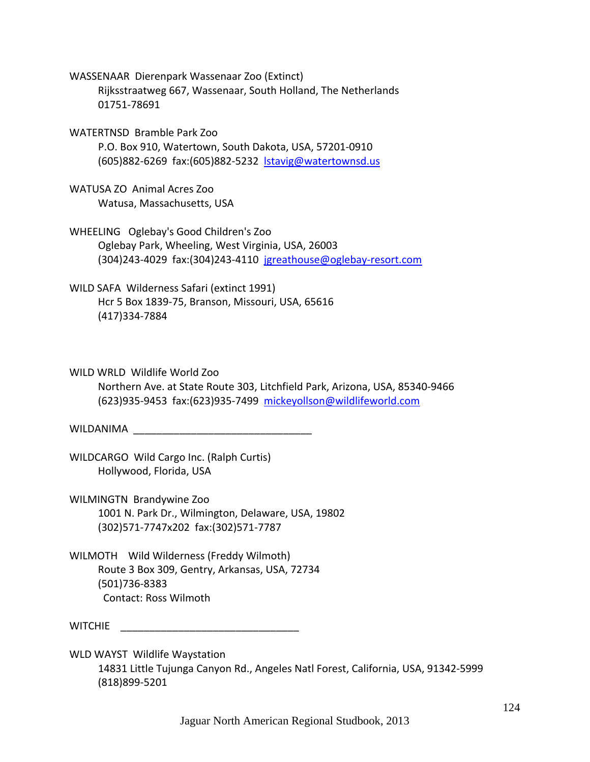WASSENAAR Dierenpark Wassenaar Zoo (Extinct) Rijksstraatweg 667, Wassenaar, South Holland, The Netherlands 01751‐78691

WATERTNSD Bramble Park Zoo P.O. Box 910, Watertown, South Dakota, USA, 57201‐0910 (605)882‐6269 fax:(605)882‐5232 lstavig@watertownsd.us

WATUSA ZO Animal Acres Zoo Watusa, Massachusetts, USA

WHEELING Oglebay's Good Children's Zoo Oglebay Park, Wheeling, West Virginia, USA, 26003 (304)243‐4029 fax:(304)243‐4110 jgreathouse@oglebay‐resort.com

WILD SAFA Wilderness Safari (extinct 1991) Hcr 5 Box 1839‐75, Branson, Missouri, USA, 65616 (417)334‐7884

WILD WRLD Wildlife World Zoo

 Northern Ave. at State Route 303, Litchfield Park, Arizona, USA, 85340‐9466 (623)935‐9453 fax:(623)935‐7499 mickeyollson@wildlifeworld.com

WILDANIMA \_\_\_\_\_\_\_\_\_\_\_\_\_\_\_\_\_\_\_\_\_\_\_\_\_\_\_\_\_\_\_

WILDCARGO Wild Cargo Inc. (Ralph Curtis) Hollywood, Florida, USA

WILMINGTN Brandywine Zoo 1001 N. Park Dr., Wilmington, Delaware, USA, 19802 (302)571‐7747x202 fax:(302)571‐7787

WILMOTH Wild Wilderness (Freddy Wilmoth) Route 3 Box 309, Gentry, Arkansas, USA, 72734 (501)736‐8383 Contact: Ross Wilmoth

WITCHIE \_\_\_\_\_\_\_\_\_\_\_\_\_\_\_\_\_\_\_\_\_\_\_\_\_\_\_\_\_\_\_

WLD WAYST Wildlife Waystation 14831 Little Tujunga Canyon Rd., Angeles Natl Forest, California, USA, 91342‐5999 (818)899‐5201